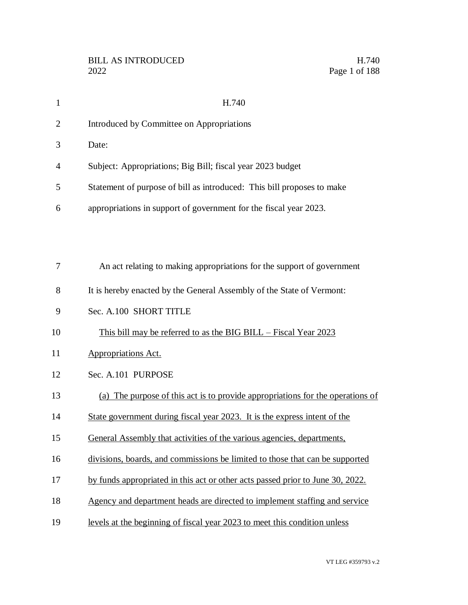| 1              | H.740                                                                          |
|----------------|--------------------------------------------------------------------------------|
| $\overline{2}$ | Introduced by Committee on Appropriations                                      |
| 3              | Date:                                                                          |
| 4              | Subject: Appropriations; Big Bill; fiscal year 2023 budget                     |
| 5              | Statement of purpose of bill as introduced: This bill proposes to make         |
| 6              | appropriations in support of government for the fiscal year 2023.              |
|                |                                                                                |
|                |                                                                                |
| 7              | An act relating to making appropriations for the support of government         |
| 8              | It is hereby enacted by the General Assembly of the State of Vermont:          |
| 9              | Sec. A.100 SHORT TITLE                                                         |
| 10             | This bill may be referred to as the BIG BILL – Fiscal Year 2023                |
| 11             | <b>Appropriations Act.</b>                                                     |
| 12             | Sec. A.101 PURPOSE                                                             |
| 13             | (a) The purpose of this act is to provide appropriations for the operations of |
| 14             | State government during fiscal year 2023. It is the express intent of the      |
| 15             | General Assembly that activities of the various agencies, departments,         |
| 16             | divisions, boards, and commissions be limited to those that can be supported   |
| 17             | by funds appropriated in this act or other acts passed prior to June 30, 2022. |
| 18             | Agency and department heads are directed to implement staffing and service     |
| 19             | levels at the beginning of fiscal year 2023 to meet this condition unless      |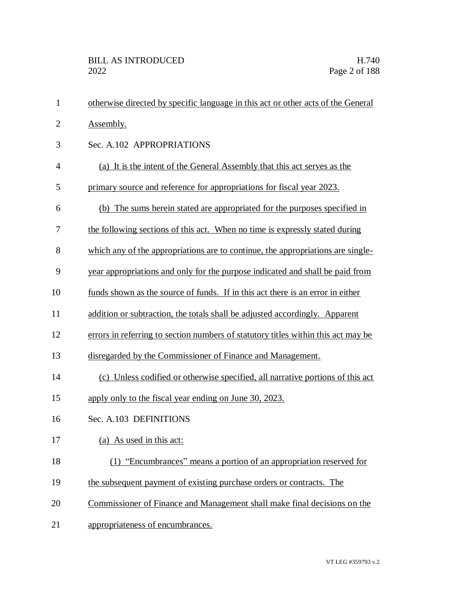| $\mathbf{1}$   | otherwise directed by specific language in this act or other acts of the General  |
|----------------|-----------------------------------------------------------------------------------|
| $\overline{2}$ | Assembly.                                                                         |
| 3              | Sec. A.102 APPROPRIATIONS                                                         |
| 4              | (a) It is the intent of the General Assembly that this act serves as the          |
| 5              | primary source and reference for appropriations for fiscal year 2023.             |
| 6              | (b) The sums herein stated are appropriated for the purposes specified in         |
| 7              | the following sections of this act. When no time is expressly stated during       |
| 8              | which any of the appropriations are to continue, the appropriations are single-   |
| 9              | year appropriations and only for the purpose indicated and shall be paid from     |
| 10             | funds shown as the source of funds. If in this act there is an error in either    |
| 11             | addition or subtraction, the totals shall be adjusted accordingly. Apparent       |
| 12             | errors in referring to section numbers of statutory titles within this act may be |
| 13             | disregarded by the Commissioner of Finance and Management.                        |
| 14             | (c) Unless codified or otherwise specified, all narrative portions of this act    |
| 15             | apply only to the fiscal year ending on June 30, 2023.                            |
| 16             | Sec. A.103 DEFINITIONS                                                            |
| 17             | (a) As used in this act:                                                          |
| 18             | (1) "Encumbrances" means a portion of an appropriation reserved for               |
| 19             | the subsequent payment of existing purchase orders or contracts. The              |
| 20             | Commissioner of Finance and Management shall make final decisions on the          |
| 21             | appropriateness of encumbrances.                                                  |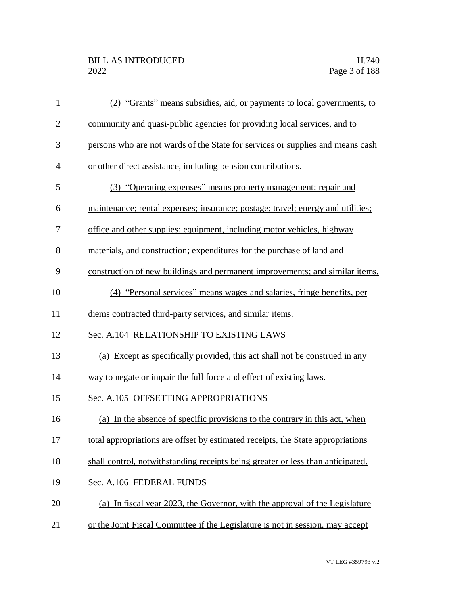| $\mathbf{1}$   | (2) "Grants" means subsidies, aid, or payments to local governments, to         |
|----------------|---------------------------------------------------------------------------------|
| $\overline{2}$ | community and quasi-public agencies for providing local services, and to        |
| 3              | persons who are not wards of the State for services or supplies and means cash  |
| $\overline{4}$ | or other direct assistance, including pension contributions.                    |
| 5              | (3) "Operating expenses" means property management; repair and                  |
| 6              | maintenance; rental expenses; insurance; postage; travel; energy and utilities; |
| 7              | office and other supplies; equipment, including motor vehicles, highway         |
| 8              | materials, and construction; expenditures for the purchase of land and          |
| 9              | construction of new buildings and permanent improvements; and similar items.    |
| 10             | (4) "Personal services" means wages and salaries, fringe benefits, per          |
| 11             | diems contracted third-party services, and similar items.                       |
| 12             | Sec. A.104 RELATIONSHIP TO EXISTING LAWS                                        |
| 13             | (a) Except as specifically provided, this act shall not be construed in any     |
| 14             | way to negate or impair the full force and effect of existing laws.             |
| 15             | Sec. A.105 OFFSETTING APPROPRIATIONS                                            |
| 16             | (a) In the absence of specific provisions to the contrary in this act, when     |
| 17             | total appropriations are offset by estimated receipts, the State appropriations |
| 18             | shall control, notwithstanding receipts being greater or less than anticipated. |
| 19             | Sec. A.106 FEDERAL FUNDS                                                        |
| 20             | (a) In fiscal year 2023, the Governor, with the approval of the Legislature     |
| 21             | or the Joint Fiscal Committee if the Legislature is not in session, may accept  |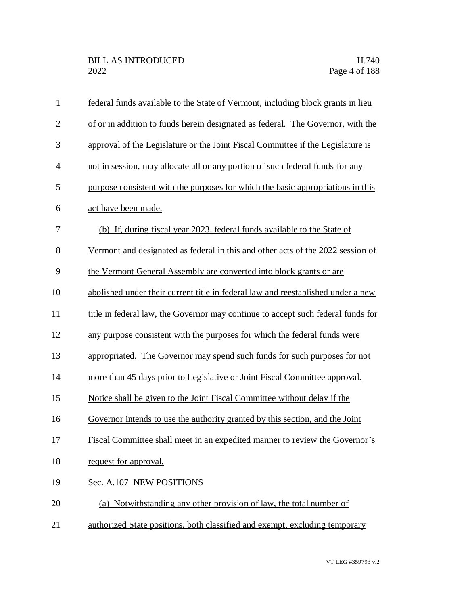| $\mathbf{1}$   | federal funds available to the State of Vermont, including block grants in lieu  |
|----------------|----------------------------------------------------------------------------------|
| $\overline{2}$ | of or in addition to funds herein designated as federal. The Governor, with the  |
| 3              | approval of the Legislature or the Joint Fiscal Committee if the Legislature is  |
| $\overline{4}$ | not in session, may allocate all or any portion of such federal funds for any    |
| 5              | purpose consistent with the purposes for which the basic appropriations in this  |
| 6              | act have been made.                                                              |
| $\tau$         | (b) If, during fiscal year 2023, federal funds available to the State of         |
| 8              | Vermont and designated as federal in this and other acts of the 2022 session of  |
| 9              | the Vermont General Assembly are converted into block grants or are              |
| 10             | abolished under their current title in federal law and reestablished under a new |
| 11             | title in federal law, the Governor may continue to accept such federal funds for |
| 12             | any purpose consistent with the purposes for which the federal funds were        |
| 13             | appropriated. The Governor may spend such funds for such purposes for not        |
| 14             | more than 45 days prior to Legislative or Joint Fiscal Committee approval.       |
| 15             | Notice shall be given to the Joint Fiscal Committee without delay if the         |
| 16             | Governor intends to use the authority granted by this section, and the Joint     |
| 17             | Fiscal Committee shall meet in an expedited manner to review the Governor's      |
| 18             | request for approval.                                                            |
| 19             | Sec. A.107 NEW POSITIONS                                                         |
| 20             | (a) Notwithstanding any other provision of law, the total number of              |
| 21             | authorized State positions, both classified and exempt, excluding temporary      |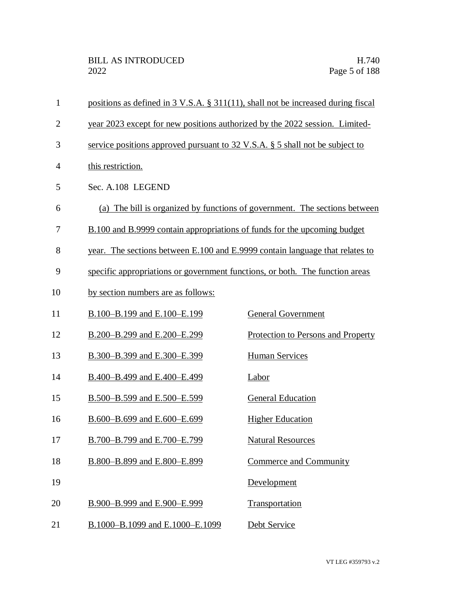| 1              | positions as defined in 3 V.S.A. § 311(11), shall not be increased during fiscal |                                                                            |  |
|----------------|----------------------------------------------------------------------------------|----------------------------------------------------------------------------|--|
| $\overline{2}$ | year 2023 except for new positions authorized by the 2022 session. Limited-      |                                                                            |  |
| 3              | service positions approved pursuant to 32 V.S.A. § 5 shall not be subject to     |                                                                            |  |
| 4              | this restriction.                                                                |                                                                            |  |
| 5              | Sec. A.108 LEGEND                                                                |                                                                            |  |
| 6              |                                                                                  | (a) The bill is organized by functions of government. The sections between |  |
| 7              | B.100 and B.9999 contain appropriations of funds for the upcoming budget         |                                                                            |  |
| 8              | year. The sections between E.100 and E.9999 contain language that relates to     |                                                                            |  |
| 9              | specific appropriations or government functions, or both. The function areas     |                                                                            |  |
| 10             | by section numbers are as follows:                                               |                                                                            |  |
| 11             | B.100-B.199 and E.100-E.199                                                      | <b>General Government</b>                                                  |  |
| 12             | B.200-B.299 and E.200-E.299                                                      | Protection to Persons and Property                                         |  |
| 13             | B.300-B.399 and E.300-E.399                                                      | <b>Human Services</b>                                                      |  |
| 14             | B.400-B.499 and E.400-E.499                                                      | Labor                                                                      |  |
| 15             | B.500-B.599 and E.500-E.599                                                      | <b>General Education</b>                                                   |  |
| 16             | B.600-B.699 and E.600-E.699                                                      | <b>Higher Education</b>                                                    |  |
| 17             | B.700-B.799 and E.700-E.799                                                      | <b>Natural Resources</b>                                                   |  |
| 18             | B.800-B.899 and E.800-E.899                                                      | <b>Commerce and Community</b>                                              |  |
| 19             |                                                                                  | Development                                                                |  |
| 20             | B.900-B.999 and E.900-E.999                                                      | Transportation                                                             |  |
| 21             | B.1000-B.1099 and E.1000-E.1099                                                  | Debt Service                                                               |  |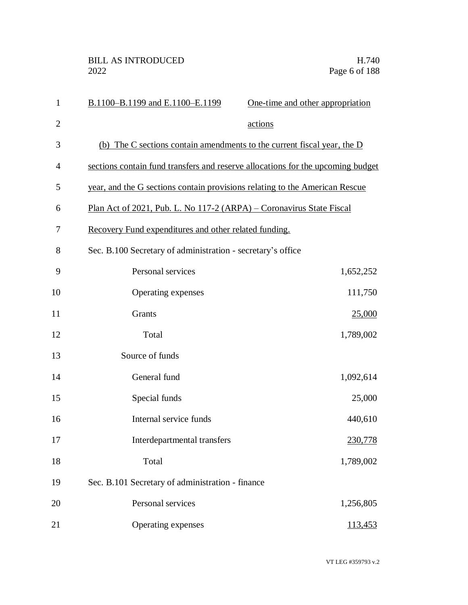| $\mathbf{1}$   | B.1100-B.1199 and E.1100-E.1199                                                 | One-time and other appropriation |
|----------------|---------------------------------------------------------------------------------|----------------------------------|
| $\overline{2}$ |                                                                                 | actions                          |
| 3              | (b) The C sections contain amendments to the current fiscal year, the $D$       |                                  |
| $\overline{4}$ | sections contain fund transfers and reserve allocations for the upcoming budget |                                  |
| 5              | year, and the G sections contain provisions relating to the American Rescue     |                                  |
| 6              | Plan Act of 2021, Pub. L. No 117-2 (ARPA) – Coronavirus State Fiscal            |                                  |
| 7              | Recovery Fund expenditures and other related funding.                           |                                  |
| 8              | Sec. B.100 Secretary of administration - secretary's office                     |                                  |
| 9              | Personal services                                                               | 1,652,252                        |
| 10             | Operating expenses                                                              | 111,750                          |
| 11             | Grants                                                                          | 25,000                           |
| 12             | Total                                                                           | 1,789,002                        |
| 13             | Source of funds                                                                 |                                  |
| 14             | General fund                                                                    | 1,092,614                        |
| 15             | Special funds                                                                   | 25,000                           |
| 16             | Internal service funds                                                          | 440,610                          |
| 17             | Interdepartmental transfers                                                     | 230,778                          |
| 18             | Total                                                                           | 1,789,002                        |
| 19             | Sec. B.101 Secretary of administration - finance                                |                                  |
| 20             | Personal services                                                               | 1,256,805                        |
| 21             | Operating expenses                                                              | 113,453                          |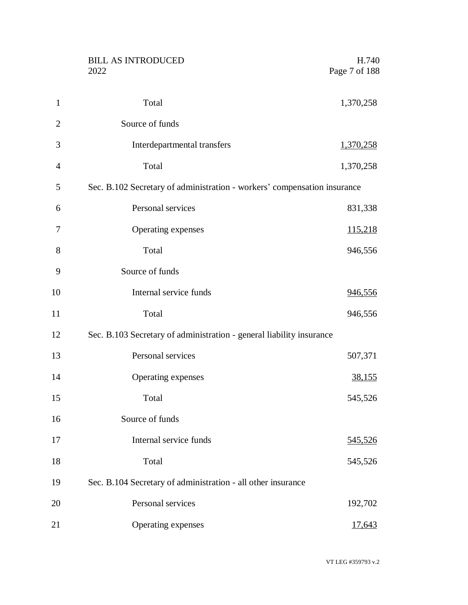|                | <b>BILL AS INTRODUCED</b><br>2022                                        | H.740<br>Page 7 of 188 |
|----------------|--------------------------------------------------------------------------|------------------------|
| $\mathbf{1}$   | Total                                                                    | 1,370,258              |
| $\overline{2}$ | Source of funds                                                          |                        |
| 3              | Interdepartmental transfers                                              | 1,370,258              |
| $\overline{4}$ | Total                                                                    | 1,370,258              |
| 5              | Sec. B.102 Secretary of administration - workers' compensation insurance |                        |
| 6              | Personal services                                                        | 831,338                |
| 7              | Operating expenses                                                       | <u>115,218</u>         |
| 8              | Total                                                                    | 946,556                |
| 9              | Source of funds                                                          |                        |
| 10             | Internal service funds                                                   | <u>946,556</u>         |
| 11             | Total                                                                    | 946,556                |
| 12             | Sec. B.103 Secretary of administration - general liability insurance     |                        |
| 13             | Personal services                                                        | 507,371                |
| 14             | Operating expenses                                                       | <u>38,155</u>          |
| 15             | Total                                                                    | 545,526                |
| 16             | Source of funds                                                          |                        |
| 17             | Internal service funds                                                   | 545,526                |
| 18             | Total                                                                    | 545,526                |
| 19             | Sec. B.104 Secretary of administration - all other insurance             |                        |
| 20             | Personal services                                                        | 192,702                |
| 21             | Operating expenses                                                       | 17,643                 |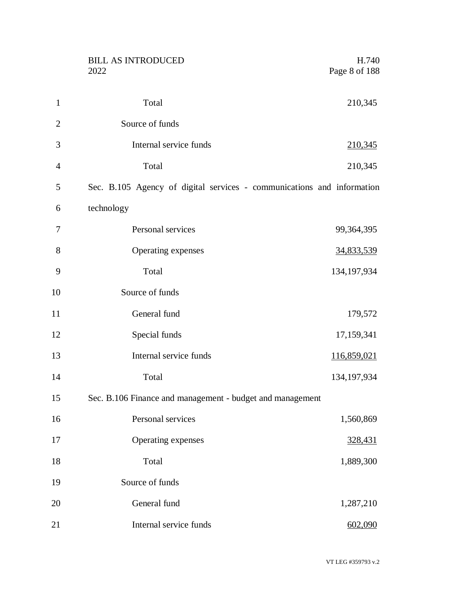|                | <b>BILL AS INTRODUCED</b><br>2022                                      | H.740<br>Page 8 of 188 |
|----------------|------------------------------------------------------------------------|------------------------|
|                |                                                                        |                        |
| $\mathbf{1}$   | Total                                                                  | 210,345                |
| $\overline{2}$ | Source of funds                                                        |                        |
| 3              | Internal service funds                                                 | 210,345                |
| $\overline{4}$ | Total                                                                  | 210,345                |
| 5              | Sec. B.105 Agency of digital services - communications and information |                        |
| 6              | technology                                                             |                        |
| 7              | Personal services                                                      | 99,364,395             |
| 8              | Operating expenses                                                     | 34,833,539             |
| 9              | Total                                                                  | 134, 197, 934          |
| 10             | Source of funds                                                        |                        |
| 11             | General fund                                                           | 179,572                |
| 12             | Special funds                                                          | 17,159,341             |
| 13             | Internal service funds                                                 | 116,859,021            |
| 14             | Total                                                                  | 134, 197, 934          |
| 15             | Sec. B.106 Finance and management - budget and management              |                        |
| 16             | Personal services                                                      | 1,560,869              |
| 17             | Operating expenses                                                     | 328,431                |
| 18             | Total                                                                  | 1,889,300              |
| 19             | Source of funds                                                        |                        |
| 20             | General fund                                                           | 1,287,210              |
| 21             | Internal service funds                                                 | 602,090                |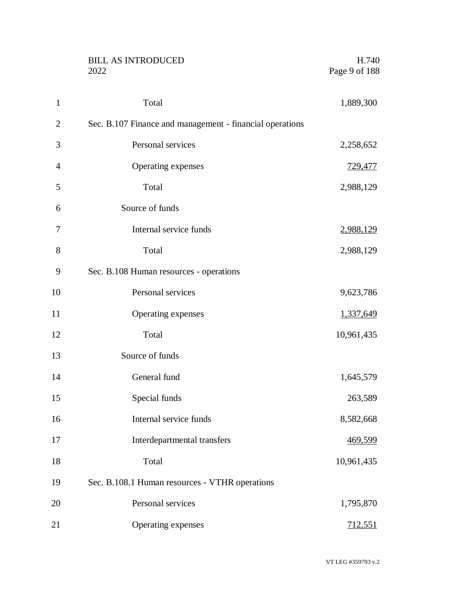|                | <b>BILL AS INTRODUCED</b><br>2022                        | H.740<br>Page 9 of 188 |
|----------------|----------------------------------------------------------|------------------------|
| $\mathbf{1}$   | Total                                                    | 1,889,300              |
| $\overline{2}$ | Sec. B.107 Finance and management - financial operations |                        |
| 3              | Personal services                                        | 2,258,652              |
| 4              | Operating expenses                                       | <u>729,477</u>         |
| 5              | Total                                                    | 2,988,129              |
| 6              | Source of funds                                          |                        |
| 7              | Internal service funds                                   | 2,988,129              |
| 8              | Total                                                    | 2,988,129              |
| 9              | Sec. B.108 Human resources - operations                  |                        |
| 10             | Personal services                                        | 9,623,786              |
| 11             | Operating expenses                                       | 1,337,649              |
| 12             | Total                                                    | 10,961,435             |
| 13             | Source of funds                                          |                        |
| 14             | General fund                                             | 1,645,579              |
| 15             | Special funds                                            | 263,589                |
| 16             | Internal service funds                                   | 8,582,668              |
| 17             | Interdepartmental transfers                              | 469,599                |
| 18             | Total                                                    | 10,961,435             |
| 19             | Sec. B.108.1 Human resources - VTHR operations           |                        |
| 20             | Personal services                                        | 1,795,870              |
| 21             | Operating expenses                                       | 712,551                |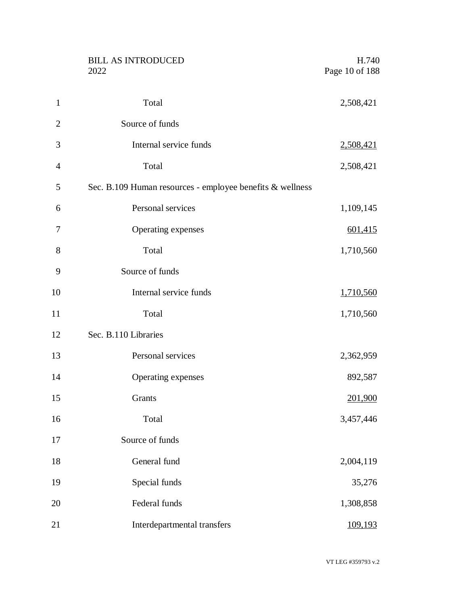|                  | <b>BILL AS INTRODUCED</b><br>2022                         | H.740<br>Page 10 of 188 |
|------------------|-----------------------------------------------------------|-------------------------|
| $\mathbf{1}$     | Total                                                     | 2,508,421               |
| $\overline{2}$   | Source of funds                                           |                         |
| 3                | Internal service funds                                    | 2,508,421               |
| $\overline{4}$   | Total                                                     | 2,508,421               |
| 5                | Sec. B.109 Human resources - employee benefits & wellness |                         |
| 6                | Personal services                                         | 1,109,145               |
| $\boldsymbol{7}$ | Operating expenses                                        | 601,415                 |
| 8                | Total                                                     | 1,710,560               |
| 9                | Source of funds                                           |                         |
| 10               | Internal service funds                                    | 1,710,560               |
| 11               | Total                                                     | 1,710,560               |
| 12               | Sec. B.110 Libraries                                      |                         |
| 13               | Personal services                                         | 2,362,959               |
| 14               | Operating expenses                                        | 892,587                 |
| 15               | Grants                                                    | 201,900                 |
| 16               | Total                                                     | 3,457,446               |
| 17               | Source of funds                                           |                         |
| 18               | General fund                                              | 2,004,119               |
| 19               | Special funds                                             | 35,276                  |
| 20               | Federal funds                                             | 1,308,858               |
| 21               | Interdepartmental transfers                               | 109,193                 |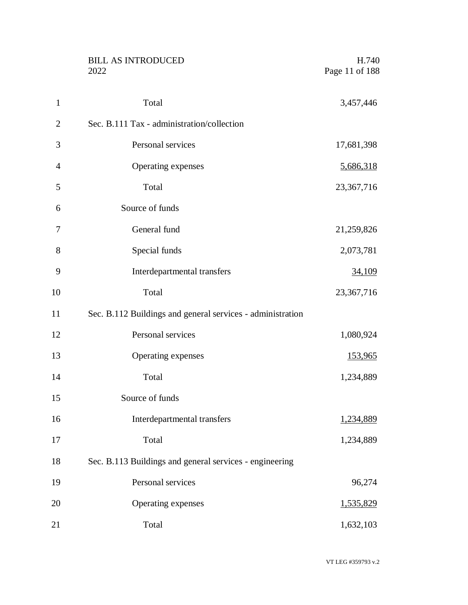|                | <b>BILL AS INTRODUCED</b><br>2022                          | H.740<br>Page 11 of 188 |
|----------------|------------------------------------------------------------|-------------------------|
| $\mathbf{1}$   | Total                                                      | 3,457,446               |
| $\overline{2}$ | Sec. B.111 Tax - administration/collection                 |                         |
| 3              | Personal services                                          | 17,681,398              |
| $\overline{4}$ | Operating expenses                                         | 5,686,318               |
| 5              | Total                                                      | 23, 367, 716            |
| 6              | Source of funds                                            |                         |
| 7              | General fund                                               | 21,259,826              |
| 8              | Special funds                                              | 2,073,781               |
| 9              | Interdepartmental transfers                                | 34,109                  |
| 10             | Total                                                      | 23,367,716              |
| 11             | Sec. B.112 Buildings and general services - administration |                         |
| 12             | Personal services                                          | 1,080,924               |
| 13             | Operating expenses                                         | 153,965                 |
| 14             | Total                                                      | 1,234,889               |
| 15             | Source of funds                                            |                         |
| 16             | Interdepartmental transfers                                | 1,234,889               |
| 17             | Total                                                      | 1,234,889               |
| 18             | Sec. B.113 Buildings and general services - engineering    |                         |
| 19             | Personal services                                          | 96,274                  |
| 20             | Operating expenses                                         | 1,535,829               |
| 21             | Total                                                      | 1,632,103               |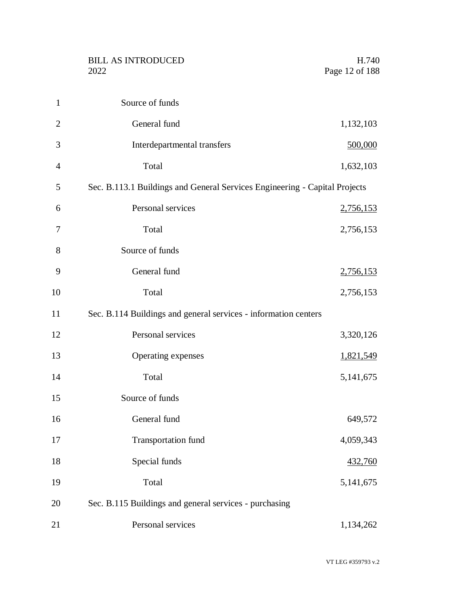| $\mathbf{1}$   | Source of funds                                                            |             |
|----------------|----------------------------------------------------------------------------|-------------|
| $\overline{2}$ | General fund                                                               | 1,132,103   |
| 3              | Interdepartmental transfers                                                | 500,000     |
| $\overline{4}$ | Total                                                                      | 1,632,103   |
| 5              | Sec. B.113.1 Buildings and General Services Engineering - Capital Projects |             |
| 6              | Personal services                                                          | 2,756,153   |
| 7              | Total                                                                      | 2,756,153   |
| 8              | Source of funds                                                            |             |
| 9              | General fund                                                               | 2,756,153   |
| 10             | Total                                                                      | 2,756,153   |
| 11             | Sec. B.114 Buildings and general services - information centers            |             |
| 12             | Personal services                                                          | 3,320,126   |
| 13             | Operating expenses                                                         | 1,821,549   |
| 14             | Total                                                                      | 5, 141, 675 |
| 15             | Source of funds                                                            |             |
| 16             | General fund                                                               | 649,572     |
| 17             | <b>Transportation fund</b>                                                 | 4,059,343   |
| 18             | Special funds                                                              | 432,760     |
| 19             | Total                                                                      | 5, 141, 675 |
| 20             | Sec. B.115 Buildings and general services - purchasing                     |             |
| 21             | Personal services                                                          | 1,134,262   |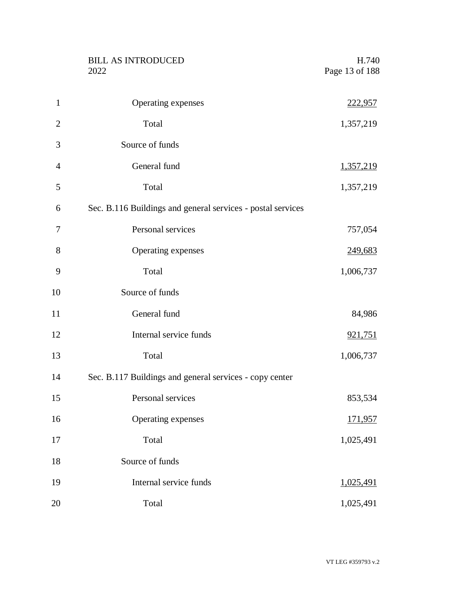|                | <b>BILL AS INTRODUCED</b><br>2022                           | H.740<br>Page 13 of 188 |
|----------------|-------------------------------------------------------------|-------------------------|
| $\mathbf{1}$   | Operating expenses                                          | <u>222,957</u>          |
| $\overline{2}$ | Total                                                       | 1,357,219               |
| 3              | Source of funds                                             |                         |
| $\overline{4}$ | General fund                                                | 1,357,219               |
| 5              | Total                                                       | 1,357,219               |
| 6              | Sec. B.116 Buildings and general services - postal services |                         |
| 7              | Personal services                                           | 757,054                 |
| 8              | Operating expenses                                          | 249,683                 |
| 9              | Total                                                       | 1,006,737               |
| 10             | Source of funds                                             |                         |
| 11             | General fund                                                | 84,986                  |
| 12             | Internal service funds                                      | 921,751                 |
| 13             | Total                                                       | 1,006,737               |
| 14             | Sec. B.117 Buildings and general services - copy center     |                         |
| 15             | Personal services                                           | 853,534                 |
| 16             | Operating expenses                                          | <u>171,957</u>          |
| 17             | Total                                                       | 1,025,491               |
| 18             | Source of funds                                             |                         |
| 19             | Internal service funds                                      | 1,025,491               |
| 20             | Total                                                       | 1,025,491               |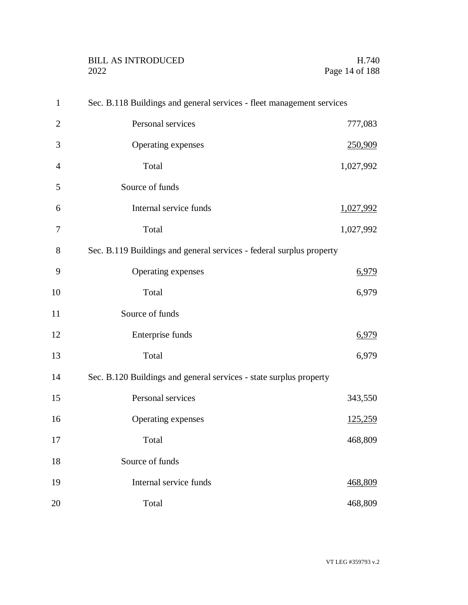| $\mathbf{1}$   | Sec. B.118 Buildings and general services - fleet management services |                |
|----------------|-----------------------------------------------------------------------|----------------|
| $\overline{2}$ | Personal services                                                     | 777,083        |
| 3              | Operating expenses                                                    | 250,909        |
| $\overline{4}$ | Total                                                                 | 1,027,992      |
| 5              | Source of funds                                                       |                |
| 6              | Internal service funds                                                | 1,027,992      |
| 7              | Total                                                                 | 1,027,992      |
| 8              | Sec. B.119 Buildings and general services - federal surplus property  |                |
| 9              | Operating expenses                                                    | 6,979          |
| 10             | Total                                                                 | 6,979          |
| 11             | Source of funds                                                       |                |
| 12             | Enterprise funds                                                      | 6,979          |
| 13             | Total                                                                 | 6,979          |
| 14             | Sec. B.120 Buildings and general services - state surplus property    |                |
| 15             | Personal services                                                     | 343,550        |
| 16             | Operating expenses                                                    | <u>125,259</u> |
| 17             | Total                                                                 | 468,809        |
| 18             | Source of funds                                                       |                |
| 19             | Internal service funds                                                | 468,809        |
| 20             | Total                                                                 | 468,809        |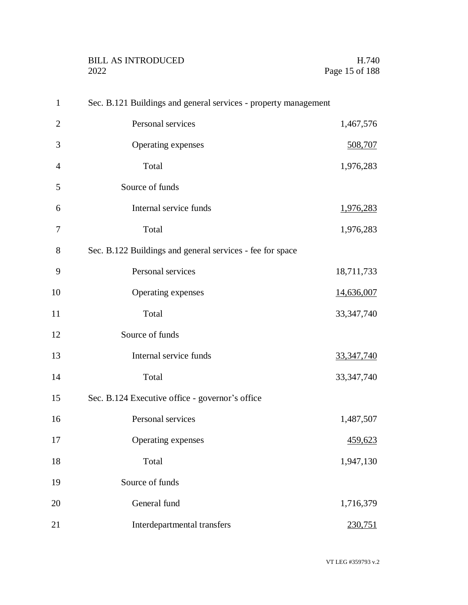| $\mathbf{1}$   | Sec. B.121 Buildings and general services - property management |              |
|----------------|-----------------------------------------------------------------|--------------|
| $\overline{2}$ | Personal services                                               | 1,467,576    |
| 3              | Operating expenses                                              | 508,707      |
| $\overline{4}$ | Total                                                           | 1,976,283    |
| 5              | Source of funds                                                 |              |
| 6              | Internal service funds                                          | 1,976,283    |
| 7              | Total                                                           | 1,976,283    |
| 8              | Sec. B.122 Buildings and general services - fee for space       |              |
| 9              | Personal services                                               | 18,711,733   |
| 10             | Operating expenses                                              | 14,636,007   |
| 11             | Total                                                           | 33, 347, 740 |
| 12             | Source of funds                                                 |              |
| 13             | Internal service funds                                          | 33, 347, 740 |
| 14             | Total                                                           | 33, 347, 740 |
| 15             | Sec. B.124 Executive office - governor's office                 |              |
| 16             | Personal services                                               | 1,487,507    |
| 17             | Operating expenses                                              | 459,623      |
| 18             | Total                                                           | 1,947,130    |
| 19             | Source of funds                                                 |              |
| 20             | General fund                                                    | 1,716,379    |
| 21             | Interdepartmental transfers                                     | 230,751      |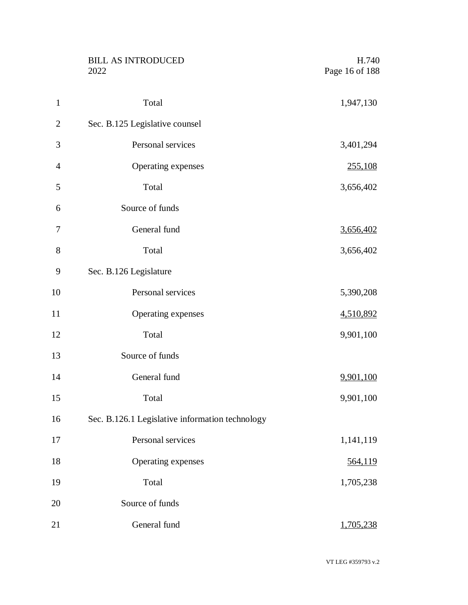|                | <b>BILL AS INTRODUCED</b><br>2022               | H.740<br>Page 16 of 188 |
|----------------|-------------------------------------------------|-------------------------|
| $\mathbf{1}$   | Total                                           | 1,947,130               |
| $\overline{2}$ | Sec. B.125 Legislative counsel                  |                         |
| 3              | Personal services                               | 3,401,294               |
| $\overline{4}$ | Operating expenses                              | 255,108                 |
| 5              | Total                                           | 3,656,402               |
| 6              | Source of funds                                 |                         |
| 7              | General fund                                    | 3,656,402               |
| 8              | Total                                           | 3,656,402               |
| 9              | Sec. B.126 Legislature                          |                         |
| 10             | Personal services                               | 5,390,208               |
| 11             | Operating expenses                              | 4,510,892               |
| 12             | Total                                           | 9,901,100               |
| 13             | Source of funds                                 |                         |
| 14             | General fund                                    | 9,901,100               |
| 15             | Total                                           | 9,901,100               |
| 16             | Sec. B.126.1 Legislative information technology |                         |
| 17             | Personal services                               | 1,141,119               |
| 18             | Operating expenses                              | 564,119                 |
| 19             | Total                                           | 1,705,238               |
| 20             | Source of funds                                 |                         |
| 21             | General fund                                    | 1,705,238               |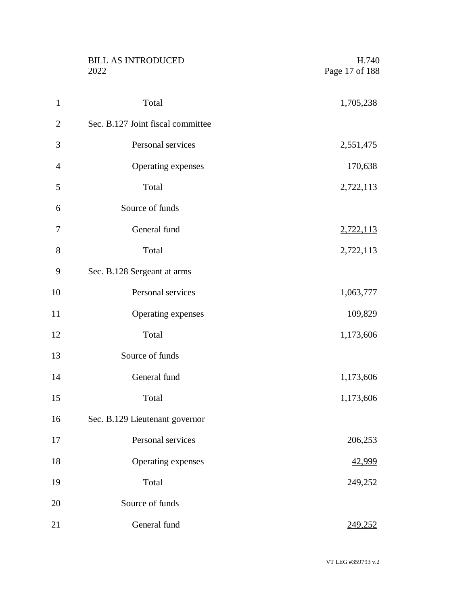|                | <b>BILL AS INTRODUCED</b><br>2022 | H.740<br>Page 17 of 188 |
|----------------|-----------------------------------|-------------------------|
| $\mathbf{1}$   | Total                             | 1,705,238               |
| $\overline{2}$ | Sec. B.127 Joint fiscal committee |                         |
| 3              | Personal services                 | 2,551,475               |
| $\overline{4}$ | Operating expenses                | 170,638                 |
| 5              | Total                             | 2,722,113               |
| 6              | Source of funds                   |                         |
| 7              | General fund                      | 2,722,113               |
| 8              | Total                             | 2,722,113               |
| 9              | Sec. B.128 Sergeant at arms       |                         |
| 10             | Personal services                 | 1,063,777               |
| 11             | Operating expenses                | 109,829                 |
| 12             | Total                             | 1,173,606               |
| 13             | Source of funds                   |                         |
| 14             | General fund                      | <u>1,173,606</u>        |
| 15             | Total                             | 1,173,606               |
| 16             | Sec. B.129 Lieutenant governor    |                         |
| 17             | Personal services                 | 206,253                 |
| 18             | Operating expenses                | 42,999                  |
| 19             | Total                             | 249,252                 |
| 20             | Source of funds                   |                         |
| 21             | General fund                      | 249,252                 |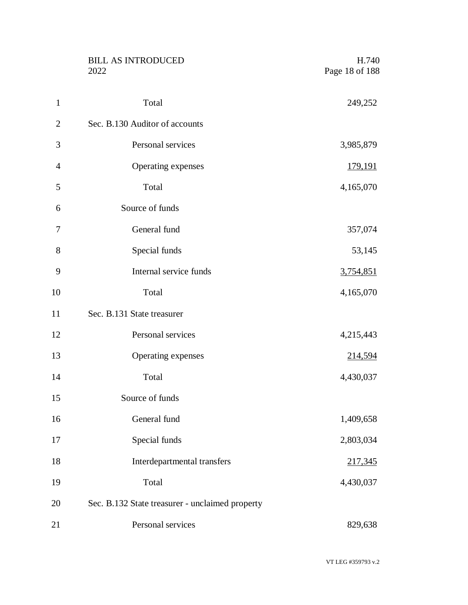|                | <b>BILL AS INTRODUCED</b><br>2022               | H.740<br>Page 18 of 188 |
|----------------|-------------------------------------------------|-------------------------|
| $\mathbf{1}$   | Total                                           | 249,252                 |
| $\overline{2}$ | Sec. B.130 Auditor of accounts                  |                         |
| 3              | Personal services                               | 3,985,879               |
| $\overline{4}$ | Operating expenses                              | <u>179,191</u>          |
| 5              | Total                                           | 4,165,070               |
| 6              | Source of funds                                 |                         |
| 7              | General fund                                    | 357,074                 |
| 8              | Special funds                                   | 53,145                  |
| 9              | Internal service funds                          | 3,754,851               |
| 10             | Total                                           | 4,165,070               |
| 11             | Sec. B.131 State treasurer                      |                         |
| 12             | Personal services                               | 4,215,443               |
| 13             | Operating expenses                              | <u>214,594</u>          |
| 14             | Total                                           | 4,430,037               |
| 15             | Source of funds                                 |                         |
| 16             | General fund                                    | 1,409,658               |
| 17             | Special funds                                   | 2,803,034               |
| 18             | Interdepartmental transfers                     | 217,345                 |
| 19             | Total                                           | 4,430,037               |
| 20             | Sec. B.132 State treasurer - unclaimed property |                         |
| 21             | Personal services                               | 829,638                 |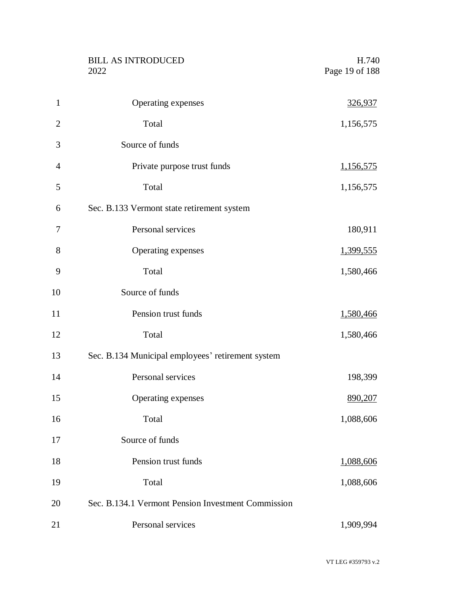|                | <b>BILL AS INTRODUCED</b><br>2022                  | H.740<br>Page 19 of 188 |
|----------------|----------------------------------------------------|-------------------------|
| $\mathbf{1}$   | Operating expenses                                 | 326,937                 |
| $\overline{2}$ | Total                                              | 1,156,575               |
| 3              | Source of funds                                    |                         |
| $\overline{4}$ | Private purpose trust funds                        | <u>1,156,575</u>        |
| 5              | Total                                              | 1,156,575               |
| 6              | Sec. B.133 Vermont state retirement system         |                         |
| 7              | Personal services                                  | 180,911                 |
| 8              | Operating expenses                                 | <u>1,399,555</u>        |
| 9              | Total                                              | 1,580,466               |
| 10             | Source of funds                                    |                         |
| 11             | Pension trust funds                                | 1,580,466               |
| 12             | Total                                              | 1,580,466               |
| 13             | Sec. B.134 Municipal employees' retirement system  |                         |
| 14             | Personal services                                  | 198,399                 |
| 15             | Operating expenses                                 | 890,207                 |
| 16             | Total                                              | 1,088,606               |
| 17             | Source of funds                                    |                         |
| 18             | Pension trust funds                                | 1,088,606               |
| 19             | Total                                              | 1,088,606               |
| 20             | Sec. B.134.1 Vermont Pension Investment Commission |                         |
| 21             | Personal services                                  | 1,909,994               |

VT LEG #359793 v.2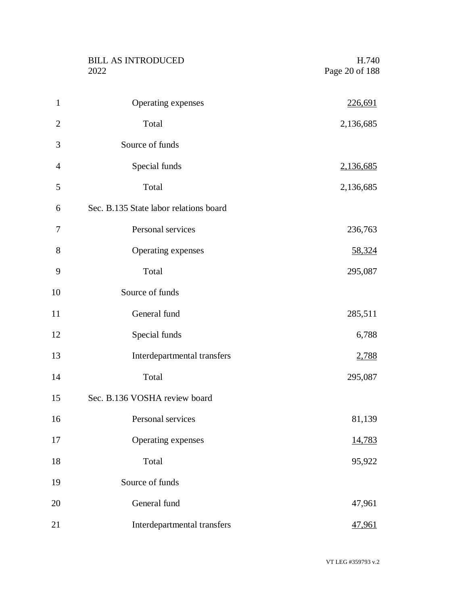|                | <b>BILL AS INTRODUCED</b><br>2022      | H.740<br>Page 20 of 188 |
|----------------|----------------------------------------|-------------------------|
| $\mathbf{1}$   | Operating expenses                     | <u>226,691</u>          |
| $\overline{2}$ | Total                                  | 2,136,685               |
| 3              | Source of funds                        |                         |
| $\overline{4}$ | Special funds                          | 2,136,685               |
| 5              | Total                                  | 2,136,685               |
| 6              | Sec. B.135 State labor relations board |                         |
| 7              | Personal services                      | 236,763                 |
| 8              | Operating expenses                     | 58,324                  |
| 9              | Total                                  | 295,087                 |
| 10             | Source of funds                        |                         |
| 11             | General fund                           | 285,511                 |
| 12             | Special funds                          | 6,788                   |
| 13             | Interdepartmental transfers            | 2,788                   |
| 14             | Total                                  | 295,087                 |
| 15             | Sec. B.136 VOSHA review board          |                         |
| 16             | Personal services                      | 81,139                  |
| 17             | Operating expenses                     | 14,783                  |
| 18             | Total                                  | 95,922                  |
| 19             | Source of funds                        |                         |
| 20             | General fund                           | 47,961                  |
| 21             | Interdepartmental transfers            | 47,961                  |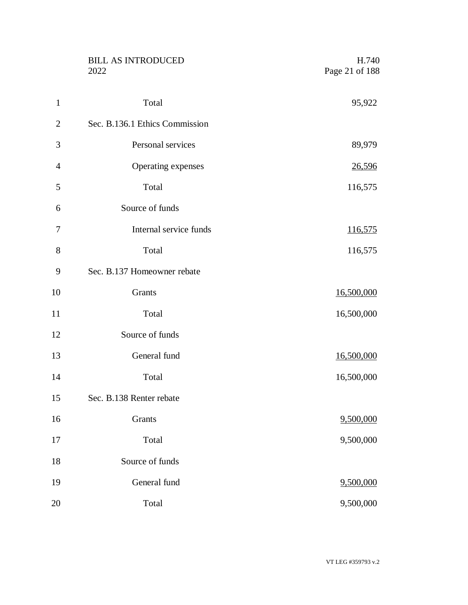|                | <b>BILL AS INTRODUCED</b><br>2022 | H.740<br>Page 21 of 188 |
|----------------|-----------------------------------|-------------------------|
| $\mathbf{1}$   | Total                             | 95,922                  |
| $\overline{2}$ | Sec. B.136.1 Ethics Commission    |                         |
| 3              | Personal services                 | 89,979                  |
| $\overline{4}$ | Operating expenses                | 26,596                  |
| 5              | Total                             | 116,575                 |
| 6              | Source of funds                   |                         |
| 7              | Internal service funds            | <u>116,575</u>          |
| 8              | Total                             | 116,575                 |
| 9              | Sec. B.137 Homeowner rebate       |                         |
| 10             | Grants                            | 16,500,000              |
| 11             | Total                             | 16,500,000              |
| 12             | Source of funds                   |                         |
| 13             | General fund                      | 16,500,000              |
| 14             | Total                             | 16,500,000              |
| 15             | Sec. B.138 Renter rebate          |                         |
| 16             | Grants                            | 9,500,000               |
| 17             | Total                             | 9,500,000               |
| 18             | Source of funds                   |                         |
| 19             | General fund                      | 9,500,000               |
| 20             | Total                             | 9,500,000               |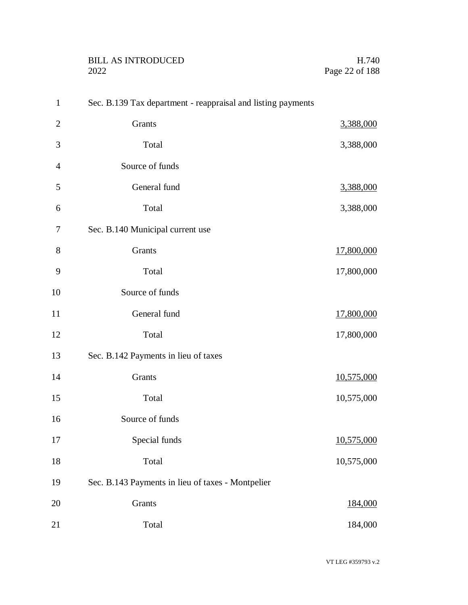| BILL AS INTRODUCED | H.740          |
|--------------------|----------------|
| 2022               | Page 22 of 188 |
|                    |                |

| $\mathbf{1}$   | Sec. B.139 Tax department - reappraisal and listing payments |            |
|----------------|--------------------------------------------------------------|------------|
| $\mathbf{2}$   | Grants                                                       | 3,388,000  |
| 3              | Total                                                        | 3,388,000  |
| $\overline{4}$ | Source of funds                                              |            |
| 5              | General fund                                                 | 3,388,000  |
| 6              | Total                                                        | 3,388,000  |
| 7              | Sec. B.140 Municipal current use                             |            |
| 8              | Grants                                                       | 17,800,000 |
| 9              | Total                                                        | 17,800,000 |
| 10             | Source of funds                                              |            |
| 11             | General fund                                                 | 17,800,000 |
| 12             | Total                                                        | 17,800,000 |
| 13             | Sec. B.142 Payments in lieu of taxes                         |            |
| 14             | Grants                                                       | 10,575,000 |
| 15             | Total                                                        | 10,575,000 |
| 16             | Source of funds                                              |            |
| 17             | Special funds                                                | 10,575,000 |
| 18             | Total                                                        | 10,575,000 |
| 19             | Sec. B.143 Payments in lieu of taxes - Montpelier            |            |
| 20             | Grants                                                       | 184,000    |
| 21             | Total                                                        | 184,000    |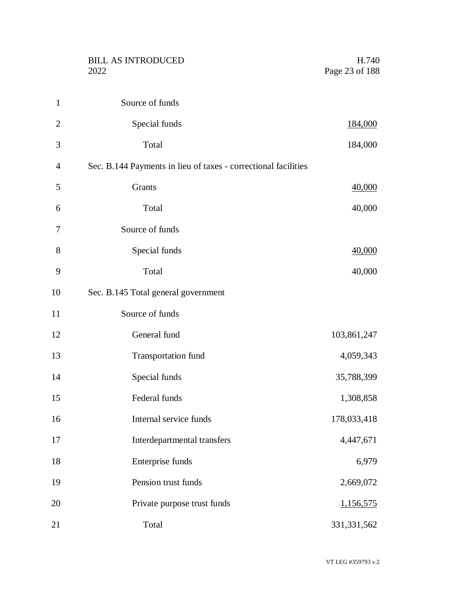| 1              | Source of funds                                                |               |
|----------------|----------------------------------------------------------------|---------------|
| $\overline{2}$ | Special funds                                                  | 184,000       |
| 3              | Total                                                          | 184,000       |
| $\overline{4}$ | Sec. B.144 Payments in lieu of taxes - correctional facilities |               |
| 5              | Grants                                                         | 40,000        |
| 6              | Total                                                          | 40,000        |
| 7              | Source of funds                                                |               |
| 8              | Special funds                                                  | 40,000        |
| 9              | Total                                                          | 40,000        |
| 10             | Sec. B.145 Total general government                            |               |
| 11             | Source of funds                                                |               |
| 12             | General fund                                                   | 103,861,247   |
| 13             | <b>Transportation fund</b>                                     | 4,059,343     |
| 14             | Special funds                                                  | 35,788,399    |
| 15             | Federal funds                                                  | 1,308,858     |
| 16             | Internal service funds                                         | 178,033,418   |
| 17             | Interdepartmental transfers                                    | 4,447,671     |
| 18             | Enterprise funds                                               | 6,979         |
| 19             | Pension trust funds                                            | 2,669,072     |
| 20             | Private purpose trust funds                                    | 1,156,575     |
| 21             | Total                                                          | 331, 331, 562 |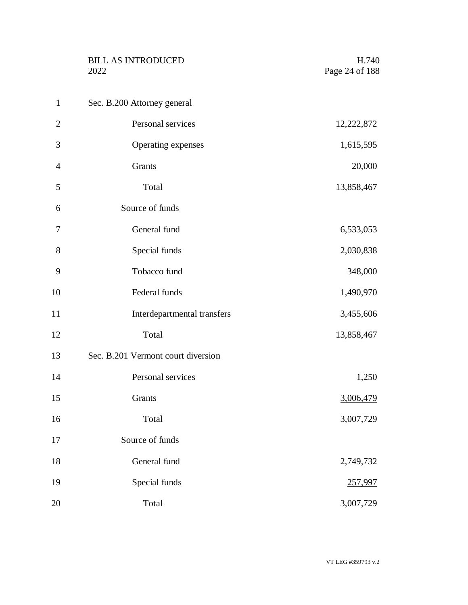|                | <b>BILL AS INTRODUCED</b><br>2022  | H.740<br>Page 24 of 188 |
|----------------|------------------------------------|-------------------------|
| $\mathbf{1}$   | Sec. B.200 Attorney general        |                         |
| $\overline{2}$ | Personal services                  | 12,222,872              |
| 3              | Operating expenses                 | 1,615,595               |
| $\overline{4}$ | Grants                             | 20,000                  |
| 5              | Total                              | 13,858,467              |
| 6              | Source of funds                    |                         |
| 7              | General fund                       | 6,533,053               |
| 8              | Special funds                      | 2,030,838               |
| 9              | Tobacco fund                       | 348,000                 |
| 10             | Federal funds                      | 1,490,970               |
| 11             | Interdepartmental transfers        | 3,455,606               |
| 12             | Total                              | 13,858,467              |
| 13             | Sec. B.201 Vermont court diversion |                         |
| 14             | Personal services                  | 1,250                   |
| 15             | Grants                             | 3,006,479               |
| 16             | Total                              | 3,007,729               |
| 17             | Source of funds                    |                         |
| 18             | General fund                       | 2,749,732               |
| 19             | Special funds                      | 257,997                 |
| 20             | Total                              | 3,007,729               |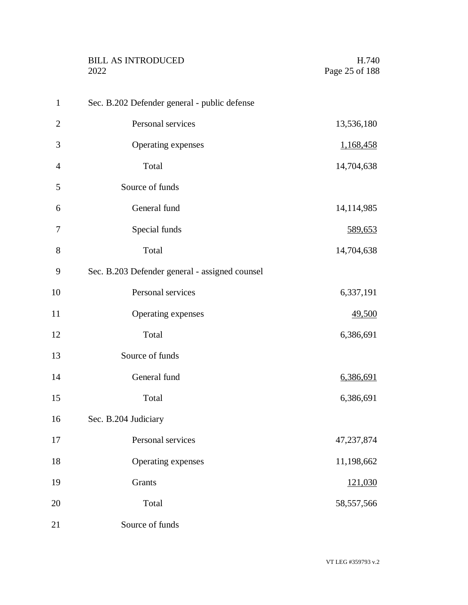|                | <b>BILL AS INTRODUCED</b><br>2022              | H.740<br>Page 25 of 188 |
|----------------|------------------------------------------------|-------------------------|
| $\mathbf{1}$   | Sec. B.202 Defender general - public defense   |                         |
| $\overline{2}$ | Personal services                              | 13,536,180              |
| 3              | Operating expenses                             | 1,168,458               |
| $\overline{4}$ | Total                                          | 14,704,638              |
| 5              | Source of funds                                |                         |
| 6              | General fund                                   | 14,114,985              |
| 7              | Special funds                                  | 589,653                 |
| 8              | Total                                          | 14,704,638              |
| 9              | Sec. B.203 Defender general - assigned counsel |                         |
| 10             | Personal services                              | 6,337,191               |
| 11             | Operating expenses                             | 49,500                  |
| 12             | Total                                          | 6,386,691               |
| 13             | Source of funds                                |                         |
| 14             | General fund                                   | 6,386,691               |
| 15             | Total                                          | 6,386,691               |
| 16             | Sec. B.204 Judiciary                           |                         |
| 17             | Personal services                              | 47,237,874              |
| 18             | Operating expenses                             | 11,198,662              |
| 19             | Grants                                         | 121,030                 |
| 20             | Total                                          | 58,557,566              |
| 21             | Source of funds                                |                         |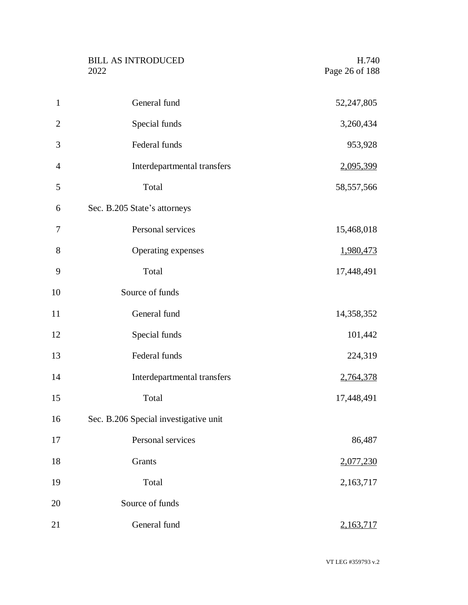|                | <b>BILL AS INTRODUCED</b><br>2022     | H.740<br>Page 26 of 188 |
|----------------|---------------------------------------|-------------------------|
| $\mathbf{1}$   | General fund                          | 52,247,805              |
| $\overline{2}$ | Special funds                         | 3,260,434               |
| 3              | Federal funds                         | 953,928                 |
| $\overline{4}$ | Interdepartmental transfers           | 2,095,399               |
| 5              | Total                                 | 58, 557, 566            |
| 6              | Sec. B.205 State's attorneys          |                         |
| 7              | Personal services                     | 15,468,018              |
| 8              | Operating expenses                    | 1,980,473               |
| 9              | Total                                 | 17,448,491              |
| 10             | Source of funds                       |                         |
| 11             | General fund                          | 14,358,352              |
| 12             | Special funds                         | 101,442                 |
| 13             | Federal funds                         | 224,319                 |
| 14             | Interdepartmental transfers           | 2,764,378               |
| 15             | Total                                 | 17,448,491              |
| 16             | Sec. B.206 Special investigative unit |                         |
| 17             | Personal services                     | 86,487                  |
| 18             | Grants                                | 2,077,230               |
| 19             | Total                                 | 2,163,717               |
| 20             | Source of funds                       |                         |
| 21             | General fund                          | 2,163,717               |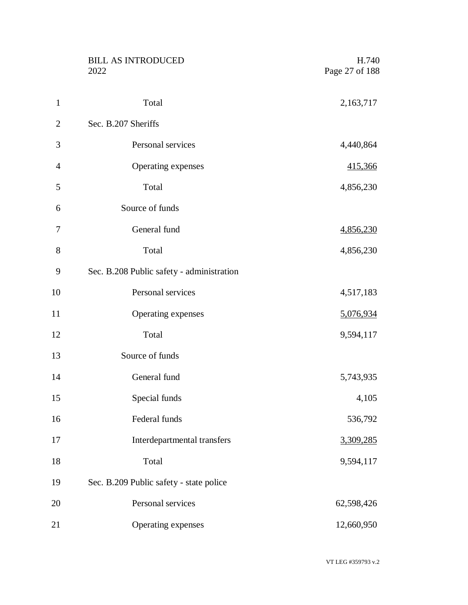|                | <b>BILL AS INTRODUCED</b><br>2022         | H.740<br>Page 27 of 188 |
|----------------|-------------------------------------------|-------------------------|
| $\mathbf{1}$   | Total                                     | 2,163,717               |
| $\overline{2}$ | Sec. B.207 Sheriffs                       |                         |
| 3              | Personal services                         | 4,440,864               |
| $\overline{4}$ | Operating expenses                        | <u>415,366</u>          |
| 5              | Total                                     | 4,856,230               |
| 6              | Source of funds                           |                         |
| 7              | General fund                              | 4,856,230               |
| 8              | Total                                     | 4,856,230               |
| 9              | Sec. B.208 Public safety - administration |                         |
| 10             | Personal services                         | 4,517,183               |
| 11             | Operating expenses                        | 5,076,934               |
| 12             | Total                                     | 9,594,117               |
| 13             | Source of funds                           |                         |
| 14             | General fund                              | 5,743,935               |
| 15             | Special funds                             | 4,105                   |
| 16             | Federal funds                             | 536,792                 |
| 17             | Interdepartmental transfers               | 3,309,285               |
| 18             | Total                                     | 9,594,117               |
| 19             | Sec. B.209 Public safety - state police   |                         |
| 20             | Personal services                         | 62,598,426              |
| 21             | Operating expenses                        | 12,660,950              |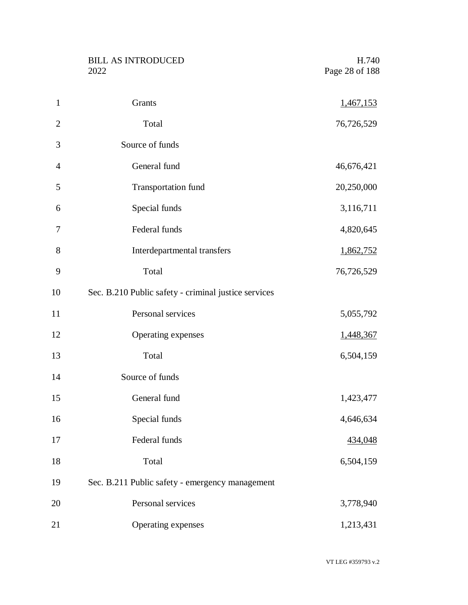BILL AS INTRODUCED H.740<br>2022 Page 28 of 188

| 1              | Grants                                               | <u>1,467,153</u> |
|----------------|------------------------------------------------------|------------------|
| $\overline{2}$ | Total                                                | 76,726,529       |
| 3              | Source of funds                                      |                  |
| $\overline{4}$ | General fund                                         | 46,676,421       |
| 5              | <b>Transportation fund</b>                           | 20,250,000       |
| 6              | Special funds                                        | 3,116,711        |
| 7              | Federal funds                                        | 4,820,645        |
| 8              | Interdepartmental transfers                          | 1,862,752        |
| 9              | Total                                                | 76,726,529       |
| 10             | Sec. B.210 Public safety - criminal justice services |                  |
| 11             | Personal services                                    | 5,055,792        |
| 12             | Operating expenses                                   | 1,448,367        |
| 13             | Total                                                | 6,504,159        |
| 14             | Source of funds                                      |                  |
| 15             | General fund                                         | 1,423,477        |
| 16             | Special funds                                        | 4,646,634        |
| 17             | Federal funds                                        | 434,048          |
| 18             | Total                                                | 6,504,159        |
| 19             | Sec. B.211 Public safety - emergency management      |                  |
| 20             | Personal services                                    | 3,778,940        |
| 21             | Operating expenses                                   | 1,213,431        |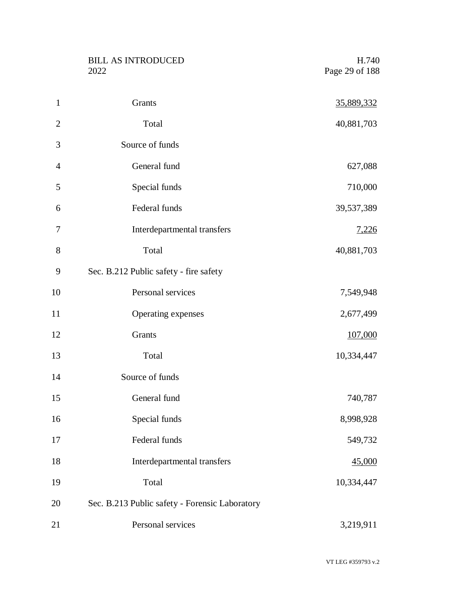BILL AS INTRODUCED H.740<br>2022 Page 29 of 188

| $\mathbf{1}$   | Grants                                         | 35,889,332   |
|----------------|------------------------------------------------|--------------|
| $\overline{2}$ | Total                                          | 40,881,703   |
| 3              | Source of funds                                |              |
| $\overline{4}$ | General fund                                   | 627,088      |
| 5              | Special funds                                  | 710,000      |
| 6              | Federal funds                                  | 39,537,389   |
| 7              | Interdepartmental transfers                    | <u>7,226</u> |
| 8              | Total                                          | 40,881,703   |
| 9              | Sec. B.212 Public safety - fire safety         |              |
| 10             | Personal services                              | 7,549,948    |
| 11             | Operating expenses                             | 2,677,499    |
| 12             | Grants                                         | 107,000      |
| 13             | Total                                          | 10,334,447   |
| 14             | Source of funds                                |              |
| 15             | General fund                                   | 740,787      |
| 16             | Special funds                                  | 8,998,928    |
| 17             | Federal funds                                  | 549,732      |
| 18             | Interdepartmental transfers                    | 45,000       |
| 19             | Total                                          | 10,334,447   |
| 20             | Sec. B.213 Public safety - Forensic Laboratory |              |
| 21             | Personal services                              | 3,219,911    |

VT LEG #359793 v.2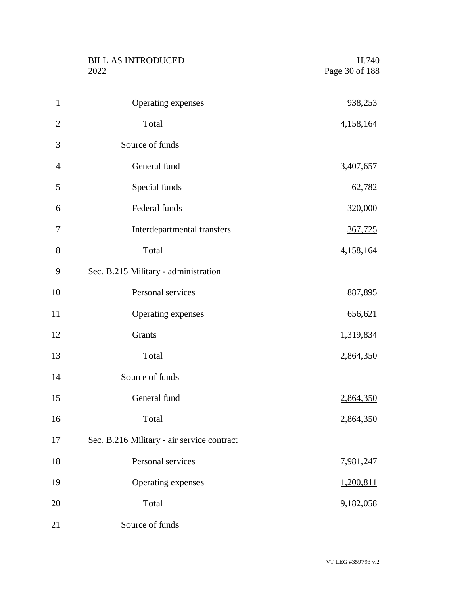|                | <b>BILL AS INTRODUCED</b><br>2022          | H.740<br>Page 30 of 188 |
|----------------|--------------------------------------------|-------------------------|
| $\mathbf{1}$   | Operating expenses                         | 938,253                 |
| $\overline{2}$ | Total                                      | 4,158,164               |
| 3              | Source of funds                            |                         |
| $\overline{4}$ | General fund                               | 3,407,657               |
| 5              | Special funds                              | 62,782                  |
| 6              | Federal funds                              | 320,000                 |
| 7              | Interdepartmental transfers                | 367,725                 |
| 8              | Total                                      | 4,158,164               |
| 9              | Sec. B.215 Military - administration       |                         |
| 10             | Personal services                          | 887,895                 |
| 11             | Operating expenses                         | 656,621                 |
| 12             | Grants                                     | 1,319,834               |
| 13             | Total                                      | 2,864,350               |
| 14             | Source of funds                            |                         |
| 15             | General fund                               | 2,864,350               |
| 16             | Total                                      | 2,864,350               |
| 17             | Sec. B.216 Military - air service contract |                         |
| 18             | Personal services                          | 7,981,247               |
| 19             | Operating expenses                         | 1,200,811               |
| 20             | Total                                      | 9,182,058               |
| 21             | Source of funds                            |                         |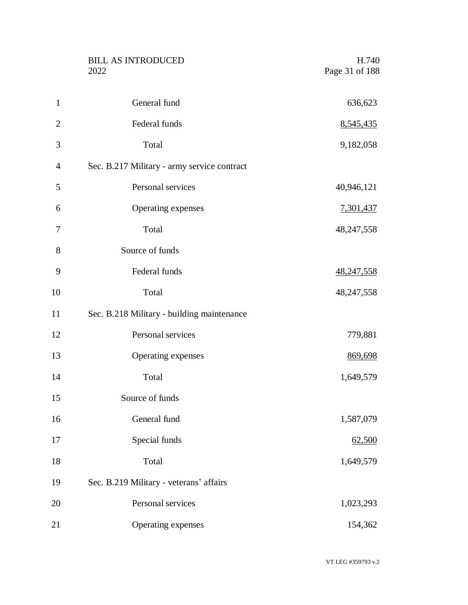|                | <b>BILL AS INTRODUCED</b><br>2022           | H.740<br>Page 31 of 188 |
|----------------|---------------------------------------------|-------------------------|
| $\mathbf{1}$   | General fund                                | 636,623                 |
| $\overline{2}$ | Federal funds                               | 8,545,435               |
| 3              | Total                                       | 9,182,058               |
| $\overline{4}$ | Sec. B.217 Military - army service contract |                         |
| 5              | Personal services                           | 40,946,121              |
| 6              | Operating expenses                          | 7,301,437               |
| 7              | Total                                       | 48,247,558              |
| 8              | Source of funds                             |                         |
| 9              | Federal funds                               | 48,247,558              |
| 10             | Total                                       | 48,247,558              |
| 11             | Sec. B.218 Military - building maintenance  |                         |
| 12             | Personal services                           | 779,881                 |
| 13             | Operating expenses                          | 869,698                 |
| 14             | Total                                       | 1,649,579               |
| 15             | Source of funds                             |                         |
| 16             | General fund                                | 1,587,079               |
| 17             | Special funds                               | 62,500                  |
| 18             | Total                                       | 1,649,579               |
| 19             | Sec. B.219 Military - veterans' affairs     |                         |
| 20             | Personal services                           | 1,023,293               |
| 21             | Operating expenses                          | 154,362                 |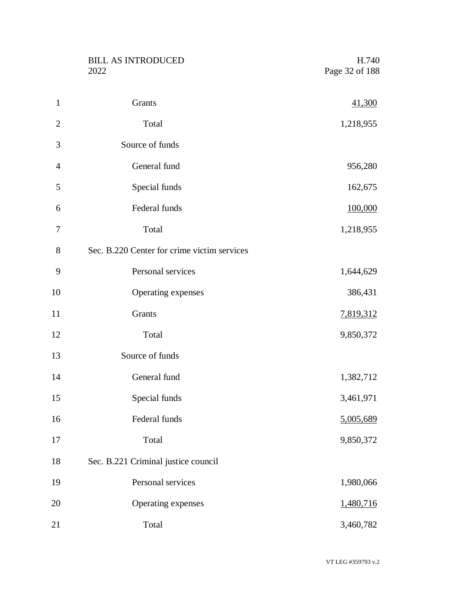|                | <b>BILL AS INTRODUCED</b><br>2022           | H.740<br>Page 32 of 188 |
|----------------|---------------------------------------------|-------------------------|
| $\mathbf{1}$   | Grants                                      | 41,300                  |
| $\overline{2}$ | Total                                       | 1,218,955               |
| 3              | Source of funds                             |                         |
| $\overline{4}$ | General fund                                | 956,280                 |
| 5              | Special funds                               | 162,675                 |
| 6              | Federal funds                               | 100,000                 |
| 7              | Total                                       | 1,218,955               |
| $8\,$          | Sec. B.220 Center for crime victim services |                         |
| 9              | Personal services                           | 1,644,629               |
| 10             | Operating expenses                          | 386,431                 |
| 11             | Grants                                      | 7,819,312               |
| 12             | Total                                       | 9,850,372               |
| 13             | Source of funds                             |                         |
| 14             | General fund                                | 1,382,712               |
| 15             | Special funds                               | 3,461,971               |
| 16             | Federal funds                               | 5,005,689               |
| 17             | Total                                       | 9,850,372               |
| 18             | Sec. B.221 Criminal justice council         |                         |
| 19             | Personal services                           | 1,980,066               |
| 20             | Operating expenses                          | 1,480,716               |
| 21             | Total                                       | 3,460,782               |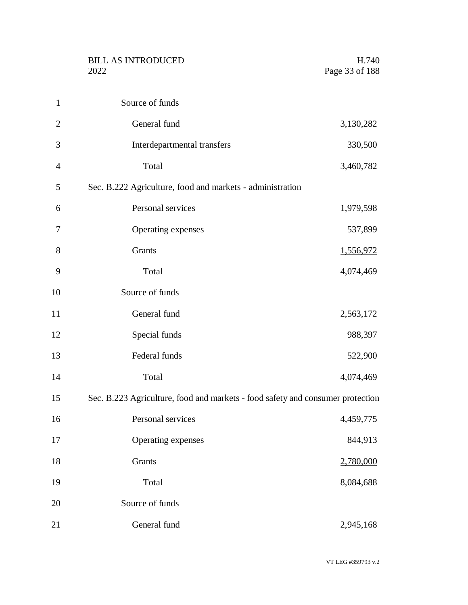|                | <b>BILL AS INTRODUCED</b><br>2022                                              | H.740<br>Page 33 of 188 |
|----------------|--------------------------------------------------------------------------------|-------------------------|
| $\mathbf{1}$   | Source of funds                                                                |                         |
| $\overline{2}$ | General fund                                                                   | 3,130,282               |
| 3              | Interdepartmental transfers                                                    | 330,500                 |
| $\overline{4}$ | Total                                                                          | 3,460,782               |
| 5              | Sec. B.222 Agriculture, food and markets - administration                      |                         |
| 6              | Personal services                                                              | 1,979,598               |
| 7              | Operating expenses                                                             | 537,899                 |
| 8              | Grants                                                                         | 1,556,972               |
| 9              | Total                                                                          | 4,074,469               |
| 10             | Source of funds                                                                |                         |
| 11             | General fund                                                                   | 2,563,172               |
| 12             | Special funds                                                                  | 988,397                 |
| 13             | Federal funds                                                                  | 522,900                 |
| 14             | Total                                                                          | 4,074,469               |
| 15             | Sec. B.223 Agriculture, food and markets - food safety and consumer protection |                         |
| 16             | Personal services                                                              | 4,459,775               |
| 17             | Operating expenses                                                             | 844,913                 |
| 18             | Grants                                                                         | 2,780,000               |
| 19             | Total                                                                          | 8,084,688               |
| 20             | Source of funds                                                                |                         |
| 21             | General fund                                                                   | 2,945,168               |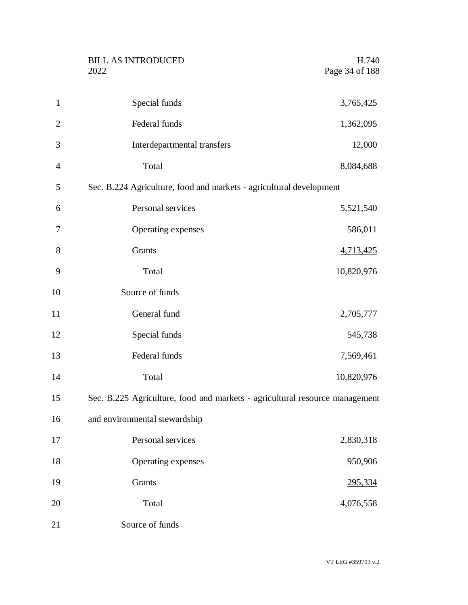|                | <b>BILL AS INTRODUCED</b><br>2022                                           | H.740<br>Page 34 of 188 |
|----------------|-----------------------------------------------------------------------------|-------------------------|
| $\mathbf{1}$   | Special funds                                                               | 3,765,425               |
| $\mathfrak{2}$ | Federal funds                                                               | 1,362,095               |
| 3              | Interdepartmental transfers                                                 | 12,000                  |
| $\overline{4}$ | Total                                                                       | 8,084,688               |
| 5              | Sec. B.224 Agriculture, food and markets - agricultural development         |                         |
| 6              | Personal services                                                           | 5,521,540               |
| 7              | Operating expenses                                                          | 586,011                 |
| 8              | Grants                                                                      | 4,713,425               |
| 9              | Total                                                                       | 10,820,976              |
| 10             | Source of funds                                                             |                         |
| 11             | General fund                                                                | 2,705,777               |
| 12             | Special funds                                                               | 545,738                 |
| 13             | Federal funds                                                               | <u>7,569,461</u>        |
| 14             | Total                                                                       | 10,820,976              |
| 15             | Sec. B.225 Agriculture, food and markets - agricultural resource management |                         |
| 16             | and environmental stewardship                                               |                         |
| 17             | Personal services                                                           | 2,830,318               |
| 18             | Operating expenses                                                          | 950,906                 |
| 19             | Grants                                                                      | 295,334                 |
| 20             | Total                                                                       | 4,076,558               |
| 21             | Source of funds                                                             |                         |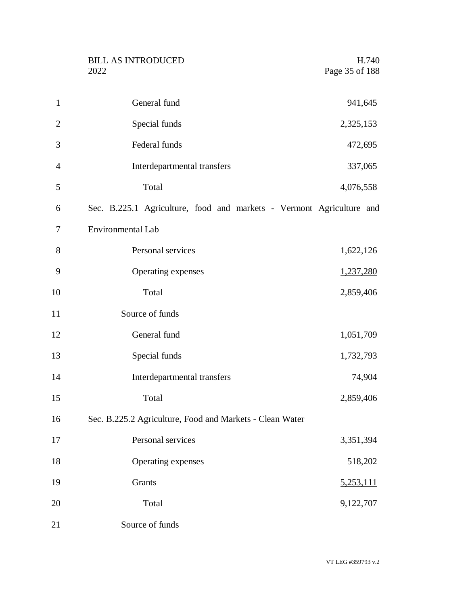|                | <b>BILL AS INTRODUCED</b><br>2022                                    | H.740<br>Page 35 of 188 |
|----------------|----------------------------------------------------------------------|-------------------------|
| $\mathbf{1}$   | General fund                                                         | 941,645                 |
| $\overline{2}$ | Special funds                                                        | 2,325,153               |
| 3              | Federal funds                                                        | 472,695                 |
| $\overline{4}$ | Interdepartmental transfers                                          | 337,065                 |
| 5              | Total                                                                | 4,076,558               |
| 6              | Sec. B.225.1 Agriculture, food and markets - Vermont Agriculture and |                         |
| 7              | <b>Environmental Lab</b>                                             |                         |
| 8              | Personal services                                                    | 1,622,126               |
| 9              | Operating expenses                                                   | 1,237,280               |
| 10             | Total                                                                | 2,859,406               |
| 11             | Source of funds                                                      |                         |
| 12             | General fund                                                         | 1,051,709               |
| 13             | Special funds                                                        | 1,732,793               |
| 14             | Interdepartmental transfers                                          | <u>74,904</u>           |
| 15             | Total                                                                | 2,859,406               |
| 16             | Sec. B.225.2 Agriculture, Food and Markets - Clean Water             |                         |
| 17             | Personal services                                                    | 3,351,394               |
| 18             | Operating expenses                                                   | 518,202                 |
| 19             | Grants                                                               | 5,253,111               |
| 20             | Total                                                                | 9,122,707               |
| 21             | Source of funds                                                      |                         |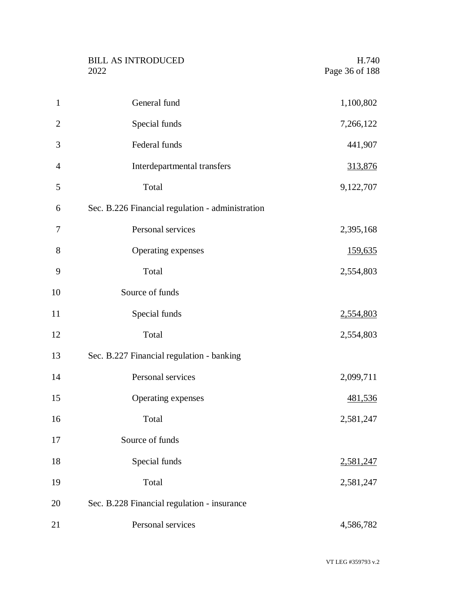|                | <b>BILL AS INTRODUCED</b><br>2022                | H.740<br>Page 36 of 188 |
|----------------|--------------------------------------------------|-------------------------|
| $\mathbf{1}$   | General fund                                     | 1,100,802               |
| $\overline{2}$ | Special funds                                    | 7,266,122               |
| 3              | Federal funds                                    | 441,907                 |
| 4              | Interdepartmental transfers                      | 313,876                 |
| 5              | Total                                            | 9,122,707               |
| 6              | Sec. B.226 Financial regulation - administration |                         |
| 7              | Personal services                                | 2,395,168               |
| 8              | Operating expenses                               | 159,635                 |
| 9              | Total                                            | 2,554,803               |
| 10             | Source of funds                                  |                         |
| 11             | Special funds                                    | 2,554,803               |
| 12             | Total                                            | 2,554,803               |
| 13             | Sec. B.227 Financial regulation - banking        |                         |
| 14             | Personal services                                | 2,099,711               |
| 15             | Operating expenses                               | 481,536                 |
| 16             | Total                                            | 2,581,247               |
| 17             | Source of funds                                  |                         |
| 18             | Special funds                                    | 2,581,247               |
| 19             | Total                                            | 2,581,247               |
| 20             | Sec. B.228 Financial regulation - insurance      |                         |
| 21             | Personal services                                | 4,586,782               |
|                |                                                  |                         |

VT LEG #359793 v.2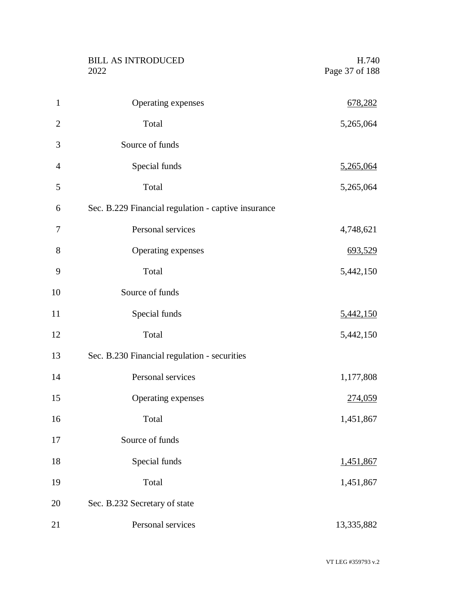|                | <b>BILL AS INTRODUCED</b><br>2022                   | H.740<br>Page 37 of 188 |
|----------------|-----------------------------------------------------|-------------------------|
| $\mathbf{1}$   | Operating expenses                                  | 678,282                 |
| $\overline{2}$ | Total                                               | 5,265,064               |
| 3              | Source of funds                                     |                         |
| $\overline{4}$ | Special funds                                       | 5,265,064               |
| 5              | Total                                               | 5,265,064               |
| 6              | Sec. B.229 Financial regulation - captive insurance |                         |
| 7              | Personal services                                   | 4,748,621               |
| 8              | Operating expenses                                  | 693,529                 |
| 9              | Total                                               | 5,442,150               |
| 10             | Source of funds                                     |                         |
| 11             | Special funds                                       | 5,442,150               |
| 12             | Total                                               | 5,442,150               |
| 13             | Sec. B.230 Financial regulation - securities        |                         |
| 14             | Personal services                                   | 1,177,808               |
| 15             | Operating expenses                                  | 274,059                 |
| 16             | Total                                               | 1,451,867               |
| 17             | Source of funds                                     |                         |
| 18             | Special funds                                       | 1,451,867               |
| 19             | Total                                               | 1,451,867               |
| 20             | Sec. B.232 Secretary of state                       |                         |
| 21             | Personal services                                   | 13,335,882              |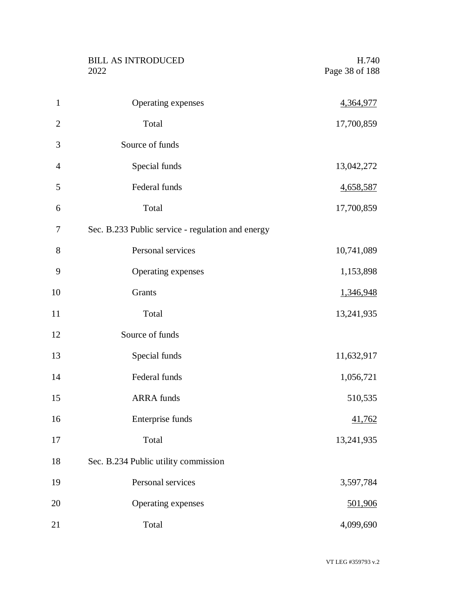|                | <b>BILL AS INTRODUCED</b><br>2022                 | H.740<br>Page 38 of 188 |
|----------------|---------------------------------------------------|-------------------------|
| $\mathbf{1}$   | Operating expenses                                | 4,364,977               |
| $\overline{2}$ | Total                                             | 17,700,859              |
| 3              | Source of funds                                   |                         |
| $\overline{4}$ | Special funds                                     | 13,042,272              |
| 5              | Federal funds                                     | 4,658,587               |
| 6              | Total                                             | 17,700,859              |
| 7              | Sec. B.233 Public service - regulation and energy |                         |
| 8              | Personal services                                 | 10,741,089              |
| 9              | Operating expenses                                | 1,153,898               |
| 10             | Grants                                            | 1,346,948               |
| 11             | Total                                             | 13,241,935              |
| 12             | Source of funds                                   |                         |
| 13             | Special funds                                     | 11,632,917              |
| 14             | Federal funds                                     | 1,056,721               |
| 15             | <b>ARRA</b> funds                                 | 510,535                 |
| 16             | Enterprise funds                                  | 41,762                  |
| 17             | Total                                             | 13,241,935              |
| 18             | Sec. B.234 Public utility commission              |                         |
| 19             | Personal services                                 | 3,597,784               |
| 20             | Operating expenses                                | 501,906                 |
| 21             | Total                                             | 4,099,690               |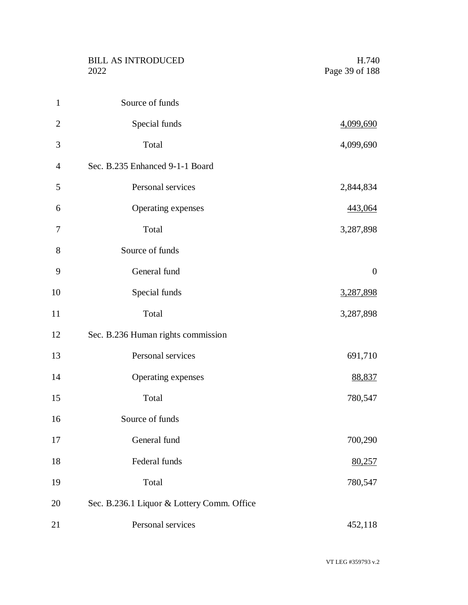BILL AS INTRODUCED H.740<br>2022 Page 39 of 188

| $\mathbf{1}$   | Source of funds                            |                  |
|----------------|--------------------------------------------|------------------|
| $\overline{2}$ | Special funds                              | <u>4,099,690</u> |
| 3              | Total                                      | 4,099,690        |
| $\overline{4}$ | Sec. B.235 Enhanced 9-1-1 Board            |                  |
| 5              | Personal services                          | 2,844,834        |
| 6              | Operating expenses                         | 443,064          |
| 7              | Total                                      | 3,287,898        |
| 8              | Source of funds                            |                  |
| 9              | General fund                               | $\boldsymbol{0}$ |
| 10             | Special funds                              | 3,287,898        |
| 11             | Total                                      | 3,287,898        |
| 12             | Sec. B.236 Human rights commission         |                  |
| 13             | Personal services                          | 691,710          |
| 14             | Operating expenses                         | 88,837           |
| 15             | Total                                      | 780,547          |
| 16             | Source of funds                            |                  |
| 17             | General fund                               | 700,290          |
| 18             | Federal funds                              | 80,257           |
| 19             | Total                                      | 780,547          |
| 20             | Sec. B.236.1 Liquor & Lottery Comm. Office |                  |
| 21             | Personal services                          | 452,118          |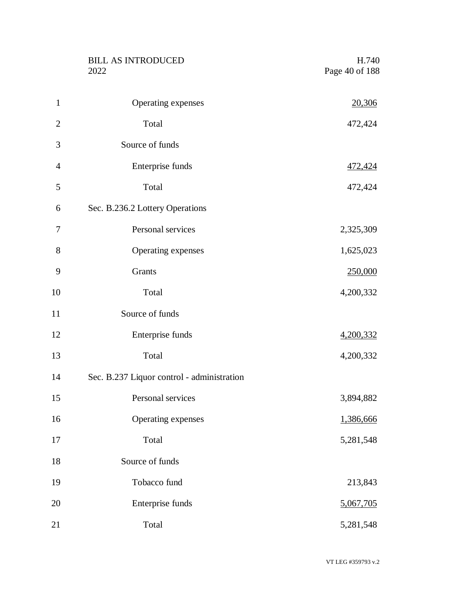|                | <b>BILL AS INTRODUCED</b><br>2022          | H.740<br>Page 40 of 188 |
|----------------|--------------------------------------------|-------------------------|
| $\mathbf{1}$   | Operating expenses                         | 20,306                  |
| $\overline{2}$ | Total                                      | 472,424                 |
| 3              | Source of funds                            |                         |
| $\overline{4}$ | Enterprise funds                           | 472,424                 |
| 5              | Total                                      | 472,424                 |
| 6              | Sec. B.236.2 Lottery Operations            |                         |
| 7              | Personal services                          | 2,325,309               |
| 8              | Operating expenses                         | 1,625,023               |
| 9              | Grants                                     | 250,000                 |
| 10             | Total                                      | 4,200,332               |
| 11             | Source of funds                            |                         |
| 12             | Enterprise funds                           | 4,200,332               |
| 13             | Total                                      | 4,200,332               |
| 14             | Sec. B.237 Liquor control - administration |                         |
| 15             | Personal services                          | 3,894,882               |
| 16             | Operating expenses                         | 1,386,666               |
| 17             | Total                                      | 5,281,548               |
| 18             | Source of funds                            |                         |
| 19             | Tobacco fund                               | 213,843                 |
| 20             | Enterprise funds                           | 5,067,705               |
| 21             | Total                                      | 5,281,548               |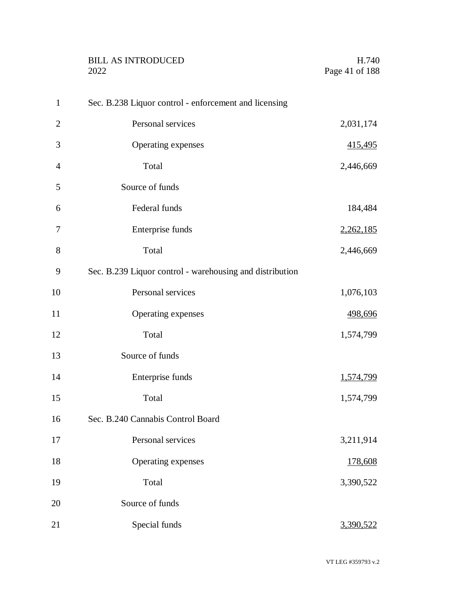|                | <b>BILL AS INTRODUCED</b><br>2022                        | H.740<br>Page 41 of 188 |
|----------------|----------------------------------------------------------|-------------------------|
| $\mathbf{1}$   | Sec. B.238 Liquor control - enforcement and licensing    |                         |
| $\overline{2}$ | Personal services                                        | 2,031,174               |
| 3              | Operating expenses                                       | 415,495                 |
| $\overline{4}$ | Total                                                    | 2,446,669               |
| 5              | Source of funds                                          |                         |
| 6              | Federal funds                                            | 184,484                 |
| 7              | Enterprise funds                                         | 2,262,185               |
| 8              | Total                                                    | 2,446,669               |
| 9              | Sec. B.239 Liquor control - warehousing and distribution |                         |
| 10             | Personal services                                        | 1,076,103               |
| 11             | Operating expenses                                       | 498,696                 |
| 12             | Total                                                    | 1,574,799               |
| 13             | Source of funds                                          |                         |
| 14             | Enterprise funds                                         | 1,574,799               |
| 15             | Total                                                    | 1,574,799               |
| 16             | Sec. B.240 Cannabis Control Board                        |                         |
| 17             | Personal services                                        | 3,211,914               |
| 18             | Operating expenses                                       | 178,608                 |
| 19             | Total                                                    | 3,390,522               |
| 20             | Source of funds                                          |                         |
| 21             | Special funds                                            | 3,390,522               |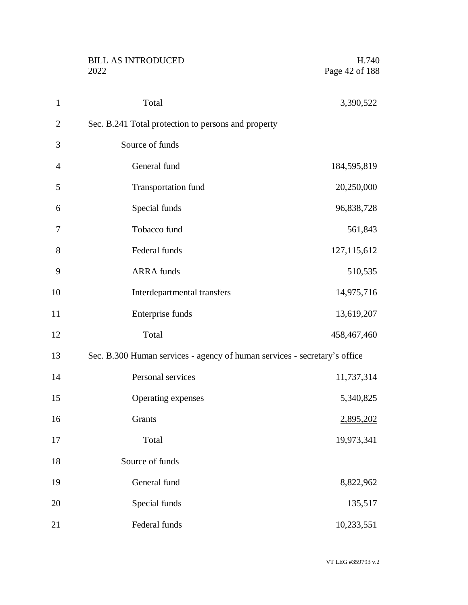|                | <b>BILL AS INTRODUCED</b><br>2022                                         | H.740<br>Page 42 of 188 |
|----------------|---------------------------------------------------------------------------|-------------------------|
| $\mathbf{1}$   | Total                                                                     | 3,390,522               |
| $\overline{2}$ | Sec. B.241 Total protection to persons and property                       |                         |
| 3              | Source of funds                                                           |                         |
| $\overline{4}$ | General fund                                                              | 184,595,819             |
| 5              | <b>Transportation fund</b>                                                | 20,250,000              |
| 6              | Special funds                                                             | 96,838,728              |
| 7              | Tobacco fund                                                              | 561,843                 |
| 8              | Federal funds                                                             | 127, 115, 612           |
| 9              | <b>ARRA</b> funds                                                         | 510,535                 |
| 10             | Interdepartmental transfers                                               | 14,975,716              |
| 11             | Enterprise funds                                                          | 13,619,207              |
| 12             | Total                                                                     | 458,467,460             |
| 13             | Sec. B.300 Human services - agency of human services - secretary's office |                         |
| 14             | Personal services                                                         | 11,737,314              |
| 15             | Operating expenses                                                        | 5,340,825               |
| 16             | Grants                                                                    | 2,895,202               |
| 17             | Total                                                                     | 19,973,341              |
| 18             | Source of funds                                                           |                         |
| 19             | General fund                                                              | 8,822,962               |
| 20             | Special funds                                                             | 135,517                 |
| 21             | Federal funds                                                             | 10,233,551              |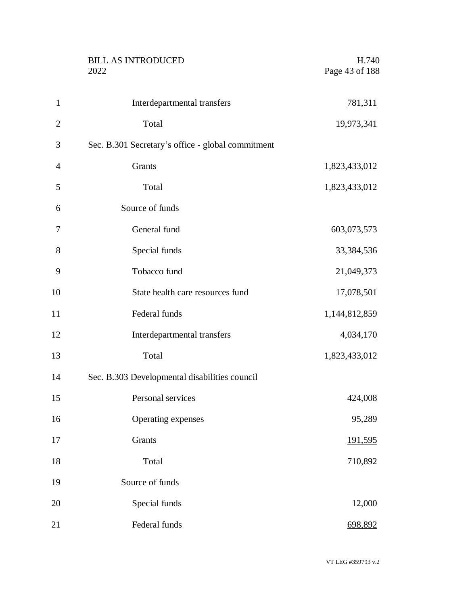|                | <b>BILL AS INTRODUCED</b><br>2022                 | H.740<br>Page 43 of 188 |
|----------------|---------------------------------------------------|-------------------------|
| $\mathbf{1}$   | Interdepartmental transfers                       | 781,311                 |
| $\overline{2}$ | Total                                             | 19,973,341              |
| 3              | Sec. B.301 Secretary's office - global commitment |                         |
| 4              | Grants                                            | 1,823,433,012           |
| 5              | Total                                             | 1,823,433,012           |
| 6              | Source of funds                                   |                         |
| 7              | General fund                                      | 603,073,573             |
| 8              | Special funds                                     | 33,384,536              |
| 9              | Tobacco fund                                      | 21,049,373              |
| 10             | State health care resources fund                  | 17,078,501              |
| 11             | Federal funds                                     | 1,144,812,859           |
| 12             | Interdepartmental transfers                       | 4,034,170               |
| 13             | Total                                             | 1,823,433,012           |
| 14             | Sec. B.303 Developmental disabilities council     |                         |
| 15             | Personal services                                 | 424,008                 |
| 16             | Operating expenses                                | 95,289                  |
| 17             | <b>Grants</b>                                     | <u>191,595</u>          |
| 18             | Total                                             | 710,892                 |
| 19             | Source of funds                                   |                         |
| 20             | Special funds                                     | 12,000                  |
| 21             | Federal funds                                     | 698,892                 |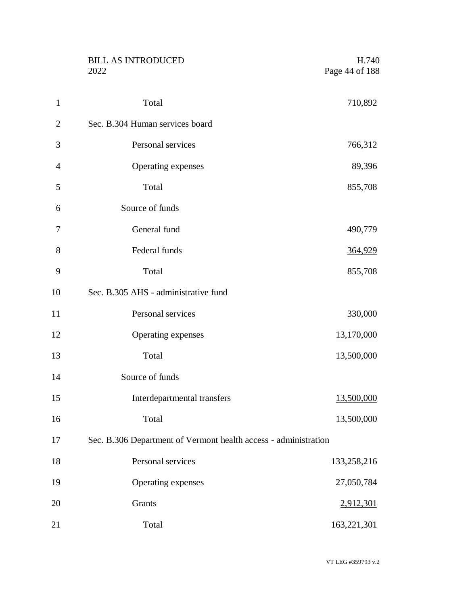|                | <b>BILL AS INTRODUCED</b><br>2022                               | H.740<br>Page 44 of 188 |
|----------------|-----------------------------------------------------------------|-------------------------|
| $\mathbf{1}$   | Total                                                           | 710,892                 |
| $\overline{2}$ | Sec. B.304 Human services board                                 |                         |
| 3              | Personal services                                               | 766,312                 |
| $\overline{4}$ | Operating expenses                                              | 89,396                  |
| 5              | Total                                                           | 855,708                 |
| 6              | Source of funds                                                 |                         |
| 7              | General fund                                                    | 490,779                 |
| 8              | Federal funds                                                   | 364,929                 |
| 9              | Total                                                           | 855,708                 |
| 10             | Sec. B.305 AHS - administrative fund                            |                         |
| 11             | Personal services                                               | 330,000                 |
| 12             | Operating expenses                                              | 13,170,000              |
| 13             | Total                                                           | 13,500,000              |
| 14             | Source of funds                                                 |                         |
| 15             | Interdepartmental transfers                                     | 13,500,000              |
| 16             | Total                                                           | 13,500,000              |
| 17             | Sec. B.306 Department of Vermont health access - administration |                         |
| 18             | Personal services                                               | 133,258,216             |
| 19             | Operating expenses                                              | 27,050,784              |
| 20             | Grants                                                          | 2,912,301               |
| 21             | Total                                                           | 163,221,301             |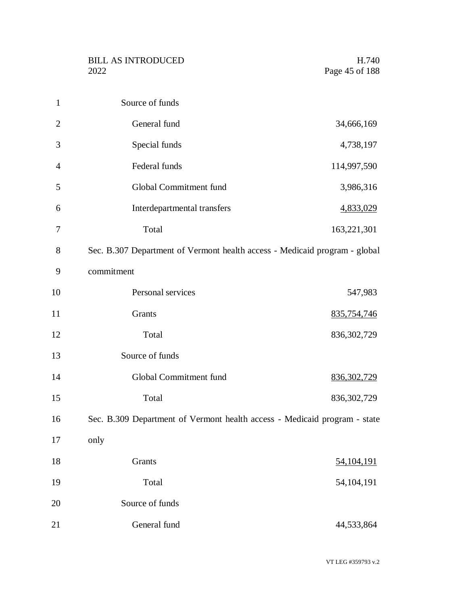| $\mathbf{1}$   | Source of funds                                                            |               |
|----------------|----------------------------------------------------------------------------|---------------|
| $\overline{2}$ | General fund                                                               | 34,666,169    |
| 3              | Special funds                                                              | 4,738,197     |
| $\overline{4}$ | Federal funds                                                              | 114,997,590   |
| 5              | Global Commitment fund                                                     | 3,986,316     |
| 6              | Interdepartmental transfers                                                | 4,833,029     |
| 7              | Total                                                                      | 163,221,301   |
| 8              | Sec. B.307 Department of Vermont health access - Medicaid program - global |               |
| 9              | commitment                                                                 |               |
| 10             | Personal services                                                          | 547,983       |
| 11             | Grants                                                                     | 835,754,746   |
| 12             | Total                                                                      | 836, 302, 729 |
| 13             | Source of funds                                                            |               |
| 14             | Global Commitment fund                                                     | 836, 302, 729 |
| 15             | Total                                                                      | 836, 302, 729 |
| 16             | Sec. B.309 Department of Vermont health access - Medicaid program - state  |               |
| 17             | only                                                                       |               |
| 18             | Grants                                                                     | 54, 104, 191  |
| 19             | Total                                                                      | 54,104,191    |
| 20             | Source of funds                                                            |               |
| 21             | General fund                                                               | 44,533,864    |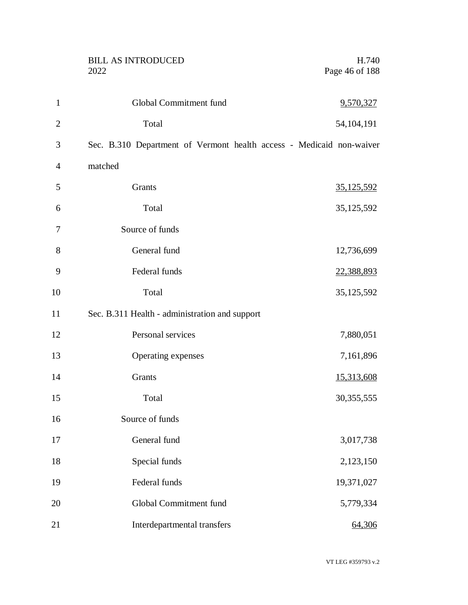|                | <b>BILL AS INTRODUCED</b><br>2022                                    | H.740<br>Page 46 of 188 |
|----------------|----------------------------------------------------------------------|-------------------------|
| $\mathbf{1}$   | Global Commitment fund                                               | 9,570,327               |
| $\overline{2}$ | Total                                                                | 54, 104, 191            |
| 3              | Sec. B.310 Department of Vermont health access - Medicaid non-waiver |                         |
| $\overline{4}$ | matched                                                              |                         |
| 5              | Grants                                                               | <u>35,125,592</u>       |
| 6              | Total                                                                | 35, 125, 592            |
| 7              | Source of funds                                                      |                         |
| 8              | General fund                                                         | 12,736,699              |
| 9              | Federal funds                                                        | 22,388,893              |
| 10             | Total                                                                | 35, 125, 592            |
| 11             | Sec. B.311 Health - administration and support                       |                         |
| 12             | Personal services                                                    | 7,880,051               |
| 13             | Operating expenses                                                   | 7,161,896               |
| 14             | Grants                                                               | 15,313,608              |
| 15             | Total                                                                | 30,355,555              |
| 16             | Source of funds                                                      |                         |
| 17             | General fund                                                         | 3,017,738               |
| 18             | Special funds                                                        | 2,123,150               |
| 19             | Federal funds                                                        | 19,371,027              |
| 20             | Global Commitment fund                                               | 5,779,334               |
| 21             | Interdepartmental transfers                                          | 64,306                  |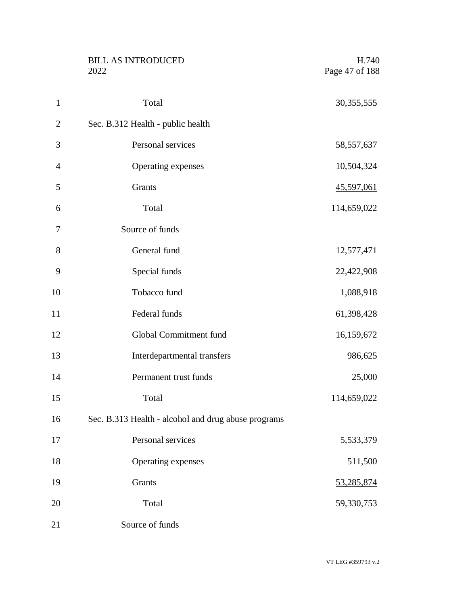|                | <b>BILL AS INTRODUCED</b><br>2022                   | H.740<br>Page 47 of 188 |
|----------------|-----------------------------------------------------|-------------------------|
| $\mathbf{1}$   | Total                                               | 30, 355, 555            |
| $\overline{2}$ | Sec. B.312 Health - public health                   |                         |
| 3              | Personal services                                   | 58, 557, 637            |
| $\overline{4}$ | Operating expenses                                  | 10,504,324              |
| 5              | Grants                                              | <u>45,597,061</u>       |
| 6              | Total                                               | 114,659,022             |
| 7              | Source of funds                                     |                         |
| 8              | General fund                                        | 12,577,471              |
| 9              | Special funds                                       | 22,422,908              |
| 10             | Tobacco fund                                        | 1,088,918               |
| 11             | Federal funds                                       | 61,398,428              |
| 12             | Global Commitment fund                              | 16,159,672              |
| 13             | Interdepartmental transfers                         | 986,625                 |
| 14             | Permanent trust funds                               | <u>25,000</u>           |
| 15             | Total                                               | 114,659,022             |
| 16             | Sec. B.313 Health - alcohol and drug abuse programs |                         |
| 17             | Personal services                                   | 5,533,379               |
| 18             | Operating expenses                                  | 511,500                 |
| 19             | Grants                                              | 53,285,874              |
| 20             | Total                                               | 59,330,753              |
| 21             | Source of funds                                     |                         |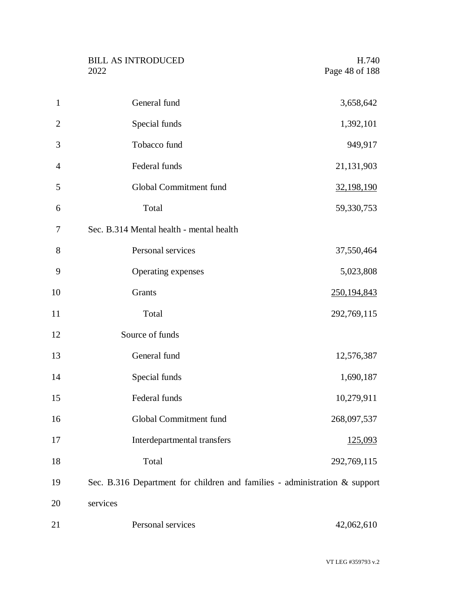| <b>BILL AS INTRODUCED</b> | H.740          |
|---------------------------|----------------|
| 2022                      | Page 48 of 188 |

| $\mathbf{1}$   | General fund                                                               | 3,658,642     |
|----------------|----------------------------------------------------------------------------|---------------|
| $\overline{2}$ | Special funds                                                              | 1,392,101     |
| 3              | Tobacco fund                                                               | 949,917       |
| 4              | Federal funds                                                              | 21,131,903    |
| 5              | Global Commitment fund                                                     | 32,198,190    |
| 6              | Total                                                                      | 59,330,753    |
| 7              | Sec. B.314 Mental health - mental health                                   |               |
| 8              | Personal services                                                          | 37,550,464    |
| 9              | Operating expenses                                                         | 5,023,808     |
| 10             | Grants                                                                     | 250, 194, 843 |
| 11             | Total                                                                      | 292,769,115   |
| 12             | Source of funds                                                            |               |
| 13             | General fund                                                               | 12,576,387    |
| 14             | Special funds                                                              | 1,690,187     |
| 15             | Federal funds                                                              | 10,279,911    |
| 16             | Global Commitment fund                                                     | 268,097,537   |
| 17             | Interdepartmental transfers                                                | 125,093       |
| 18             | Total                                                                      | 292,769,115   |
| 19             | Sec. B.316 Department for children and families - administration & support |               |
| 20             | services                                                                   |               |
| 21             | Personal services                                                          | 42,062,610    |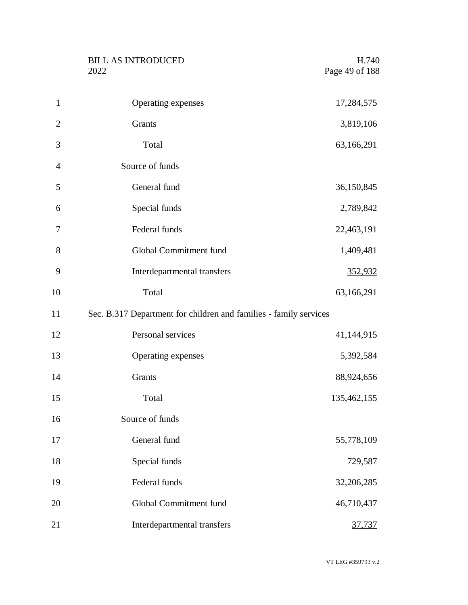|                | <b>BILL AS INTRODUCED</b><br>2022                                 | H.740<br>Page 49 of 188 |
|----------------|-------------------------------------------------------------------|-------------------------|
| $\mathbf{1}$   | Operating expenses                                                | 17,284,575              |
| $\overline{2}$ | Grants                                                            | 3,819,106               |
| 3              | Total                                                             | 63,166,291              |
| $\overline{4}$ | Source of funds                                                   |                         |
| 5              | General fund                                                      | 36,150,845              |
| 6              | Special funds                                                     | 2,789,842               |
| 7              | Federal funds                                                     | 22,463,191              |
| 8              | Global Commitment fund                                            | 1,409,481               |
| 9              | Interdepartmental transfers                                       | 352,932                 |
| 10             | Total                                                             | 63,166,291              |
| 11             | Sec. B.317 Department for children and families - family services |                         |
| 12             | Personal services                                                 | 41,144,915              |
| 13             | Operating expenses                                                | 5,392,584               |
| 14             | Grants                                                            | 88,924,656              |
| 15             | Total                                                             | 135,462,155             |
| 16             | Source of funds                                                   |                         |
| 17             | General fund                                                      | 55,778,109              |
| 18             | Special funds                                                     | 729,587                 |
| 19             | Federal funds                                                     | 32,206,285              |
| 20             | Global Commitment fund                                            | 46,710,437              |
| 21             | Interdepartmental transfers                                       | 37,737                  |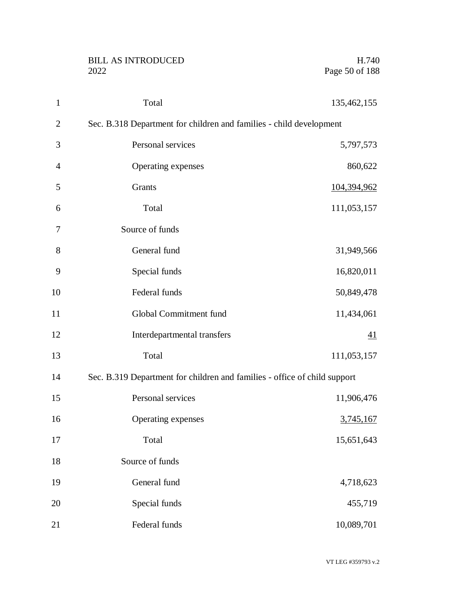|                | <b>BILL AS INTRODUCED</b><br>2022                                         | H.740<br>Page 50 of 188 |
|----------------|---------------------------------------------------------------------------|-------------------------|
| $\mathbf{1}$   | Total                                                                     | 135,462,155             |
| $\mathbf{2}$   | Sec. B.318 Department for children and families - child development       |                         |
| 3              | Personal services                                                         | 5,797,573               |
| $\overline{4}$ | Operating expenses                                                        | 860,622                 |
| 5              | Grants                                                                    | 104,394,962             |
| 6              | Total                                                                     | 111,053,157             |
| 7              | Source of funds                                                           |                         |
| 8              | General fund                                                              | 31,949,566              |
| 9              | Special funds                                                             | 16,820,011              |
| 10             | Federal funds                                                             | 50,849,478              |
| 11             | Global Commitment fund                                                    | 11,434,061              |
| 12             | Interdepartmental transfers                                               | 41                      |
| 13             | Total                                                                     | 111,053,157             |
| 14             | Sec. B.319 Department for children and families - office of child support |                         |
| 15             | Personal services                                                         | 11,906,476              |
| 16             | Operating expenses                                                        | 3,745,167               |
| 17             | Total                                                                     | 15,651,643              |
| 18             | Source of funds                                                           |                         |
| 19             | General fund                                                              | 4,718,623               |
| 20             | Special funds                                                             | 455,719                 |
| 21             | Federal funds                                                             | 10,089,701              |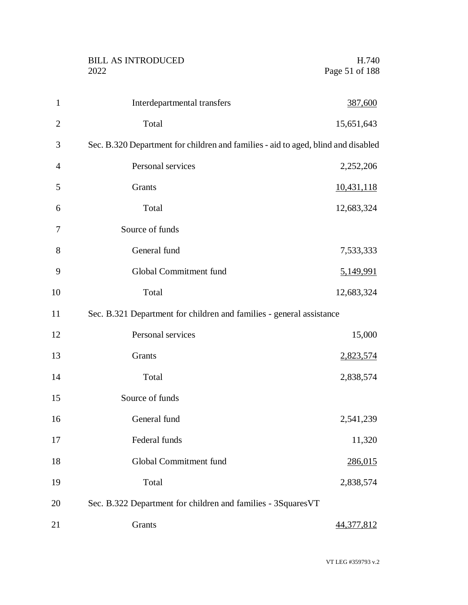BILL AS INTRODUCED H.740<br>2022 Page 51 of 188

| $\mathbf{1}$   | Interdepartmental transfers                                                       | 387,600           |
|----------------|-----------------------------------------------------------------------------------|-------------------|
| $\overline{2}$ | Total                                                                             | 15,651,643        |
| 3              | Sec. B.320 Department for children and families - aid to aged, blind and disabled |                   |
| $\overline{4}$ | Personal services                                                                 | 2,252,206         |
| 5              | Grants                                                                            | 10,431,118        |
| 6              | Total                                                                             | 12,683,324        |
| 7              | Source of funds                                                                   |                   |
| 8              | General fund                                                                      | 7,533,333         |
| 9              | Global Commitment fund                                                            | 5,149,991         |
| 10             | Total                                                                             | 12,683,324        |
| 11             | Sec. B.321 Department for children and families - general assistance              |                   |
| 12             | Personal services                                                                 | 15,000            |
| 13             | Grants                                                                            | 2,823,574         |
| 14             | Total                                                                             | 2,838,574         |
| 15             | Source of funds                                                                   |                   |
| 16             | General fund                                                                      | 2,541,239         |
| 17             | Federal funds                                                                     | 11,320            |
| 18             | Global Commitment fund                                                            | 286,015           |
| 19             | Total                                                                             | 2,838,574         |
| 20             | Sec. B.322 Department for children and families - 3SquaresVT                      |                   |
| 21             | Grants                                                                            | <u>44,377,812</u> |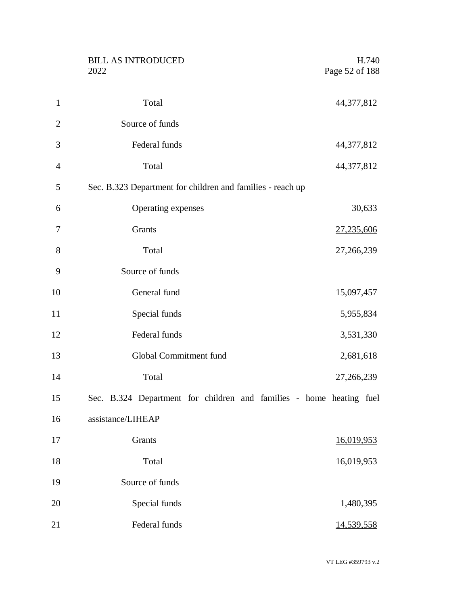|                | <b>BILL AS INTRODUCED</b><br>2022                                   | H.740<br>Page 52 of 188 |
|----------------|---------------------------------------------------------------------|-------------------------|
| $\mathbf{1}$   | Total                                                               | 44,377,812              |
| $\overline{2}$ | Source of funds                                                     |                         |
| 3              | Federal funds                                                       | 44,377,812              |
| $\overline{4}$ | Total                                                               | 44,377,812              |
| 5              | Sec. B.323 Department for children and families - reach up          |                         |
| 6              | Operating expenses                                                  | 30,633                  |
| $\tau$         | Grants                                                              | 27,235,606              |
| 8              | Total                                                               | 27,266,239              |
| 9              | Source of funds                                                     |                         |
| 10             | General fund                                                        | 15,097,457              |
| 11             | Special funds                                                       | 5,955,834               |
| 12             | Federal funds                                                       | 3,531,330               |
| 13             | Global Commitment fund                                              | 2,681,618               |
| 14             | Total                                                               | 27,266,239              |
| 15             | Sec. B.324 Department for children and families - home heating fuel |                         |
| 16             | assistance/LIHEAP                                                   |                         |
| 17             | Grants                                                              | 16,019,953              |
| 18             | Total                                                               | 16,019,953              |
| 19             | Source of funds                                                     |                         |
| 20             | Special funds                                                       | 1,480,395               |
| 21             | Federal funds                                                       | 14,539,558              |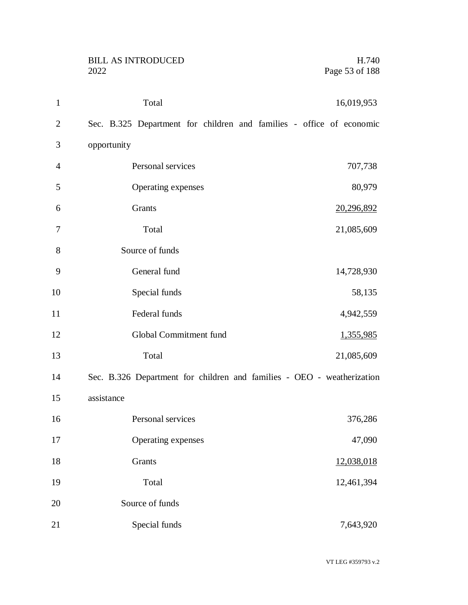| $\mathbf{1}$   | Total<br>16,019,953                                                    |
|----------------|------------------------------------------------------------------------|
| $\mathbf{2}$   | Sec. B.325 Department for children and families - office of economic   |
| 3              | opportunity                                                            |
| $\overline{4}$ | Personal services<br>707,738                                           |
| 5              | Operating expenses<br>80,979                                           |
| 6              | Grants<br>20,296,892                                                   |
| 7              | Total<br>21,085,609                                                    |
| 8              | Source of funds                                                        |
| 9              | General fund<br>14,728,930                                             |
| 10             | Special funds<br>58,135                                                |
| 11             | Federal funds<br>4,942,559                                             |
| 12             | Global Commitment fund<br>1,355,985                                    |
| 13             | Total<br>21,085,609                                                    |
| 14             | Sec. B.326 Department for children and families - OEO - weatherization |
| 15             | assistance                                                             |
| 16             | Personal services<br>376,286                                           |
| 17             | Operating expenses<br>47,090                                           |
| 18             | Grants<br>12,038,018                                                   |
| 19             | Total<br>12,461,394                                                    |
| 20             | Source of funds                                                        |
| 21             | Special funds<br>7,643,920                                             |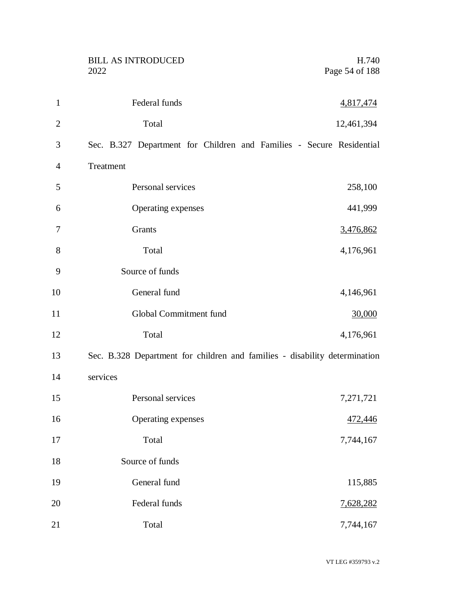|                | <b>BILL AS INTRODUCED</b><br>2022                                          | H.740<br>Page 54 of 188 |
|----------------|----------------------------------------------------------------------------|-------------------------|
|                |                                                                            |                         |
| $\mathbf{1}$   | Federal funds                                                              | 4,817,474               |
| $\overline{2}$ | Total                                                                      | 12,461,394              |
| 3              | Sec. B.327 Department for Children and Families - Secure Residential       |                         |
| 4              | Treatment                                                                  |                         |
| 5              | Personal services                                                          | 258,100                 |
| 6              | Operating expenses                                                         | 441,999                 |
| 7              | Grants                                                                     | 3,476,862               |
| 8              | Total                                                                      | 4,176,961               |
| 9              | Source of funds                                                            |                         |
| 10             | General fund                                                               | 4,146,961               |
| 11             | Global Commitment fund                                                     | 30,000                  |
| 12             | Total                                                                      | 4,176,961               |
| 13             | Sec. B.328 Department for children and families - disability determination |                         |
| 14             | services                                                                   |                         |
| 15             | Personal services                                                          | 7,271,721               |
| 16             | Operating expenses                                                         | 472,446                 |
| 17             | Total                                                                      | 7,744,167               |
| 18             | Source of funds                                                            |                         |
| 19             | General fund                                                               | 115,885                 |
| 20             | Federal funds                                                              | 7,628,282               |
| 21             | Total                                                                      | 7,744,167               |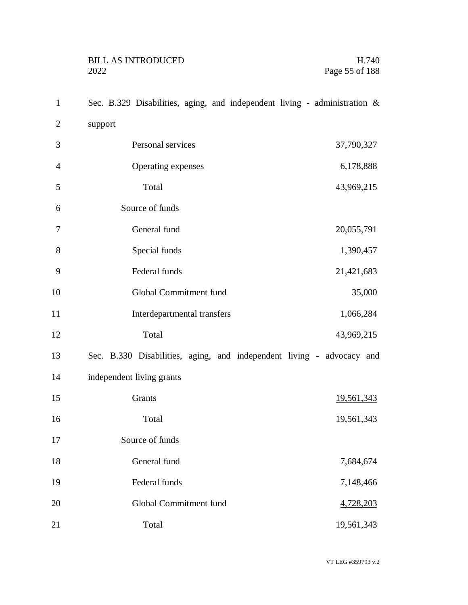| $\mathbf{1}$   | Sec. B.329 Disabilities, aging, and independent living - administration & |
|----------------|---------------------------------------------------------------------------|
| $\overline{2}$ | support                                                                   |
| 3              | Personal services<br>37,790,327                                           |
| $\overline{4}$ | Operating expenses<br>6,178,888                                           |
| 5              | Total<br>43,969,215                                                       |
| 6              | Source of funds                                                           |
| 7              | General fund<br>20,055,791                                                |
| 8              | Special funds<br>1,390,457                                                |
| 9              | Federal funds<br>21,421,683                                               |
| 10             | Global Commitment fund<br>35,000                                          |
| 11             | Interdepartmental transfers<br>1,066,284                                  |
| 12             | Total<br>43,969,215                                                       |
| 13             | Sec. B.330 Disabilities, aging, and independent living - advocacy and     |
| 14             | independent living grants                                                 |
| 15             | Grants<br>19,561,343                                                      |
| 16             | Total<br>19,561,343                                                       |
| 17             | Source of funds                                                           |
| 18             | General fund<br>7,684,674                                                 |
| 19             | Federal funds<br>7,148,466                                                |
| 20             | Global Commitment fund<br>4,728,203                                       |
| 21             | Total<br>19,561,343                                                       |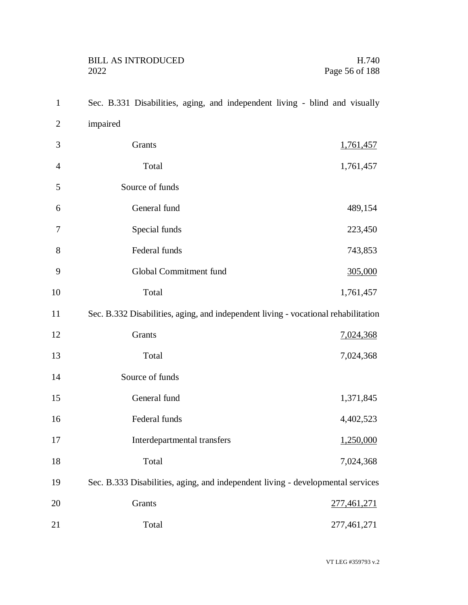| $\mathbf{1}$   | Sec. B.331 Disabilities, aging, and independent living - blind and visually        |
|----------------|------------------------------------------------------------------------------------|
| $\mathbf{2}$   | impaired                                                                           |
| 3              | Grants<br>1,761,457                                                                |
| $\overline{4}$ | Total<br>1,761,457                                                                 |
| 5              | Source of funds                                                                    |
| 6              | General fund<br>489,154                                                            |
| 7              | Special funds<br>223,450                                                           |
| 8              | Federal funds<br>743,853                                                           |
| 9              | Global Commitment fund<br>305,000                                                  |
| 10             | Total<br>1,761,457                                                                 |
| 11             | Sec. B.332 Disabilities, aging, and independent living - vocational rehabilitation |
| 12             | Grants<br>7,024,368                                                                |
| 13             | Total<br>7,024,368                                                                 |
| 14             | Source of funds                                                                    |
| 15             | General fund<br>1,371,845                                                          |
| 16             | Federal funds<br>4,402,523                                                         |
| 17             | Interdepartmental transfers<br>1,250,000                                           |
| 18             | 7,024,368<br>Total                                                                 |
| 19             | Sec. B.333 Disabilities, aging, and independent living - developmental services    |
| 20             | Grants<br>277,461,271                                                              |
| 21             | 277,461,271<br>Total                                                               |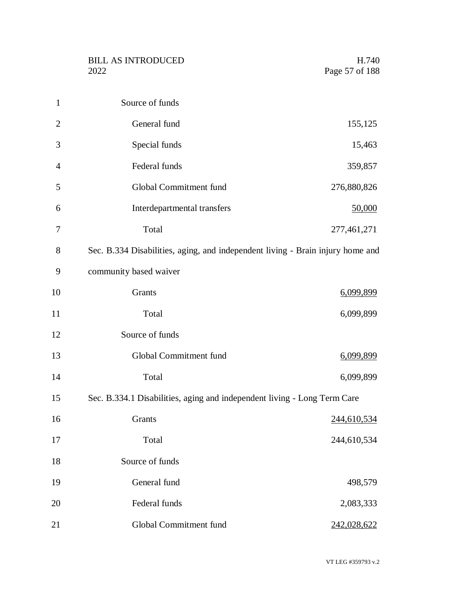| $\mathbf{1}$   | Source of funds                                                                |                    |
|----------------|--------------------------------------------------------------------------------|--------------------|
| $\overline{2}$ | General fund                                                                   | 155,125            |
| 3              | Special funds                                                                  | 15,463             |
| 4              | Federal funds                                                                  | 359,857            |
| 5              | Global Commitment fund                                                         | 276,880,826        |
| 6              | Interdepartmental transfers                                                    | 50,000             |
| 7              | Total                                                                          | 277,461,271        |
| 8              | Sec. B.334 Disabilities, aging, and independent living - Brain injury home and |                    |
| 9              | community based waiver                                                         |                    |
| 10             | Grants                                                                         | <u>6,099,899</u>   |
| 11             | Total                                                                          | 6,099,899          |
| 12             | Source of funds                                                                |                    |
| 13             | Global Commitment fund                                                         | 6,099,899          |
| 14             | Total                                                                          | 6,099,899          |
| 15             | Sec. B.334.1 Disabilities, aging and independent living - Long Term Care       |                    |
| 16             | Grants                                                                         | <u>244,610,534</u> |
| 17             | Total                                                                          | 244,610,534        |
| 18             | Source of funds                                                                |                    |
| 19             | General fund                                                                   | 498,579            |
| 20             | Federal funds                                                                  | 2,083,333          |
| 21             | Global Commitment fund                                                         | 242,028,622        |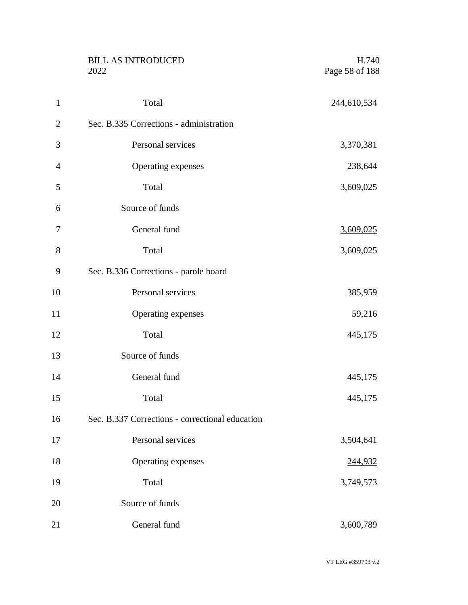|                | <b>BILL AS INTRODUCED</b><br>2022               | H.740<br>Page 58 of 188 |
|----------------|-------------------------------------------------|-------------------------|
| $\mathbf{1}$   | Total                                           | 244,610,534             |
| $\overline{2}$ | Sec. B.335 Corrections - administration         |                         |
| 3              | Personal services                               | 3,370,381               |
| $\overline{4}$ | Operating expenses                              | 238,644                 |
| 5              | Total                                           | 3,609,025               |
| 6              | Source of funds                                 |                         |
| 7              | General fund                                    | 3,609,025               |
| 8              | Total                                           | 3,609,025               |
| 9              | Sec. B.336 Corrections - parole board           |                         |
| 10             | Personal services                               | 385,959                 |
| 11             | Operating expenses                              | <u>59,216</u>           |
| 12             | Total                                           | 445,175                 |
| 13             | Source of funds                                 |                         |
| 14             | General fund                                    | 445,175                 |
| 15             | Total                                           | 445,175                 |
| 16             | Sec. B.337 Corrections - correctional education |                         |
| 17             | Personal services                               | 3,504,641               |
| 18             | Operating expenses                              | 244,932                 |
| 19             | Total                                           | 3,749,573               |
| 20             | Source of funds                                 |                         |
| 21             | General fund                                    | 3,600,789               |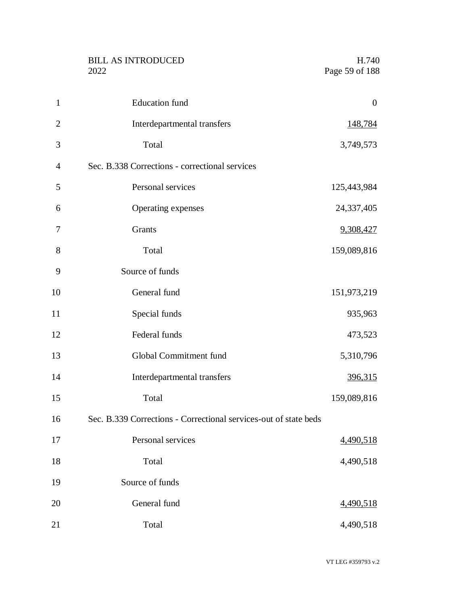|                | <b>BILL AS INTRODUCED</b><br>2022                                | H.740<br>Page 59 of 188 |
|----------------|------------------------------------------------------------------|-------------------------|
| $\mathbf{1}$   | <b>Education</b> fund                                            | $\boldsymbol{0}$        |
| $\overline{2}$ | Interdepartmental transfers                                      | 148,784                 |
| 3              | Total                                                            | 3,749,573               |
| 4              | Sec. B.338 Corrections - correctional services                   |                         |
| 5              | Personal services                                                | 125,443,984             |
| 6              | Operating expenses                                               | 24,337,405              |
| 7              | Grants                                                           | 9,308,427               |
| 8              | Total                                                            | 159,089,816             |
| 9              | Source of funds                                                  |                         |
| 10             | General fund                                                     | 151,973,219             |
| 11             | Special funds                                                    | 935,963                 |
| 12             | Federal funds                                                    | 473,523                 |
| 13             | Global Commitment fund                                           | 5,310,796               |
| 14             | Interdepartmental transfers                                      | <u>396,315</u>          |
| 15             | Total                                                            | 159,089,816             |
| 16             | Sec. B.339 Corrections - Correctional services-out of state beds |                         |
| 17             | Personal services                                                | 4,490,518               |
| 18             | Total                                                            | 4,490,518               |
| 19             | Source of funds                                                  |                         |
| 20             | General fund                                                     | 4,490,518               |
| 21             | Total                                                            | 4,490,518               |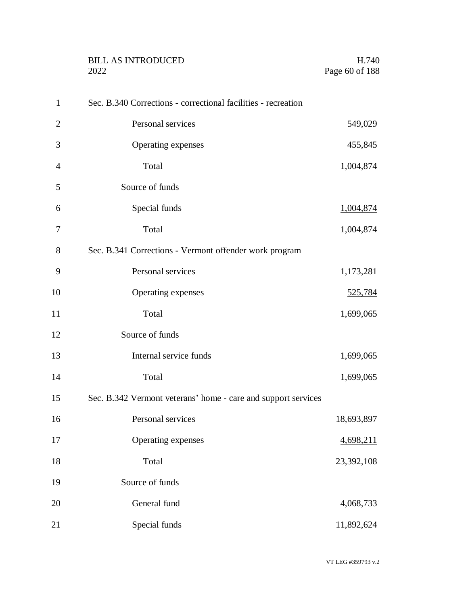|                | <b>BILL AS INTRODUCED</b><br>2022                             | H.740<br>Page 60 of 188 |
|----------------|---------------------------------------------------------------|-------------------------|
| $\mathbf{1}$   | Sec. B.340 Corrections - correctional facilities - recreation |                         |
| $\overline{2}$ | Personal services                                             | 549,029                 |
| 3              | Operating expenses                                            | 455,845                 |
| $\overline{4}$ | Total                                                         | 1,004,874               |
| 5              | Source of funds                                               |                         |
| 6              | Special funds                                                 | 1,004,874               |
| 7              | Total                                                         | 1,004,874               |
| 8              | Sec. B.341 Corrections - Vermont offender work program        |                         |
| 9              | Personal services                                             | 1,173,281               |
| 10             | Operating expenses                                            | <u>525,784</u>          |
| 11             | Total                                                         | 1,699,065               |
| 12             | Source of funds                                               |                         |
| 13             | Internal service funds                                        | <u>1,699,065</u>        |
| 14             | Total                                                         | 1,699,065               |
| 15             | Sec. B.342 Vermont veterans' home - care and support services |                         |
| 16             | Personal services                                             | 18,693,897              |
| 17             | Operating expenses                                            | 4,698,211               |
| 18             | Total                                                         | 23,392,108              |
| 19             | Source of funds                                               |                         |
| 20             | General fund                                                  | 4,068,733               |
| 21             | Special funds                                                 | 11,892,624              |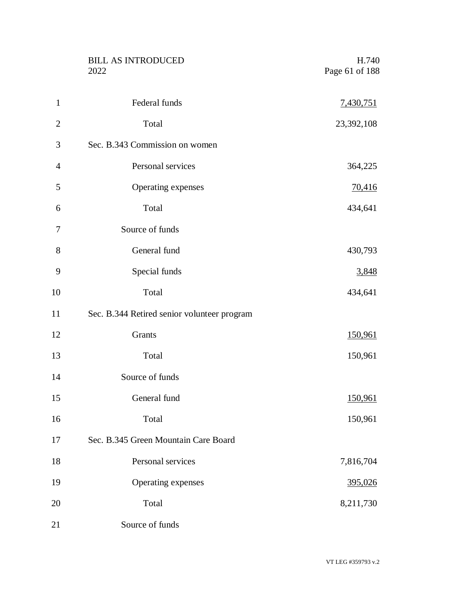|                | <b>BILL AS INTRODUCED</b><br>2022           | H.740<br>Page 61 of 188 |
|----------------|---------------------------------------------|-------------------------|
| $\mathbf{1}$   | Federal funds                               | 7,430,751               |
| $\overline{2}$ | Total                                       | 23,392,108              |
| 3              | Sec. B.343 Commission on women              |                         |
| $\overline{4}$ | Personal services                           | 364,225                 |
| 5              | Operating expenses                          | <u>70,416</u>           |
| 6              | Total                                       | 434,641                 |
| 7              | Source of funds                             |                         |
| 8              | General fund                                | 430,793                 |
| 9              | Special funds                               | 3,848                   |
| 10             | Total                                       | 434,641                 |
| 11             | Sec. B.344 Retired senior volunteer program |                         |
| 12             | Grants                                      | 150,961                 |
| 13             | Total                                       | 150,961                 |
| 14             | Source of funds                             |                         |
| 15             | General fund                                | 150,961                 |
| 16             | Total                                       | 150,961                 |
| 17             | Sec. B.345 Green Mountain Care Board        |                         |
| 18             | Personal services                           | 7,816,704               |
| 19             | Operating expenses                          | 395,026                 |
| 20             | Total                                       | 8,211,730               |
| 21             | Source of funds                             |                         |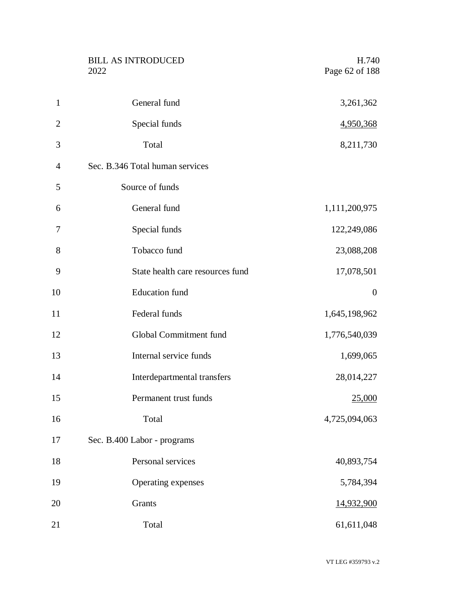|                | <b>BILL AS INTRODUCED</b><br>2022 | H.740<br>Page 62 of 188 |
|----------------|-----------------------------------|-------------------------|
| $\mathbf{1}$   | General fund                      | 3,261,362               |
| $\overline{2}$ | Special funds                     | 4,950,368               |
| 3              | Total                             | 8,211,730               |
| $\overline{4}$ | Sec. B.346 Total human services   |                         |
| 5              | Source of funds                   |                         |
| 6              | General fund                      | 1,111,200,975           |
| 7              | Special funds                     | 122,249,086             |
| 8              | Tobacco fund                      | 23,088,208              |
| 9              | State health care resources fund  | 17,078,501              |
| 10             | <b>Education</b> fund             | $\boldsymbol{0}$        |
| 11             | Federal funds                     | 1,645,198,962           |
| 12             | Global Commitment fund            | 1,776,540,039           |
| 13             | Internal service funds            | 1,699,065               |
| 14             | Interdepartmental transfers       | 28,014,227              |
| 15             | Permanent trust funds             | 25,000                  |
| 16             | Total                             | 4,725,094,063           |
| 17             | Sec. B.400 Labor - programs       |                         |
| 18             | Personal services                 | 40,893,754              |
| 19             | Operating expenses                | 5,784,394               |
| 20             | Grants                            | 14,932,900              |
| 21             | Total                             | 61,611,048              |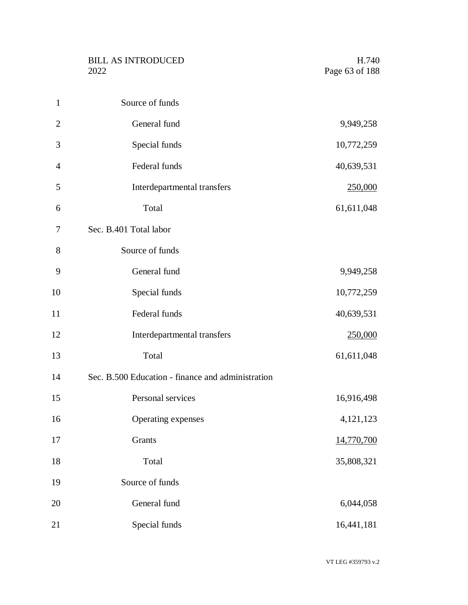| $\mathbf{1}$   | Source of funds                                   |            |
|----------------|---------------------------------------------------|------------|
| $\overline{2}$ | General fund                                      | 9,949,258  |
| 3              | Special funds                                     | 10,772,259 |
| $\overline{4}$ | Federal funds                                     | 40,639,531 |
| 5              | Interdepartmental transfers                       | 250,000    |
| 6              | Total                                             | 61,611,048 |
| 7              | Sec. B.401 Total labor                            |            |
| 8              | Source of funds                                   |            |
| 9              | General fund                                      | 9,949,258  |
| 10             | Special funds                                     | 10,772,259 |
| 11             | Federal funds                                     | 40,639,531 |
| 12             | Interdepartmental transfers                       | 250,000    |
| 13             | Total                                             | 61,611,048 |
| 14             | Sec. B.500 Education - finance and administration |            |
| 15             | Personal services                                 | 16,916,498 |
| 16             | Operating expenses                                | 4,121,123  |
| 17             | Grants                                            | 14,770,700 |
| 18             | Total                                             | 35,808,321 |
| 19             | Source of funds                                   |            |
| 20             | General fund                                      | 6,044,058  |
| 21             | Special funds                                     | 16,441,181 |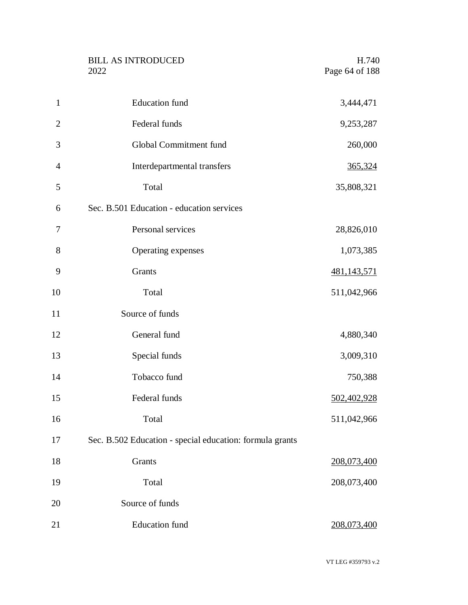|                | <b>BILL AS INTRODUCED</b><br>2022                        | H.740<br>Page 64 of 188 |
|----------------|----------------------------------------------------------|-------------------------|
| $\mathbf{1}$   | <b>Education</b> fund                                    | 3,444,471               |
| $\overline{2}$ | Federal funds                                            | 9,253,287               |
| 3              | Global Commitment fund                                   | 260,000                 |
| $\overline{4}$ | Interdepartmental transfers                              | 365,324                 |
| 5              | Total                                                    | 35,808,321              |
| 6              | Sec. B.501 Education - education services                |                         |
| 7              | Personal services                                        | 28,826,010              |
| 8              | Operating expenses                                       | 1,073,385               |
| 9              | Grants                                                   | 481,143,571             |
| 10             | Total                                                    | 511,042,966             |
| 11             | Source of funds                                          |                         |
| 12             | General fund                                             | 4,880,340               |
| 13             | Special funds                                            | 3,009,310               |
| 14             | Tobacco fund                                             | 750,388                 |
| 15             | Federal funds                                            | 502,402,928             |
| 16             | Total                                                    | 511,042,966             |
| 17             | Sec. B.502 Education - special education: formula grants |                         |
| 18             | Grants                                                   | 208,073,400             |
| 19             | Total                                                    | 208,073,400             |
| 20             | Source of funds                                          |                         |
| 21             | <b>Education</b> fund                                    | 208,073,400             |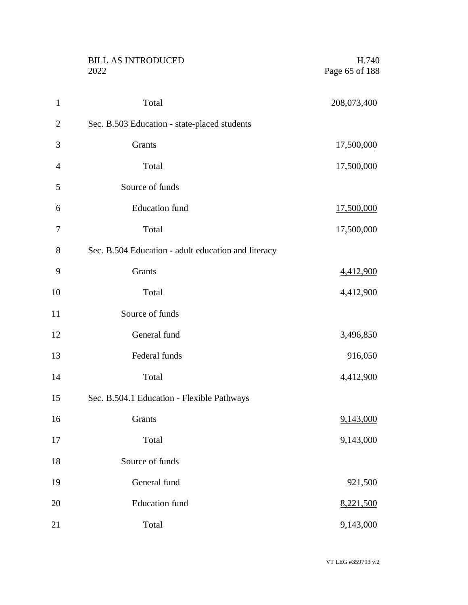|                | <b>BILL AS INTRODUCED</b><br>2022                   | H.740<br>Page 65 of 188 |
|----------------|-----------------------------------------------------|-------------------------|
| $\mathbf{1}$   | Total                                               | 208,073,400             |
| $\overline{c}$ | Sec. B.503 Education - state-placed students        |                         |
| 3              | Grants                                              | 17,500,000              |
| $\overline{4}$ | Total                                               | 17,500,000              |
| 5              | Source of funds                                     |                         |
| 6              | <b>Education</b> fund                               | 17,500,000              |
| 7              | Total                                               | 17,500,000              |
| 8              | Sec. B.504 Education - adult education and literacy |                         |
| 9              | Grants                                              | 4,412,900               |
| 10             | Total                                               | 4,412,900               |
| 11             | Source of funds                                     |                         |
| 12             | General fund                                        | 3,496,850               |
| 13             | Federal funds                                       | 916,050                 |
| 14             | Total                                               | 4,412,900               |
| 15             | Sec. B.504.1 Education - Flexible Pathways          |                         |
| 16             | Grants                                              | 9,143,000               |
| 17             | Total                                               | 9,143,000               |
| 18             | Source of funds                                     |                         |
| 19             | General fund                                        | 921,500                 |
| 20             | <b>Education</b> fund                               | 8,221,500               |
| 21             | Total                                               | 9,143,000               |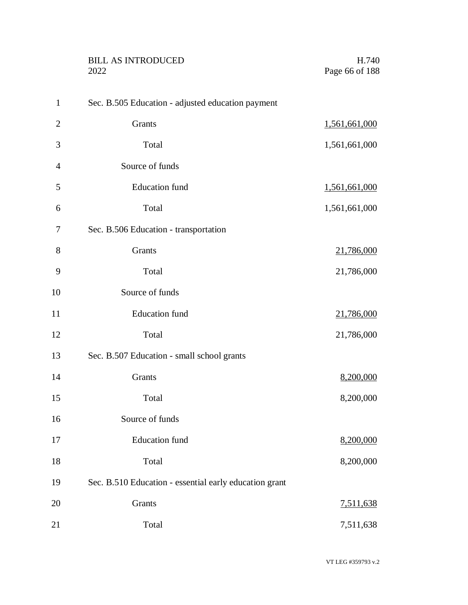|                | <b>BILL AS INTRODUCED</b><br>2022                      | H.740<br>Page 66 of 188 |
|----------------|--------------------------------------------------------|-------------------------|
| $\mathbf{1}$   | Sec. B.505 Education - adjusted education payment      |                         |
| $\overline{2}$ | Grants                                                 | 1,561,661,000           |
| 3              | Total                                                  | 1,561,661,000           |
| $\overline{4}$ | Source of funds                                        |                         |
| 5              | <b>Education</b> fund                                  | 1,561,661,000           |
| 6              | Total                                                  | 1,561,661,000           |
| 7              | Sec. B.506 Education - transportation                  |                         |
| 8              | Grants                                                 | 21,786,000              |
| 9              | Total                                                  | 21,786,000              |
| 10             | Source of funds                                        |                         |
| 11             | <b>Education</b> fund                                  | 21,786,000              |
| 12             | Total                                                  | 21,786,000              |
| 13             | Sec. B.507 Education - small school grants             |                         |
| 14             | Grants                                                 | 8,200,000               |
| 15             | Total                                                  | 8,200,000               |
| 16             | Source of funds                                        |                         |
| 17             | <b>Education</b> fund                                  | 8,200,000               |
| 18             | Total                                                  | 8,200,000               |
| 19             | Sec. B.510 Education - essential early education grant |                         |
| 20             | Grants                                                 | 7,511,638               |
| 21             | Total                                                  | 7,511,638               |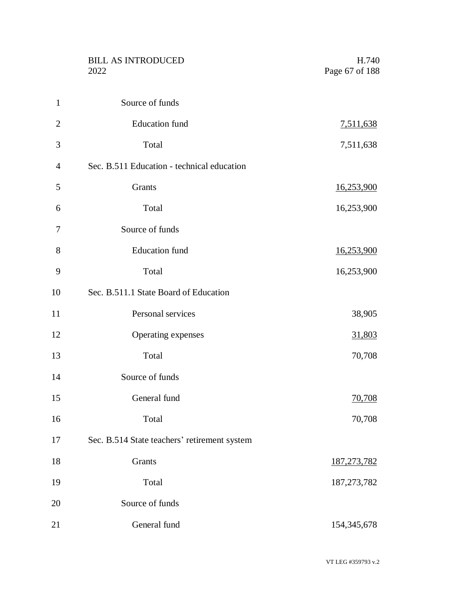|                | <b>BILL AS INTRODUCED</b><br>2022            | H.740<br>Page 67 of 188 |
|----------------|----------------------------------------------|-------------------------|
| $\mathbf{1}$   | Source of funds                              |                         |
| $\overline{2}$ | <b>Education</b> fund                        | 7,511,638               |
| 3              | Total                                        | 7,511,638               |
| 4              | Sec. B.511 Education - technical education   |                         |
| 5              | Grants                                       | 16,253,900              |
| 6              | Total                                        | 16,253,900              |
| 7              | Source of funds                              |                         |
| 8              | <b>Education</b> fund                        | 16,253,900              |
| 9              | Total                                        | 16,253,900              |
| 10             | Sec. B.511.1 State Board of Education        |                         |
| 11             | Personal services                            | 38,905                  |
| 12             | Operating expenses                           | 31,803                  |
| 13             | Total                                        | 70,708                  |
| 14             | Source of funds                              |                         |
| 15             | General fund                                 | 70,708                  |
| 16             | Total                                        | 70,708                  |
| 17             | Sec. B.514 State teachers' retirement system |                         |
| 18             | Grants                                       | 187, 273, 782           |
| 19             | Total                                        | 187, 273, 782           |
| 20             | Source of funds                              |                         |
| 21             | General fund                                 | 154, 345, 678           |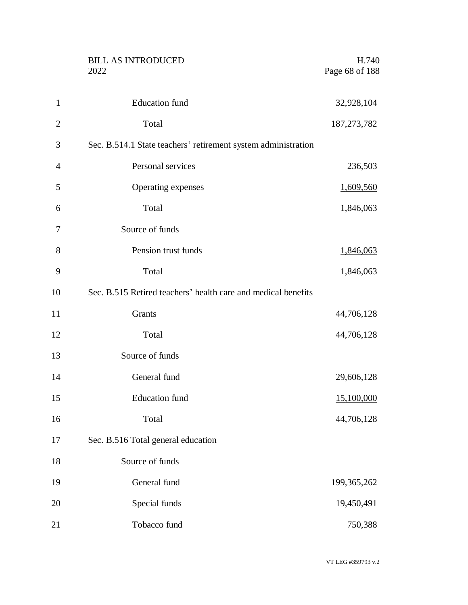|                | <b>BILL AS INTRODUCED</b><br>2022                             | H.740<br>Page 68 of 188 |
|----------------|---------------------------------------------------------------|-------------------------|
| $\mathbf{1}$   | <b>Education</b> fund                                         | 32,928,104              |
| $\overline{2}$ | Total                                                         | 187, 273, 782           |
| 3              | Sec. B.514.1 State teachers' retirement system administration |                         |
| 4              | Personal services                                             | 236,503                 |
| 5              | Operating expenses                                            | 1,609,560               |
| 6              | Total                                                         | 1,846,063               |
| 7              | Source of funds                                               |                         |
| 8              | Pension trust funds                                           | 1,846,063               |
| 9              | Total                                                         | 1,846,063               |
| 10             | Sec. B.515 Retired teachers' health care and medical benefits |                         |
| 11             | Grants                                                        | 44,706,128              |
| 12             | Total                                                         | 44,706,128              |
| 13             | Source of funds                                               |                         |
| 14             | General fund                                                  | 29,606,128              |
| 15             | Education fund                                                | 15,100,000              |
| 16             | Total                                                         | 44,706,128              |
| 17             | Sec. B.516 Total general education                            |                         |
| 18             | Source of funds                                               |                         |
| 19             | General fund                                                  | 199, 365, 262           |
| 20             | Special funds                                                 | 19,450,491              |
| 21             | Tobacco fund                                                  | 750,388                 |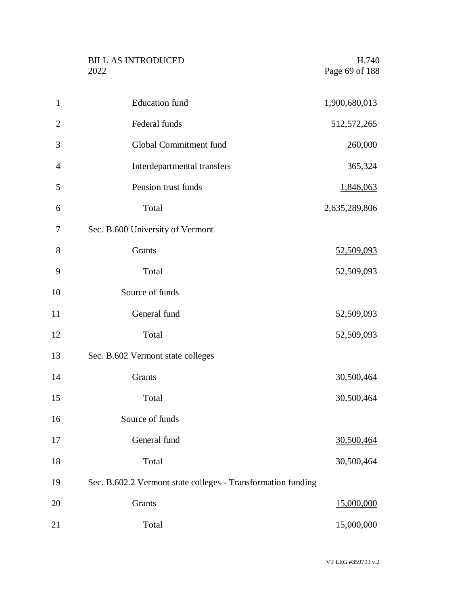| <b>BILL AS INTRODUCED</b> | H.740          |
|---------------------------|----------------|
| 2022                      | Page 69 of 188 |

| $\mathbf{1}$   | <b>Education</b> fund                                        | 1,900,680,013     |
|----------------|--------------------------------------------------------------|-------------------|
| $\overline{2}$ | Federal funds                                                | 512, 572, 265     |
| 3              | Global Commitment fund                                       | 260,000           |
| 4              | Interdepartmental transfers                                  | 365,324           |
| 5              | Pension trust funds                                          | 1,846,063         |
| 6              | Total                                                        | 2,635,289,806     |
| 7              | Sec. B.600 University of Vermont                             |                   |
| 8              | <b>Grants</b>                                                | <u>52,509,093</u> |
| 9              | Total                                                        | 52,509,093        |
| 10             | Source of funds                                              |                   |
| 11             | General fund                                                 | 52,509,093        |
| 12             | Total                                                        | 52,509,093        |
| 13             | Sec. B.602 Vermont state colleges                            |                   |
| 14             | Grants                                                       | 30,500,464        |
| 15             | Total                                                        | 30,500,464        |
| 16             | Source of funds                                              |                   |
| 17             | General fund                                                 | 30,500,464        |
| 18             | Total                                                        | 30,500,464        |
| 19             | Sec. B.602.2 Vermont state colleges - Transformation funding |                   |
| 20             | Grants                                                       | 15,000,000        |
| 21             | Total                                                        | 15,000,000        |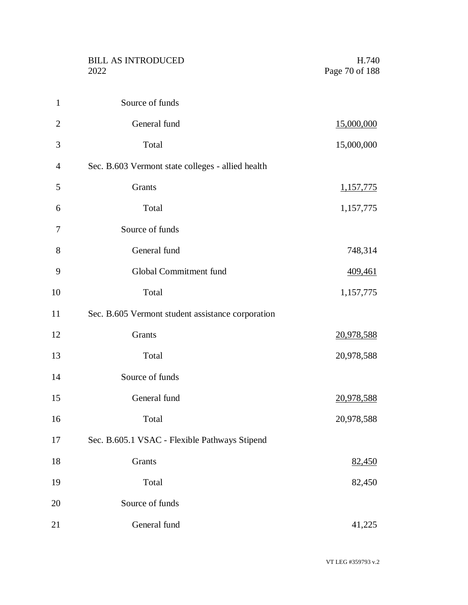|                | <b>BILL AS INTRODUCED</b><br>2022                 | H.740<br>Page 70 of 188 |
|----------------|---------------------------------------------------|-------------------------|
| $\mathbf{1}$   | Source of funds                                   |                         |
| $\mathbf{2}$   | General fund                                      | 15,000,000              |
| 3              | Total                                             | 15,000,000              |
| $\overline{4}$ | Sec. B.603 Vermont state colleges - allied health |                         |
| 5              | Grants                                            | 1,157,775               |
| 6              | Total                                             | 1,157,775               |
| 7              | Source of funds                                   |                         |
| 8              | General fund                                      | 748,314                 |
| 9              | Global Commitment fund                            | 409,461                 |
| 10             | Total                                             | 1,157,775               |
| 11             | Sec. B.605 Vermont student assistance corporation |                         |
| 12             | Grants                                            | 20,978,588              |
| 13             | Total                                             | 20,978,588              |
| 14             | Source of funds                                   |                         |
| 15             | General fund                                      | 20,978,588              |
| 16             | Total                                             | 20,978,588              |
| 17             | Sec. B.605.1 VSAC - Flexible Pathways Stipend     |                         |
| 18             | Grants                                            | 82,450                  |
| 19             | Total                                             | 82,450                  |
| 20             | Source of funds                                   |                         |
| 21             | General fund                                      | 41,225                  |

VT LEG #359793 v.2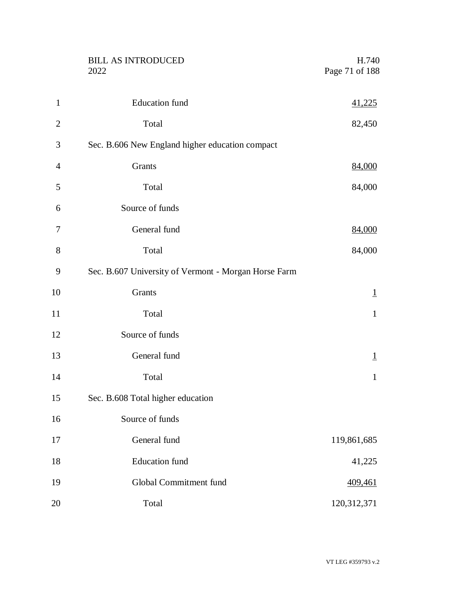|                | <b>BILL AS INTRODUCED</b><br>2022                    | H.740<br>Page 71 of 188 |
|----------------|------------------------------------------------------|-------------------------|
| $\mathbf{1}$   | <b>Education</b> fund                                | 41,225                  |
| $\overline{2}$ | Total                                                | 82,450                  |
| 3              | Sec. B.606 New England higher education compact      |                         |
| 4              | Grants                                               | 84,000                  |
| 5              | Total                                                | 84,000                  |
| 6              | Source of funds                                      |                         |
| 7              | General fund                                         | 84,000                  |
| 8              | Total                                                | 84,000                  |
| 9              | Sec. B.607 University of Vermont - Morgan Horse Farm |                         |
| 10             | Grants                                               | $\overline{1}$          |
| 11             | Total                                                | $\mathbf{1}$            |
| 12             | Source of funds                                      |                         |
| 13             | General fund                                         | $\perp$                 |
| 14             | Total                                                | $\mathbf{1}$            |
| 15             | Sec. B.608 Total higher education                    |                         |
| 16             | Source of funds                                      |                         |
| 17             | General fund                                         | 119,861,685             |
| 18             | <b>Education</b> fund                                | 41,225                  |
| 19             | Global Commitment fund                               | 409,461                 |
| 20             | Total                                                | 120,312,371             |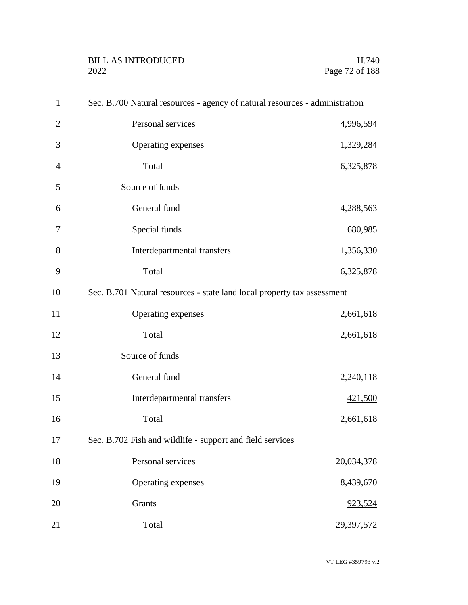| $\mathbf{1}$   | Sec. B.700 Natural resources - agency of natural resources - administration |                  |
|----------------|-----------------------------------------------------------------------------|------------------|
| $\overline{2}$ | Personal services                                                           | 4,996,594        |
| 3              | Operating expenses                                                          | 1,329,284        |
| $\overline{4}$ | Total                                                                       | 6,325,878        |
| 5              | Source of funds                                                             |                  |
| 6              | General fund                                                                | 4,288,563        |
| 7              | Special funds                                                               | 680,985          |
| 8              | Interdepartmental transfers                                                 | <u>1,356,330</u> |
| 9              | Total                                                                       | 6,325,878        |
| 10             | Sec. B.701 Natural resources - state land local property tax assessment     |                  |
| 11             | Operating expenses                                                          | 2,661,618        |
| 12             | Total                                                                       | 2,661,618        |
| 13             | Source of funds                                                             |                  |
| 14             | General fund                                                                | 2,240,118        |
| 15             | Interdepartmental transfers                                                 | 421,500          |
| 16             | Total                                                                       | 2,661,618        |
| 17             | Sec. B.702 Fish and wildlife - support and field services                   |                  |
| 18             | Personal services                                                           | 20,034,378       |
| 19             | Operating expenses                                                          | 8,439,670        |
| 20             | Grants                                                                      | 923,524          |
| 21             | Total                                                                       | 29,397,572       |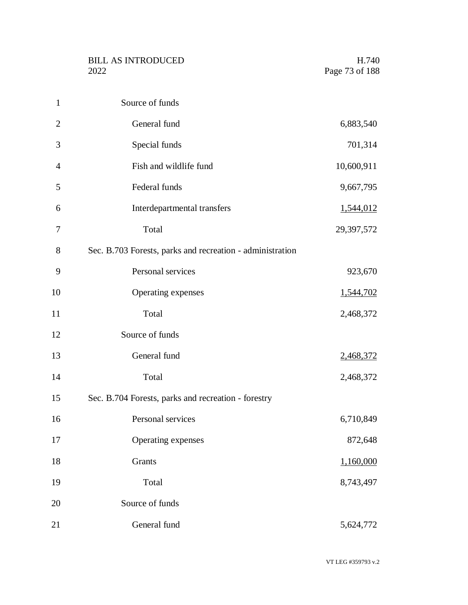| $\mathbf{1}$   | Source of funds                                           |            |
|----------------|-----------------------------------------------------------|------------|
| $\overline{2}$ | General fund                                              | 6,883,540  |
| 3              | Special funds                                             | 701,314    |
| 4              | Fish and wildlife fund                                    | 10,600,911 |
| 5              | Federal funds                                             | 9,667,795  |
| 6              | Interdepartmental transfers                               | 1,544,012  |
| 7              | Total                                                     | 29,397,572 |
| 8              | Sec. B.703 Forests, parks and recreation - administration |            |
| 9              | Personal services                                         | 923,670    |
| 10             | Operating expenses                                        | 1,544,702  |
| 11             | Total                                                     | 2,468,372  |
| 12             | Source of funds                                           |            |
| 13             | General fund                                              | 2,468,372  |
| 14             | Total                                                     | 2,468,372  |
| 15             | Sec. B.704 Forests, parks and recreation - forestry       |            |
| 16             | Personal services                                         | 6,710,849  |
| 17             | Operating expenses                                        | 872,648    |
| 18             | Grants                                                    | 1,160,000  |
| 19             | Total                                                     | 8,743,497  |
| 20             | Source of funds                                           |            |
| 21             | General fund                                              | 5,624,772  |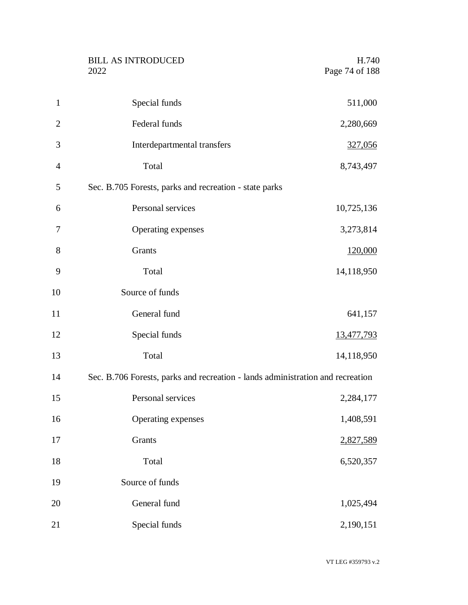|                | <b>BILL AS INTRODUCED</b><br>2022                                              | H.740<br>Page 74 of 188 |
|----------------|--------------------------------------------------------------------------------|-------------------------|
| $\mathbf{1}$   | Special funds                                                                  | 511,000                 |
| $\overline{2}$ | Federal funds                                                                  | 2,280,669               |
| 3              | Interdepartmental transfers                                                    | 327,056                 |
| $\overline{4}$ | Total                                                                          | 8,743,497               |
| 5              | Sec. B.705 Forests, parks and recreation - state parks                         |                         |
| 6              | Personal services                                                              | 10,725,136              |
| 7              | Operating expenses                                                             | 3,273,814               |
| 8              | Grants                                                                         | 120,000                 |
| 9              | Total                                                                          | 14,118,950              |
| 10             | Source of funds                                                                |                         |
| 11             | General fund                                                                   | 641,157                 |
| 12             | Special funds                                                                  | 13,477,793              |
| 13             | Total                                                                          | 14,118,950              |
| 14             | Sec. B.706 Forests, parks and recreation - lands administration and recreation |                         |
| 15             | Personal services                                                              | 2,284,177               |
| 16             | Operating expenses                                                             | 1,408,591               |
| 17             | Grants                                                                         | 2,827,589               |
| 18             | Total                                                                          | 6,520,357               |
| 19             | Source of funds                                                                |                         |
| 20             | General fund                                                                   | 1,025,494               |
| 21             | Special funds                                                                  | 2,190,151               |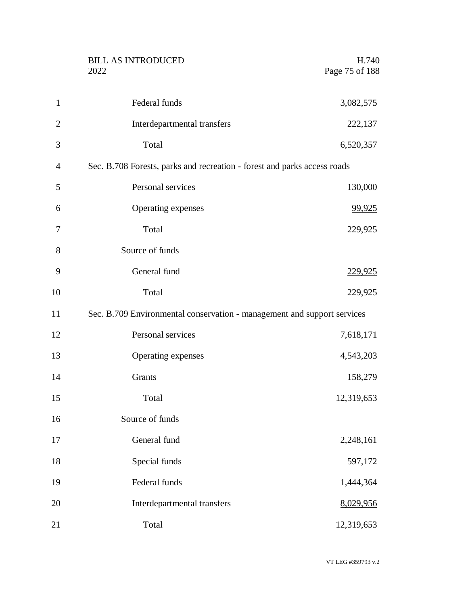|                | <b>BILL AS INTRODUCED</b><br>2022                                        | H.740<br>Page 75 of 188 |
|----------------|--------------------------------------------------------------------------|-------------------------|
|                |                                                                          |                         |
| $\mathbf{1}$   | Federal funds                                                            | 3,082,575               |
| $\overline{2}$ | Interdepartmental transfers                                              | <u>222,137</u>          |
| 3              | Total                                                                    | 6,520,357               |
| 4              | Sec. B.708 Forests, parks and recreation - forest and parks access roads |                         |
| 5              | Personal services                                                        | 130,000                 |
| 6              | Operating expenses                                                       | 99,925                  |
| 7              | Total                                                                    | 229,925                 |
| 8              | Source of funds                                                          |                         |
| 9              | General fund                                                             | <u>229,925</u>          |
| 10             | Total                                                                    | 229,925                 |
| 11             | Sec. B.709 Environmental conservation - management and support services  |                         |
| 12             | Personal services                                                        | 7,618,171               |
| 13             | Operating expenses                                                       | 4,543,203               |
| 14             | Grants                                                                   | 158,279                 |
| 15             | Total                                                                    | 12,319,653              |
| 16             | Source of funds                                                          |                         |
| 17             | General fund                                                             | 2,248,161               |
| 18             | Special funds                                                            | 597,172                 |
| 19             | Federal funds                                                            | 1,444,364               |
| 20             | Interdepartmental transfers                                              | 8,029,956               |
| 21             | Total                                                                    | 12,319,653              |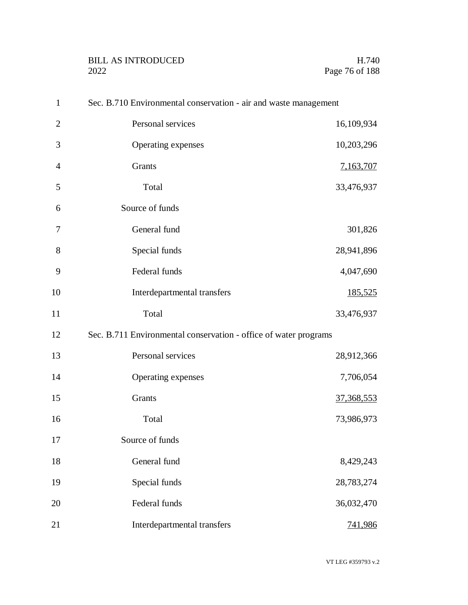| $\mathbf{1}$   | Sec. B.710 Environmental conservation - air and waste management |            |
|----------------|------------------------------------------------------------------|------------|
| $\overline{2}$ | Personal services                                                | 16,109,934 |
| 3              | Operating expenses                                               | 10,203,296 |
| $\overline{4}$ | Grants                                                           | 7,163,707  |
| 5              | Total                                                            | 33,476,937 |
| 6              | Source of funds                                                  |            |
| 7              | General fund                                                     | 301,826    |
| 8              | Special funds                                                    | 28,941,896 |
| 9              | Federal funds                                                    | 4,047,690  |
| 10             | Interdepartmental transfers                                      | 185,525    |
| 11             | Total                                                            | 33,476,937 |
| 12             | Sec. B.711 Environmental conservation - office of water programs |            |
| 13             | Personal services                                                | 28,912,366 |
| 14             | Operating expenses                                               | 7,706,054  |
| 15             | Grants                                                           | 37,368,553 |
| 16             | Total                                                            | 73,986,973 |
| 17             | Source of funds                                                  |            |
| 18             | General fund                                                     | 8,429,243  |
| 19             | Special funds                                                    | 28,783,274 |
| 20             | Federal funds                                                    | 36,032,470 |
| 21             | Interdepartmental transfers                                      | 741,986    |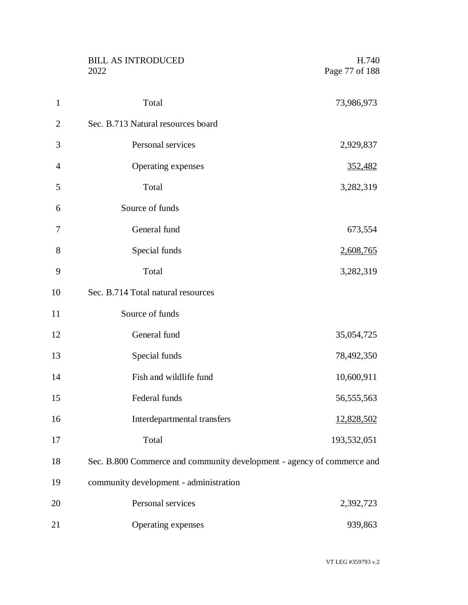|                | <b>BILL AS INTRODUCED</b><br>2022                                      | H.740<br>Page 77 of 188 |
|----------------|------------------------------------------------------------------------|-------------------------|
| $\mathbf{1}$   | Total                                                                  | 73,986,973              |
| $\overline{2}$ | Sec. B.713 Natural resources board                                     |                         |
| 3              | Personal services                                                      | 2,929,837               |
| $\overline{4}$ | Operating expenses                                                     | <u>352,482</u>          |
| 5              | Total                                                                  | 3,282,319               |
| 6              | Source of funds                                                        |                         |
| 7              | General fund                                                           | 673,554                 |
| 8              | Special funds                                                          | 2,608,765               |
| 9              | Total                                                                  | 3,282,319               |
| 10             | Sec. B.714 Total natural resources                                     |                         |
| 11             | Source of funds                                                        |                         |
| 12             | General fund                                                           | 35,054,725              |
| 13             | Special funds                                                          | 78,492,350              |
| 14             | Fish and wildlife fund                                                 | 10,600,911              |
| 15             | Federal funds                                                          | 56,555,563              |
| 16             | Interdepartmental transfers                                            | 12,828,502              |
| 17             | Total                                                                  | 193,532,051             |
| 18             | Sec. B.800 Commerce and community development - agency of commerce and |                         |
| 19             | community development - administration                                 |                         |
| 20             | Personal services                                                      | 2,392,723               |
| 21             | Operating expenses                                                     | 939,863                 |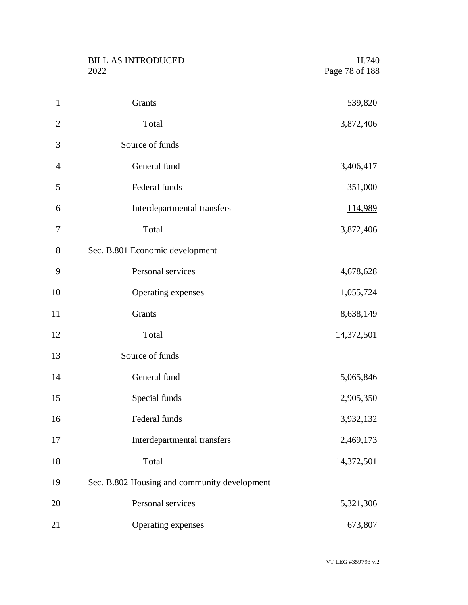|                | <b>BILL AS INTRODUCED</b><br>2022            | H.740<br>Page 78 of 188 |
|----------------|----------------------------------------------|-------------------------|
| $\mathbf{1}$   | Grants                                       | 539,820                 |
| $\overline{2}$ | Total                                        | 3,872,406               |
| $\mathfrak{Z}$ | Source of funds                              |                         |
| 4              | General fund                                 | 3,406,417               |
| 5              | Federal funds                                | 351,000                 |
| 6              | Interdepartmental transfers                  | <u>114,989</u>          |
| 7              | Total                                        | 3,872,406               |
| 8              | Sec. B.801 Economic development              |                         |
| 9              | Personal services                            | 4,678,628               |
| 10             | Operating expenses                           | 1,055,724               |
| 11             | Grants                                       | 8,638,149               |
| 12             | Total                                        | 14,372,501              |
| 13             | Source of funds                              |                         |
| 14             | General fund                                 | 5,065,846               |
| 15             | Special funds                                | 2,905,350               |
| 16             | Federal funds                                | 3,932,132               |
| 17             | Interdepartmental transfers                  | 2,469,173               |
| 18             | Total                                        | 14,372,501              |
| 19             | Sec. B.802 Housing and community development |                         |
| 20             | Personal services                            | 5,321,306               |
| 21             | Operating expenses                           | 673,807                 |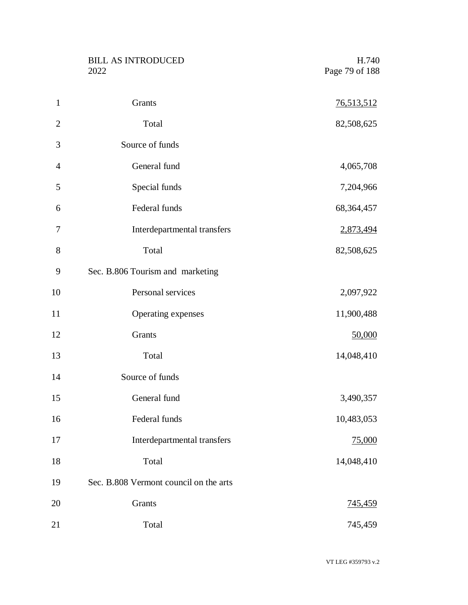| <b>BILL AS INTRODUCED</b> | H.740          |
|---------------------------|----------------|
| 2022                      | Page 79 of 188 |

| $\mathbf{1}$   | Grants                                 | <u>76,513,512</u> |
|----------------|----------------------------------------|-------------------|
| $\overline{2}$ | Total                                  | 82,508,625        |
| 3              | Source of funds                        |                   |
| $\overline{4}$ | General fund                           | 4,065,708         |
| 5              | Special funds                          | 7,204,966         |
| 6              | Federal funds                          | 68,364,457        |
| 7              | Interdepartmental transfers            | 2,873,494         |
| $8\,$          | Total                                  | 82,508,625        |
| 9              | Sec. B.806 Tourism and marketing       |                   |
| 10             | Personal services                      | 2,097,922         |
| 11             | Operating expenses                     | 11,900,488        |
| 12             | Grants                                 | 50,000            |
| 13             | Total                                  | 14,048,410        |
| 14             | Source of funds                        |                   |
| 15             | General fund                           | 3,490,357         |
| 16             | Federal funds                          | 10,483,053        |
| 17             | Interdepartmental transfers            | 75,000            |
| 18             | Total                                  | 14,048,410        |
| 19             | Sec. B.808 Vermont council on the arts |                   |
| 20             | Grants                                 | 745,459           |
| 21             | Total                                  | 745,459           |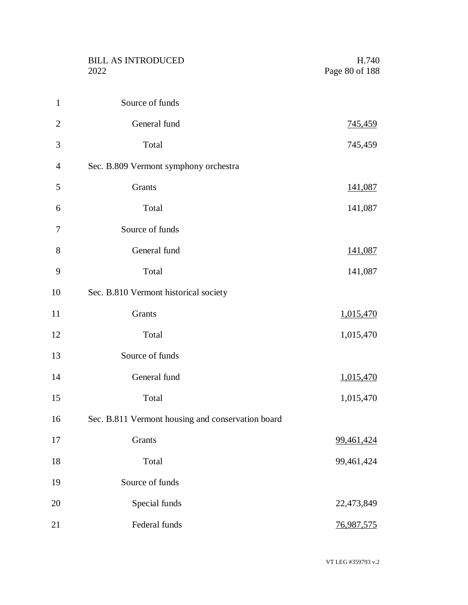|                | <b>BILL AS INTRODUCED</b><br>2022                 | H.740<br>Page 80 of 188 |
|----------------|---------------------------------------------------|-------------------------|
|                |                                                   |                         |
| $\mathbf{1}$   | Source of funds                                   |                         |
| $\overline{2}$ | General fund                                      | <u>745,459</u>          |
| 3              | Total                                             | 745,459                 |
| 4              | Sec. B.809 Vermont symphony orchestra             |                         |
| 5              | Grants                                            | 141,087                 |
| 6              | Total                                             | 141,087                 |
| 7              | Source of funds                                   |                         |
| 8              | General fund                                      | 141,087                 |
| 9              | Total                                             | 141,087                 |
| 10             | Sec. B.810 Vermont historical society             |                         |
| 11             | Grants                                            | 1,015,470               |
| 12             | Total                                             | 1,015,470               |
| 13             | Source of funds                                   |                         |
| 14             | General fund                                      | 1,015,470               |
| 15             | Total                                             | 1,015,470               |
| 16             | Sec. B.811 Vermont housing and conservation board |                         |
| 17             | Grants                                            | 99,461,424              |
| 18             | Total                                             | 99,461,424              |
| 19             | Source of funds                                   |                         |
| 20             | Special funds                                     | 22,473,849              |
| 21             | Federal funds                                     | 76,987,575              |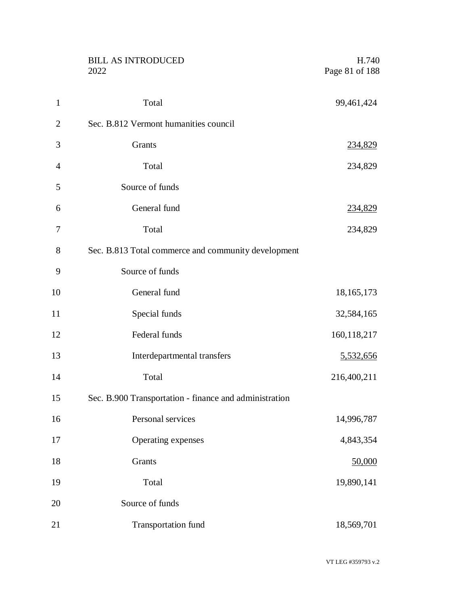|                | <b>BILL AS INTRODUCED</b><br>2022                      | H.740<br>Page 81 of 188 |
|----------------|--------------------------------------------------------|-------------------------|
| $\mathbf{1}$   | Total                                                  | 99,461,424              |
| $\overline{2}$ | Sec. B.812 Vermont humanities council                  |                         |
| 3              | Grants                                                 | 234,829                 |
| $\overline{4}$ | Total                                                  | 234,829                 |
| 5              | Source of funds                                        |                         |
| 6              | General fund                                           | 234,829                 |
| 7              | Total                                                  | 234,829                 |
| 8              | Sec. B.813 Total commerce and community development    |                         |
| 9              | Source of funds                                        |                         |
| 10             | General fund                                           | 18,165,173              |
| 11             | Special funds                                          | 32,584,165              |
| 12             | Federal funds                                          | 160,118,217             |
| 13             | Interdepartmental transfers                            | 5,532,656               |
| 14             | Total                                                  | 216,400,211             |
| 15             | Sec. B.900 Transportation - finance and administration |                         |
| 16             | Personal services                                      | 14,996,787              |
| 17             | Operating expenses                                     | 4,843,354               |
| 18             | Grants                                                 | 50,000                  |
| 19             | Total                                                  | 19,890,141              |
| 20             | Source of funds                                        |                         |
| 21             | Transportation fund                                    | 18,569,701              |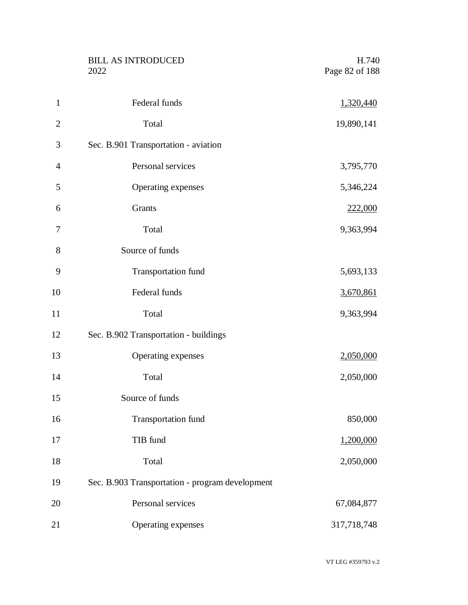|                | <b>BILL AS INTRODUCED</b><br>2022               | H.740<br>Page 82 of 188 |
|----------------|-------------------------------------------------|-------------------------|
| $\mathbf{1}$   | Federal funds                                   | 1,320,440               |
| $\overline{2}$ | Total                                           | 19,890,141              |
| 3              | Sec. B.901 Transportation - aviation            |                         |
| 4              | Personal services                               | 3,795,770               |
| 5              | Operating expenses                              | 5,346,224               |
| 6              | Grants                                          | 222,000                 |
| 7              | Total                                           | 9,363,994               |
| 8              | Source of funds                                 |                         |
| 9              | <b>Transportation fund</b>                      | 5,693,133               |
| 10             | Federal funds                                   | 3,670,861               |
| 11             | Total                                           | 9,363,994               |
| 12             | Sec. B.902 Transportation - buildings           |                         |
| 13             | Operating expenses                              | 2,050,000               |
| 14             | Total                                           | 2,050,000               |
| 15             | Source of funds                                 |                         |
| 16             | Transportation fund                             | 850,000                 |
| 17             | TIB fund                                        | 1,200,000               |
| 18             | Total                                           | 2,050,000               |
| 19             | Sec. B.903 Transportation - program development |                         |
| 20             | Personal services                               | 67,084,877              |
| 21             | Operating expenses                              | 317,718,748             |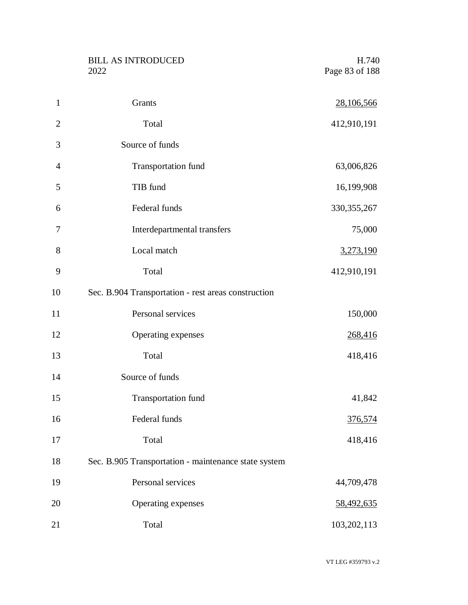BILL AS INTRODUCED H.740<br>2022 Page 83 of 188

| $\mathbf{1}$   | Grants                                               | 28,106,566     |
|----------------|------------------------------------------------------|----------------|
| $\overline{2}$ | Total                                                | 412,910,191    |
| 3              | Source of funds                                      |                |
| $\overline{4}$ | <b>Transportation fund</b>                           | 63,006,826     |
| 5              | TIB fund                                             | 16,199,908     |
| 6              | Federal funds                                        | 330, 355, 267  |
| 7              | Interdepartmental transfers                          | 75,000         |
| 8              | Local match                                          | 3,273,190      |
| 9              | Total                                                | 412,910,191    |
| 10             | Sec. B.904 Transportation - rest areas construction  |                |
| 11             | Personal services                                    | 150,000        |
| 12             | Operating expenses                                   | 268,416        |
| 13             | Total                                                | 418,416        |
| 14             | Source of funds                                      |                |
| 15             | <b>Transportation fund</b>                           | 41,842         |
| 16             | Federal funds                                        | <u>376,574</u> |
| 17             | Total                                                | 418,416        |
| 18             | Sec. B.905 Transportation - maintenance state system |                |
| 19             | Personal services                                    | 44,709,478     |
| 20             | Operating expenses                                   | 58,492,635     |
| 21             | Total                                                | 103,202,113    |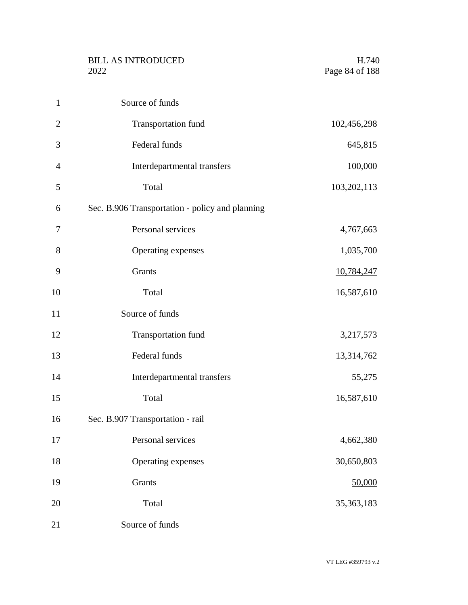|                | <b>BILL AS INTRODUCED</b><br>2022               | H.740<br>Page 84 of 188 |
|----------------|-------------------------------------------------|-------------------------|
| $\mathbf{1}$   | Source of funds                                 |                         |
| $\overline{2}$ | Transportation fund                             | 102,456,298             |
| 3              | Federal funds                                   | 645,815                 |
| $\overline{4}$ | Interdepartmental transfers                     | 100,000                 |
| 5              | Total                                           | 103,202,113             |
| 6              | Sec. B.906 Transportation - policy and planning |                         |
| $\tau$         | Personal services                               | 4,767,663               |
| $8\,$          | Operating expenses                              | 1,035,700               |
| 9              | Grants                                          | 10,784,247              |
| 10             | Total                                           | 16,587,610              |
| 11             | Source of funds                                 |                         |
| 12             | Transportation fund                             | 3,217,573               |
| 13             | Federal funds                                   | 13,314,762              |
| 14             | Interdepartmental transfers                     | 55,275                  |
| 15             | Total                                           | 16,587,610              |
| 16             | Sec. B.907 Transportation - rail                |                         |
| 17             | Personal services                               | 4,662,380               |
| 18             | Operating expenses                              | 30,650,803              |
| 19             | Grants                                          | 50,000                  |
| 20             | Total                                           | 35, 363, 183            |
| 21             | Source of funds                                 |                         |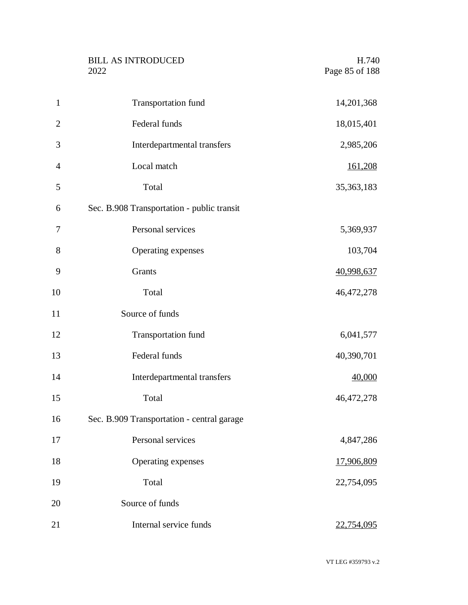|                | <b>BILL AS INTRODUCED</b><br>2022          | H.740<br>Page 85 of 188 |
|----------------|--------------------------------------------|-------------------------|
| $\mathbf{1}$   | Transportation fund                        | 14,201,368              |
| $\overline{2}$ | Federal funds                              | 18,015,401              |
| 3              | Interdepartmental transfers                | 2,985,206               |
| 4              | Local match                                | 161,208                 |
| 5              | Total                                      | 35, 363, 183            |
| 6              | Sec. B.908 Transportation - public transit |                         |
| 7              | Personal services                          | 5,369,937               |
| 8              | Operating expenses                         | 103,704                 |
| 9              | Grants                                     | 40,998,637              |
| 10             | Total                                      | 46,472,278              |
| 11             | Source of funds                            |                         |
| 12             | Transportation fund                        | 6,041,577               |
| 13             | Federal funds                              | 40,390,701              |
| 14             | Interdepartmental transfers                | 40,000                  |
| 15             | Total                                      | 46,472,278              |
| 16             | Sec. B.909 Transportation - central garage |                         |
| 17             | Personal services                          | 4,847,286               |
| 18             | Operating expenses                         | 17,906,809              |
| 19             | Total                                      | 22,754,095              |
| 20             | Source of funds                            |                         |
| 21             | Internal service funds                     | 22,754,095              |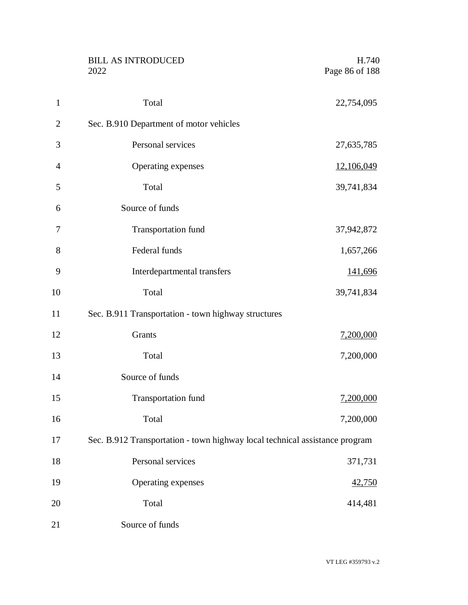|                | <b>BILL AS INTRODUCED</b><br>2022                                           | H.740<br>Page 86 of 188 |
|----------------|-----------------------------------------------------------------------------|-------------------------|
| $\mathbf{1}$   | Total                                                                       | 22,754,095              |
| $\overline{2}$ | Sec. B.910 Department of motor vehicles                                     |                         |
| 3              | Personal services                                                           | 27,635,785              |
| $\overline{4}$ | Operating expenses                                                          | 12,106,049              |
| 5              | Total                                                                       | 39,741,834              |
| 6              | Source of funds                                                             |                         |
| 7              | Transportation fund                                                         | 37,942,872              |
| 8              | Federal funds                                                               | 1,657,266               |
| 9              | Interdepartmental transfers                                                 | 141,696                 |
| 10             | Total                                                                       | 39,741,834              |
| 11             | Sec. B.911 Transportation - town highway structures                         |                         |
| 12             | Grants                                                                      | 7,200,000               |
| 13             | Total                                                                       | 7,200,000               |
| 14             | Source of funds                                                             |                         |
| 15             | Transportation fund                                                         | 7,200,000               |
| 16             | Total                                                                       | 7,200,000               |
| 17             | Sec. B.912 Transportation - town highway local technical assistance program |                         |
| 18             | Personal services                                                           | 371,731                 |
| 19             | Operating expenses                                                          | 42,750                  |
| 20             | Total                                                                       | 414,481                 |
| 21             | Source of funds                                                             |                         |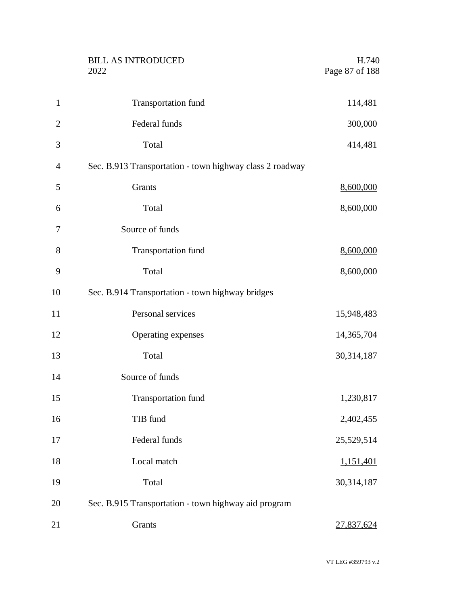|                | <b>BILL AS INTRODUCED</b><br>2022                        | H.740<br>Page 87 of 188 |
|----------------|----------------------------------------------------------|-------------------------|
| $\mathbf{1}$   | <b>Transportation fund</b>                               | 114,481                 |
| $\overline{2}$ | Federal funds                                            | 300,000                 |
| 3              | Total                                                    | 414,481                 |
| 4              | Sec. B.913 Transportation - town highway class 2 roadway |                         |
| 5              | Grants                                                   | 8,600,000               |
| 6              | Total                                                    | 8,600,000               |
| 7              | Source of funds                                          |                         |
| 8              | <b>Transportation fund</b>                               | 8,600,000               |
| 9              | Total                                                    | 8,600,000               |
| 10             | Sec. B.914 Transportation - town highway bridges         |                         |
| 11             | Personal services                                        | 15,948,483              |
| 12             | Operating expenses                                       | 14,365,704              |
| 13             | Total                                                    | 30,314,187              |
| 14             | Source of funds                                          |                         |
| 15             | Transportation fund                                      | 1,230,817               |
| 16             | TIB fund                                                 | 2,402,455               |
| 17             | Federal funds                                            | 25,529,514              |
| 18             | Local match                                              | 1,151,401               |
| 19             | Total                                                    | 30,314,187              |
| 20             | Sec. B.915 Transportation - town highway aid program     |                         |
| 21             | Grants                                                   | 27,837,624              |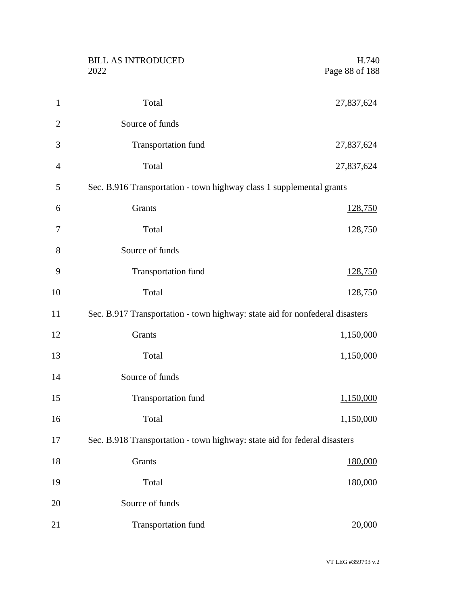|                | <b>BILL AS INTRODUCED</b><br>2022                                            | H.740<br>Page 88 of 188 |
|----------------|------------------------------------------------------------------------------|-------------------------|
|                |                                                                              |                         |
| $\mathbf{1}$   | Total                                                                        | 27,837,624              |
| $\overline{2}$ | Source of funds                                                              |                         |
| 3              | Transportation fund                                                          | 27,837,624              |
| $\overline{4}$ | Total                                                                        | 27,837,624              |
| 5              | Sec. B.916 Transportation - town highway class 1 supplemental grants         |                         |
| 6              | Grants                                                                       | <u>128,750</u>          |
| 7              | Total                                                                        | 128,750                 |
| 8              | Source of funds                                                              |                         |
| 9              | Transportation fund                                                          | 128,750                 |
| 10             | Total                                                                        | 128,750                 |
| 11             | Sec. B.917 Transportation - town highway: state aid for nonfederal disasters |                         |
| 12             | Grants                                                                       | 1,150,000               |
| 13             | Total                                                                        | 1,150,000               |
| 14             | Source of funds                                                              |                         |
| 15             | Transportation fund                                                          | 1,150,000               |
| 16             | Total                                                                        | 1,150,000               |
| 17             | Sec. B.918 Transportation - town highway: state aid for federal disasters    |                         |
| 18             | Grants                                                                       | 180,000                 |
| 19             | Total                                                                        | 180,000                 |
| 20             | Source of funds                                                              |                         |
| 21             | Transportation fund                                                          | 20,000                  |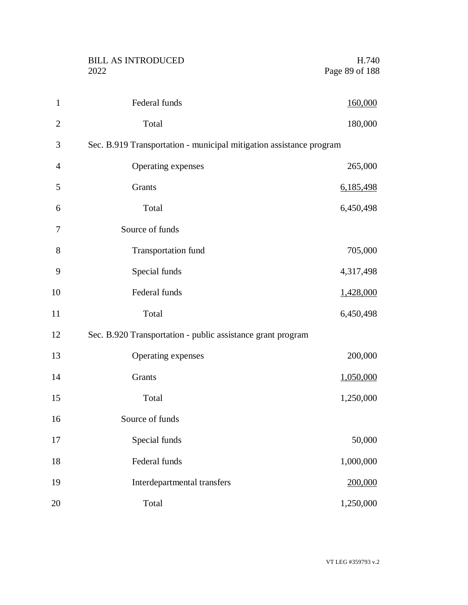| <b>BILL AS INTRODUCED</b> | H.740          |
|---------------------------|----------------|
| 2022                      | Page 89 of 188 |
|                           |                |

| $\mathbf{1}$   | Federal funds                                                       | 160,000   |
|----------------|---------------------------------------------------------------------|-----------|
| $\overline{2}$ | Total                                                               | 180,000   |
| 3              | Sec. B.919 Transportation - municipal mitigation assistance program |           |
| $\overline{4}$ | Operating expenses                                                  | 265,000   |
| 5              | Grants                                                              | 6,185,498 |
| 6              | Total                                                               | 6,450,498 |
| 7              | Source of funds                                                     |           |
| 8              | Transportation fund                                                 | 705,000   |
| 9              | Special funds                                                       | 4,317,498 |
| 10             | Federal funds                                                       | 1,428,000 |
| 11             | Total                                                               | 6,450,498 |
| 12             | Sec. B.920 Transportation - public assistance grant program         |           |
| 13             | Operating expenses                                                  | 200,000   |
| 14             | Grants                                                              | 1,050,000 |
| 15             | Total                                                               | 1,250,000 |
| 16             | Source of funds                                                     |           |
| 17             | Special funds                                                       | 50,000    |
| 18             | Federal funds                                                       | 1,000,000 |
| 19             | Interdepartmental transfers                                         | 200,000   |
| 20             | Total                                                               | 1,250,000 |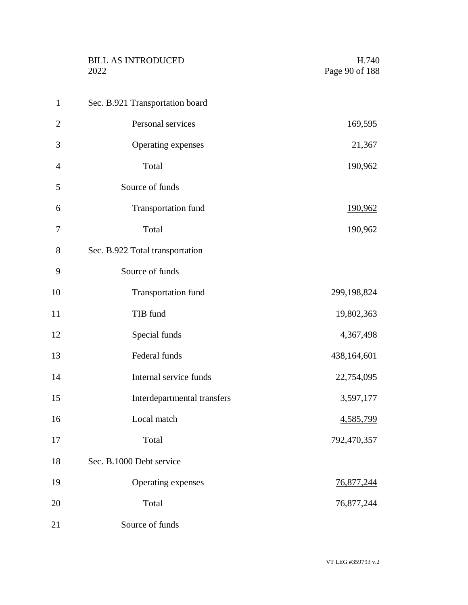|                | <b>BILL AS INTRODUCED</b><br>2022 | H.740<br>Page 90 of 188 |
|----------------|-----------------------------------|-------------------------|
| $\mathbf{1}$   | Sec. B.921 Transportation board   |                         |
| $\overline{2}$ | Personal services                 | 169,595                 |
| 3              | Operating expenses                | 21,367                  |
| $\overline{4}$ | Total                             | 190,962                 |
| 5              | Source of funds                   |                         |
| 6              | <b>Transportation fund</b>        | <u>190,962</u>          |
| 7              | Total                             | 190,962                 |
| 8              | Sec. B.922 Total transportation   |                         |
| 9              | Source of funds                   |                         |
| 10             | <b>Transportation fund</b>        | 299,198,824             |
| 11             | TIB fund                          | 19,802,363              |
| 12             | Special funds                     | 4,367,498               |
| 13             | Federal funds                     | 438,164,601             |
| 14             | Internal service funds            | 22,754,095              |
| 15             | Interdepartmental transfers       | 3,597,177               |
| 16             | Local match                       | 4,585,799               |
| 17             | Total                             | 792,470,357             |
| 18             | Sec. B.1000 Debt service          |                         |
| 19             | Operating expenses                | <u>76,877,244</u>       |
| 20             | Total                             | 76,877,244              |
| 21             | Source of funds                   |                         |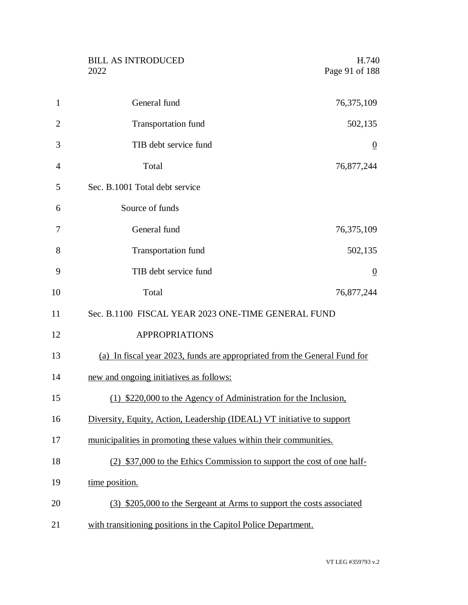|    | <b>BILL AS INTRODUCED</b><br>H.740<br>Page 91 of 188<br>2022              |
|----|---------------------------------------------------------------------------|
| 1  | General fund<br>76,375,109                                                |
| 2  | <b>Transportation fund</b><br>502,135                                     |
| 3  | TIB debt service fund<br>$\overline{0}$                                   |
| 4  | Total<br>76,877,244                                                       |
| 5  | Sec. B.1001 Total debt service                                            |
| 6  | Source of funds                                                           |
| 7  | General fund<br>76,375,109                                                |
| 8  | <b>Transportation fund</b><br>502,135                                     |
| 9  | TIB debt service fund<br>$\overline{0}$                                   |
| 10 | Total<br>76,877,244                                                       |
| 11 | Sec. B.1100 FISCAL YEAR 2023 ONE-TIME GENERAL FUND                        |
| 12 | <b>APPROPRIATIONS</b>                                                     |
| 13 | (a) In fiscal year 2023, funds are appropriated from the General Fund for |
| 14 | new and ongoing initiatives as follows:                                   |
| 15 | (1) \$220,000 to the Agency of Administration for the Inclusion,          |
| 16 | Diversity, Equity, Action, Leadership (IDEAL) VT initiative to support    |
| 17 | municipalities in promoting these values within their communities.        |
| 18 | (2) \$37,000 to the Ethics Commission to support the cost of one half-    |
| 19 | time position.                                                            |
| 20 | (3) \$205,000 to the Sergeant at Arms to support the costs associated     |
| 21 | with transitioning positions in the Capitol Police Department.            |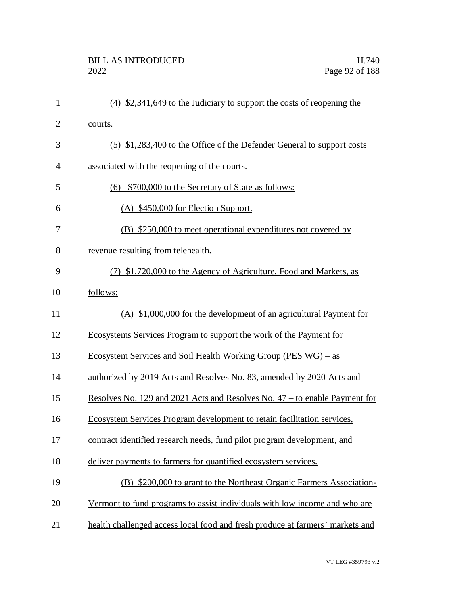| $\mathbf{1}$   | $(4)$ \$2,341,649 to the Judiciary to support the costs of reopening the          |
|----------------|-----------------------------------------------------------------------------------|
| $\overline{c}$ | courts.                                                                           |
| 3              | (5) \$1,283,400 to the Office of the Defender General to support costs            |
| $\overline{4}$ | associated with the reopening of the courts.                                      |
| 5              | (6) \$700,000 to the Secretary of State as follows:                               |
| 6              | (A) \$450,000 for Election Support.                                               |
| $\overline{7}$ | (B) \$250,000 to meet operational expenditures not covered by                     |
| 8              | revenue resulting from telehealth.                                                |
| 9              | (7) \$1,720,000 to the Agency of Agriculture, Food and Markets, as                |
| 10             | follows:                                                                          |
| 11             | $(A)$ \$1,000,000 for the development of an agricultural Payment for              |
| 12             | Ecosystems Services Program to support the work of the Payment for                |
| 13             | <u>Ecosystem Services and Soil Health Working Group (PES WG) – as</u>             |
| 14             | authorized by 2019 Acts and Resolves No. 83, amended by 2020 Acts and             |
| 15             | <u>Resolves No. 129 and 2021 Acts and Resolves No. 47 – to enable Payment for</u> |
| 16             | Ecosystem Services Program development to retain facilitation services,           |
| 17             | contract identified research needs, fund pilot program development, and           |
| 18             | deliver payments to farmers for quantified ecosystem services.                    |
| 19             | (B) \$200,000 to grant to the Northeast Organic Farmers Association-              |
| 20             | Vermont to fund programs to assist individuals with low income and who are        |
| 21             | health challenged access local food and fresh produce at farmers' markets and     |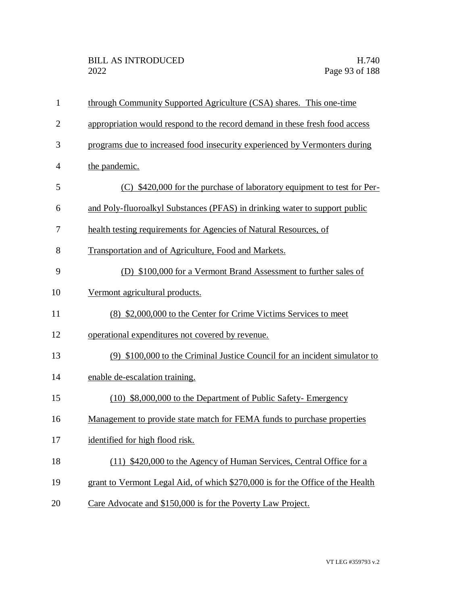| $\mathbf{1}$   | through Community Supported Agriculture (CSA) shares. This one-time            |
|----------------|--------------------------------------------------------------------------------|
| $\overline{2}$ | appropriation would respond to the record demand in these fresh food access    |
| 3              | programs due to increased food insecurity experienced by Vermonters during     |
| $\overline{4}$ | the pandemic.                                                                  |
| 5              | (C) \$420,000 for the purchase of laboratory equipment to test for Per-        |
| 6              | and Poly-fluoroalkyl Substances (PFAS) in drinking water to support public     |
| 7              | health testing requirements for Agencies of Natural Resources, of              |
| 8              | Transportation and of Agriculture, Food and Markets.                           |
| 9              | (D) \$100,000 for a Vermont Brand Assessment to further sales of               |
| 10             | Vermont agricultural products.                                                 |
| 11             | (8) \$2,000,000 to the Center for Crime Victims Services to meet               |
| 12             | operational expenditures not covered by revenue.                               |
| 13             | (9) \$100,000 to the Criminal Justice Council for an incident simulator to     |
| 14             | enable de-escalation training.                                                 |
| 15             | (10) \$8,000,000 to the Department of Public Safety- Emergency                 |
| 16             | Management to provide state match for FEMA funds to purchase properties        |
| 17             | identified for high flood risk.                                                |
| 18             | (11) \$420,000 to the Agency of Human Services, Central Office for a           |
| 19             | grant to Vermont Legal Aid, of which \$270,000 is for the Office of the Health |
| 20             | Care Advocate and \$150,000 is for the Poverty Law Project.                    |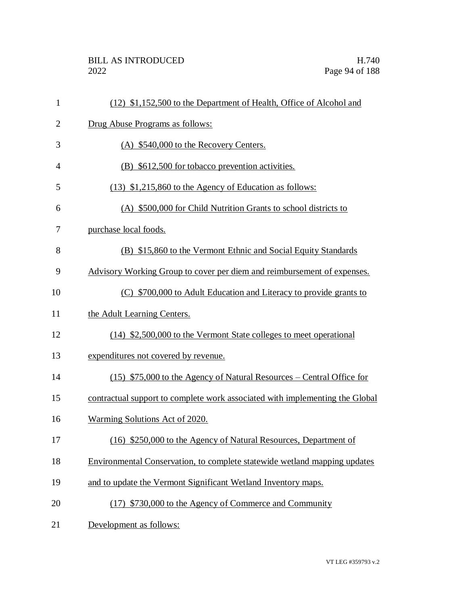| $\mathbf{1}$   | (12) \$1,152,500 to the Department of Health, Office of Alcohol and          |
|----------------|------------------------------------------------------------------------------|
| $\overline{c}$ | Drug Abuse Programs as follows:                                              |
| 3              | (A) \$540,000 to the Recovery Centers.                                       |
| $\overline{4}$ | (B) \$612,500 for tobacco prevention activities.                             |
| 5              | (13) \$1,215,860 to the Agency of Education as follows:                      |
| 6              | (A) \$500,000 for Child Nutrition Grants to school districts to              |
| 7              | purchase local foods.                                                        |
| 8              | (B) \$15,860 to the Vermont Ethnic and Social Equity Standards               |
| 9              | Advisory Working Group to cover per diem and reimbursement of expenses.      |
| 10             | (C) \$700,000 to Adult Education and Literacy to provide grants to           |
| 11             | the Adult Learning Centers.                                                  |
| 12             | (14) \$2,500,000 to the Vermont State colleges to meet operational           |
| 13             | expenditures not covered by revenue.                                         |
| 14             | (15) \$75,000 to the Agency of Natural Resources – Central Office for        |
| 15             | contractual support to complete work associated with implementing the Global |
| 16             | Warming Solutions Act of 2020.                                               |
| 17             | (16) \$250,000 to the Agency of Natural Resources, Department of             |
| 18             | Environmental Conservation, to complete statewide wetland mapping updates    |
| 19             | and to update the Vermont Significant Wetland Inventory maps.                |
| 20             | (17) \$730,000 to the Agency of Commerce and Community                       |
| 21             | Development as follows:                                                      |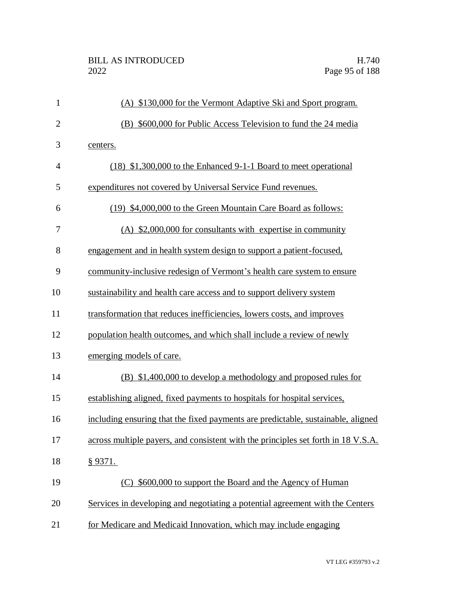| $\mathbf{1}$   | (A) \$130,000 for the Vermont Adaptive Ski and Sport program.                     |
|----------------|-----------------------------------------------------------------------------------|
| $\overline{2}$ | (B) \$600,000 for Public Access Television to fund the 24 media                   |
| 3              | centers.                                                                          |
| $\overline{4}$ | $(18)$ \$1,300,000 to the Enhanced 9-1-1 Board to meet operational                |
| 5              | expenditures not covered by Universal Service Fund revenues.                      |
| 6              | (19) \$4,000,000 to the Green Mountain Care Board as follows:                     |
| 7              | (A) \$2,000,000 for consultants with expertise in community                       |
| 8              | engagement and in health system design to support a patient-focused,              |
| 9              | community-inclusive redesign of Vermont's health care system to ensure            |
| 10             | sustainability and health care access and to support delivery system              |
| 11             | transformation that reduces inefficiencies, lowers costs, and improves            |
| 12             | population health outcomes, and which shall include a review of newly             |
| 13             | emerging models of care.                                                          |
| 14             | (B) \$1,400,000 to develop a methodology and proposed rules for                   |
| 15             | establishing aligned, fixed payments to hospitals for hospital services,          |
| 16             | including ensuring that the fixed payments are predictable, sustainable, aligned  |
| 17             | across multiple payers, and consistent with the principles set forth in 18 V.S.A. |
| 18             | § 9371.                                                                           |
| 19             | (C) \$600,000 to support the Board and the Agency of Human                        |
| 20             | Services in developing and negotiating a potential agreement with the Centers     |
| 21             | for Medicare and Medicaid Innovation, which may include engaging                  |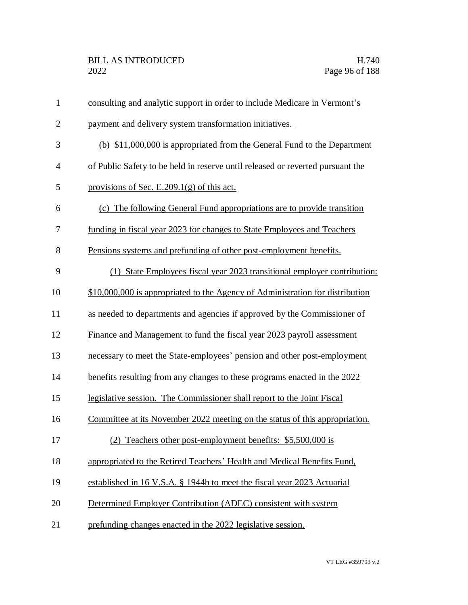| $\mathbf{1}$   | consulting and analytic support in order to include Medicare in Vermont's      |
|----------------|--------------------------------------------------------------------------------|
| $\overline{2}$ | payment and delivery system transformation initiatives.                        |
| 3              | (b) \$11,000,000 is appropriated from the General Fund to the Department       |
| $\overline{4}$ | of Public Safety to be held in reserve until released or reverted pursuant the |
| 5              | provisions of Sec. E.209.1 $(g)$ of this act.                                  |
| 6              | (c) The following General Fund appropriations are to provide transition        |
| 7              | funding in fiscal year 2023 for changes to State Employees and Teachers        |
| 8              | Pensions systems and prefunding of other post-employment benefits.             |
| 9              | (1) State Employees fiscal year 2023 transitional employer contribution:       |
| 10             | \$10,000,000 is appropriated to the Agency of Administration for distribution  |
| 11             | as needed to departments and agencies if approved by the Commissioner of       |
| 12             | Finance and Management to fund the fiscal year 2023 payroll assessment         |
| 13             | necessary to meet the State-employees' pension and other post-employment       |
| 14             | benefits resulting from any changes to these programs enacted in the 2022      |
| 15             | legislative session. The Commissioner shall report to the Joint Fiscal         |
| 16             | Committee at its November 2022 meeting on the status of this appropriation.    |
| 17             | (2) Teachers other post-employment benefits: \$5,500,000 is                    |
| 18             | appropriated to the Retired Teachers' Health and Medical Benefits Fund,        |
| 19             | established in 16 V.S.A. § 1944b to meet the fiscal year 2023 Actuarial        |
| 20             | Determined Employer Contribution (ADEC) consistent with system                 |
| 21             | prefunding changes enacted in the 2022 legislative session.                    |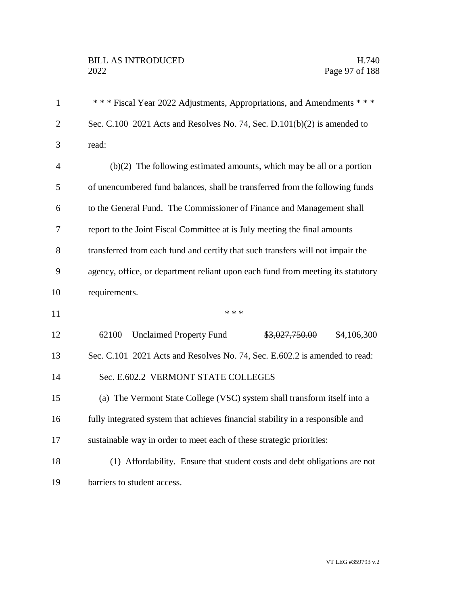| $\mathbf{1}$   | *** Fiscal Year 2022 Adjustments, Appropriations, and Amendments ***            |
|----------------|---------------------------------------------------------------------------------|
| $\overline{2}$ | Sec. C.100 2021 Acts and Resolves No. 74, Sec. D.101(b)(2) is amended to        |
| 3              | read:                                                                           |
| $\overline{4}$ | $(b)(2)$ The following estimated amounts, which may be all or a portion         |
| 5              | of unencumbered fund balances, shall be transferred from the following funds    |
| 6              | to the General Fund. The Commissioner of Finance and Management shall           |
| 7              | report to the Joint Fiscal Committee at is July meeting the final amounts       |
| 8              | transferred from each fund and certify that such transfers will not impair the  |
| 9              | agency, office, or department reliant upon each fund from meeting its statutory |
| 10             | requirements.                                                                   |
| 11             | * * *                                                                           |
| 12             | 62100<br><b>Unclaimed Property Fund</b><br>\$3,027,750.00<br>\$4,106,300        |
| 13             | Sec. C.101 2021 Acts and Resolves No. 74, Sec. E.602.2 is amended to read:      |
| 14             | Sec. E.602.2 VERMONT STATE COLLEGES                                             |
| 15             | (a) The Vermont State College (VSC) system shall transform itself into a        |
| 16             | fully integrated system that achieves financial stability in a responsible and  |
| 17             | sustainable way in order to meet each of these strategic priorities:            |
| 18             | (1) Affordability. Ensure that student costs and debt obligations are not       |
| 19             | barriers to student access.                                                     |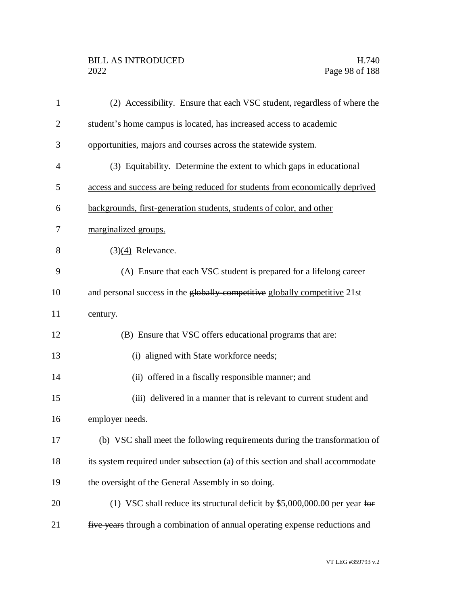## BILL AS INTRODUCED H.740<br>2022 Page 98 of 188

| $\mathbf{1}$   | (2) Accessibility. Ensure that each VSC student, regardless of where the       |
|----------------|--------------------------------------------------------------------------------|
| $\overline{2}$ | student's home campus is located, has increased access to academic             |
| 3              | opportunities, majors and courses across the statewide system.                 |
| 4              | (3) Equitability. Determine the extent to which gaps in educational            |
| 5              | access and success are being reduced for students from economically deprived   |
| 6              | backgrounds, first-generation students, students of color, and other           |
| 7              | marginalized groups.                                                           |
| 8              | $\left(\frac{3}{4}\right)$ Relevance.                                          |
| 9              | (A) Ensure that each VSC student is prepared for a lifelong career             |
| 10             | and personal success in the globally-competitive globally competitive 21st     |
| 11             | century.                                                                       |
| 12             | (B) Ensure that VSC offers educational programs that are:                      |
| 13             | (i) aligned with State workforce needs;                                        |
| 14             | (ii) offered in a fiscally responsible manner; and                             |
| 15             | (iii) delivered in a manner that is relevant to current student and            |
| 16             | employer needs.                                                                |
| 17             | (b) VSC shall meet the following requirements during the transformation of     |
| 18             | its system required under subsection (a) of this section and shall accommodate |
| 19             | the oversight of the General Assembly in so doing.                             |
| 20             | (1) VSC shall reduce its structural deficit by \$5,000,000.00 per year for     |
| 21             | five years through a combination of annual operating expense reductions and    |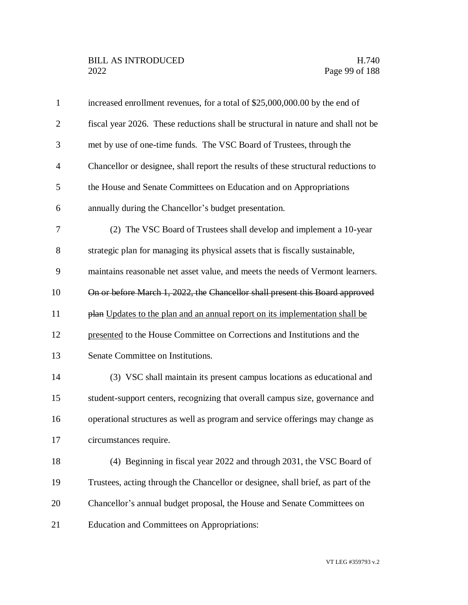| $\mathbf{1}$   | increased enrollment revenues, for a total of \$25,000,000.00 by the end of        |
|----------------|------------------------------------------------------------------------------------|
| $\overline{2}$ | fiscal year 2026. These reductions shall be structural in nature and shall not be  |
| 3              | met by use of one-time funds. The VSC Board of Trustees, through the               |
| $\overline{4}$ | Chancellor or designee, shall report the results of these structural reductions to |
| 5              | the House and Senate Committees on Education and on Appropriations                 |
| 6              | annually during the Chancellor's budget presentation.                              |
| 7              | (2) The VSC Board of Trustees shall develop and implement a 10-year                |
| 8              | strategic plan for managing its physical assets that is fiscally sustainable,      |
| 9              | maintains reasonable net asset value, and meets the needs of Vermont learners.     |
| 10             | On or before March 1, 2022, the Chancellor shall present this Board approved       |
| 11             | plan Updates to the plan and an annual report on its implementation shall be       |
| 12             | presented to the House Committee on Corrections and Institutions and the           |
| 13             | Senate Committee on Institutions.                                                  |
| 14             | (3) VSC shall maintain its present campus locations as educational and             |
| 15             | student-support centers, recognizing that overall campus size, governance and      |
| 16             | operational structures as well as program and service offerings may change as      |
| 17             | circumstances require.                                                             |
| 18             | (4) Beginning in fiscal year 2022 and through 2031, the VSC Board of               |
| 19             | Trustees, acting through the Chancellor or designee, shall brief, as part of the   |
| 20             | Chancellor's annual budget proposal, the House and Senate Committees on            |
| 21             | <b>Education and Committees on Appropriations:</b>                                 |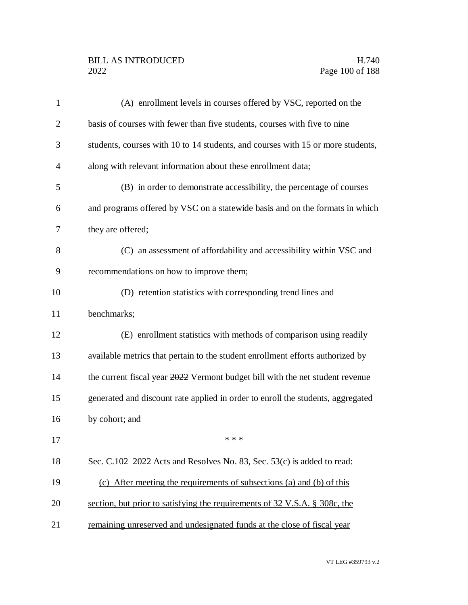## BILL AS INTRODUCED H.740<br>2022 Page 100 of 188

| $\mathbf{1}$   | (A) enrollment levels in courses offered by VSC, reported on the                |
|----------------|---------------------------------------------------------------------------------|
| $\overline{2}$ | basis of courses with fewer than five students, courses with five to nine       |
| 3              | students, courses with 10 to 14 students, and courses with 15 or more students, |
| $\overline{4}$ | along with relevant information about these enrollment data;                    |
| 5              | (B) in order to demonstrate accessibility, the percentage of courses            |
| 6              | and programs offered by VSC on a statewide basis and on the formats in which    |
| 7              | they are offered;                                                               |
| 8              | (C) an assessment of affordability and accessibility within VSC and             |
| 9              | recommendations on how to improve them;                                         |
| 10             | (D) retention statistics with corresponding trend lines and                     |
| 11             | benchmarks;                                                                     |
| 12             | (E) enrollment statistics with methods of comparison using readily              |
| 13             | available metrics that pertain to the student enrollment efforts authorized by  |
| 14             | the current fiscal year 2022 Vermont budget bill with the net student revenue   |
| 15             | generated and discount rate applied in order to enroll the students, aggregated |
| 16             | by cohort; and                                                                  |
| 17             | * * *                                                                           |
| 18             | Sec. C.102 2022 Acts and Resolves No. 83, Sec. 53(c) is added to read:          |
| 19             | (c) After meeting the requirements of subsections (a) and (b) of this           |
| 20             | section, but prior to satisfying the requirements of 32 V.S.A. § 308c, the      |
| 21             | remaining unreserved and undesignated funds at the close of fiscal year         |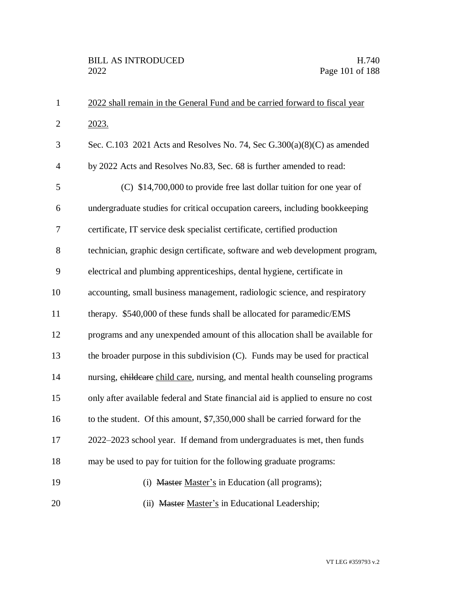| $\mathbf{1}$   | 2022 shall remain in the General Fund and be carried forward to fiscal year       |
|----------------|-----------------------------------------------------------------------------------|
| $\overline{2}$ | 2023.                                                                             |
| 3              | Sec. C.103 2021 Acts and Resolves No. 74, Sec $G.300(a)(8)(C)$ as amended         |
| $\overline{4}$ | by 2022 Acts and Resolves No.83, Sec. 68 is further amended to read:              |
| 5              | (C) \$14,700,000 to provide free last dollar tuition for one year of              |
| 6              | undergraduate studies for critical occupation careers, including bookkeeping      |
| 7              | certificate, IT service desk specialist certificate, certified production         |
| 8              | technician, graphic design certificate, software and web development program,     |
| 9              | electrical and plumbing apprenticeships, dental hygiene, certificate in           |
| 10             | accounting, small business management, radiologic science, and respiratory        |
| 11             | therapy. \$540,000 of these funds shall be allocated for paramedic/EMS            |
| 12             | programs and any unexpended amount of this allocation shall be available for      |
| 13             | the broader purpose in this subdivision $(C)$ . Funds may be used for practical   |
| 14             | nursing, childcare child care, nursing, and mental health counseling programs     |
| 15             | only after available federal and State financial aid is applied to ensure no cost |
| 16             | to the student. Of this amount, \$7,350,000 shall be carried forward for the      |
| 17             | 2022–2023 school year. If demand from undergraduates is met, then funds           |
| 18             | may be used to pay for tuition for the following graduate programs:               |
| 19             | (i) Master Master's in Education (all programs);                                  |
| 20             | (ii) Master Master's in Educational Leadership;                                   |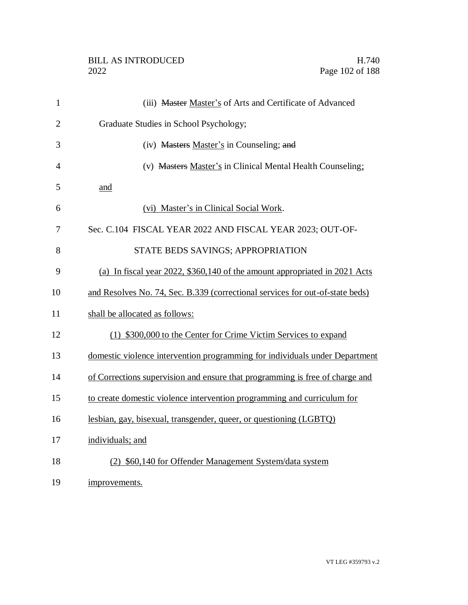| $\mathbf{1}$   | (iii) Master Master's of Arts and Certificate of Advanced                     |
|----------------|-------------------------------------------------------------------------------|
| $\overline{2}$ | Graduate Studies in School Psychology;                                        |
| 3              | (iv) Masters Master's in Counseling; and                                      |
| $\overline{4}$ | (v) Masters Master's in Clinical Mental Health Counseling;                    |
| 5              | and                                                                           |
| 6              | (vi) Master's in Clinical Social Work.                                        |
| 7              | Sec. C.104 FISCAL YEAR 2022 AND FISCAL YEAR 2023; OUT-OF-                     |
| 8              | STATE BEDS SAVINGS; APPROPRIATION                                             |
| 9              | (a) In fiscal year 2022, \$360,140 of the amount appropriated in 2021 Acts    |
| 10             | and Resolves No. 74, Sec. B.339 (correctional services for out-of-state beds) |
| 11             | shall be allocated as follows:                                                |
| 12             | (1) \$300,000 to the Center for Crime Victim Services to expand               |
| 13             | domestic violence intervention programming for individuals under Department   |
| 14             | of Corrections supervision and ensure that programming is free of charge and  |
| 15             | to create domestic violence intervention programming and curriculum for       |
| 16             | lesbian, gay, bisexual, transgender, queer, or questioning (LGBTQ)            |
| 17             | individuals; and                                                              |
| 18             | (2) \$60,140 for Offender Management System/data system                       |
| 19             | improvements.                                                                 |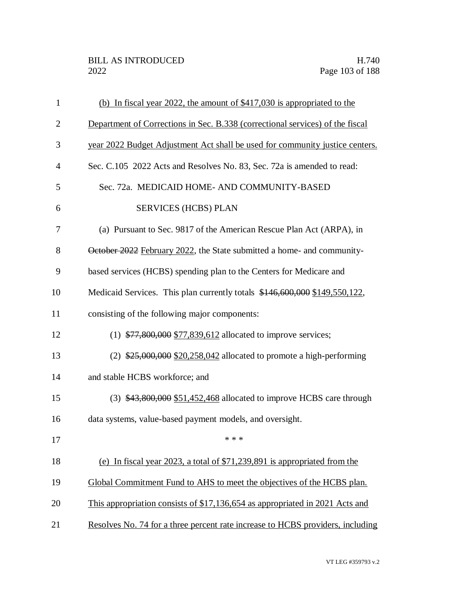| $\mathbf{1}$   | (b) In fiscal year 2022, the amount of \$417,030 is appropriated to the        |
|----------------|--------------------------------------------------------------------------------|
| $\overline{2}$ | Department of Corrections in Sec. B.338 (correctional services) of the fiscal  |
| 3              | year 2022 Budget Adjustment Act shall be used for community justice centers.   |
| $\overline{4}$ | Sec. C.105 2022 Acts and Resolves No. 83, Sec. 72a is amended to read:         |
| 5              | Sec. 72a. MEDICAID HOME- AND COMMUNITY-BASED                                   |
| 6              | <b>SERVICES (HCBS) PLAN</b>                                                    |
| 7              | (a) Pursuant to Sec. 9817 of the American Rescue Plan Act (ARPA), in           |
| 8              | October 2022 February 2022, the State submitted a home- and community-         |
| 9              | based services (HCBS) spending plan to the Centers for Medicare and            |
| 10             | Medicaid Services. This plan currently totals \$146,600,000 \$149,550,122,     |
| 11             | consisting of the following major components:                                  |
| 12             | $(1)$ \$77,800,000 \$77,839,612 allocated to improve services;                 |
| 13             | $(2)$ \$25,000,000 \$20,258,042 allocated to promote a high-performing         |
| 14             | and stable HCBS workforce; and                                                 |
| 15             | $(3)$ \$43,800,000 \$51,452,468 allocated to improve HCBS care through         |
| 16             | data systems, value-based payment models, and oversight.                       |
| 17             | * * *                                                                          |
| 18             | (e) In fiscal year 2023, a total of $$71,239,891$ is appropriated from the     |
| 19             | Global Commitment Fund to AHS to meet the objectives of the HCBS plan.         |
| 20             | This appropriation consists of \$17,136,654 as appropriated in 2021 Acts and   |
| 21             | Resolves No. 74 for a three percent rate increase to HCBS providers, including |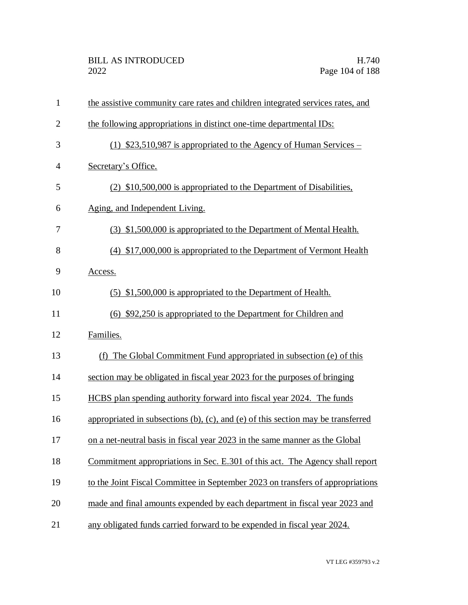| $\mathbf{1}$   | the assistive community care rates and children integrated services rates, and           |
|----------------|------------------------------------------------------------------------------------------|
| $\overline{2}$ | the following appropriations in distinct one-time departmental IDs:                      |
| 3              | $(1)$ \$23,510,987 is appropriated to the Agency of Human Services –                     |
| $\overline{4}$ | Secretary's Office.                                                                      |
| 5              | (2) \$10,500,000 is appropriated to the Department of Disabilities,                      |
| 6              | Aging, and Independent Living.                                                           |
| 7              | (3) \$1,500,000 is appropriated to the Department of Mental Health.                      |
| 8              | (4) \$17,000,000 is appropriated to the Department of Vermont Health                     |
| 9              | Access.                                                                                  |
| 10             | (5) \$1,500,000 is appropriated to the Department of Health.                             |
| 11             | (6) \$92,250 is appropriated to the Department for Children and                          |
| 12             | Families.                                                                                |
| 13             | (f) The Global Commitment Fund appropriated in subsection (e) of this                    |
| 14             | section may be obligated in fiscal year 2023 for the purposes of bringing                |
| 15             | HCBS plan spending authority forward into fiscal year 2024. The funds                    |
| 16             | appropriated in subsections $(b)$ , $(c)$ , and $(e)$ of this section may be transferred |
| 17             | on a net-neutral basis in fiscal year 2023 in the same manner as the Global              |
| 18             | Commitment appropriations in Sec. E.301 of this act. The Agency shall report             |
| 19             | to the Joint Fiscal Committee in September 2023 on transfers of appropriations           |
| 20             | made and final amounts expended by each department in fiscal year 2023 and               |
| 21             | any obligated funds carried forward to be expended in fiscal year 2024.                  |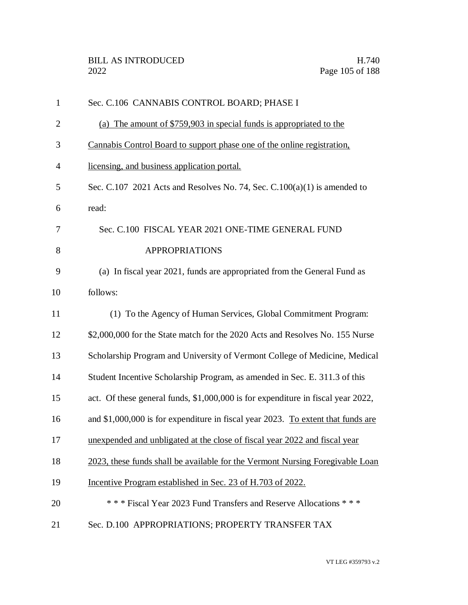| $\mathbf{1}$   | Sec. C.106 CANNABIS CONTROL BOARD; PHASE I                                       |
|----------------|----------------------------------------------------------------------------------|
| $\overline{c}$ | (a) The amount of \$759,903 in special funds is appropriated to the              |
| 3              | Cannabis Control Board to support phase one of the online registration.          |
| $\overline{4}$ | licensing, and business application portal.                                      |
| 5              | Sec. C.107 2021 Acts and Resolves No. 74, Sec. C.100(a)(1) is amended to         |
| 6              | read:                                                                            |
| 7              | Sec. C.100 FISCAL YEAR 2021 ONE-TIME GENERAL FUND                                |
| 8              | <b>APPROPRIATIONS</b>                                                            |
| 9              | (a) In fiscal year 2021, funds are appropriated from the General Fund as         |
| 10             | follows:                                                                         |
| 11             | (1) To the Agency of Human Services, Global Commitment Program:                  |
| 12             | \$2,000,000 for the State match for the 2020 Acts and Resolves No. 155 Nurse     |
| 13             | Scholarship Program and University of Vermont College of Medicine, Medical       |
| 14             | Student Incentive Scholarship Program, as amended in Sec. E. 311.3 of this       |
| 15             | act. Of these general funds, \$1,000,000 is for expenditure in fiscal year 2022, |
| 16             | and \$1,000,000 is for expenditure in fiscal year 2023. To extent that funds are |
| 17             | unexpended and unbligated at the close of fiscal year 2022 and fiscal year       |
| 18             | 2023, these funds shall be available for the Vermont Nursing Foregivable Loan    |
| 19             | Incentive Program established in Sec. 23 of H.703 of 2022.                       |
| 20             | *** Fiscal Year 2023 Fund Transfers and Reserve Allocations ***                  |
| 21             | Sec. D.100 APPROPRIATIONS; PROPERTY TRANSFER TAX                                 |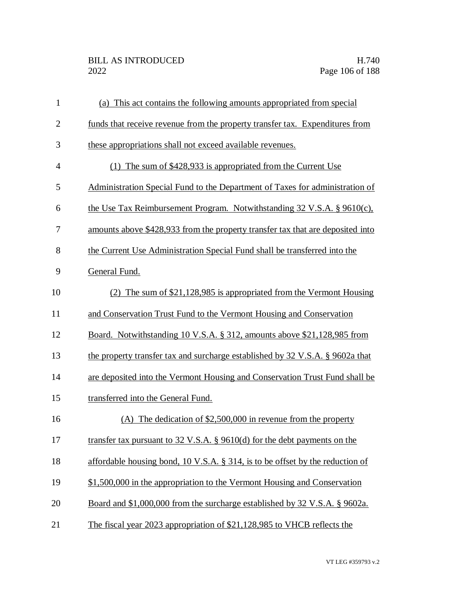| $\mathbf{1}$   | (a) This act contains the following amounts appropriated from special              |
|----------------|------------------------------------------------------------------------------------|
| $\overline{2}$ | funds that receive revenue from the property transfer tax. Expenditures from       |
| 3              | these appropriations shall not exceed available revenues.                          |
| 4              | (1) The sum of $$428,933$ is appropriated from the Current Use                     |
| 5              | Administration Special Fund to the Department of Taxes for administration of       |
| 6              | the Use Tax Reimbursement Program. Notwithstanding $32 \text{ V.S.A. }$ § 9610(c), |
| 7              | amounts above \$428,933 from the property transfer tax that are deposited into     |
| 8              | the Current Use Administration Special Fund shall be transferred into the          |
| 9              | General Fund.                                                                      |
| 10             | (2) The sum of \$21,128,985 is appropriated from the Vermont Housing               |
| 11             | and Conservation Trust Fund to the Vermont Housing and Conservation                |
| 12             | Board. Notwithstanding 10 V.S.A. § 312, amounts above \$21,128,985 from            |
| 13             | the property transfer tax and surcharge established by 32 V.S.A. § 9602a that      |
| 14             | are deposited into the Vermont Housing and Conservation Trust Fund shall be        |
| 15             | transferred into the General Fund.                                                 |
| 16             | (A) The dedication of $$2,500,000$ in revenue from the property                    |
| 17             | transfer tax pursuant to $32$ V.S.A. § 9610(d) for the debt payments on the        |
| 18             | affordable housing bond, $10$ V.S.A. § 314, is to be offset by the reduction of    |
| 19             | \$1,500,000 in the appropriation to the Vermont Housing and Conservation           |
| 20             | Board and \$1,000,000 from the surcharge established by 32 V.S.A. § 9602a.         |
| 21             | The fiscal year 2023 appropriation of \$21,128,985 to VHCB reflects the            |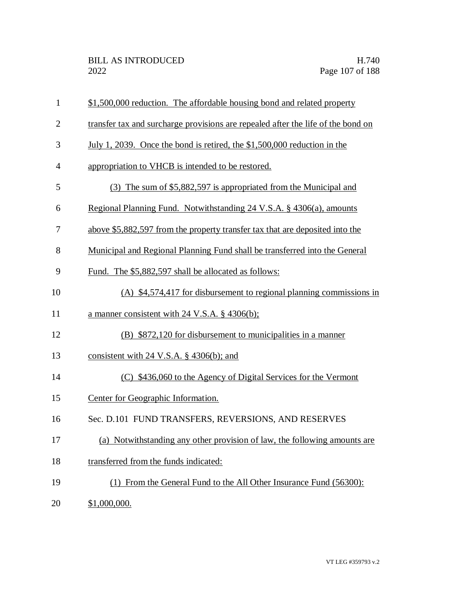| $\mathbf{1}$   | \$1,500,000 reduction. The affordable housing bond and related property          |  |
|----------------|----------------------------------------------------------------------------------|--|
| $\overline{2}$ | transfer tax and surcharge provisions are repealed after the life of the bond on |  |
| 3              | <u>July 1, 2039. Once the bond is retired, the \$1,500,000 reduction in the</u>  |  |
| 4              | appropriation to VHCB is intended to be restored.                                |  |
| 5              | (3) The sum of \$5,882,597 is appropriated from the Municipal and                |  |
| 6              | Regional Planning Fund. Notwithstanding 24 V.S.A. § 4306(a), amounts             |  |
| 7              | above \$5,882,597 from the property transfer tax that are deposited into the     |  |
| 8              | Municipal and Regional Planning Fund shall be transferred into the General       |  |
| 9              | Fund. The \$5,882,597 shall be allocated as follows:                             |  |
| 10             | (A) \$4,574,417 for disbursement to regional planning commissions in             |  |
| 11             | a manner consistent with 24 V.S.A. $\S$ 4306(b);                                 |  |
| 12             | (B) \$872,120 for disbursement to municipalities in a manner                     |  |
| 13             | consistent with 24 V.S.A. $\S$ 4306(b); and                                      |  |
| 14             | (C) \$436,060 to the Agency of Digital Services for the Vermont                  |  |
| 15             | Center for Geographic Information.                                               |  |
| 16             | Sec. D.101 FUND TRANSFERS, REVERSIONS, AND RESERVES                              |  |
| 17             | Notwithstanding any other provision of law, the following amounts are<br>(a)     |  |
| 18             | transferred from the funds indicated:                                            |  |
| 19             | (1) From the General Fund to the All Other Insurance Fund (56300):               |  |
| 20             | \$1,000,000.                                                                     |  |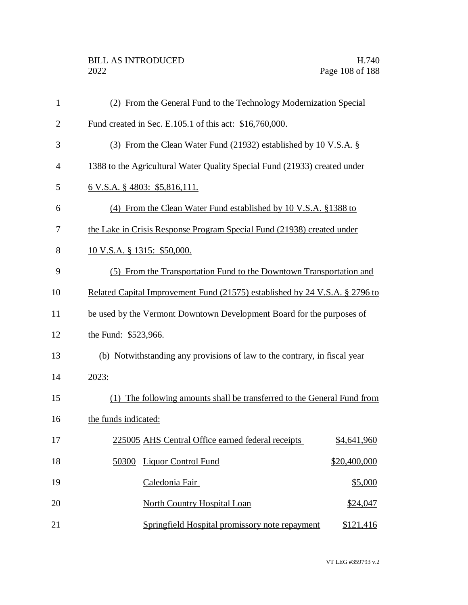| $\mathbf{1}$   | (2) From the General Fund to the Technology Modernization Special           |              |  |
|----------------|-----------------------------------------------------------------------------|--------------|--|
| $\overline{2}$ | Fund created in Sec. E.105.1 of this act: \$16,760,000.                     |              |  |
| 3              | (3) From the Clean Water Fund (21932) established by 10 V.S.A. §            |              |  |
| $\overline{4}$ | 1388 to the Agricultural Water Quality Special Fund (21933) created under   |              |  |
| 5              | $6$ V.S.A. § 4803: \$5,816,111.                                             |              |  |
| 6              | (4) From the Clean Water Fund established by 10 V.S.A. §1388 to             |              |  |
| 7              | the Lake in Crisis Response Program Special Fund (21938) created under      |              |  |
| 8              | 10 V.S.A. § 1315: \$50,000.                                                 |              |  |
| 9              | (5) From the Transportation Fund to the Downtown Transportation and         |              |  |
| 10             | Related Capital Improvement Fund (21575) established by 24 V.S.A. § 2796 to |              |  |
| 11             | be used by the Vermont Downtown Development Board for the purposes of       |              |  |
| 12             | the Fund: \$523,966.                                                        |              |  |
| 13             | (b) Notwithstanding any provisions of law to the contrary, in fiscal year   |              |  |
| 14             | 2023:                                                                       |              |  |
| 15             | (1) The following amounts shall be transferred to the General Fund from     |              |  |
| 16             | the funds indicated:                                                        |              |  |
| 17             | 225005 AHS Central Office earned federal receipts                           | \$4,641,960  |  |
| 18             | <b>Liquor Control Fund</b><br>50300                                         | \$20,400,000 |  |
| 19             | Caledonia Fair                                                              | \$5,000      |  |
| 20             | <b>North Country Hospital Loan</b>                                          | \$24,047     |  |
| 21             | Springfield Hospital promissory note repayment                              | \$121,416    |  |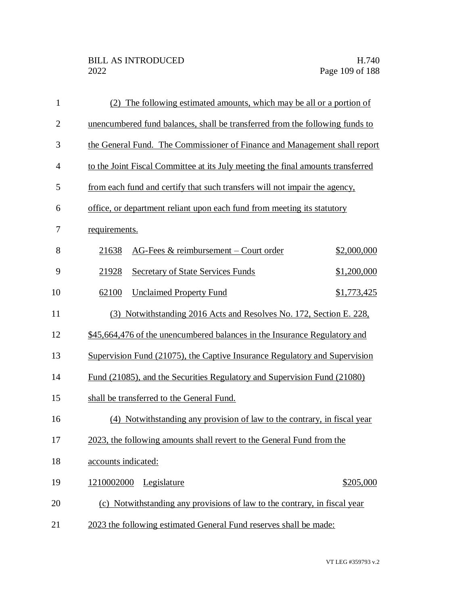| $\mathbf{1}$   | (2) The following estimated amounts, which may be all or a portion of           |             |
|----------------|---------------------------------------------------------------------------------|-------------|
| $\mathbf{2}$   | unencumbered fund balances, shall be transferred from the following funds to    |             |
| 3              | the General Fund. The Commissioner of Finance and Management shall report       |             |
| $\overline{4}$ | to the Joint Fiscal Committee at its July meeting the final amounts transferred |             |
| 5              | from each fund and certify that such transfers will not impair the agency,      |             |
| 6              | office, or department reliant upon each fund from meeting its statutory         |             |
| 7              | requirements.                                                                   |             |
| 8              | AG-Fees $&$ reimbursement – Court order<br>21638                                | \$2,000,000 |
| 9              | <b>Secretary of State Services Funds</b><br>21928                               | \$1,200,000 |
| 10             | 62100<br><b>Unclaimed Property Fund</b>                                         | \$1,773,425 |
| 11             | (3) Notwithstanding 2016 Acts and Resolves No. 172, Section E. 228,             |             |
| 12             | \$45,664,476 of the unencumbered balances in the Insurance Regulatory and       |             |
| 13             | Supervision Fund (21075), the Captive Insurance Regulatory and Supervision      |             |
| 14             | Fund (21085), and the Securities Regulatory and Supervision Fund (21080)        |             |
| 15             | shall be transferred to the General Fund.                                       |             |
| 16             | (4) Notwithstanding any provision of law to the contrary, in fiscal year        |             |
| 17             | 2023, the following amounts shall revert to the General Fund from the           |             |
| 18             | accounts indicated:                                                             |             |
| 19             | 1210002000<br>Legislature                                                       | \$205,000   |
| 20             | (c) Notwithstanding any provisions of law to the contrary, in fiscal year       |             |
| 21             | 2023 the following estimated General Fund reserves shall be made:               |             |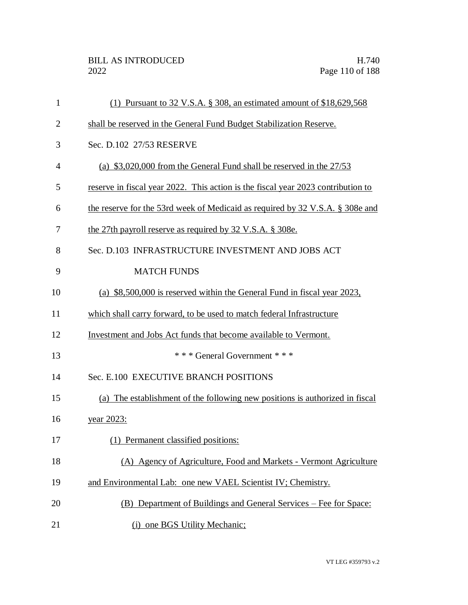| $\mathbf{1}$   | (1) Pursuant to 32 V.S.A. § 308, an estimated amount of $$18,629,568$            |
|----------------|----------------------------------------------------------------------------------|
| $\overline{2}$ | shall be reserved in the General Fund Budget Stabilization Reserve.              |
| 3              | Sec. D.102 27/53 RESERVE                                                         |
| $\overline{4}$ | (a) $$3,020,000$ from the General Fund shall be reserved in the $27/53$          |
| 5              | reserve in fiscal year 2022. This action is the fiscal year 2023 contribution to |
| 6              | the reserve for the 53rd week of Medicaid as required by 32 V.S.A. § 308e and    |
| 7              | the 27th payroll reserve as required by 32 V.S.A. § 308e.                        |
| 8              | Sec. D.103 INFRASTRUCTURE INVESTMENT AND JOBS ACT                                |
| 9              | <b>MATCH FUNDS</b>                                                               |
| 10             | (a) \$8,500,000 is reserved within the General Fund in fiscal year 2023,         |
| 11             | which shall carry forward, to be used to match federal Infrastructure            |
| 12             | Investment and Jobs Act funds that become available to Vermont.                  |
| 13             | *** General Government ***                                                       |
| 14             | Sec. E.100 EXECUTIVE BRANCH POSITIONS                                            |
| 15             | (a) The establishment of the following new positions is authorized in fiscal     |
| 16             | <u>year 2023:</u>                                                                |
| 17             | (1) Permanent classified positions:                                              |
| 18             | (A) Agency of Agriculture, Food and Markets - Vermont Agriculture                |
| 19             | and Environmental Lab: one new VAEL Scientist IV; Chemistry.                     |
| 20             | (B) Department of Buildings and General Services – Fee for Space:                |
| 21             | (i) one BGS Utility Mechanic;                                                    |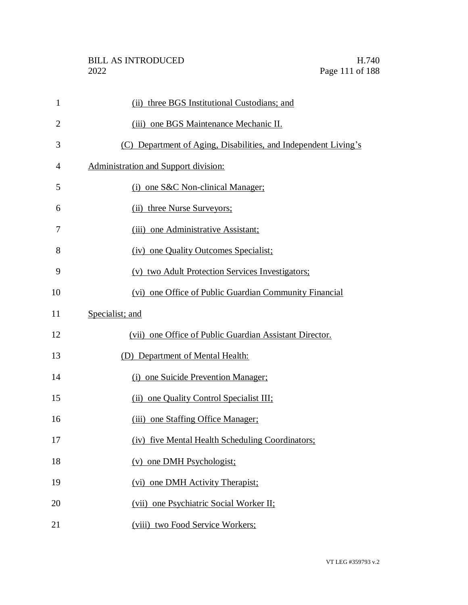| $\mathbf{1}$   | (ii) three BGS Institutional Custodians; and                    |
|----------------|-----------------------------------------------------------------|
| $\overline{2}$ | (iii) one BGS Maintenance Mechanic II.                          |
| 3              | (C) Department of Aging, Disabilities, and Independent Living's |
| 4              | Administration and Support division:                            |
| 5              | (i) one S&C Non-clinical Manager;                               |
| 6              | (ii) three Nurse Surveyors;                                     |
| 7              | (iii) one Administrative Assistant;                             |
| 8              | (iv) one Quality Outcomes Specialist;                           |
| 9              | (v) two Adult Protection Services Investigators;                |
| 10             | (vi) one Office of Public Guardian Community Financial          |
| 11             | Specialist; and                                                 |
| 12             | (vii) one Office of Public Guardian Assistant Director.         |
| 13             | (D) Department of Mental Health:                                |
| 14             | (i) one Suicide Prevention Manager;                             |
| 15             | (ii) one Quality Control Specialist III;                        |
| 16             | (iii) one Staffing Office Manager;                              |
| 17             | (iv) five Mental Health Scheduling Coordinators;                |
| 18             | (v) one DMH Psychologist;                                       |
| 19             | (vi) one DMH Activity Therapist;                                |
| 20             | (vii) one Psychiatric Social Worker II;                         |
| 21             | (viii) two Food Service Workers;                                |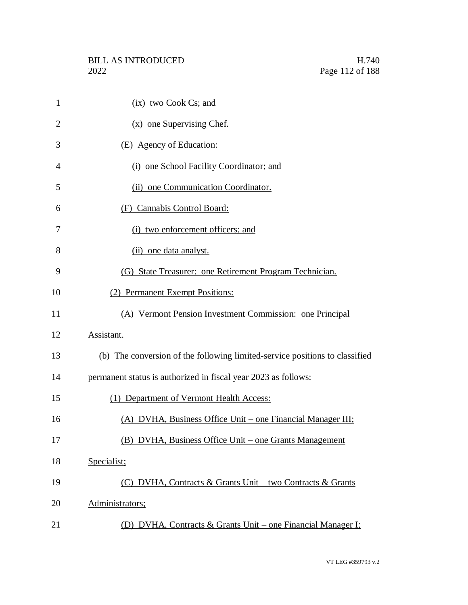| $\mathbf{1}$   | (ix) two Cook Cs; and                                                       |
|----------------|-----------------------------------------------------------------------------|
| $\overline{2}$ | $(x)$ one Supervising Chef.                                                 |
| 3              | (E) Agency of Education:                                                    |
| 4              | (i) one School Facility Coordinator; and                                    |
| 5              | (ii) one Communication Coordinator.                                         |
| 6              | (F) Cannabis Control Board:                                                 |
| 7              | (i) two enforcement officers; and                                           |
| 8              | (ii) one data analyst.                                                      |
| 9              | (G) State Treasurer: one Retirement Program Technician.                     |
| 10             | (2) Permanent Exempt Positions:                                             |
| 11             | (A) Vermont Pension Investment Commission: one Principal                    |
| 12             | Assistant.                                                                  |
| 13             | (b) The conversion of the following limited-service positions to classified |
| 14             | permanent status is authorized in fiscal year 2023 as follows:              |
| 15             | (1) Department of Vermont Health Access:                                    |
| 16             | (A) DVHA, Business Office Unit – one Financial Manager III;                 |
| 17             | (B) DVHA, Business Office Unit – one Grants Management                      |
| 18             | Specialist;                                                                 |
| 19             | (C) DVHA, Contracts & Grants Unit – two Contracts & Grants                  |
| 20             | Administrators;                                                             |
| 21             | (D) DVHA, Contracts & Grants Unit – one Financial Manager I;                |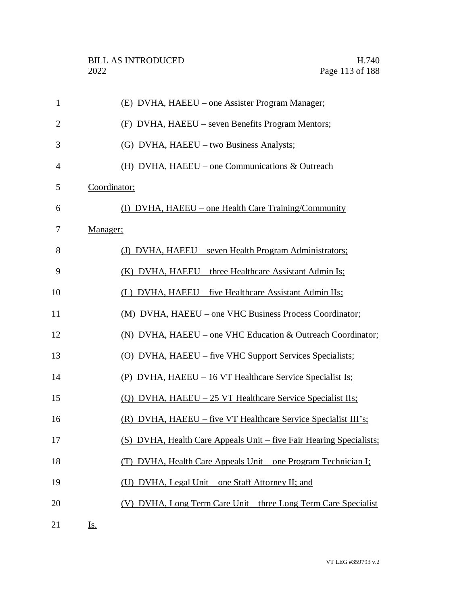| $\mathbf{1}$   | (E) DVHA, HAEEU – one Assister Program Manager;                     |
|----------------|---------------------------------------------------------------------|
| $\overline{2}$ | (F) DVHA, HAEEU – seven Benefits Program Mentors;                   |
| 3              | (G) DVHA, HAEEU – two Business Analysts;                            |
| $\overline{4}$ | (H) DVHA, HAEEU – one Communications $&$ Outreach                   |
| 5              | Coordinator;                                                        |
| 6              | (I) DVHA, HAEEU – one Health Care Training/Community                |
| 7              | Manager;                                                            |
| 8              | (J) DVHA, HAEEU – seven Health Program Administrators;              |
| 9              | (K) DVHA, HAEEU – three Healthcare Assistant Admin Is;              |
| 10             | (L) DVHA, HAEEU – five Healthcare Assistant Admin IIs;              |
| 11             | (M) DVHA, HAEEU – one VHC Business Process Coordinator;             |
| 12             | (N) DVHA, HAEEU - one VHC Education & Outreach Coordinator;         |
| 13             | (O) DVHA, HAEEU – five VHC Support Services Specialists;            |
| 14             | (P) DVHA, HAEEU – 16 VT Healthcare Service Specialist Is;           |
| 15             | (Q) DVHA, HAEEU – 25 VT Healthcare Service Specialist IIs;          |
| 16             | (R) DVHA, HAEEU – five VT Healthcare Service Specialist III's;      |
| 17             | (S) DVHA, Health Care Appeals Unit – five Fair Hearing Specialists; |
| 18             | (T) DVHA, Health Care Appeals Unit – one Program Technician I;      |
| 19             | (U) DVHA, Legal Unit – one Staff Attorney II; and                   |
| 20             | (V) DVHA, Long Term Care Unit – three Long Term Care Specialist     |
| 21             | <u>Is.</u>                                                          |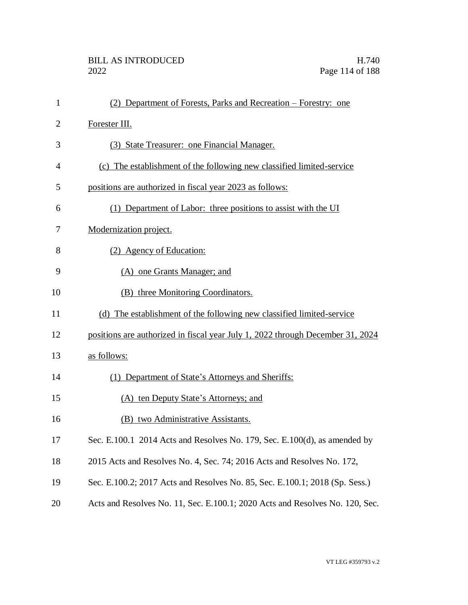| $\mathbf{1}$   | (2) Department of Forests, Parks and Recreation – Forestry: one                |
|----------------|--------------------------------------------------------------------------------|
| $\overline{2}$ | Forester III.                                                                  |
| 3              | (3) State Treasurer: one Financial Manager.                                    |
| 4              | (c) The establishment of the following new classified limited-service          |
| 5              | positions are authorized in fiscal year 2023 as follows:                       |
| 6              | (1) Department of Labor: three positions to assist with the UI                 |
| 7              | Modernization project.                                                         |
| 8              | (2) Agency of Education:                                                       |
| 9              | (A) one Grants Manager; and                                                    |
| 10             | (B) three Monitoring Coordinators.                                             |
| 11             | (d) The establishment of the following new classified limited-service          |
| 12             | positions are authorized in fiscal year July 1, 2022 through December 31, 2024 |
| 13             | as follows:                                                                    |
| 14             | (1) Department of State's Attorneys and Sheriffs:                              |
| 15             | (A) ten Deputy State's Attorneys; and                                          |
| 16             | (B) two Administrative Assistants.                                             |
| 17             | Sec. E.100.1 2014 Acts and Resolves No. 179, Sec. E.100(d), as amended by      |
| 18             | 2015 Acts and Resolves No. 4, Sec. 74; 2016 Acts and Resolves No. 172,         |
| 19             | Sec. E.100.2; 2017 Acts and Resolves No. 85, Sec. E.100.1; 2018 (Sp. Sess.)    |
| 20             | Acts and Resolves No. 11, Sec. E.100.1; 2020 Acts and Resolves No. 120, Sec.   |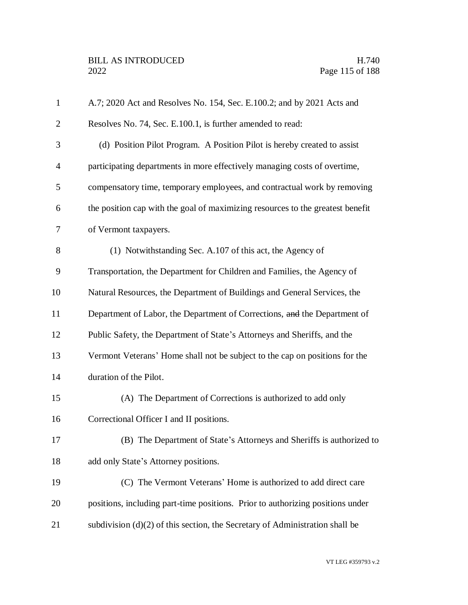| $\mathbf{1}$   | A.7; 2020 Act and Resolves No. 154, Sec. E.100.2; and by 2021 Acts and         |
|----------------|--------------------------------------------------------------------------------|
| $\overline{2}$ | Resolves No. 74, Sec. E.100.1, is further amended to read:                     |
| 3              | (d) Position Pilot Program. A Position Pilot is hereby created to assist       |
| $\overline{4}$ | participating departments in more effectively managing costs of overtime,      |
| 5              | compensatory time, temporary employees, and contractual work by removing       |
| 6              | the position cap with the goal of maximizing resources to the greatest benefit |
| 7              | of Vermont taxpayers.                                                          |
| 8              | (1) Notwithstanding Sec. A.107 of this act, the Agency of                      |
| 9              | Transportation, the Department for Children and Families, the Agency of        |
| 10             | Natural Resources, the Department of Buildings and General Services, the       |
| 11             | Department of Labor, the Department of Corrections, and the Department of      |
| 12             | Public Safety, the Department of State's Attorneys and Sheriffs, and the       |
| 13             | Vermont Veterans' Home shall not be subject to the cap on positions for the    |
| 14             | duration of the Pilot.                                                         |
| 15             | (A) The Department of Corrections is authorized to add only                    |
| 16             | Correctional Officer I and II positions.                                       |
| 17             | (B) The Department of State's Attorneys and Sheriffs is authorized to          |
| 18             | add only State's Attorney positions.                                           |
| 19             | (C) The Vermont Veterans' Home is authorized to add direct care                |
| 20             | positions, including part-time positions. Prior to authorizing positions under |
| 21             | subdivision $(d)(2)$ of this section, the Secretary of Administration shall be |
|                |                                                                                |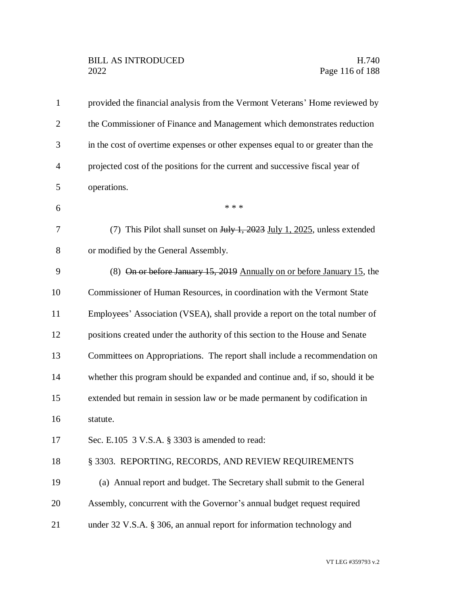| $\mathbf{1}$   | provided the financial analysis from the Vermont Veterans' Home reviewed by     |
|----------------|---------------------------------------------------------------------------------|
| $\overline{2}$ | the Commissioner of Finance and Management which demonstrates reduction         |
| 3              | in the cost of overtime expenses or other expenses equal to or greater than the |
| $\overline{4}$ | projected cost of the positions for the current and successive fiscal year of   |
| 5              | operations.                                                                     |
| 6              | * * *                                                                           |
| 7              | (7) This Pilot shall sunset on July 1, 2023 July 1, 2025, unless extended       |
| 8              | or modified by the General Assembly.                                            |
| 9              | (8) On or before January 15, 2019 Annually on or before January 15, the         |
| 10             | Commissioner of Human Resources, in coordination with the Vermont State         |
| 11             | Employees' Association (VSEA), shall provide a report on the total number of    |
| 12             | positions created under the authority of this section to the House and Senate   |
| 13             | Committees on Appropriations. The report shall include a recommendation on      |
| 14             | whether this program should be expanded and continue and, if so, should it be   |
| 15             | extended but remain in session law or be made permanent by codification in      |
| 16             | statute.                                                                        |
| 17             | Sec. E.105 3 V.S.A. § 3303 is amended to read:                                  |
| 18             | § 3303. REPORTING, RECORDS, AND REVIEW REQUIREMENTS                             |
| 19             | (a) Annual report and budget. The Secretary shall submit to the General         |
| 20             | Assembly, concurrent with the Governor's annual budget request required         |
| 21             | under 32 V.S.A. § 306, an annual report for information technology and          |
|                |                                                                                 |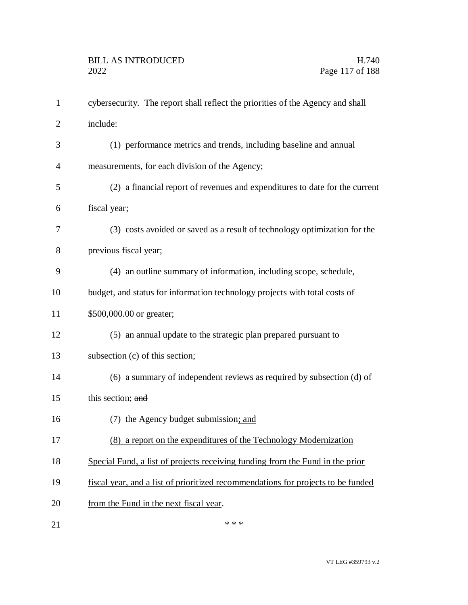| $\mathbf{1}$   | cybersecurity. The report shall reflect the priorities of the Agency and shall   |
|----------------|----------------------------------------------------------------------------------|
| $\overline{2}$ | include:                                                                         |
| 3              | (1) performance metrics and trends, including baseline and annual                |
| 4              | measurements, for each division of the Agency;                                   |
| 5              | (2) a financial report of revenues and expenditures to date for the current      |
| 6              | fiscal year;                                                                     |
| 7              | (3) costs avoided or saved as a result of technology optimization for the        |
| 8              | previous fiscal year;                                                            |
| 9              | (4) an outline summary of information, including scope, schedule,                |
| 10             | budget, and status for information technology projects with total costs of       |
| 11             | \$500,000.00 or greater;                                                         |
| 12             | (5) an annual update to the strategic plan prepared pursuant to                  |
| 13             | subsection (c) of this section;                                                  |
| 14             | (6) a summary of independent reviews as required by subsection (d) of            |
| 15             | this section; and                                                                |
| 16             | (7) the Agency budget submission; and                                            |
| 17             | (8) a report on the expenditures of the Technology Modernization                 |
| 18             | Special Fund, a list of projects receiving funding from the Fund in the prior    |
| 19             | fiscal year, and a list of prioritized recommendations for projects to be funded |
| 20             | from the Fund in the next fiscal year.                                           |
| 21             | * * *                                                                            |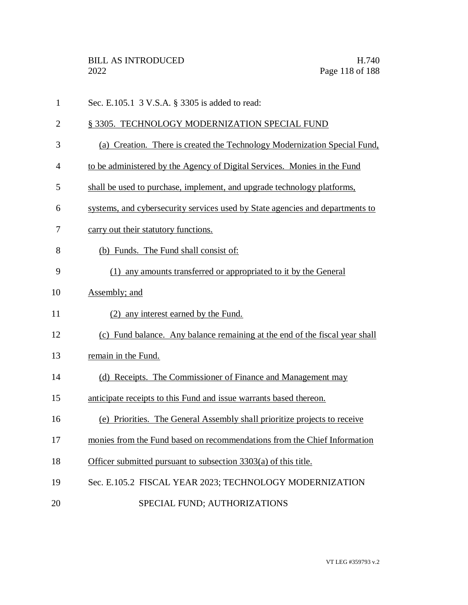Sec. E.105.1 3 V.S.A. § 3305 is added to read:

## 2 § 3305. TECHNOLOGY MODERNIZATION SPECIAL FUND

- (a) Creation. There is created the Technology Modernization Special Fund,
- to be administered by the Agency of Digital Services. Monies in the Fund
- shall be used to purchase, implement, and upgrade technology platforms,
- systems, and cybersecurity services used by State agencies and departments to
- carry out their statutory functions.
- (b) Funds. The Fund shall consist of:
- (1) any amounts transferred or appropriated to it by the General
- Assembly; and
- (2) any interest earned by the Fund.
- (c) Fund balance. Any balance remaining at the end of the fiscal year shall
- remain in the Fund.
- (d) Receipts. The Commissioner of Finance and Management may
- anticipate receipts to this Fund and issue warrants based thereon.
- (e) Priorities. The General Assembly shall prioritize projects to receive
- monies from the Fund based on recommendations from the Chief Information
- Officer submitted pursuant to subsection 3303(a) of this title.
- Sec. E.105.2 FISCAL YEAR 2023; TECHNOLOGY MODERNIZATION
- 20 SPECIAL FUND; AUTHORIZATIONS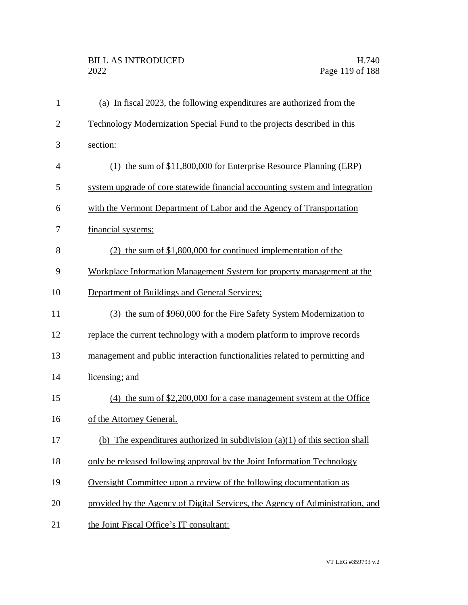| $\mathbf{1}$   | (a) In fiscal 2023, the following expenditures are authorized from the        |
|----------------|-------------------------------------------------------------------------------|
| $\overline{2}$ | Technology Modernization Special Fund to the projects described in this       |
| 3              | section:                                                                      |
| $\overline{4}$ | (1) the sum of \$11,800,000 for Enterprise Resource Planning (ERP)            |
| 5              | system upgrade of core statewide financial accounting system and integration  |
| 6              | with the Vermont Department of Labor and the Agency of Transportation         |
| 7              | financial systems;                                                            |
| 8              | $(2)$ the sum of \$1,800,000 for continued implementation of the              |
| 9              | Workplace Information Management System for property management at the        |
| 10             | Department of Buildings and General Services;                                 |
| 11             | (3) the sum of \$960,000 for the Fire Safety System Modernization to          |
| 12             | replace the current technology with a modern platform to improve records      |
| 13             | management and public interaction functionalities related to permitting and   |
| 14             | licensing; and                                                                |
| 15             | $(4)$ the sum of \$2,200,000 for a case management system at the Office       |
| 16             | of the Attorney General.                                                      |
| 17             | (b) The expenditures authorized in subdivision $(a)(1)$ of this section shall |
| 18             | only be released following approval by the Joint Information Technology       |
| 19             | Oversight Committee upon a review of the following documentation as           |
| 20             | provided by the Agency of Digital Services, the Agency of Administration, and |
| 21             | the Joint Fiscal Office's IT consultant:                                      |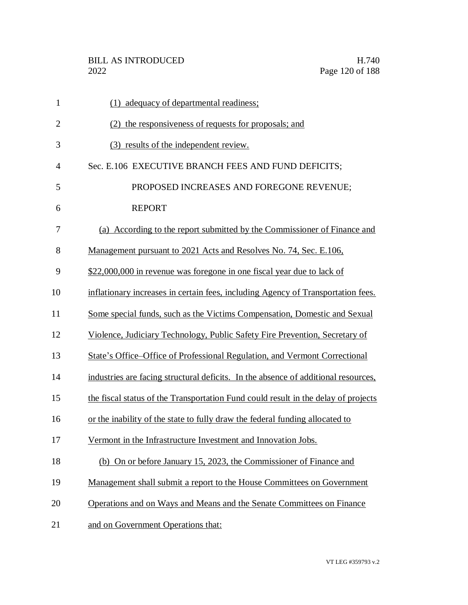| $\mathbf{1}$   | (1) adequacy of departmental readiness;                                            |
|----------------|------------------------------------------------------------------------------------|
| $\overline{2}$ | (2) the responsiveness of requests for proposals; and                              |
| 3              | (3) results of the independent review.                                             |
| 4              | Sec. E.106 EXECUTIVE BRANCH FEES AND FUND DEFICITS;                                |
| 5              | PROPOSED INCREASES AND FOREGONE REVENUE;                                           |
| 6              | <b>REPORT</b>                                                                      |
| 7              | (a) According to the report submitted by the Commissioner of Finance and           |
| 8              | Management pursuant to 2021 Acts and Resolves No. 74, Sec. E.106,                  |
| 9              | \$22,000,000 in revenue was foregone in one fiscal year due to lack of             |
| 10             | inflationary increases in certain fees, including Agency of Transportation fees.   |
| 11             | Some special funds, such as the Victims Compensation, Domestic and Sexual          |
| 12             | Violence, Judiciary Technology, Public Safety Fire Prevention, Secretary of        |
| 13             | State's Office–Office of Professional Regulation, and Vermont Correctional         |
| 14             | industries are facing structural deficits. In the absence of additional resources, |
| 15             | the fiscal status of the Transportation Fund could result in the delay of projects |
| 16             | or the inability of the state to fully draw the federal funding allocated to       |
| 17             | Vermont in the Infrastructure Investment and Innovation Jobs.                      |
| 18             | (b) On or before January 15, 2023, the Commissioner of Finance and                 |
| 19             | Management shall submit a report to the House Committees on Government             |
| 20             | Operations and on Ways and Means and the Senate Committees on Finance              |
| 21             | and on Government Operations that:                                                 |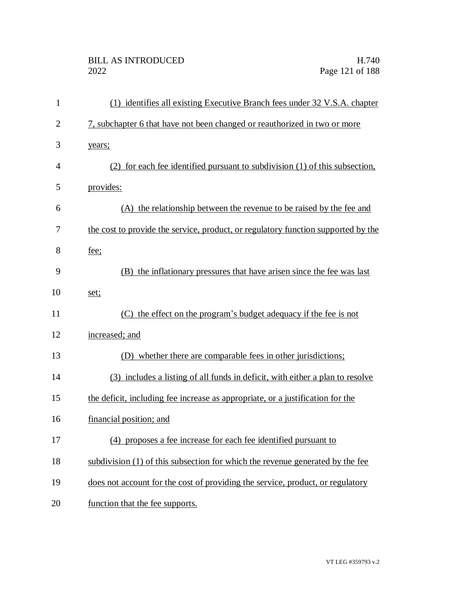| $\mathbf{1}$   | (1) identifies all existing Executive Branch fees under 32 V.S.A. chapter         |
|----------------|-----------------------------------------------------------------------------------|
| $\overline{2}$ | 7, subchapter 6 that have not been changed or reauthorized in two or more         |
| 3              | years;                                                                            |
| $\overline{4}$ | (2) for each fee identified pursuant to subdivision (1) of this subsection.       |
| 5              | provides:                                                                         |
| 6              | (A) the relationship between the revenue to be raised by the fee and              |
| 7              | the cost to provide the service, product, or regulatory function supported by the |
| 8              | fee;                                                                              |
| 9              | (B) the inflationary pressures that have arisen since the fee was last            |
| 10             | set;                                                                              |
| 11             | (C) the effect on the program's budget adequacy if the fee is not                 |
| 12             | increased; and                                                                    |
| 13             | (D) whether there are comparable fees in other jurisdictions;                     |
| 14             | (3) includes a listing of all funds in deficit, with either a plan to resolve     |
| 15             | the deficit, including fee increase as appropriate, or a justification for the    |
| 16             | financial position; and                                                           |
| 17             | (4) proposes a fee increase for each fee identified pursuant to                   |
| 18             | subdivision (1) of this subsection for which the revenue generated by the fee     |
| 19             | does not account for the cost of providing the service, product, or regulatory    |
| 20             | function that the fee supports.                                                   |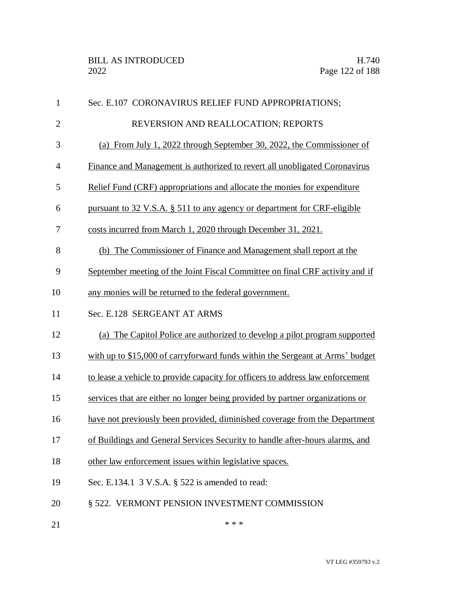| $\mathbf{1}$   | Sec. E.107 CORONAVIRUS RELIEF FUND APPROPRIATIONS;                             |
|----------------|--------------------------------------------------------------------------------|
| $\overline{2}$ | REVERSION AND REALLOCATION; REPORTS                                            |
| 3              | (a) From July 1, 2022 through September 30, 2022, the Commissioner of          |
| $\overline{4}$ | Finance and Management is authorized to revert all unobligated Coronavirus     |
| 5              | Relief Fund (CRF) appropriations and allocate the monies for expenditure       |
| 6              | pursuant to 32 V.S.A. § 511 to any agency or department for CRF-eligible       |
| 7              | costs incurred from March 1, 2020 through December 31, 2021.                   |
| 8              | (b) The Commissioner of Finance and Management shall report at the             |
| 9              | September meeting of the Joint Fiscal Committee on final CRF activity and if   |
| 10             | any monies will be returned to the federal government.                         |
| 11             | Sec. E.128 SERGEANT AT ARMS                                                    |
| 12             | (a) The Capitol Police are authorized to develop a pilot program supported     |
| 13             | with up to \$15,000 of carryforward funds within the Sergeant at Arms' budget  |
| 14             | to lease a vehicle to provide capacity for officers to address law enforcement |
| 15             | services that are either no longer being provided by partner organizations or  |
| 16             | have not previously been provided, diminished coverage from the Department     |
| 17             | of Buildings and General Services Security to handle after-hours alarms, and   |
| 18             | other law enforcement issues within legislative spaces.                        |
| 19             | Sec. E.134.1 3 V.S.A. § 522 is amended to read:                                |
| 20             | § 522. VERMONT PENSION INVESTMENT COMMISSION                                   |
|                |                                                                                |

21  $***$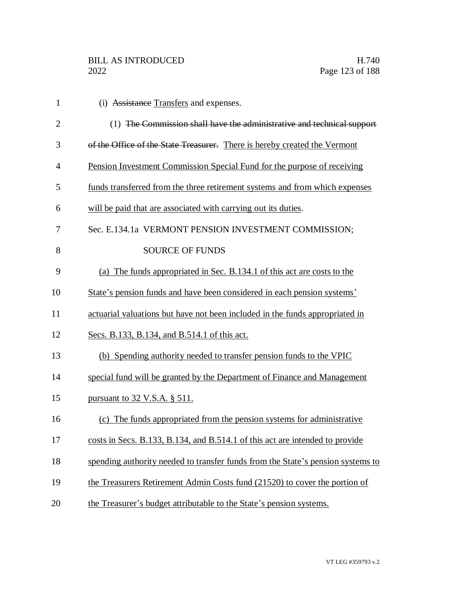| $\mathbf{1}$   | (i) Assistance Transfers and expenses.                                          |
|----------------|---------------------------------------------------------------------------------|
| $\overline{2}$ | (1) The Commission shall have the administrative and technical support          |
| 3              | of the Office of the State Treasurer. There is hereby created the Vermont       |
| $\overline{4}$ | Pension Investment Commission Special Fund for the purpose of receiving         |
| 5              | funds transferred from the three retirement systems and from which expenses     |
| 6              | will be paid that are associated with carrying out its duties.                  |
| 7              | Sec. E.134.1a VERMONT PENSION INVESTMENT COMMISSION;                            |
| 8              | <b>SOURCE OF FUNDS</b>                                                          |
| 9              | (a) The funds appropriated in Sec. B.134.1 of this act are costs to the         |
| 10             | State's pension funds and have been considered in each pension systems'         |
| 11             | actuarial valuations but have not been included in the funds appropriated in    |
| 12             | Secs. B.133, B.134, and B.514.1 of this act.                                    |
| 13             | (b) Spending authority needed to transfer pension funds to the VPIC             |
| 14             | special fund will be granted by the Department of Finance and Management        |
| 15             | <u>pursuant to 32 V.S.A. § 511.</u>                                             |
| 16             | (c) The funds appropriated from the pension systems for administrative          |
| 17             | costs in Secs. B.133, B.134, and B.514.1 of this act are intended to provide    |
| 18             | spending authority needed to transfer funds from the State's pension systems to |
| 19             | the Treasurers Retirement Admin Costs fund (21520) to cover the portion of      |
| 20             | the Treasurer's budget attributable to the State's pension systems.             |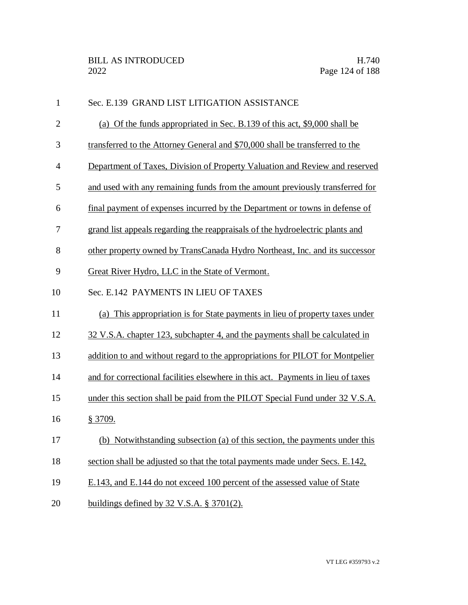| $\mathbf{1}$   | Sec. E.139 GRAND LIST LITIGATION ASSISTANCE                                      |
|----------------|----------------------------------------------------------------------------------|
| $\overline{2}$ | (a) Of the funds appropriated in Sec. B.139 of this act, \$9,000 shall be        |
| 3              | transferred to the Attorney General and \$70,000 shall be transferred to the     |
| $\overline{4}$ | Department of Taxes, Division of Property Valuation and Review and reserved      |
| 5              | and used with any remaining funds from the amount previously transferred for     |
| 6              | final payment of expenses incurred by the Department or towns in defense of      |
| 7              | grand list appeals regarding the reappraisals of the hydroelectric plants and    |
| 8              | other property owned by TransCanada Hydro Northeast, Inc. and its successor      |
| 9              | Great River Hydro, LLC in the State of Vermont.                                  |
| 10             | Sec. E.142 PAYMENTS IN LIEU OF TAXES                                             |
| 11             | (a) This appropriation is for State payments in lieu of property taxes under     |
| 12             | 32 V.S.A. chapter 123, subchapter 4, and the payments shall be calculated in     |
| 13             | addition to and without regard to the appropriations for PILOT for Montpelier    |
| 14             | and for correctional facilities elsewhere in this act. Payments in lieu of taxes |
| 15             | under this section shall be paid from the PILOT Special Fund under 32 V.S.A.     |
| 16             | § 3709.                                                                          |
| 17             | (b) Notwithstanding subsection (a) of this section, the payments under this      |
| 18             | section shall be adjusted so that the total payments made under Secs. E.142,     |
| 19             | E.143, and E.144 do not exceed 100 percent of the assessed value of State        |
| 20             | buildings defined by $32$ V.S.A. § 3701(2).                                      |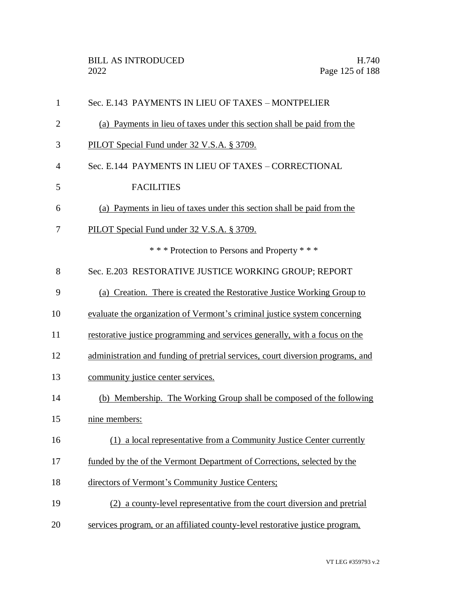| $\mathbf{1}$   | Sec. E.143 PAYMENTS IN LIEU OF TAXES - MONTPELIER                              |
|----------------|--------------------------------------------------------------------------------|
| $\overline{2}$ | (a) Payments in lieu of taxes under this section shall be paid from the        |
| 3              | PILOT Special Fund under 32 V.S.A. § 3709.                                     |
| 4              | Sec. E.144 PAYMENTS IN LIEU OF TAXES - CORRECTIONAL                            |
| 5              | <b>FACILITIES</b>                                                              |
| 6              | (a) Payments in lieu of taxes under this section shall be paid from the        |
| 7              | PILOT Special Fund under 32 V.S.A. § 3709.                                     |
|                | *** Protection to Persons and Property ***                                     |
| 8              | Sec. E.203 RESTORATIVE JUSTICE WORKING GROUP; REPORT                           |
| 9              | (a) Creation. There is created the Restorative Justice Working Group to        |
| 10             | evaluate the organization of Vermont's criminal justice system concerning      |
| 11             | restorative justice programming and services generally, with a focus on the    |
| 12             | administration and funding of pretrial services, court diversion programs, and |
| 13             | community justice center services.                                             |
| 14             | (b) Membership. The Working Group shall be composed of the following           |
| 15             | nine members:                                                                  |
| 16             | (1) a local representative from a Community Justice Center currently           |
| 17             | funded by the of the Vermont Department of Corrections, selected by the        |
| 18             | directors of Vermont's Community Justice Centers;                              |
| 19             | (2) a county-level representative from the court diversion and pretrial        |
| 20             | services program, or an affiliated county-level restorative justice program,   |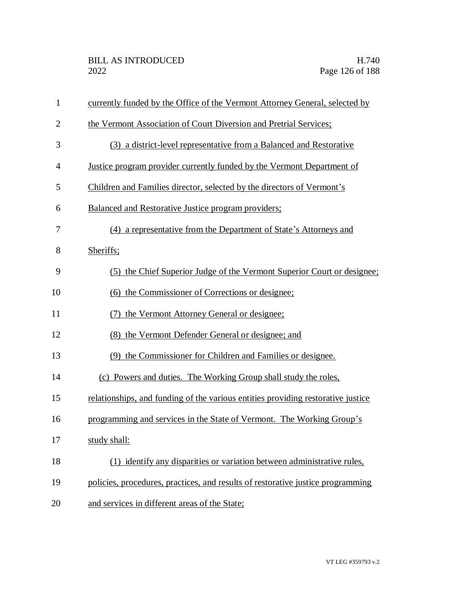| $\mathbf{1}$   | currently funded by the Office of the Vermont Attorney General, selected by      |
|----------------|----------------------------------------------------------------------------------|
| $\overline{2}$ | the Vermont Association of Court Diversion and Pretrial Services;                |
| 3              | (3) a district-level representative from a Balanced and Restorative              |
| $\overline{4}$ | Justice program provider currently funded by the Vermont Department of           |
| 5              | Children and Families director, selected by the directors of Vermont's           |
| 6              | Balanced and Restorative Justice program providers;                              |
| 7              | (4) a representative from the Department of State's Attorneys and                |
| 8              | Sheriffs;                                                                        |
| 9              | (5) the Chief Superior Judge of the Vermont Superior Court or designee;          |
| 10             | (6) the Commissioner of Corrections or designee;                                 |
| 11             | (7) the Vermont Attorney General or designee;                                    |
| 12             | (8) the Vermont Defender General or designee; and                                |
| 13             | (9) the Commissioner for Children and Families or designee.                      |
| 14             | (c) Powers and duties. The Working Group shall study the roles,                  |
| 15             | relationships, and funding of the various entities providing restorative justice |
| 16             | programming and services in the State of Vermont. The Working Group's            |
| 17             | study shall:                                                                     |
| 18             | (1) identify any disparities or variation between administrative rules,          |
| 19             | policies, procedures, practices, and results of restorative justice programming  |
| 20             | and services in different areas of the State;                                    |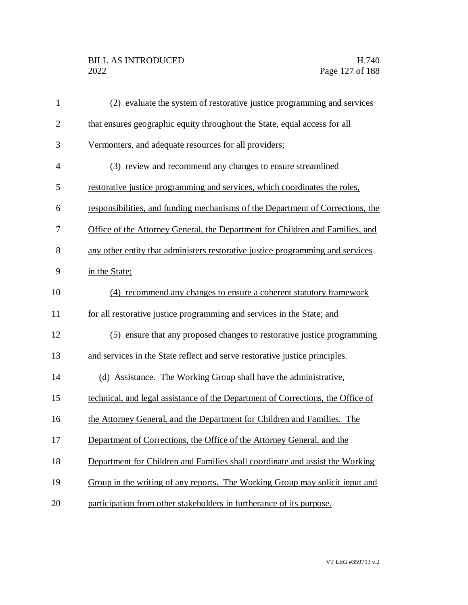| $\mathbf{1}$   | (2) evaluate the system of restorative justice programming and services         |
|----------------|---------------------------------------------------------------------------------|
| $\overline{2}$ | that ensures geographic equity throughout the State, equal access for all       |
| 3              | Vermonters, and adequate resources for all providers;                           |
| $\overline{4}$ | (3) review and recommend any changes to ensure streamlined                      |
| 5              | restorative justice programming and services, which coordinates the roles,      |
| 6              | responsibilities, and funding mechanisms of the Department of Corrections, the  |
| 7              | Office of the Attorney General, the Department for Children and Families, and   |
| 8              | any other entity that administers restorative justice programming and services  |
| 9              | in the State;                                                                   |
| 10             | (4) recommend any changes to ensure a coherent statutory framework              |
| 11             | for all restorative justice programming and services in the State; and          |
| 12             | (5) ensure that any proposed changes to restorative justice programming         |
| 13             | and services in the State reflect and serve restorative justice principles.     |
| 14             | (d) Assistance. The Working Group shall have the administrative,                |
| 15             | technical, and legal assistance of the Department of Corrections, the Office of |
| 16             | the Attorney General, and the Department for Children and Families. The         |
| 17             | Department of Corrections, the Office of the Attorney General, and the          |
| 18             | Department for Children and Families shall coordinate and assist the Working    |
| 19             | Group in the writing of any reports. The Working Group may solicit input and    |
| 20             | participation from other stakeholders in furtherance of its purpose.            |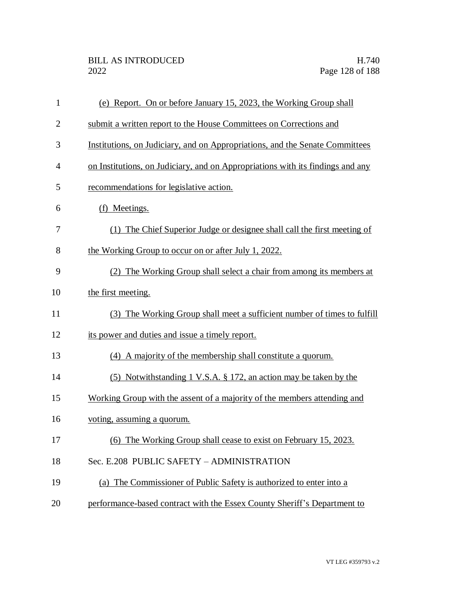| $\mathbf{1}$   | (e) Report. On or before January 15, 2023, the Working Group shall             |
|----------------|--------------------------------------------------------------------------------|
| $\overline{2}$ | submit a written report to the House Committees on Corrections and             |
| 3              | Institutions, on Judiciary, and on Appropriations, and the Senate Committees   |
| $\overline{4}$ | on Institutions, on Judiciary, and on Appropriations with its findings and any |
| 5              | recommendations for legislative action.                                        |
| 6              | (f) Meetings.                                                                  |
| 7              | (1) The Chief Superior Judge or designee shall call the first meeting of       |
| 8              | the Working Group to occur on or after July 1, 2022.                           |
| 9              | (2) The Working Group shall select a chair from among its members at           |
| 10             | the first meeting.                                                             |
| 11             | (3) The Working Group shall meet a sufficient number of times to fulfill       |
| 12             | its power and duties and issue a timely report.                                |
| 13             | (4) A majority of the membership shall constitute a quorum.                    |
| 14             | (5) Notwithstanding 1 V.S.A. $\S$ 172, an action may be taken by the           |
| 15             | Working Group with the assent of a majority of the members attending and       |
| 16             | voting, assuming a quorum.                                                     |
| 17             | (6) The Working Group shall cease to exist on February 15, 2023.               |
| 18             | Sec. E.208 PUBLIC SAFETY - ADMINISTRATION                                      |
| 19             | (a) The Commissioner of Public Safety is authorized to enter into a            |
| 20             | performance-based contract with the Essex County Sheriff's Department to       |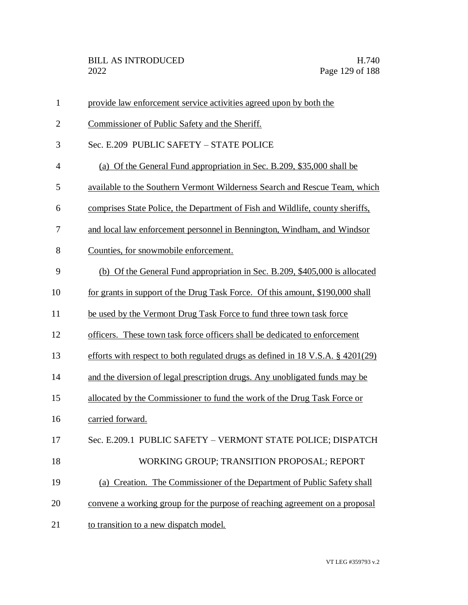| $\mathbf{1}$   | provide law enforcement service activities agreed upon by both the                 |
|----------------|------------------------------------------------------------------------------------|
| $\overline{2}$ | Commissioner of Public Safety and the Sheriff.                                     |
| 3              | Sec. E.209 PUBLIC SAFETY - STATE POLICE                                            |
| $\overline{4}$ | (a) Of the General Fund appropriation in Sec. B.209, \$35,000 shall be             |
| 5              | available to the Southern Vermont Wilderness Search and Rescue Team, which         |
| 6              | comprises State Police, the Department of Fish and Wildlife, county sheriffs,      |
| 7              | and local law enforcement personnel in Bennington, Windham, and Windsor            |
| 8              | Counties, for snowmobile enforcement.                                              |
| 9              | (b) Of the General Fund appropriation in Sec. B.209, \$405,000 is allocated        |
| 10             | for grants in support of the Drug Task Force. Of this amount, \$190,000 shall      |
| 11             | be used by the Vermont Drug Task Force to fund three town task force               |
| 12             | officers. These town task force officers shall be dedicated to enforcement         |
| 13             | efforts with respect to both regulated drugs as defined in 18 V.S.A. $\S$ 4201(29) |
| 14             | and the diversion of legal prescription drugs. Any unobligated funds may be        |
| 15             | allocated by the Commissioner to fund the work of the Drug Task Force or           |
| 16             | carried forward.                                                                   |
| 17             | Sec. E.209.1 PUBLIC SAFETY - VERMONT STATE POLICE; DISPATCH                        |
| 18             | WORKING GROUP; TRANSITION PROPOSAL; REPORT                                         |
| 19             | (a) Creation. The Commissioner of the Department of Public Safety shall            |
| 20             | convene a working group for the purpose of reaching agreement on a proposal        |
| 21             | to transition to a new dispatch model.                                             |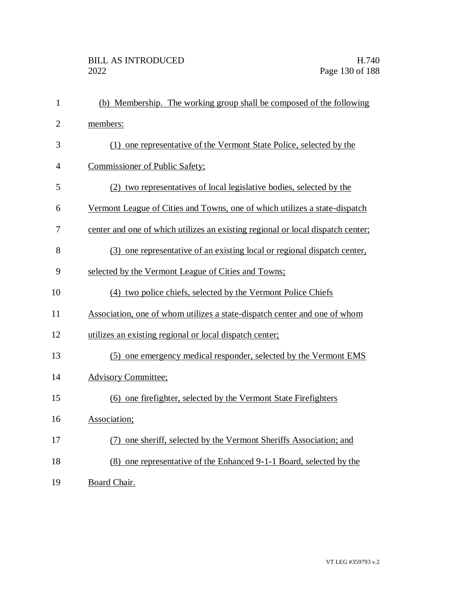| $\mathbf{1}$   | (b) Membership. The working group shall be composed of the following            |
|----------------|---------------------------------------------------------------------------------|
| $\overline{2}$ | members:                                                                        |
| 3              | (1) one representative of the Vermont State Police, selected by the             |
| $\overline{4}$ | Commissioner of Public Safety;                                                  |
| 5              | (2) two representatives of local legislative bodies, selected by the            |
| 6              | Vermont League of Cities and Towns, one of which utilizes a state-dispatch      |
| 7              | center and one of which utilizes an existing regional or local dispatch center; |
| 8              | (3) one representative of an existing local or regional dispatch center,        |
| 9              | selected by the Vermont League of Cities and Towns;                             |
| 10             | (4) two police chiefs, selected by the Vermont Police Chiefs                    |
| 11             | Association, one of whom utilizes a state-dispatch center and one of whom       |
| 12             | utilizes an existing regional or local dispatch center;                         |
| 13             | (5) one emergency medical responder, selected by the Vermont EMS                |
| 14             | <b>Advisory Committee;</b>                                                      |
| 15             | (6) one firefighter, selected by the Vermont State Firefighters                 |
| 16             | Association;                                                                    |
| 17             | (7) one sheriff, selected by the Vermont Sheriffs Association; and              |
| 18             | (8) one representative of the Enhanced 9-1-1 Board, selected by the             |
| 19             | Board Chair.                                                                    |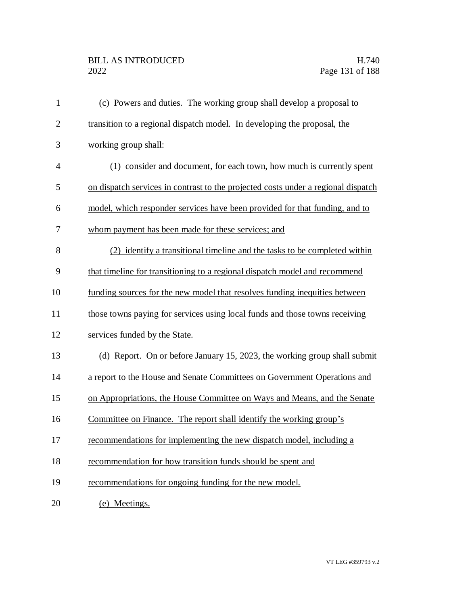| $\mathbf{1}$ | (c) Powers and duties. The working group shall develop a proposal to              |
|--------------|-----------------------------------------------------------------------------------|
| $\mathbf{2}$ | transition to a regional dispatch model. In developing the proposal, the          |
| 3            | working group shall:                                                              |
| 4            | (1) consider and document, for each town, how much is currently spent             |
| 5            | on dispatch services in contrast to the projected costs under a regional dispatch |
| 6            | model, which responder services have been provided for that funding, and to       |
| 7            | whom payment has been made for these services; and                                |
| 8            | (2) identify a transitional timeline and the tasks to be completed within         |
| 9            | that timeline for transitioning to a regional dispatch model and recommend        |
| 10           | funding sources for the new model that resolves funding inequities between        |
| 11           | those towns paying for services using local funds and those towns receiving       |
| 12           | services funded by the State.                                                     |
| 13           | (d) Report. On or before January 15, 2023, the working group shall submit         |
| 14           | a report to the House and Senate Committees on Government Operations and          |
| 15           | on Appropriations, the House Committee on Ways and Means, and the Senate          |
| 16           | Committee on Finance. The report shall identify the working group's               |
| 17           | recommendations for implementing the new dispatch model, including a              |
| 18           | recommendation for how transition funds should be spent and                       |
| 19           | recommendations for ongoing funding for the new model.                            |
| 20           | (e) Meetings.                                                                     |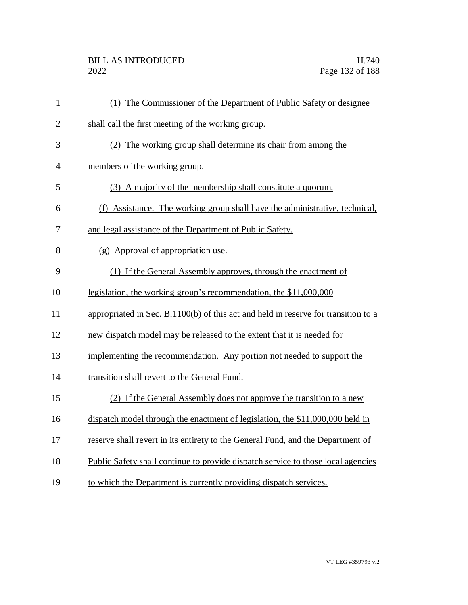| $\mathbf{1}$   | (1) The Commissioner of the Department of Public Safety or designee                |
|----------------|------------------------------------------------------------------------------------|
| $\overline{2}$ | shall call the first meeting of the working group.                                 |
| 3              | (2) The working group shall determine its chair from among the                     |
| $\overline{4}$ | members of the working group.                                                      |
| 5              | (3) A majority of the membership shall constitute a quorum.                        |
| 6              | (f) Assistance. The working group shall have the administrative, technical,        |
| $\overline{7}$ | and legal assistance of the Department of Public Safety.                           |
| 8              | (g) Approval of appropriation use.                                                 |
| 9              | (1) If the General Assembly approves, through the enactment of                     |
| 10             | legislation, the working group's recommendation, the \$11,000,000                  |
| 11             | appropriated in Sec. B.1100(b) of this act and held in reserve for transition to a |
| 12             | new dispatch model may be released to the extent that it is needed for             |
| 13             | implementing the recommendation. Any portion not needed to support the             |
| 14             | transition shall revert to the General Fund.                                       |
| 15             | (2) If the General Assembly does not approve the transition to a new               |
| 16             | dispatch model through the enactment of legislation, the \$11,000,000 held in      |
| 17             | reserve shall revert in its entirety to the General Fund, and the Department of    |
| 18             | Public Safety shall continue to provide dispatch service to those local agencies   |
| 19             | to which the Department is currently providing dispatch services.                  |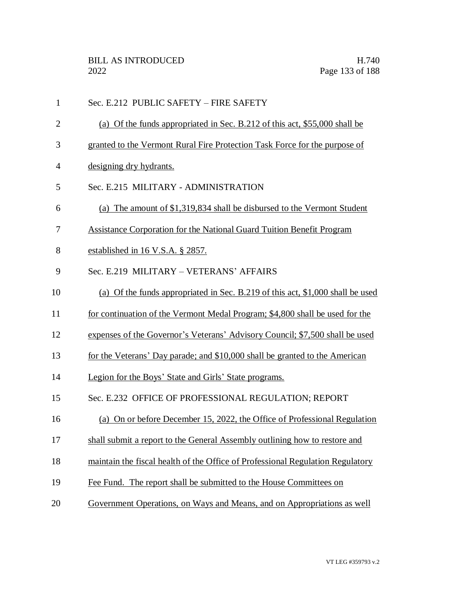| $\mathbf{1}$   | Sec. E.212 PUBLIC SAFETY - FIRE SAFETY                                         |
|----------------|--------------------------------------------------------------------------------|
| $\overline{2}$ | (a) Of the funds appropriated in Sec. B.212 of this act, \$55,000 shall be     |
| 3              | granted to the Vermont Rural Fire Protection Task Force for the purpose of     |
| 4              | designing dry hydrants.                                                        |
| 5              | Sec. E.215 MILITARY - ADMINISTRATION                                           |
| 6              | (a) The amount of \$1,319,834 shall be disbursed to the Vermont Student        |
| 7              | <b>Assistance Corporation for the National Guard Tuition Benefit Program</b>   |
| 8              | established in 16 V.S.A. § 2857.                                               |
| 9              | Sec. E.219 MILITARY - VETERANS' AFFAIRS                                        |
| 10             | (a) Of the funds appropriated in Sec. B.219 of this act, \$1,000 shall be used |
| 11             | for continuation of the Vermont Medal Program; \$4,800 shall be used for the   |
| 12             | expenses of the Governor's Veterans' Advisory Council; \$7,500 shall be used   |
| 13             | for the Veterans' Day parade; and \$10,000 shall be granted to the American    |
| 14             | Legion for the Boys' State and Girls' State programs.                          |
| 15             | Sec. E.232 OFFICE OF PROFESSIONAL REGULATION; REPORT                           |
| 16             | (a) On or before December 15, 2022, the Office of Professional Regulation      |
| 17             | shall submit a report to the General Assembly outlining how to restore and     |
| 18             | maintain the fiscal health of the Office of Professional Regulation Regulatory |
| 19             | Fee Fund. The report shall be submitted to the House Committees on             |
| 20             | Government Operations, on Ways and Means, and on Appropriations as well        |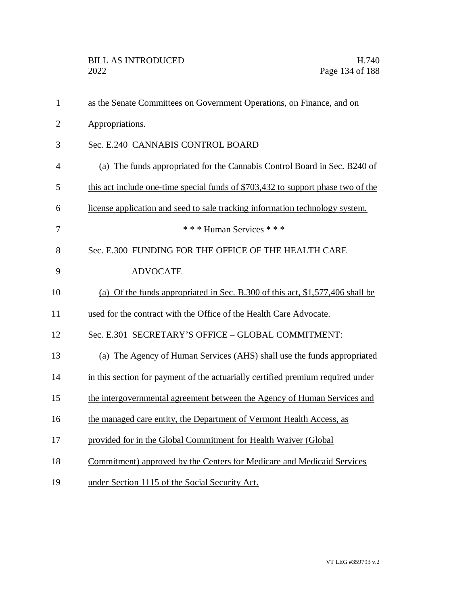| $\mathbf{1}$   | as the Senate Committees on Government Operations, on Finance, and on            |
|----------------|----------------------------------------------------------------------------------|
| $\overline{2}$ | Appropriations.                                                                  |
| 3              | Sec. E.240 CANNABIS CONTROL BOARD                                                |
| $\overline{4}$ | (a) The funds appropriated for the Cannabis Control Board in Sec. B240 of        |
| 5              | this act include one-time special funds of \$703,432 to support phase two of the |
| 6              | license application and seed to sale tracking information technology system.     |
| 7              | * * * Human Services * * *                                                       |
| 8              | Sec. E.300 FUNDING FOR THE OFFICE OF THE HEALTH CARE                             |
| 9              | <b>ADVOCATE</b>                                                                  |
| 10             | (a) Of the funds appropriated in Sec. B.300 of this act, \$1,577,406 shall be    |
| 11             | used for the contract with the Office of the Health Care Advocate.               |
| 12             | Sec. E.301 SECRETARY'S OFFICE - GLOBAL COMMITMENT:                               |
| 13             | (a) The Agency of Human Services (AHS) shall use the funds appropriated          |
| 14             | in this section for payment of the actuarially certified premium required under  |
| 15             | the intergovernmental agreement between the Agency of Human Services and         |
| 16             | the managed care entity, the Department of Vermont Health Access, as             |
| 17             | provided for in the Global Commitment for Health Waiver (Global                  |
| 18             | Commitment) approved by the Centers for Medicare and Medicaid Services           |
| 19             | under Section 1115 of the Social Security Act.                                   |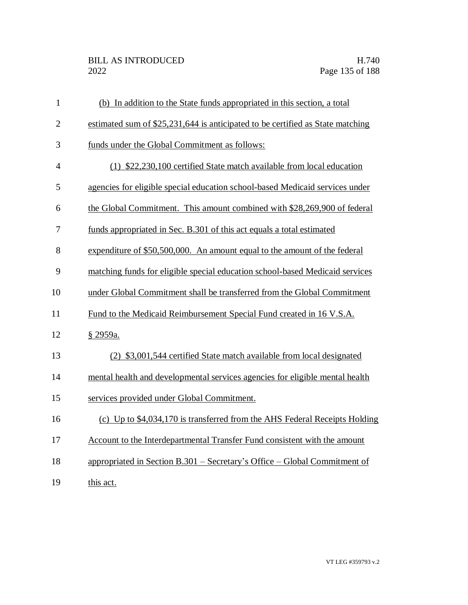| $\mathbf{1}$   | (b) In addition to the State funds appropriated in this section, a total       |
|----------------|--------------------------------------------------------------------------------|
| $\mathbf{2}$   | estimated sum of \$25,231,644 is anticipated to be certified as State matching |
| 3              | funds under the Global Commitment as follows:                                  |
| $\overline{4}$ | (1) \$22,230,100 certified State match available from local education          |
| 5              | agencies for eligible special education school-based Medicaid services under   |
| 6              | the Global Commitment. This amount combined with \$28,269,900 of federal       |
| 7              | funds appropriated in Sec. B.301 of this act equals a total estimated          |
| 8              | expenditure of \$50,500,000. An amount equal to the amount of the federal      |
| 9              | matching funds for eligible special education school-based Medicaid services   |
| 10             | under Global Commitment shall be transferred from the Global Commitment        |
| 11             | Fund to the Medicaid Reimbursement Special Fund created in 16 V.S.A.           |
| 12             | § 2959a.                                                                       |
| 13             | (2) \$3,001,544 certified State match available from local designated          |
| 14             | mental health and developmental services agencies for eligible mental health   |
| 15             | services provided under Global Commitment.                                     |
| 16             | (c) Up to \$4,034,170 is transferred from the AHS Federal Receipts Holding     |
| 17             | Account to the Interdepartmental Transfer Fund consistent with the amount      |
| 18             | appropriated in Section B.301 – Secretary's Office – Global Commitment of      |
| 19             | this act.                                                                      |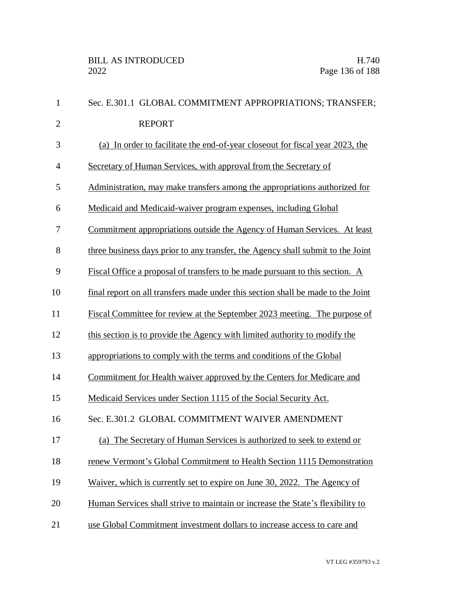| $\mathbf{1}$   | Sec. E.301.1 GLOBAL COMMITMENT APPROPRIATIONS; TRANSFER;                         |
|----------------|----------------------------------------------------------------------------------|
| $\overline{2}$ | <b>REPORT</b>                                                                    |
| 3              | (a) In order to facilitate the end-of-year close out for fiscal year 2023, the   |
| $\overline{4}$ | Secretary of Human Services, with approval from the Secretary of                 |
| 5              | Administration, may make transfers among the appropriations authorized for       |
| 6              | Medicaid and Medicaid-waiver program expenses, including Global                  |
| 7              | Commitment appropriations outside the Agency of Human Services. At least         |
| 8              | three business days prior to any transfer, the Agency shall submit to the Joint  |
| 9              | Fiscal Office a proposal of transfers to be made pursuant to this section. A     |
| 10             | final report on all transfers made under this section shall be made to the Joint |
| 11             | Fiscal Committee for review at the September 2023 meeting. The purpose of        |
| 12             | this section is to provide the Agency with limited authority to modify the       |
| 13             | appropriations to comply with the terms and conditions of the Global             |
| 14             | Commitment for Health waiver approved by the Centers for Medicare and            |
| 15             | Medicaid Services under Section 1115 of the Social Security Act.                 |
| 16             | Sec. E.301.2 GLOBAL COMMITMENT WAIVER AMENDMENT                                  |
| 17             | (a) The Secretary of Human Services is authorized to seek to extend or           |
| 18             | renew Vermont's Global Commitment to Health Section 1115 Demonstration           |
| 19             | Waiver, which is currently set to expire on June 30, 2022. The Agency of         |
| 20             | Human Services shall strive to maintain or increase the State's flexibility to   |
| 21             | use Global Commitment investment dollars to increase access to care and          |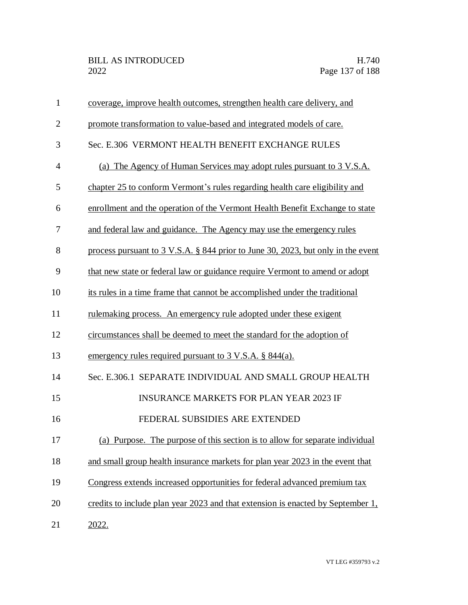| $\mathbf{1}$   | coverage, improve health outcomes, strengthen health care delivery, and          |
|----------------|----------------------------------------------------------------------------------|
| $\overline{2}$ | promote transformation to value-based and integrated models of care.             |
| 3              | Sec. E.306 VERMONT HEALTH BENEFIT EXCHANGE RULES                                 |
| $\overline{4}$ | (a) The Agency of Human Services may adopt rules pursuant to 3 V.S.A.            |
| 5              | chapter 25 to conform Vermont's rules regarding health care eligibility and      |
| 6              | enrollment and the operation of the Vermont Health Benefit Exchange to state     |
| 7              | and federal law and guidance. The Agency may use the emergency rules             |
| 8              | process pursuant to 3 V.S.A. § 844 prior to June 30, 2023, but only in the event |
| 9              | that new state or federal law or guidance require Vermont to amend or adopt      |
| 10             | its rules in a time frame that cannot be accomplished under the traditional      |
| 11             | <u>rulemaking process. An emergency rule adopted under these exigent</u>         |
| 12             | circumstances shall be deemed to meet the standard for the adoption of           |
| 13             | emergency rules required pursuant to $3 \text{ V.S.A.}$ \$ 844(a).               |
| 14             | Sec. E.306.1 SEPARATE INDIVIDUAL AND SMALL GROUP HEALTH                          |
| 15             | <b>INSURANCE MARKETS FOR PLAN YEAR 2023 IF</b>                                   |
| 16             | FEDERAL SUBSIDIES ARE EXTENDED                                                   |
| 17             | (a) Purpose. The purpose of this section is to allow for separate individual     |
| 18             | and small group health insurance markets for plan year 2023 in the event that    |
| 19             | Congress extends increased opportunities for federal advanced premium tax        |
| 20             | credits to include plan year 2023 and that extension is enacted by September 1,  |
| 21             | 2022.                                                                            |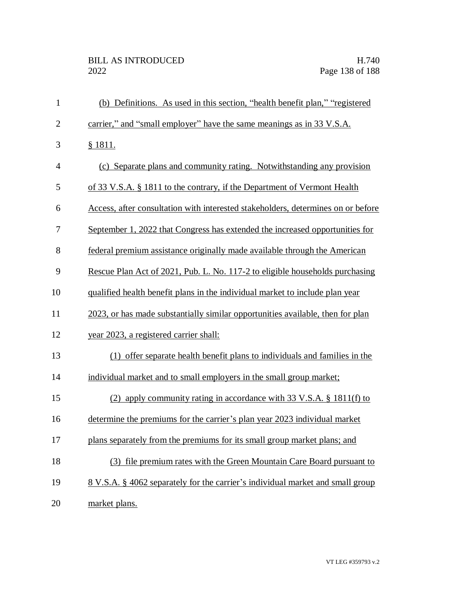| $\mathbf{1}$   | (b) Definitions. As used in this section, "health benefit plan," "registered          |
|----------------|---------------------------------------------------------------------------------------|
| $\overline{2}$ | carrier," and "small employer" have the same meanings as in 33 V.S.A.                 |
| 3              | <u>§ 1811.</u>                                                                        |
| $\overline{4}$ | (c) Separate plans and community rating. Notwithstanding any provision                |
| 5              | of 33 V.S.A. § 1811 to the contrary, if the Department of Vermont Health              |
| 6              | Access, after consultation with interested stakeholders, determines on or before      |
| 7              | September 1, 2022 that Congress has extended the increased opportunities for          |
| 8              | federal premium assistance originally made available through the American             |
| 9              | Rescue Plan Act of 2021, Pub. L. No. 117-2 to eligible households purchasing          |
| 10             | qualified health benefit plans in the individual market to include plan year          |
| 11             | 2023, or has made substantially similar opportunities available, then for plan        |
| 12             | year 2023, a registered carrier shall:                                                |
| 13             | (1) offer separate health benefit plans to individuals and families in the            |
| 14             | individual market and to small employers in the small group market;                   |
| 15             | (2) apply community rating in accordance with 33 V.S.A. $\S$ 1811(f) to               |
| 16             | determine the premiums for the carrier's plan year 2023 individual market             |
| 17             | plans separately from the premiums for its small group market plans; and              |
| 18             | (3) file premium rates with the Green Mountain Care Board pursuant to                 |
| 19             | <u>8 V.S.A. § 4062 separately for the carrier's individual market and small group</u> |
| 20             | market plans.                                                                         |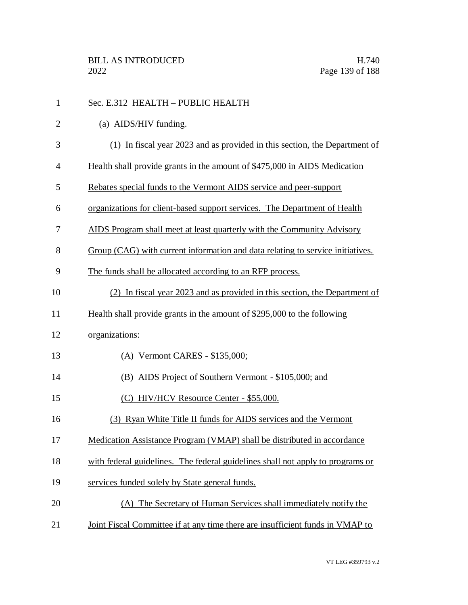| $\mathbf{1}$   | Sec. E.312 HEALTH - PUBLIC HEALTH                                              |
|----------------|--------------------------------------------------------------------------------|
| $\overline{2}$ | (a) AIDS/HIV funding.                                                          |
| 3              | (1) In fiscal year 2023 and as provided in this section, the Department of     |
| $\overline{4}$ | Health shall provide grants in the amount of \$475,000 in AIDS Medication      |
| 5              | Rebates special funds to the Vermont AIDS service and peer-support             |
| 6              | organizations for client-based support services. The Department of Health      |
| 7              | AIDS Program shall meet at least quarterly with the Community Advisory         |
| 8              | Group (CAG) with current information and data relating to service initiatives. |
| 9              | The funds shall be allocated according to an RFP process.                      |
| 10             | (2) In fiscal year 2023 and as provided in this section, the Department of     |
| 11             | Health shall provide grants in the amount of \$295,000 to the following        |
| 12             | organizations:                                                                 |
| 13             | (A) Vermont CARES - \$135,000;                                                 |
| 14             | (B) AIDS Project of Southern Vermont - \$105,000; and                          |
| 15             | (C) HIV/HCV Resource Center - \$55,000.                                        |
| 16             | (3) Ryan White Title II funds for AIDS services and the Vermont                |
| 17             | Medication Assistance Program (VMAP) shall be distributed in accordance        |
| 18             | with federal guidelines. The federal guidelines shall not apply to programs or |
| 19             | services funded solely by State general funds.                                 |
| 20             | (A) The Secretary of Human Services shall immediately notify the               |
| 21             | Joint Fiscal Committee if at any time there are insufficient funds in VMAP to  |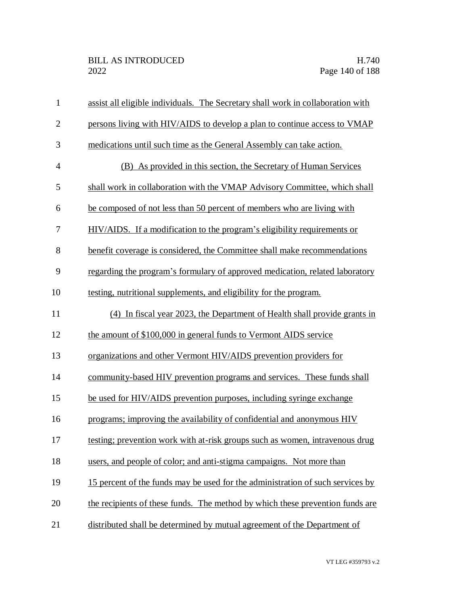| $\mathbf{1}$   | assist all eligible individuals. The Secretary shall work in collaboration with |
|----------------|---------------------------------------------------------------------------------|
| $\overline{2}$ | persons living with HIV/AIDS to develop a plan to continue access to VMAP       |
| 3              | medications until such time as the General Assembly can take action.            |
| $\overline{4}$ | (B) As provided in this section, the Secretary of Human Services                |
| 5              | shall work in collaboration with the VMAP Advisory Committee, which shall       |
| 6              | be composed of not less than 50 percent of members who are living with          |
| 7              | HIV/AIDS. If a modification to the program's eligibility requirements or        |
| 8              | benefit coverage is considered, the Committee shall make recommendations        |
| 9              | regarding the program's formulary of approved medication, related laboratory    |
| 10             | testing, nutritional supplements, and eligibility for the program.              |
| 11             | (4) In fiscal year 2023, the Department of Health shall provide grants in       |
| 12             | the amount of \$100,000 in general funds to Vermont AIDS service                |
| 13             | organizations and other Vermont HIV/AIDS prevention providers for               |
| 14             | community-based HIV prevention programs and services. These funds shall         |
| 15             | be used for HIV/AIDS prevention purposes, including syringe exchange            |
| 16             | programs; improving the availability of confidential and anonymous HIV          |
| 17             | testing; prevention work with at-risk groups such as women, intravenous drug    |
| 18             | users, and people of color; and anti-stigma campaigns. Not more than            |
| 19             | 15 percent of the funds may be used for the administration of such services by  |
| 20             | the recipients of these funds. The method by which these prevention funds are   |
| 21             | distributed shall be determined by mutual agreement of the Department of        |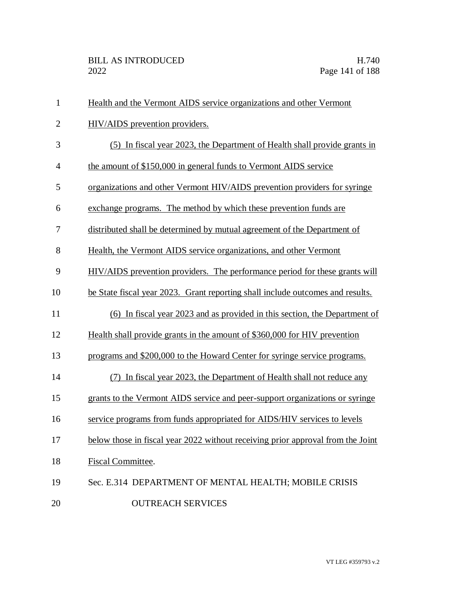| $\mathbf{1}$   | Health and the Vermont AIDS service organizations and other Vermont             |
|----------------|---------------------------------------------------------------------------------|
| $\overline{2}$ | HIV/AIDS prevention providers.                                                  |
| 3              | (5) In fiscal year 2023, the Department of Health shall provide grants in       |
| $\overline{4}$ | the amount of \$150,000 in general funds to Vermont AIDS service                |
| 5              | organizations and other Vermont HIV/AIDS prevention providers for syringe       |
| 6              | exchange programs. The method by which these prevention funds are               |
| 7              | distributed shall be determined by mutual agreement of the Department of        |
| 8              | Health, the Vermont AIDS service organizations, and other Vermont               |
| 9              | HIV/AIDS prevention providers. The performance period for these grants will     |
| 10             | be State fiscal year 2023. Grant reporting shall include outcomes and results.  |
| 11             | (6) In fiscal year 2023 and as provided in this section, the Department of      |
| 12             | Health shall provide grants in the amount of \$360,000 for HIV prevention       |
| 13             | programs and \$200,000 to the Howard Center for syringe service programs.       |
| 14             | (7) In fiscal year 2023, the Department of Health shall not reduce any          |
| 15             | grants to the Vermont AIDS service and peer-support organizations or syringe    |
| 16             | service programs from funds appropriated for AIDS/HIV services to levels        |
| 17             | below those in fiscal year 2022 without receiving prior approval from the Joint |
| 18             | Fiscal Committee.                                                               |
| 19             | Sec. E.314 DEPARTMENT OF MENTAL HEALTH; MOBILE CRISIS                           |
| 20             | <b>OUTREACH SERVICES</b>                                                        |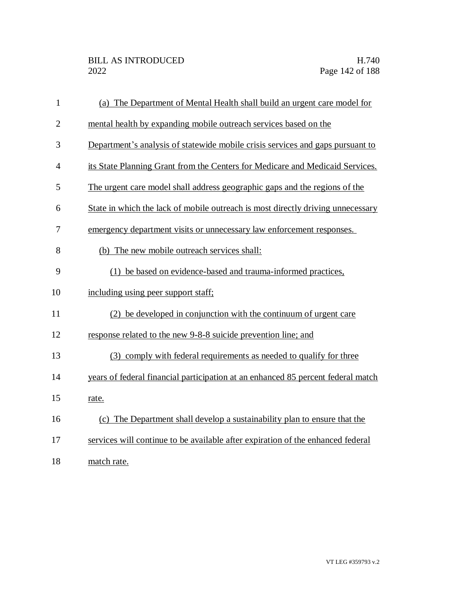| $\mathbf{1}$   | (a) The Department of Mental Health shall build an urgent care model for         |
|----------------|----------------------------------------------------------------------------------|
| $\overline{2}$ | mental health by expanding mobile outreach services based on the                 |
| 3              | Department's analysis of statewide mobile crisis services and gaps pursuant to   |
| $\overline{4}$ | its State Planning Grant from the Centers for Medicare and Medicaid Services.    |
| 5              | The urgent care model shall address geographic gaps and the regions of the       |
| 6              | State in which the lack of mobile outreach is most directly driving unnecessary  |
| 7              | emergency department visits or unnecessary law enforcement responses.            |
| 8              | (b) The new mobile outreach services shall:                                      |
| 9              | (1) be based on evidence-based and trauma-informed practices,                    |
| 10             | including using peer support staff;                                              |
| 11             | (2) be developed in conjunction with the continuum of urgent care                |
| 12             | response related to the new 9-8-8 suicide prevention line; and                   |
| 13             | (3) comply with federal requirements as needed to qualify for three              |
| 14             | years of federal financial participation at an enhanced 85 percent federal match |
| 15             | rate.                                                                            |
| 16             | (c) The Department shall develop a sustainability plan to ensure that the        |
| 17             | services will continue to be available after expiration of the enhanced federal  |
| 18             | match rate.                                                                      |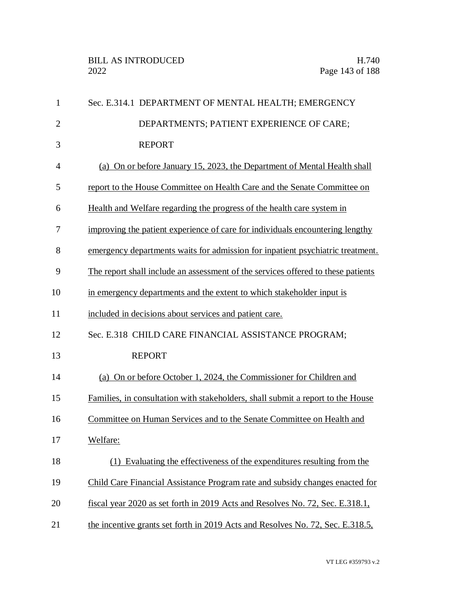| $\mathbf{1}$   | Sec. E.314.1 DEPARTMENT OF MENTAL HEALTH; EMERGENCY                              |
|----------------|----------------------------------------------------------------------------------|
| $\overline{2}$ | DEPARTMENTS; PATIENT EXPERIENCE OF CARE;                                         |
| 3              | <b>REPORT</b>                                                                    |
| $\overline{4}$ | (a) On or before January 15, 2023, the Department of Mental Health shall         |
| 5              | report to the House Committee on Health Care and the Senate Committee on         |
| 6              | Health and Welfare regarding the progress of the health care system in           |
| 7              | improving the patient experience of care for individuals encountering lengthy    |
| 8              | emergency departments waits for admission for inpatient psychiatric treatment.   |
| 9              | The report shall include an assessment of the services offered to these patients |
| 10             | in emergency departments and the extent to which stakeholder input is            |
| 11             | included in decisions about services and patient care.                           |
| 12             | Sec. E.318 CHILD CARE FINANCIAL ASSISTANCE PROGRAM;                              |
| 13             | <b>REPORT</b>                                                                    |
| 14             | (a) On or before October 1, 2024, the Commissioner for Children and              |
| 15             | Families, in consultation with stakeholders, shall submit a report to the House  |
| 16             | Committee on Human Services and to the Senate Committee on Health and            |
| 17             | Welfare:                                                                         |
| 18             | (1) Evaluating the effectiveness of the expenditures resulting from the          |
| 19             | Child Care Financial Assistance Program rate and subsidy changes enacted for     |
| 20             | fiscal year 2020 as set forth in 2019 Acts and Resolves No. 72, Sec. E.318.1,    |
| 21             | the incentive grants set forth in 2019 Acts and Resolves No. 72, Sec. E.318.5,   |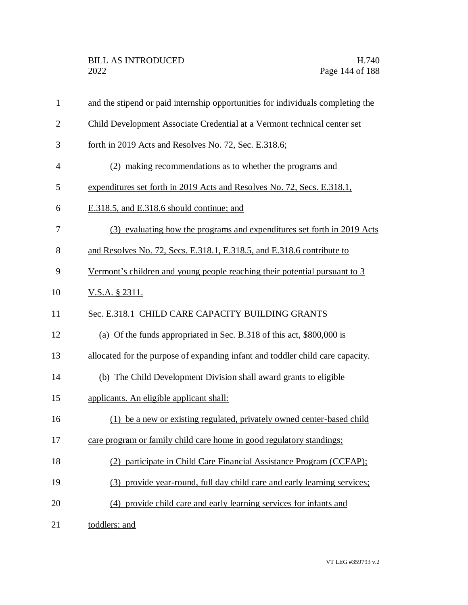| $\mathbf{1}$   | and the stipend or paid internship opportunities for individuals completing the |
|----------------|---------------------------------------------------------------------------------|
| $\overline{2}$ | Child Development Associate Credential at a Vermont technical center set        |
| 3              | forth in 2019 Acts and Resolves No. 72, Sec. E.318.6;                           |
| $\overline{4}$ | (2) making recommendations as to whether the programs and                       |
| 5              | expenditures set forth in 2019 Acts and Resolves No. 72, Secs. E.318.1,         |
| 6              | E.318.5, and E.318.6 should continue; and                                       |
| 7              | (3) evaluating how the programs and expenditures set forth in 2019 Acts         |
| 8              | and Resolves No. 72, Secs. E.318.1, E.318.5, and E.318.6 contribute to          |
| 9              | Vermont's children and young people reaching their potential pursuant to 3      |
| 10             | <u>V.S.A. § 2311.</u>                                                           |
| 11             | Sec. E.318.1 CHILD CARE CAPACITY BUILDING GRANTS                                |
| 12             | (a) Of the funds appropriated in Sec. B.318 of this act, \$800,000 is           |
| 13             | allocated for the purpose of expanding infant and toddler child care capacity.  |
| 14             | (b) The Child Development Division shall award grants to eligible               |
| 15             | applicants. An eligible applicant shall:                                        |
| 16             | (1) be a new or existing regulated, privately owned center-based child          |
| 17             | care program or family child care home in good regulatory standings;            |
| 18             | (2) participate in Child Care Financial Assistance Program (CCFAP);             |
| 19             | (3) provide year-round, full day child care and early learning services;        |
| 20             | (4) provide child care and early learning services for infants and              |
| 21             | toddlers; and                                                                   |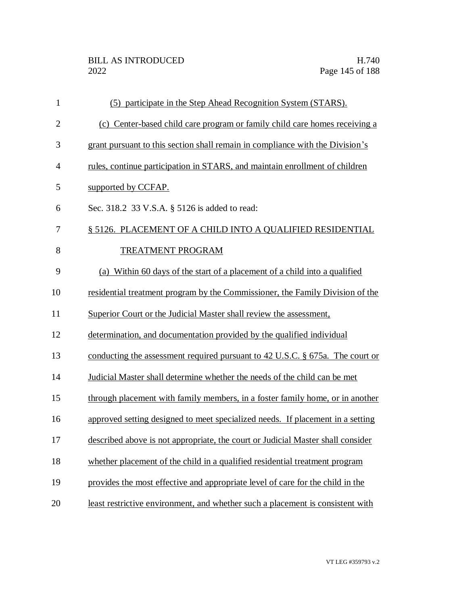| $\mathbf{1}$   | (5) participate in the Step Ahead Recognition System (STARS).                   |
|----------------|---------------------------------------------------------------------------------|
| $\overline{2}$ | (c) Center-based child care program or family child care homes receiving a      |
| 3              | grant pursuant to this section shall remain in compliance with the Division's   |
| $\overline{4}$ | rules, continue participation in STARS, and maintain enrollment of children     |
| 5              | supported by CCFAP.                                                             |
| 6              | Sec. 318.2 33 V.S.A. § 5126 is added to read:                                   |
| 7              | § 5126. PLACEMENT OF A CHILD INTO A QUALIFIED RESIDENTIAL                       |
| 8              | <b>TREATMENT PROGRAM</b>                                                        |
| 9              | (a) Within 60 days of the start of a placement of a child into a qualified      |
| 10             | residential treatment program by the Commissioner, the Family Division of the   |
| 11             | Superior Court or the Judicial Master shall review the assessment,              |
| 12             | determination, and documentation provided by the qualified individual           |
| 13             | conducting the assessment required pursuant to 42 U.S.C. § 675a. The court or   |
| 14             | Judicial Master shall determine whether the needs of the child can be met       |
| 15             | through placement with family members, in a foster family home, or in another   |
| 16             | approved setting designed to meet specialized needs. If placement in a setting  |
| 17             | described above is not appropriate, the court or Judicial Master shall consider |
| 18             | whether placement of the child in a qualified residential treatment program     |
| 19             | provides the most effective and appropriate level of care for the child in the  |
| 20             | least restrictive environment, and whether such a placement is consistent with  |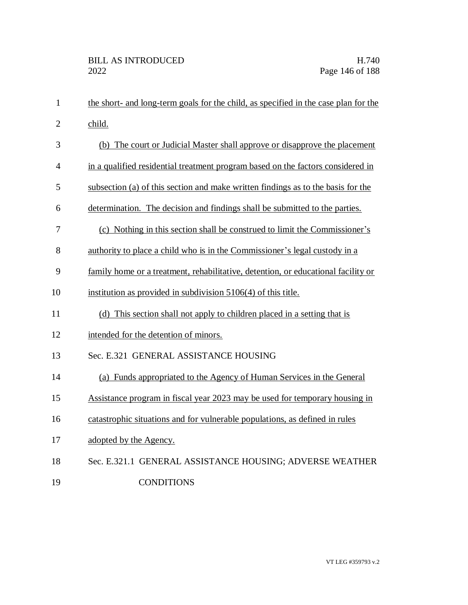| $\mathbf{1}$   | the short- and long-term goals for the child, as specified in the case plan for the |
|----------------|-------------------------------------------------------------------------------------|
| $\overline{2}$ | child.                                                                              |
| 3              | (b) The court or Judicial Master shall approve or disapprove the placement          |
| 4              | in a qualified residential treatment program based on the factors considered in     |
| 5              | subsection (a) of this section and make written findings as to the basis for the    |
| 6              | determination. The decision and findings shall be submitted to the parties.         |
| 7              | (c) Nothing in this section shall be construed to limit the Commissioner's          |
| 8              | authority to place a child who is in the Commissioner's legal custody in a          |
| 9              | family home or a treatment, rehabilitative, detention, or educational facility or   |
| 10             | institution as provided in subdivision 5106(4) of this title.                       |
| 11             | (d) This section shall not apply to children placed in a setting that is            |
| 12             | intended for the detention of minors.                                               |
| 13             | Sec. E.321 GENERAL ASSISTANCE HOUSING                                               |
| 14             | (a) Funds appropriated to the Agency of Human Services in the General               |
| 15             | Assistance program in fiscal year 2023 may be used for temporary housing in         |
| 16             | catastrophic situations and for vulnerable populations, as defined in rules         |
| 17             | adopted by the Agency.                                                              |
| 18             | Sec. E.321.1 GENERAL ASSISTANCE HOUSING; ADVERSE WEATHER                            |
| 19             | <b>CONDITIONS</b>                                                                   |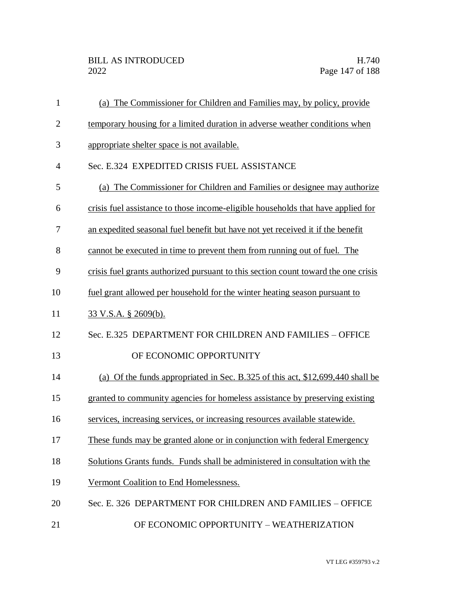| $\mathbf{1}$   | (a) The Commissioner for Children and Families may, by policy, provide             |
|----------------|------------------------------------------------------------------------------------|
| $\overline{2}$ | temporary housing for a limited duration in adverse weather conditions when        |
| 3              | appropriate shelter space is not available.                                        |
| $\overline{4}$ | Sec. E.324 EXPEDITED CRISIS FUEL ASSISTANCE                                        |
| 5              | (a) The Commissioner for Children and Families or designee may authorize           |
| 6              | crisis fuel assistance to those income-eligible households that have applied for   |
| 7              | an expedited seasonal fuel benefit but have not yet received it if the benefit     |
| 8              | cannot be executed in time to prevent them from running out of fuel. The           |
| 9              | crisis fuel grants authorized pursuant to this section count toward the one crisis |
| 10             | fuel grant allowed per household for the winter heating season pursuant to         |
| 11             | 33 V.S.A. § 2609(b).                                                               |
| 12             | Sec. E.325 DEPARTMENT FOR CHILDREN AND FAMILIES - OFFICE                           |
| 13             | OF ECONOMIC OPPORTUNITY                                                            |
| 14             | (a) Of the funds appropriated in Sec. B.325 of this act, \$12,699,440 shall be     |
| 15             | granted to community agencies for homeless assistance by preserving existing       |
| 16             | services, increasing services, or increasing resources available statewide.        |
| 17             | These funds may be granted alone or in conjunction with federal Emergency          |
| 18             | Solutions Grants funds. Funds shall be administered in consultation with the       |
| 19             | Vermont Coalition to End Homelessness.                                             |
| 20             | Sec. E. 326 DEPARTMENT FOR CHILDREN AND FAMILIES - OFFICE                          |
| 21             | OF ECONOMIC OPPORTUNITY - WEATHERIZATION                                           |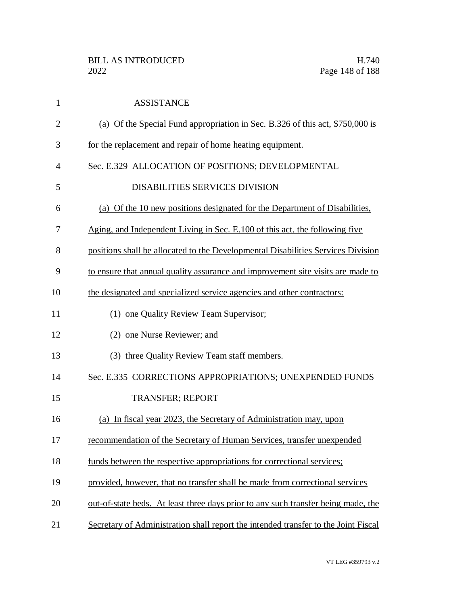| $\mathbf{1}$   | <b>ASSISTANCE</b>                                                                  |
|----------------|------------------------------------------------------------------------------------|
| $\overline{2}$ | (a) Of the Special Fund appropriation in Sec. B.326 of this act, \$750,000 is      |
| 3              | for the replacement and repair of home heating equipment.                          |
| $\overline{4}$ | Sec. E.329 ALLOCATION OF POSITIONS; DEVELOPMENTAL                                  |
| 5              | <b>DISABILITIES SERVICES DIVISION</b>                                              |
| 6              | (a) Of the 10 new positions designated for the Department of Disabilities,         |
| 7              | Aging, and Independent Living in Sec. E.100 of this act, the following five        |
| 8              | positions shall be allocated to the Developmental Disabilities Services Division   |
| 9              | to ensure that annual quality assurance and improvement site visits are made to    |
| 10             | the designated and specialized service agencies and other contractors:             |
| 11             | (1) one Quality Review Team Supervisor:                                            |
| 12             | (2) one Nurse Reviewer; and                                                        |
| 13             | (3) three Quality Review Team staff members.                                       |
| 14             | Sec. E.335 CORRECTIONS APPROPRIATIONS; UNEXPENDED FUNDS                            |
| 15             | <b>TRANSFER; REPORT</b>                                                            |
| 16             | (a) In fiscal year 2023, the Secretary of Administration may, upon                 |
| 17             | recommendation of the Secretary of Human Services, transfer unexpended             |
| 18             | funds between the respective appropriations for correctional services;             |
| 19             | provided, however, that no transfer shall be made from correctional services       |
| 20             | out-of-state beds. At least three days prior to any such transfer being made, the  |
| 21             | Secretary of Administration shall report the intended transfer to the Joint Fiscal |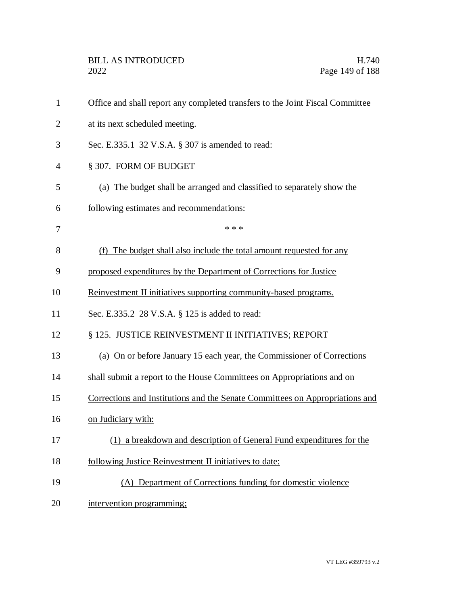| $\mathbf{1}$   | Office and shall report any completed transfers to the Joint Fiscal Committee |
|----------------|-------------------------------------------------------------------------------|
| $\overline{2}$ | at its next scheduled meeting.                                                |
| 3              | Sec. E.335.1 32 V.S.A. § 307 is amended to read:                              |
| $\overline{4}$ | § 307. FORM OF BUDGET                                                         |
| 5              | (a) The budget shall be arranged and classified to separately show the        |
| 6              | following estimates and recommendations:                                      |
| 7              | * * *                                                                         |
| 8              | (f) The budget shall also include the total amount requested for any          |
| 9              | proposed expenditures by the Department of Corrections for Justice            |
| 10             | Reinvestment II initiatives supporting community-based programs.              |
| 11             | Sec. E.335.2 28 V.S.A. § 125 is added to read:                                |
| 12             | § 125. JUSTICE REINVESTMENT II INITIATIVES; REPORT                            |
| 13             | (a) On or before January 15 each year, the Commissioner of Corrections        |
| 14             | shall submit a report to the House Committees on Appropriations and on        |
| 15             | Corrections and Institutions and the Senate Committees on Appropriations and  |
| 16             | on Judiciary with:                                                            |
| 17             | (1) a breakdown and description of General Fund expenditures for the          |
| 18             | following Justice Reinvestment II initiatives to date:                        |
| 19             | (A) Department of Corrections funding for domestic violence                   |
| 20             | intervention programming;                                                     |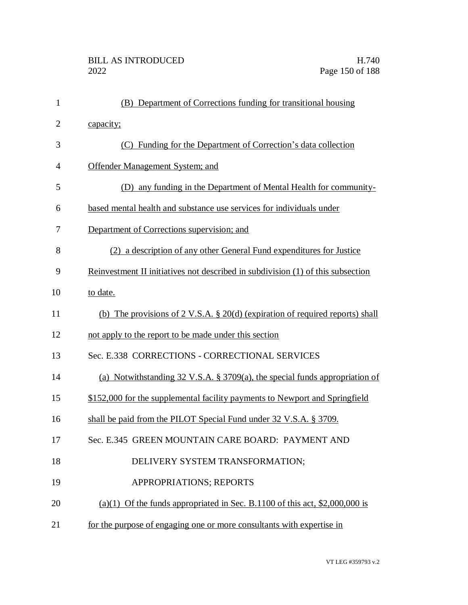| $\mathbf{1}$   | (B) Department of Corrections funding for transitional housing                           |
|----------------|------------------------------------------------------------------------------------------|
| $\overline{2}$ | capacity;                                                                                |
| 3              | (C) Funding for the Department of Correction's data collection                           |
| 4              | Offender Management System; and                                                          |
| 5              | (D) any funding in the Department of Mental Health for community-                        |
| 6              | based mental health and substance use services for individuals under                     |
| 7              | Department of Corrections supervision; and                                               |
| 8              | (2) a description of any other General Fund expenditures for Justice                     |
| 9              | Reinvestment II initiatives not described in subdivision (1) of this subsection          |
| 10             | to date.                                                                                 |
| 11             | (b) The provisions of $2 \text{ V.S.A. } § 20(d)$ (expiration of required reports) shall |
| 12             | not apply to the report to be made under this section                                    |
| 13             | Sec. E.338 CORRECTIONS - CORRECTIONAL SERVICES                                           |
| 14             | (a) Notwithstanding 32 V.S.A. § 3709(a), the special funds appropriation of              |
| 15             | \$152,000 for the supplemental facility payments to Newport and Springfield              |
| 16             | shall be paid from the PILOT Special Fund under 32 V.S.A. § 3709.                        |
| 17             | Sec. E.345 GREEN MOUNTAIN CARE BOARD: PAYMENT AND                                        |
| 18             | DELIVERY SYSTEM TRANSFORMATION;                                                          |
| 19             | APPROPRIATIONS; REPORTS                                                                  |
| 20             | (a)(1) Of the funds appropriated in Sec. B.1100 of this act, $$2,000,000$ is             |
| 21             | for the purpose of engaging one or more consultants with expertise in                    |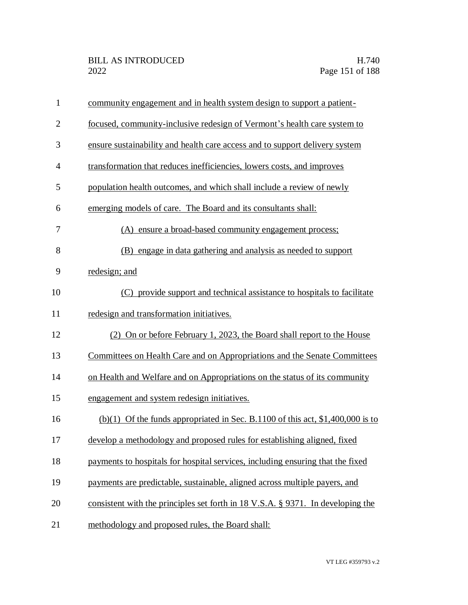| $\mathbf{1}$   | community engagement and in health system design to support a patient-          |
|----------------|---------------------------------------------------------------------------------|
| $\overline{2}$ | focused, community-inclusive redesign of Vermont's health care system to        |
| 3              | ensure sustainability and health care access and to support delivery system     |
| $\overline{4}$ | transformation that reduces inefficiencies, lowers costs, and improves          |
| 5              | population health outcomes, and which shall include a review of newly           |
| 6              | emerging models of care. The Board and its consultants shall:                   |
| 7              | (A) ensure a broad-based community engagement process;                          |
| 8              | (B) engage in data gathering and analysis as needed to support                  |
| 9              | redesign; and                                                                   |
| 10             | (C) provide support and technical assistance to hospitals to facilitate         |
| 11             | redesign and transformation initiatives.                                        |
| 12             | (2) On or before February 1, 2023, the Board shall report to the House          |
| 13             | Committees on Health Care and on Appropriations and the Senate Committees       |
| 14             | on Health and Welfare and on Appropriations on the status of its community      |
| 15             | engagement and system redesign initiatives.                                     |
| 16             | (b)(1) Of the funds appropriated in Sec. B.1100 of this act, $$1,400,000$ is to |
| 17             | develop a methodology and proposed rules for establishing aligned, fixed        |
| 18             | payments to hospitals for hospital services, including ensuring that the fixed  |
| 19             | payments are predictable, sustainable, aligned across multiple payers, and      |
| 20             | consistent with the principles set forth in 18 V.S.A. § 9371. In developing the |
| 21             | methodology and proposed rules, the Board shall:                                |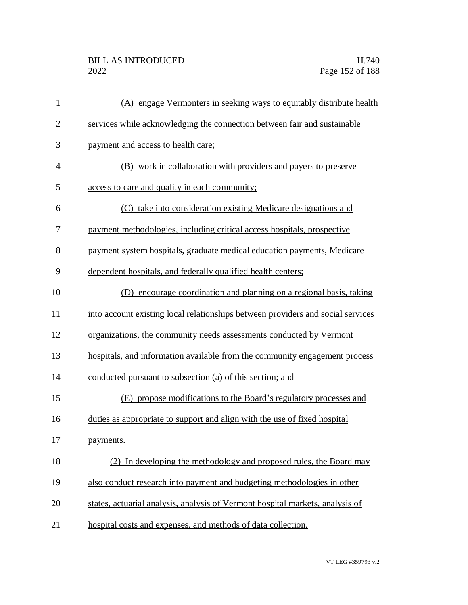| $\mathbf{1}$   | (A) engage Vermonters in seeking ways to equitably distribute health            |
|----------------|---------------------------------------------------------------------------------|
| $\overline{2}$ | services while acknowledging the connection between fair and sustainable        |
| 3              | payment and access to health care;                                              |
| $\overline{4}$ | (B) work in collaboration with providers and payers to preserve                 |
| 5              | access to care and quality in each community;                                   |
| 6              | (C) take into consideration existing Medicare designations and                  |
| 7              | payment methodologies, including critical access hospitals, prospective         |
| 8              | payment system hospitals, graduate medical education payments, Medicare         |
| 9              | dependent hospitals, and federally qualified health centers;                    |
| 10             | (D) encourage coordination and planning on a regional basis, taking             |
| 11             | into account existing local relationships between providers and social services |
| 12             | organizations, the community needs assessments conducted by Vermont             |
| 13             | hospitals, and information available from the community engagement process      |
| 14             | conducted pursuant to subsection (a) of this section; and                       |
| 15             | (E) propose modifications to the Board's regulatory processes and               |
| 16             | duties as appropriate to support and align with the use of fixed hospital       |
| 17             | payments.                                                                       |
| 18             | (2) In developing the methodology and proposed rules, the Board may             |
| 19             | also conduct research into payment and budgeting methodologies in other         |
| 20             | states, actuarial analysis, analysis of Vermont hospital markets, analysis of   |
| 21             | hospital costs and expenses, and methods of data collection.                    |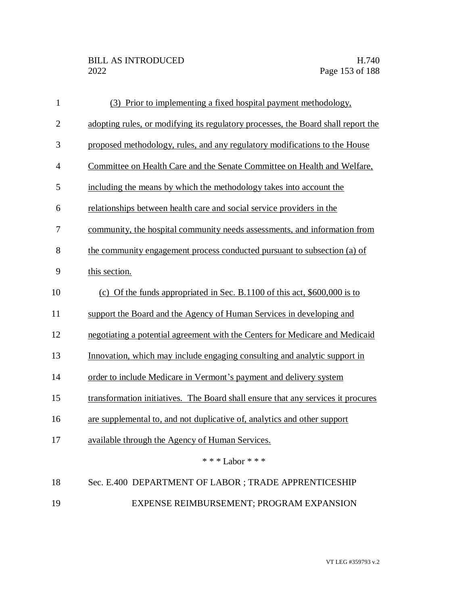| $\mathbf{1}$   | Prior to implementing a fixed hospital payment methodology,<br>(3)                |
|----------------|-----------------------------------------------------------------------------------|
| $\mathbf{2}$   | adopting rules, or modifying its regulatory processes, the Board shall report the |
| 3              | proposed methodology, rules, and any regulatory modifications to the House        |
| $\overline{4}$ | Committee on Health Care and the Senate Committee on Health and Welfare,          |
| 5              | including the means by which the methodology takes into account the               |
| 6              | relationships between health care and social service providers in the             |
| 7              | community, the hospital community needs assessments, and information from         |
| 8              | the community engagement process conducted pursuant to subsection (a) of          |
| 9              | this section.                                                                     |
| 10             | (c) Of the funds appropriated in Sec. B.1100 of this act, $$600,000$ is to        |
| 11             | support the Board and the Agency of Human Services in developing and              |
| 12             | negotiating a potential agreement with the Centers for Medicare and Medicaid      |
| 13             | Innovation, which may include engaging consulting and analytic support in         |
| 14             | order to include Medicare in Vermont's payment and delivery system                |
| 15             | transformation initiatives. The Board shall ensure that any services it procures  |
| 16             | are supplemental to, and not duplicative of, analytics and other support          |
| 17             | available through the Agency of Human Services.                                   |
|                | * * * Labor * * *                                                                 |
| 18             | Sec. E.400 DEPARTMENT OF LABOR ; TRADE APPRENTICESHIP                             |
| 19             | EXPENSE REIMBURSEMENT; PROGRAM EXPANSION                                          |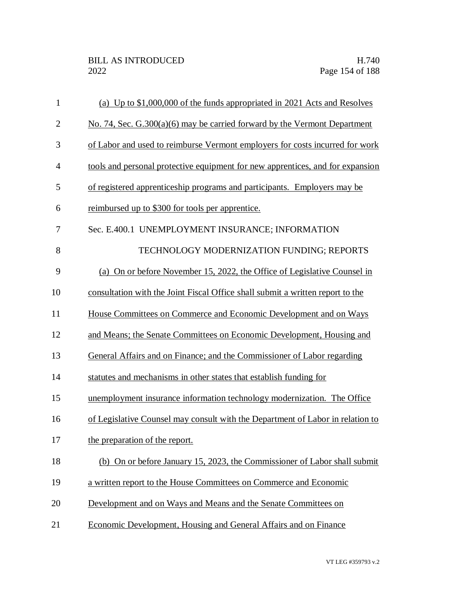| $\mathbf{1}$   | (a) Up to \$1,000,000 of the funds appropriated in 2021 Acts and Resolves      |
|----------------|--------------------------------------------------------------------------------|
| $\overline{2}$ | No. 74, Sec. $G.300(a)(6)$ may be carried forward by the Vermont Department    |
| 3              | of Labor and used to reimburse Vermont employers for costs incurred for work   |
| $\overline{4}$ | tools and personal protective equipment for new apprentices, and for expansion |
| 5              | of registered apprenticeship programs and participants. Employers may be       |
| 6              | reimbursed up to \$300 for tools per apprentice.                               |
| 7              | Sec. E.400.1 UNEMPLOYMENT INSURANCE; INFORMATION                               |
| 8              | TECHNOLOGY MODERNIZATION FUNDING; REPORTS                                      |
| 9              | (a) On or before November 15, 2022, the Office of Legislative Counsel in       |
| 10             | consultation with the Joint Fiscal Office shall submit a written report to the |
| 11             | House Committees on Commerce and Economic Development and on Ways              |
| 12             | and Means; the Senate Committees on Economic Development, Housing and          |
| 13             | General Affairs and on Finance; and the Commissioner of Labor regarding        |
| 14             | statutes and mechanisms in other states that establish funding for             |
| 15             | unemployment insurance information technology modernization. The Office        |
| 16             | of Legislative Counsel may consult with the Department of Labor in relation to |
| 17             | the preparation of the report.                                                 |
| 18             | (b) On or before January 15, 2023, the Commissioner of Labor shall submit      |
| 19             | a written report to the House Committees on Commerce and Economic              |
| 20             | Development and on Ways and Means and the Senate Committees on                 |
| 21             | Economic Development, Housing and General Affairs and on Finance               |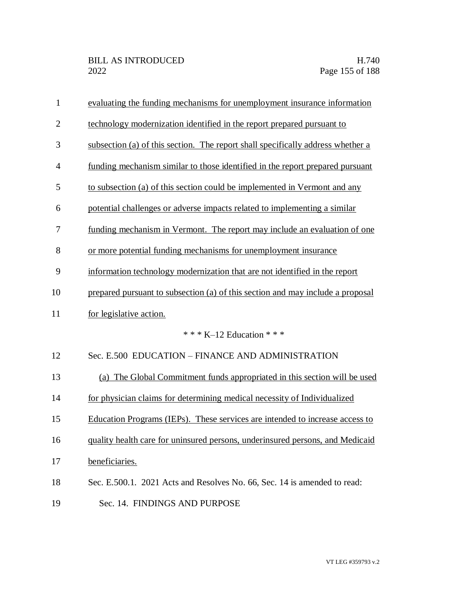| $\mathbf{1}$   | evaluating the funding mechanisms for unemployment insurance information        |
|----------------|---------------------------------------------------------------------------------|
| $\overline{2}$ | technology modernization identified in the report prepared pursuant to          |
| 3              | subsection (a) of this section. The report shall specifically address whether a |
| $\overline{4}$ | funding mechanism similar to those identified in the report prepared pursuant   |
| 5              | to subsection (a) of this section could be implemented in Vermont and any       |
| 6              | potential challenges or adverse impacts related to implementing a similar       |
| $\tau$         | funding mechanism in Vermont. The report may include an evaluation of one       |
| 8              | or more potential funding mechanisms for unemployment insurance                 |
| 9              | information technology modernization that are not identified in the report      |
| 10             | prepared pursuant to subsection (a) of this section and may include a proposal  |
| 11             | for legislative action.                                                         |
|                | * * * K-12 Education * * *                                                      |
| 12             | Sec. E.500 EDUCATION - FINANCE AND ADMINISTRATION                               |
| 13             | (a) The Global Commitment funds appropriated in this section will be used       |
| 14             | for physician claims for determining medical necessity of Individualized        |
| 15             | Education Programs (IEPs). These services are intended to increase access to    |
| 16             | quality health care for uninsured persons, underinsured persons, and Medicaid   |
| 17             | beneficiaries.                                                                  |
| 18             | Sec. E.500.1. 2021 Acts and Resolves No. 66, Sec. 14 is amended to read:        |
| 19             | Sec. 14. FINDINGS AND PURPOSE                                                   |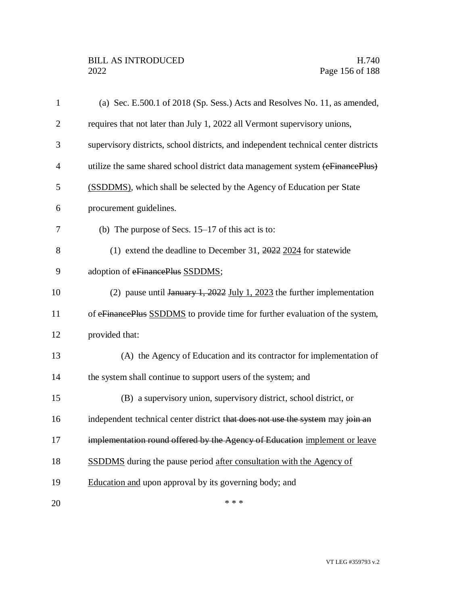| $\mathbf{1}$   | (a) Sec. E.500.1 of 2018 (Sp. Sess.) Acts and Resolves No. 11, as amended,                                 |
|----------------|------------------------------------------------------------------------------------------------------------|
| $\overline{2}$ | requires that not later than July 1, 2022 all Vermont supervisory unions,                                  |
| 3              | supervisory districts, school districts, and independent technical center districts                        |
| $\overline{4}$ | utilize the same shared school district data management system (eFinancePlus)                              |
| 5              | (SSDDMS), which shall be selected by the Agency of Education per State                                     |
| 6              | procurement guidelines.                                                                                    |
| 7              | (b) The purpose of Secs. $15-17$ of this act is to:                                                        |
| 8              | (1) extend the deadline to December 31, $\frac{2022}{2024}$ for statewide                                  |
| 9              | adoption of eFinancePlus SSDDMS;                                                                           |
| 10             | (2) pause until $\frac{1}{2}$ $\frac{1}{2022}$ $\frac{1}{201}$ $\frac{1}{2023}$ the further implementation |
| 11             | of eFinancePlus SSDDMS to provide time for further evaluation of the system,                               |
| 12             | provided that:                                                                                             |
| 13             | (A) the Agency of Education and its contractor for implementation of                                       |
| 14             | the system shall continue to support users of the system; and                                              |
| 15             | (B) a supervisory union, supervisory district, school district, or                                         |
| 16             | independent technical center district that does not use the system may join an                             |
| 17             | implementation round offered by the Agency of Education implement or leave                                 |
| 18             | <b>SSDDMS</b> during the pause period after consultation with the Agency of                                |
| 19             | Education and upon approval by its governing body; and                                                     |
| 20             | * * *                                                                                                      |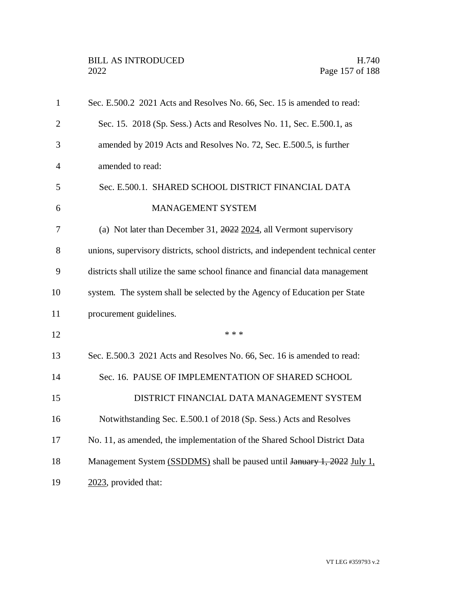| $\mathbf{1}$   | Sec. E.500.2 2021 Acts and Resolves No. 66, Sec. 15 is amended to read:           |
|----------------|-----------------------------------------------------------------------------------|
| $\overline{2}$ | Sec. 15. 2018 (Sp. Sess.) Acts and Resolves No. 11, Sec. E.500.1, as              |
| 3              | amended by 2019 Acts and Resolves No. 72, Sec. E.500.5, is further                |
| $\overline{4}$ | amended to read:                                                                  |
| 5              | Sec. E.500.1. SHARED SCHOOL DISTRICT FINANCIAL DATA                               |
| 6              | MANAGEMENT SYSTEM                                                                 |
| 7              | (a) Not later than December 31, $2022$ 2024, all Vermont supervisory              |
| 8              | unions, supervisory districts, school districts, and independent technical center |
| 9              | districts shall utilize the same school finance and financial data management     |
| 10             | system. The system shall be selected by the Agency of Education per State         |
| 11             | procurement guidelines.                                                           |
| 12             | * * *                                                                             |
| 13             | Sec. E.500.3 2021 Acts and Resolves No. 66, Sec. 16 is amended to read:           |
| 14             | Sec. 16. PAUSE OF IMPLEMENTATION OF SHARED SCHOOL                                 |
| 15             | DISTRICT FINANCIAL DATA MANAGEMENT SYSTEM                                         |
| 16             | Notwithstanding Sec. E.500.1 of 2018 (Sp. Sess.) Acts and Resolves                |
| 17             | No. 11, as amended, the implementation of the Shared School District Data         |
| 18             | Management System (SSDDMS) shall be paused until January 1, 2022 July 1,          |
| 19             | 2023, provided that:                                                              |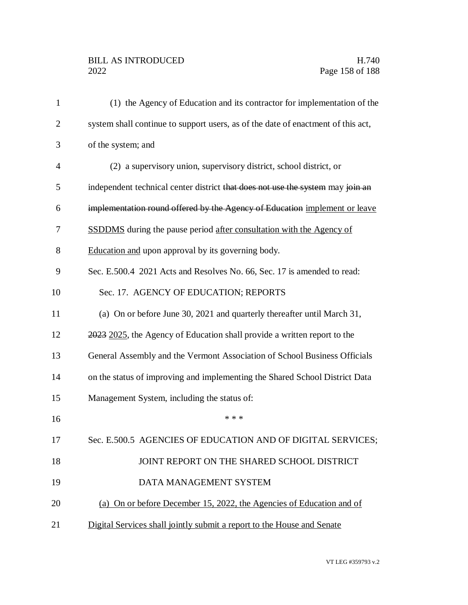## BILL AS INTRODUCED H.740<br>2022 Page 158 of 188

| $\mathbf{1}$   | (1) the Agency of Education and its contractor for implementation of the         |
|----------------|----------------------------------------------------------------------------------|
| $\overline{2}$ | system shall continue to support users, as of the date of enactment of this act, |
| 3              | of the system; and                                                               |
| $\overline{4}$ | (2) a supervisory union, supervisory district, school district, or               |
| 5              | independent technical center district that does not use the system may join an   |
| 6              | implementation round offered by the Agency of Education implement or leave       |
| 7              | <b>SSDDMS</b> during the pause period after consultation with the Agency of      |
| 8              | Education and upon approval by its governing body.                               |
| 9              | Sec. E.500.4 2021 Acts and Resolves No. 66, Sec. 17 is amended to read:          |
| 10             | Sec. 17. AGENCY OF EDUCATION; REPORTS                                            |
| 11             | (a) On or before June 30, 2021 and quarterly thereafter until March 31,          |
| 12             | 2023 2025, the Agency of Education shall provide a written report to the         |
| 13             | General Assembly and the Vermont Association of School Business Officials        |
| 14             | on the status of improving and implementing the Shared School District Data      |
| 15             | Management System, including the status of:                                      |
| 16             | * * *                                                                            |
| 17             | Sec. E.500.5 AGENCIES OF EDUCATION AND OF DIGITAL SERVICES;                      |
| 18             | JOINT REPORT ON THE SHARED SCHOOL DISTRICT                                       |
| 19             | DATA MANAGEMENT SYSTEM                                                           |
| 20             | (a) On or before December 15, 2022, the Agencies of Education and of             |
| 21             | Digital Services shall jointly submit a report to the House and Senate           |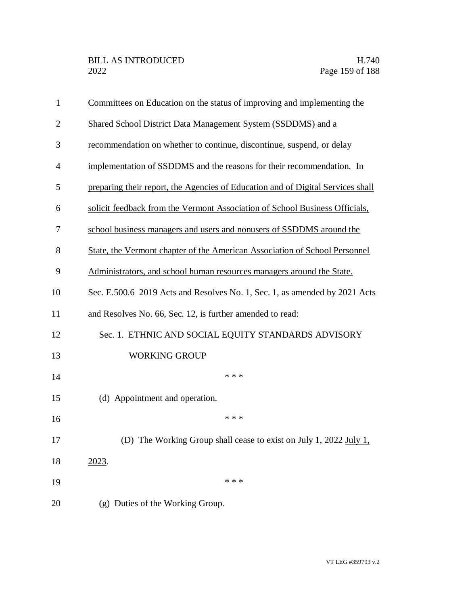| 1              | Committees on Education on the status of improving and implementing the         |
|----------------|---------------------------------------------------------------------------------|
| $\overline{2}$ | Shared School District Data Management System (SSDDMS) and a                    |
| 3              | recommendation on whether to continue, discontinue, suspend, or delay           |
| $\overline{4}$ | implementation of SSDDMS and the reasons for their recommendation. In           |
| 5              | preparing their report, the Agencies of Education and of Digital Services shall |
| 6              | solicit feedback from the Vermont Association of School Business Officials,     |
| 7              | school business managers and users and nonusers of SSDDMS around the            |
| 8              | State, the Vermont chapter of the American Association of School Personnel      |
| 9              | Administrators, and school human resources managers around the State.           |
| 10             | Sec. E.500.6 2019 Acts and Resolves No. 1, Sec. 1, as amended by 2021 Acts      |
| 11             | and Resolves No. 66, Sec. 12, is further amended to read:                       |
| 12             | Sec. 1. ETHNIC AND SOCIAL EQUITY STANDARDS ADVISORY                             |
| 13             | <b>WORKING GROUP</b>                                                            |
| 14             | * * *                                                                           |
| 15             | (d) Appointment and operation.                                                  |
| 16             | * * *                                                                           |
| 17             | (D) The Working Group shall cease to exist on July 1, 2022 July 1,              |
| 18             | 2023.                                                                           |
| 19             | * * *                                                                           |
| 20             | (g) Duties of the Working Group.                                                |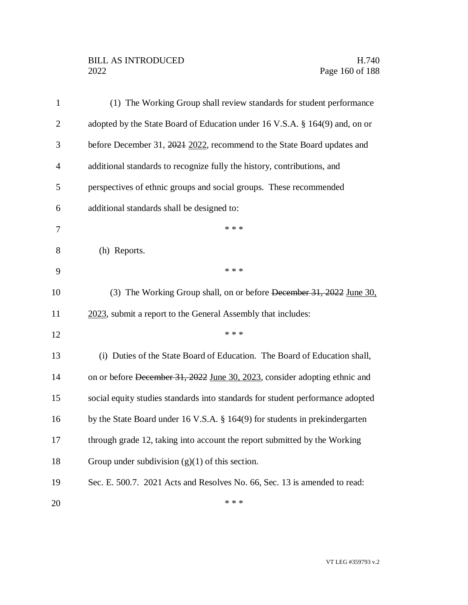## BILL AS INTRODUCED H.740<br>2022 Page 160 of 188

| $\mathbf{1}$   | (1) The Working Group shall review standards for student performance           |
|----------------|--------------------------------------------------------------------------------|
| $\overline{2}$ | adopted by the State Board of Education under 16 V.S.A. § 164(9) and, on or    |
| 3              | before December 31, 2021 2022, recommend to the State Board updates and        |
| 4              | additional standards to recognize fully the history, contributions, and        |
| 5              | perspectives of ethnic groups and social groups. These recommended             |
| 6              | additional standards shall be designed to:                                     |
| 7              | * * *                                                                          |
| 8              | (h) Reports.                                                                   |
| 9              | * * *                                                                          |
| 10             | (3) The Working Group shall, on or before December 31, 2022 June 30,           |
| 11             | 2023, submit a report to the General Assembly that includes:                   |
| 12             | * * *                                                                          |
| 13             | (i) Duties of the State Board of Education. The Board of Education shall,      |
| 14             | on or before December 31, 2022 June 30, 2023, consider adopting ethnic and     |
| 15             | social equity studies standards into standards for student performance adopted |
| 16             | by the State Board under 16 V.S.A. § 164(9) for students in prekindergarten    |
| 17             | through grade 12, taking into account the report submitted by the Working      |
| 18             | Group under subdivision $(g)(1)$ of this section.                              |
| 19             | Sec. E. 500.7. 2021 Acts and Resolves No. 66, Sec. 13 is amended to read:      |
| 20             | * * *                                                                          |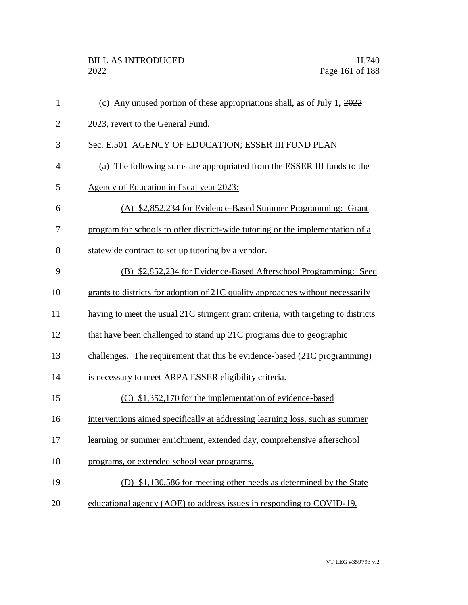| $\mathbf{1}$   | (c) Any unused portion of these appropriations shall, as of July 1, $2022$         |
|----------------|------------------------------------------------------------------------------------|
| $\mathbf{2}$   | 2023, revert to the General Fund.                                                  |
| 3              | Sec. E.501 AGENCY OF EDUCATION; ESSER III FUND PLAN                                |
| $\overline{4}$ | (a) The following sums are appropriated from the ESSER III funds to the            |
| 5              | Agency of Education in fiscal year 2023:                                           |
| 6              | (A) \$2,852,234 for Evidence-Based Summer Programming: Grant                       |
| 7              | program for schools to offer district-wide tutoring or the implementation of a     |
| 8              | statewide contract to set up tutoring by a vendor.                                 |
| 9              | (B) \$2,852,234 for Evidence-Based Afterschool Programming: Seed                   |
| 10             | grants to districts for adoption of 21C quality approaches without necessarily     |
| 11             | having to meet the usual 21C stringent grant criteria, with targeting to districts |
| 12             | that have been challenged to stand up 21C programs due to geographic               |
| 13             | challenges. The requirement that this be evidence-based (21C programming)          |
| 14             | is necessary to meet ARPA ESSER eligibility criteria.                              |
| 15             | (C) \$1,352,170 for the implementation of evidence-based                           |
| 16             | interventions aimed specifically at addressing learning loss, such as summer       |
| 17             | learning or summer enrichment, extended day, comprehensive afterschool             |
| 18             | programs, or extended school year programs.                                        |
| 19             | (D) \$1,130,586 for meeting other needs as determined by the State                 |
| 20             | educational agency (AOE) to address issues in responding to COVID-19.              |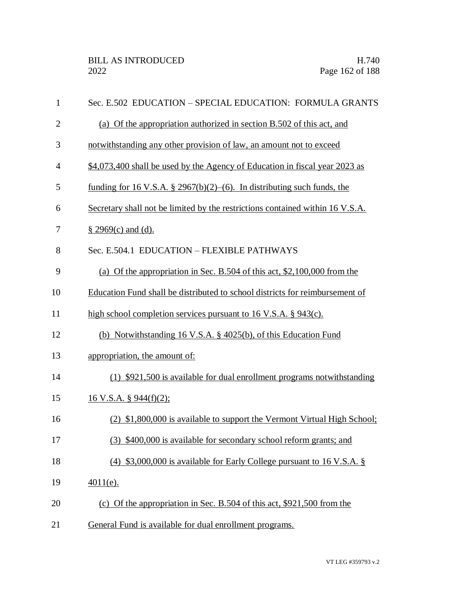| $\mathbf{1}$   | Sec. E.502 EDUCATION - SPECIAL EDUCATION: FORMULA GRANTS                      |
|----------------|-------------------------------------------------------------------------------|
| $\overline{2}$ | (a) Of the appropriation authorized in section B.502 of this act, and         |
| 3              | notwithstanding any other provision of law, an amount not to exceed           |
| $\overline{4}$ | \$4,073,400 shall be used by the Agency of Education in fiscal year 2023 as   |
| 5              | funding for 16 V.S.A. § 2967(b)(2)–(6). In distributing such funds, the       |
| 6              | Secretary shall not be limited by the restrictions contained within 16 V.S.A. |
| 7              | $§$ 2969(c) and (d).                                                          |
| 8              | Sec. E.504.1 EDUCATION - FLEXIBLE PATHWAYS                                    |
| 9              | (a) Of the appropriation in Sec. B.504 of this act, $$2,100,000$ from the     |
| 10             | Education Fund shall be distributed to school districts for reimbursement of  |
| 11             | high school completion services pursuant to 16 V.S.A. § 943(c).               |
| 12             | (b) Notwithstanding 16 V.S.A. $\S$ 4025(b), of this Education Fund            |
| 13             | appropriation, the amount of:                                                 |
| 14             | (1) \$921,500 is available for dual enrollment programs notwithstanding       |
| 15             | 16 V.S.A. § 944(f)(2);                                                        |
| 16             | (2) \$1,800,000 is available to support the Vermont Virtual High School;      |
| 17             | (3) \$400,000 is available for secondary school reform grants; and            |
| 18             | (4) \$3,000,000 is available for Early College pursuant to 16 V.S.A. $\S$     |
| 19             | $4011(e)$ .                                                                   |
| 20             | (c) Of the appropriation in Sec. B.504 of this act, $$921,500$ from the       |
| 21             | General Fund is available for dual enrollment programs.                       |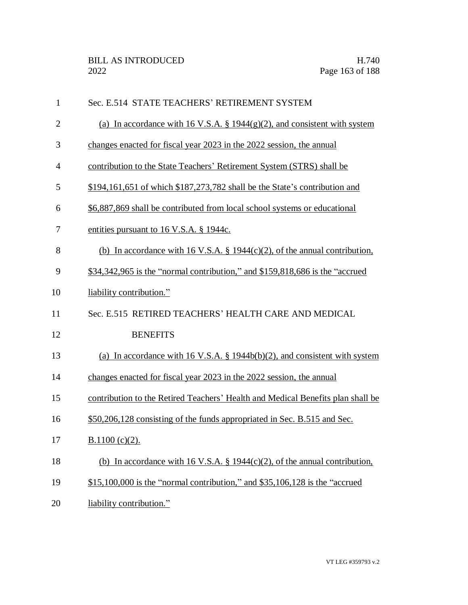| $\mathbf{1}$   | Sec. E.514 STATE TEACHERS' RETIREMENT SYSTEM                                    |
|----------------|---------------------------------------------------------------------------------|
| $\overline{2}$ | (a) In accordance with 16 V.S.A. § 1944 $(g)(2)$ , and consistent with system   |
| 3              | changes enacted for fiscal year 2023 in the 2022 session, the annual            |
| 4              | contribution to the State Teachers' Retirement System (STRS) shall be           |
| 5              | $$194,161,651$ of which $$187,273,782$ shall be the State's contribution and    |
| 6              | \$6,887,869 shall be contributed from local school systems or educational       |
| 7              | entities pursuant to 16 V.S.A. § 1944c.                                         |
| 8              | (b) In accordance with 16 V.S.A. § 1944(c)(2), of the annual contribution,      |
| 9              | \$34,342,965 is the "normal contribution," and \$159,818,686 is the "accrued"   |
| 10             | liability contribution."                                                        |
| 11             | Sec. E.515 RETIRED TEACHERS' HEALTH CARE AND MEDICAL                            |
| 12             | <b>BENEFITS</b>                                                                 |
| 13             | (a) In accordance with 16 V.S.A. § 1944b(b)(2), and consistent with system      |
| 14             | changes enacted for fiscal year 2023 in the 2022 session, the annual            |
| 15             | contribution to the Retired Teachers' Health and Medical Benefits plan shall be |
| 16             | \$50,206,128 consisting of the funds appropriated in Sec. B.515 and Sec.        |
| 17             | $B.1100 (c)(2)$ .                                                               |
| 18             | (b) In accordance with 16 V.S.A. § 1944(c)(2), of the annual contribution,      |
| 19             | $$15,100,000$ is the "normal contribution," and $$35,106,128$ is the "accrued"  |
| 20             | liability contribution."                                                        |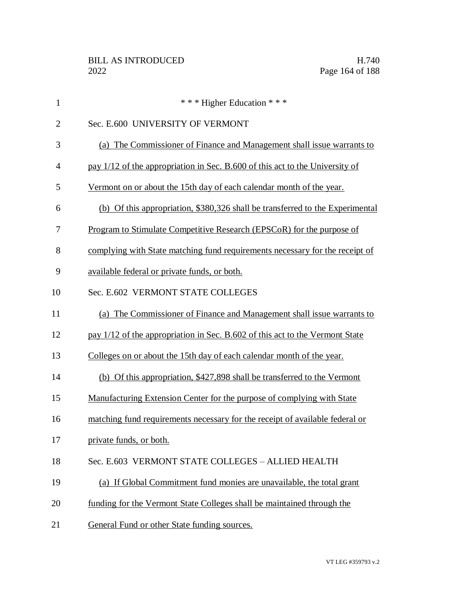| $\mathbf{1}$   | *** Higher Education ***                                                      |
|----------------|-------------------------------------------------------------------------------|
| $\overline{2}$ | Sec. E.600 UNIVERSITY OF VERMONT                                              |
| 3              | (a) The Commissioner of Finance and Management shall issue warrants to        |
| $\overline{4}$ | pay 1/12 of the appropriation in Sec. B.600 of this act to the University of  |
| 5              | Vermont on or about the 15th day of each calendar month of the year.          |
| 6              | (b) Of this appropriation, \$380,326 shall be transferred to the Experimental |
| 7              | <u>Program to Stimulate Competitive Research (EPSCoR) for the purpose of</u>  |
| 8              | complying with State matching fund requirements necessary for the receipt of  |
| 9              | available federal or private funds, or both.                                  |
| 10             | Sec. E.602 VERMONT STATE COLLEGES                                             |
| 11             | (a) The Commissioner of Finance and Management shall issue warrants to        |
| 12             | pay 1/12 of the appropriation in Sec. B.602 of this act to the Vermont State  |
| 13             | Colleges on or about the 15th day of each calendar month of the year.         |
| 14             | (b) Of this appropriation, \$427,898 shall be transferred to the Vermont      |
| 15             | Manufacturing Extension Center for the purpose of complying with State        |
| 16             | matching fund requirements necessary for the receipt of available federal or  |
| 17             | private funds, or both.                                                       |
| 18             | Sec. E.603 VERMONT STATE COLLEGES - ALLIED HEALTH                             |
| 19             | (a) If Global Commitment fund monies are unavailable, the total grant         |
| 20             | funding for the Vermont State Colleges shall be maintained through the        |
| 21             | General Fund or other State funding sources.                                  |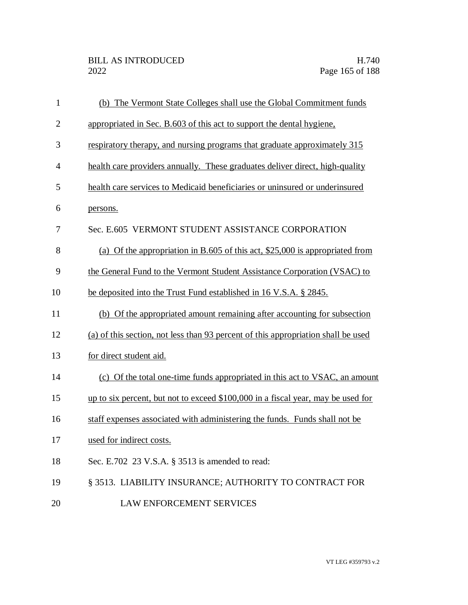| $\mathbf{1}$   | (b) The Vermont State Colleges shall use the Global Commitment funds              |
|----------------|-----------------------------------------------------------------------------------|
| $\overline{2}$ | appropriated in Sec. B.603 of this act to support the dental hygiene,             |
| 3              | respiratory therapy, and nursing programs that graduate approximately 315         |
| 4              | health care providers annually. These graduates deliver direct, high-quality      |
| 5              | health care services to Medicaid beneficiaries or uninsured or underinsured       |
| 6              | persons.                                                                          |
| 7              | Sec. E.605 VERMONT STUDENT ASSISTANCE CORPORATION                                 |
| 8              | (a) Of the appropriation in B.605 of this act, $$25,000$ is appropriated from     |
| 9              | the General Fund to the Vermont Student Assistance Corporation (VSAC) to          |
| 10             | be deposited into the Trust Fund established in 16 V.S.A. § 2845.                 |
| 11             | (b) Of the appropriated amount remaining after accounting for subsection          |
| 12             | (a) of this section, not less than 93 percent of this appropriation shall be used |
| 13             | for direct student aid.                                                           |
| 14             | (c) Of the total one-time funds appropriated in this act to VSAC, an amount       |
| 15             | up to six percent, but not to exceed \$100,000 in a fiscal year, may be used for  |
| 16             | staff expenses associated with administering the funds. Funds shall not be        |
| 17             | used for indirect costs.                                                          |
| 18             | Sec. E.702 23 V.S.A. § 3513 is amended to read:                                   |
| 19             | § 3513. LIABILITY INSURANCE; AUTHORITY TO CONTRACT FOR                            |
| 20             | LAW ENFORCEMENT SERVICES                                                          |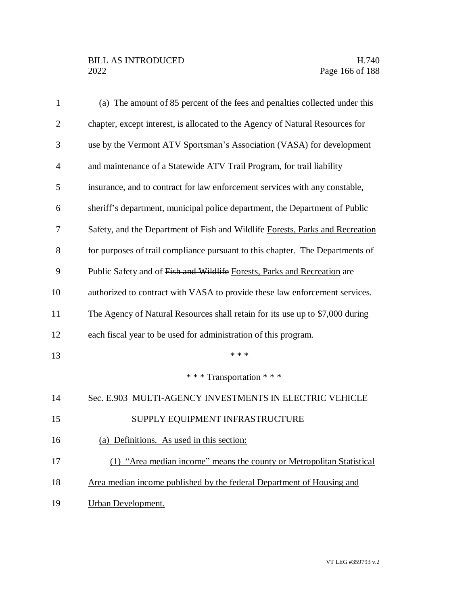| $\mathbf{1}$   | (a) The amount of 85 percent of the fees and penalties collected under this   |
|----------------|-------------------------------------------------------------------------------|
| $\overline{2}$ | chapter, except interest, is allocated to the Agency of Natural Resources for |
| 3              | use by the Vermont ATV Sportsman's Association (VASA) for development         |
| $\overline{4}$ | and maintenance of a Statewide ATV Trail Program, for trail liability         |
| 5              | insurance, and to contract for law enforcement services with any constable,   |
| 6              | sheriff's department, municipal police department, the Department of Public   |
| 7              | Safety, and the Department of Fish and Wildlife Forests, Parks and Recreation |
| 8              | for purposes of trail compliance pursuant to this chapter. The Departments of |
| 9              | Public Safety and of Fish and Wildlife Forests, Parks and Recreation are      |
| 10             | authorized to contract with VASA to provide these law enforcement services.   |
| 11             | The Agency of Natural Resources shall retain for its use up to \$7,000 during |
| 12             | each fiscal year to be used for administration of this program.               |
| 13             | * * *                                                                         |
|                | *** Transportation ***                                                        |
| 14             | Sec. E.903 MULTI-AGENCY INVESTMENTS IN ELECTRIC VEHICLE                       |
| 15             | SUPPLY EQUIPMENT INFRASTRUCTURE                                               |
| 16             | (a) Definitions. As used in this section:                                     |
| 17             | (1) "Area median income" means the county or Metropolitan Statistical         |
| 18             | Area median income published by the federal Department of Housing and         |
| 19             | <b>Urban Development.</b>                                                     |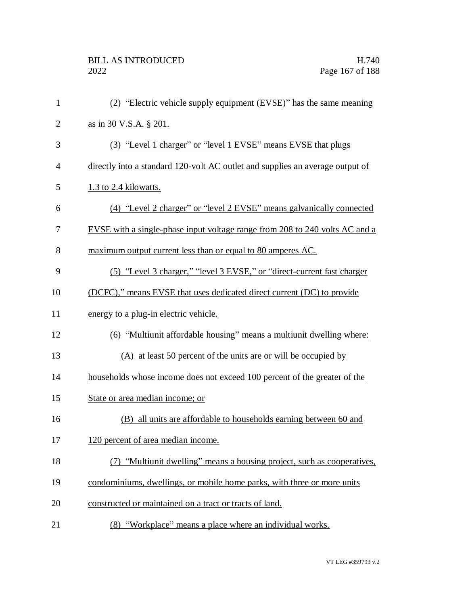| $\mathbf{1}$   | (2) "Electric vehicle supply equipment (EVSE)" has the same meaning           |
|----------------|-------------------------------------------------------------------------------|
| $\overline{2}$ | as in 30 V.S.A. § 201.                                                        |
| 3              | (3) "Level 1 charger" or "level 1 EVSE" means EVSE that plugs                 |
| $\overline{4}$ | directly into a standard 120-volt AC outlet and supplies an average output of |
| 5              | 1.3 to 2.4 kilowatts.                                                         |
| 6              | (4) "Level 2 charger" or "level 2 EVSE" means galvanically connected          |
| 7              | EVSE with a single-phase input voltage range from 208 to 240 volts AC and a   |
| 8              | maximum output current less than or equal to 80 amperes AC.                   |
| 9              | <u>(5) "Level 3 charger," "level 3 EVSE," or "direct-current fast charger</u> |
| 10             | (DCFC)," means EVSE that uses dedicated direct current (DC) to provide        |
| 11             | energy to a plug-in electric vehicle.                                         |
| 12             | (6) "Multiunit affordable housing" means a multiunit dwelling where:          |
| 13             | (A) at least 50 percent of the units are or will be occupied by               |
| 14             | households whose income does not exceed 100 percent of the greater of the     |
| 15             | State or area median income; or                                               |
| 16             | (B) all units are affordable to households earning between 60 and             |
| 17             | 120 percent of area median income.                                            |
| 18             | (7) "Multiunit dwelling" means a housing project, such as cooperatives,       |
| 19             | condominiums, dwellings, or mobile home parks, with three or more units       |
| 20             | constructed or maintained on a tract or tracts of land.                       |
| 21             | (8) "Workplace" means a place where an individual works.                      |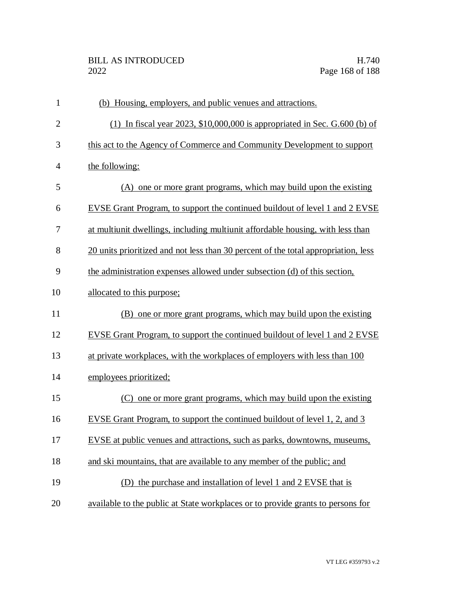| $\mathbf{1}$   | (b) Housing, employers, and public venues and attractions.                         |
|----------------|------------------------------------------------------------------------------------|
| $\overline{2}$ | (1) In fiscal year 2023, $$10,000,000$ is appropriated in Sec. G.600 (b) of        |
| 3              | this act to the Agency of Commerce and Community Development to support            |
| $\overline{4}$ | the following:                                                                     |
| 5              | (A) one or more grant programs, which may build upon the existing                  |
| 6              | EVSE Grant Program, to support the continued buildout of level 1 and 2 EVSE        |
| 7              | at multiunit dwellings, including multiunit affordable housing, with less than     |
| 8              | 20 units prioritized and not less than 30 percent of the total appropriation, less |
| 9              | the administration expenses allowed under subsection (d) of this section,          |
| 10             | allocated to this purpose;                                                         |
| 11             | (B) one or more grant programs, which may build upon the existing                  |
| 12             | EVSE Grant Program, to support the continued buildout of level 1 and 2 EVSE        |
| 13             | at private workplaces, with the workplaces of employers with less than 100         |
| 14             | employees prioritized;                                                             |
| 15             | (C) one or more grant programs, which may build upon the existing                  |
| 16             | EVSE Grant Program, to support the continued buildout of level 1, 2, and 3         |
| 17             | EVSE at public venues and attractions, such as parks, downtowns, museums,          |
| 18             | and ski mountains, that are available to any member of the public; and             |
| 19             | (D) the purchase and installation of level 1 and 2 EVSE that is                    |
| 20             | available to the public at State workplaces or to provide grants to persons for    |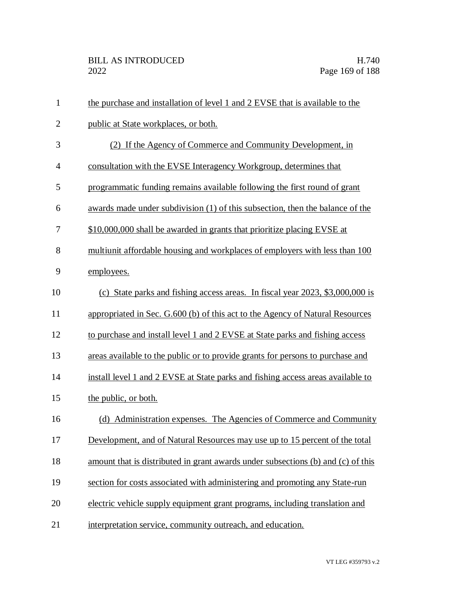| $\mathbf{1}$   | the purchase and installation of level 1 and 2 EVSE that is available to the     |
|----------------|----------------------------------------------------------------------------------|
| $\overline{2}$ | public at State workplaces, or both.                                             |
| 3              | (2) If the Agency of Commerce and Community Development, in                      |
| $\overline{4}$ | consultation with the EVSE Interagency Workgroup, determines that                |
| 5              | programmatic funding remains available following the first round of grant        |
| 6              | awards made under subdivision (1) of this subsection, then the balance of the    |
| 7              | \$10,000,000 shall be awarded in grants that prioritize placing EVSE at          |
| 8              | multiunit affordable housing and workplaces of employers with less than 100      |
| 9              | employees.                                                                       |
| 10             | (c) State parks and fishing access areas. In fiscal year 2023, \$3,000,000 is    |
| 11             | appropriated in Sec. G.600 (b) of this act to the Agency of Natural Resources    |
| 12             | to purchase and install level 1 and 2 EVSE at State parks and fishing access     |
| 13             | areas available to the public or to provide grants for persons to purchase and   |
| 14             | install level 1 and 2 EVSE at State parks and fishing access areas available to  |
| 15             | the public, or both.                                                             |
| 16             | (d) Administration expenses. The Agencies of Commerce and Community              |
| 17             | Development, and of Natural Resources may use up to 15 percent of the total      |
| 18             | amount that is distributed in grant awards under subsections (b) and (c) of this |
| 19             | section for costs associated with administering and promoting any State-run      |
| 20             | electric vehicle supply equipment grant programs, including translation and      |
| 21             | interpretation service, community outreach, and education.                       |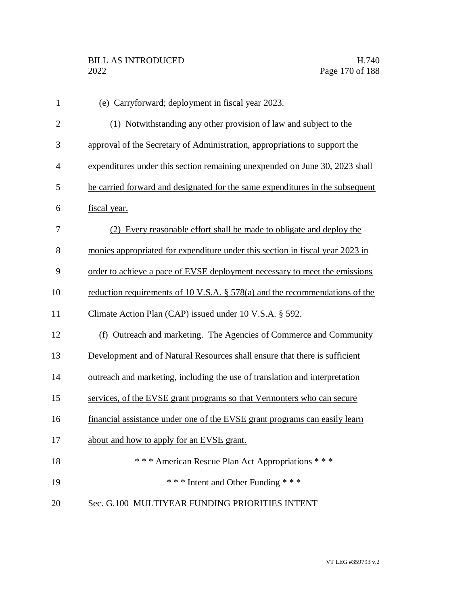| $\mathbf{1}$   | (e) Carryforward; deployment in fiscal year 2023.                              |
|----------------|--------------------------------------------------------------------------------|
| $\overline{2}$ | (1) Notwithstanding any other provision of law and subject to the              |
| 3              | approval of the Secretary of Administration, appropriations to support the     |
| 4              | expenditures under this section remaining unexpended on June 30, 2023 shall    |
| 5              | be carried forward and designated for the same expenditures in the subsequent  |
| 6              | fiscal year.                                                                   |
| 7              | (2) Every reasonable effort shall be made to obligate and deploy the           |
| 8              | monies appropriated for expenditure under this section in fiscal year 2023 in  |
| 9              | order to achieve a pace of EVSE deployment necessary to meet the emissions     |
| 10             | reduction requirements of 10 V.S.A. $\S$ 578(a) and the recommendations of the |
| 11             | Climate Action Plan (CAP) issued under 10 V.S.A. § 592.                        |
| 12             | (f) Outreach and marketing. The Agencies of Commerce and Community             |
| 13             | Development and of Natural Resources shall ensure that there is sufficient     |
| 14             | outreach and marketing, including the use of translation and interpretation    |
| 15             | services, of the EVSE grant programs so that Vermonters who can secure         |
| 16             | financial assistance under one of the EVSE grant programs can easily learn     |
| 17             | about and how to apply for an EVSE grant.                                      |
| 18             | *** American Rescue Plan Act Appropriations ***                                |
| 19             | *** Intent and Other Funding ***                                               |
| 20             | Sec. G.100 MULTIYEAR FUNDING PRIORITIES INTENT                                 |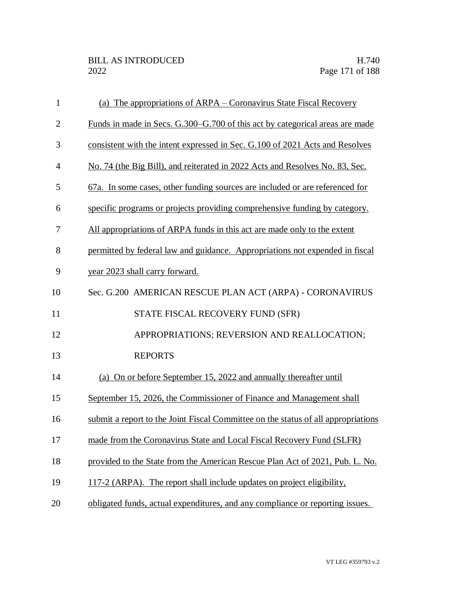| $\mathbf{1}$   | (a) The appropriations of ARPA – Coronavirus State Fiscal Recovery                  |
|----------------|-------------------------------------------------------------------------------------|
| $\overline{2}$ | <u>Funds in made in Secs. G.300–G.700 of this act by categorical areas are made</u> |
| 3              | consistent with the intent expressed in Sec. G.100 of 2021 Acts and Resolves        |
| $\overline{4}$ | No. 74 (the Big Bill), and reiterated in 2022 Acts and Resolves No. 83, Sec.        |
| 5              | 67a. In some cases, other funding sources are included or are referenced for        |
| 6              | specific programs or projects providing comprehensive funding by category.          |
| $\tau$         | All appropriations of ARPA funds in this act are made only to the extent            |
| 8              | permitted by federal law and guidance. Appropriations not expended in fiscal        |
| 9              | year 2023 shall carry forward.                                                      |
| 10             | Sec. G.200 AMERICAN RESCUE PLAN ACT (ARPA) - CORONAVIRUS                            |
| 11             | STATE FISCAL RECOVERY FUND (SFR)                                                    |
| 12             | APPROPRIATIONS; REVERSION AND REALLOCATION;                                         |
| 13             | <b>REPORTS</b>                                                                      |
| 14             | (a) On or before September 15, 2022 and annually thereafter until                   |
| 15             | September 15, 2026, the Commissioner of Finance and Management shall                |
| 16             | submit a report to the Joint Fiscal Committee on the status of all appropriations   |
| 17             | made from the Coronavirus State and Local Fiscal Recovery Fund (SLFR)               |
| 18             | provided to the State from the American Rescue Plan Act of 2021, Pub. L. No.        |
| 19             | 117-2 (ARPA). The report shall include updates on project eligibility.              |
| 20             | obligated funds, actual expenditures, and any compliance or reporting issues.       |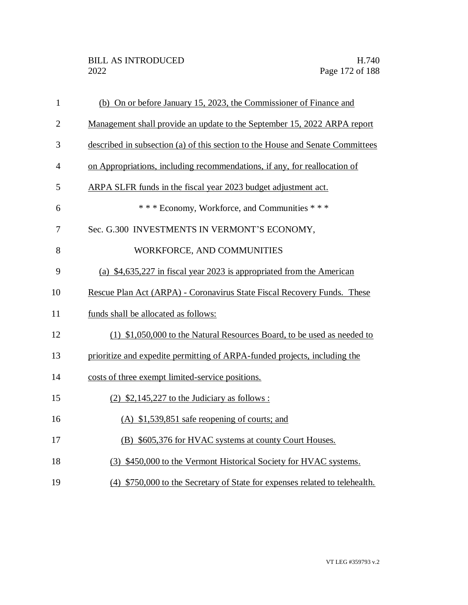| $\mathbf{1}$   | (b) On or before January 15, 2023, the Commissioner of Finance and             |
|----------------|--------------------------------------------------------------------------------|
| $\overline{2}$ | Management shall provide an update to the September 15, 2022 ARPA report       |
| 3              | described in subsection (a) of this section to the House and Senate Committees |
| $\overline{4}$ | on Appropriations, including recommendations, if any, for reallocation of      |
| 5              | ARPA SLFR funds in the fiscal year 2023 budget adjustment act.                 |
| 6              | *** Economy, Workforce, and Communities ***                                    |
| 7              | Sec. G.300 INVESTMENTS IN VERMONT'S ECONOMY,                                   |
| 8              | WORKFORCE, AND COMMUNITIES                                                     |
| 9              | (a) \$4,635,227 in fiscal year 2023 is appropriated from the American          |
| 10             | Rescue Plan Act (ARPA) - Coronavirus State Fiscal Recovery Funds. These        |
| 11             | funds shall be allocated as follows:                                           |
| 12             | (1) \$1,050,000 to the Natural Resources Board, to be used as needed to        |
| 13             | prioritize and expedite permitting of ARPA-funded projects, including the      |
| 14             | costs of three exempt limited-service positions.                               |
| 15             | $(2)$ \$2,145,227 to the Judiciary as follows:                                 |
| 16             | (A) \$1,539,851 safe reopening of courts; and                                  |
| 17             | (B) \$605,376 for HVAC systems at county Court Houses.                         |
| 18             | (3) \$450,000 to the Vermont Historical Society for HVAC systems.              |
| 19             | (4) \$750,000 to the Secretary of State for expenses related to telehealth.    |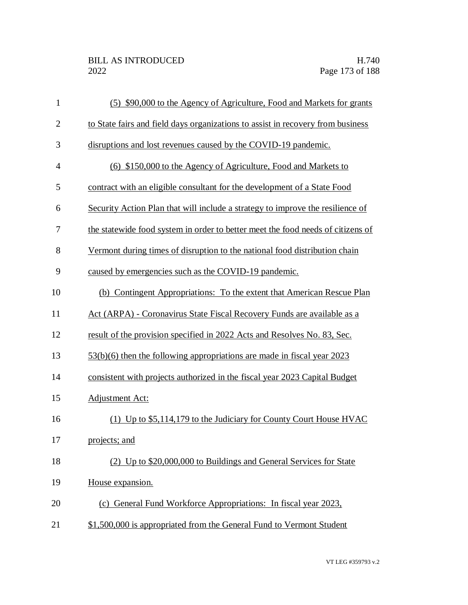| $\mathbf{1}$   | (5) \$90,000 to the Agency of Agriculture, Food and Markets for grants          |
|----------------|---------------------------------------------------------------------------------|
| $\mathbf{2}$   | to State fairs and field days organizations to assist in recovery from business |
| 3              | disruptions and lost revenues caused by the COVID-19 pandemic.                  |
| $\overline{4}$ | (6) \$150,000 to the Agency of Agriculture, Food and Markets to                 |
| 5              | contract with an eligible consultant for the development of a State Food        |
| 6              | Security Action Plan that will include a strategy to improve the resilience of  |
| 7              | the statewide food system in order to better meet the food needs of citizens of |
| 8              | Vermont during times of disruption to the national food distribution chain      |
| 9              | caused by emergencies such as the COVID-19 pandemic.                            |
| 10             | (b) Contingent Appropriations: To the extent that American Rescue Plan          |
| 11             | Act (ARPA) - Coronavirus State Fiscal Recovery Funds are available as a         |
| 12             | result of the provision specified in 2022 Acts and Resolves No. 83, Sec.        |
| 13             | $53(b)(6)$ then the following appropriations are made in fiscal year 2023       |
| 14             | consistent with projects authorized in the fiscal year 2023 Capital Budget      |
| 15             | Adjustment Act:                                                                 |
| 16             | (1) Up to \$5,114,179 to the Judiciary for County Court House HVAC              |
| 17             | projects; and                                                                   |
| 18             | (2) Up to \$20,000,000 to Buildings and General Services for State              |
| 19             | House expansion.                                                                |
| 20             | (c) General Fund Workforce Appropriations: In fiscal year 2023,                 |
| 21             | \$1,500,000 is appropriated from the General Fund to Vermont Student            |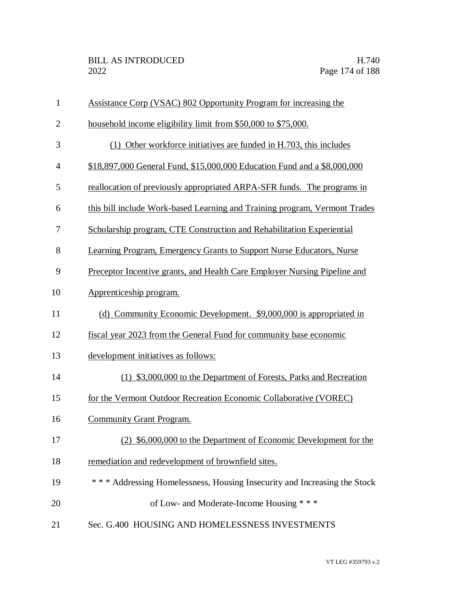| $\mathbf{1}$   | Assistance Corp (VSAC) 802 Opportunity Program for increasing the          |
|----------------|----------------------------------------------------------------------------|
| $\overline{2}$ | household income eligibility limit from \$50,000 to \$75,000.              |
| 3              | (1) Other workforce initiatives are funded in H.703, this includes         |
| $\overline{4}$ | \$18,897,000 General Fund, \$15,000,000 Education Fund and a \$8,000,000   |
| 5              | reallocation of previously appropriated ARPA-SFR funds. The programs in    |
| 6              | this bill include Work-based Learning and Training program, Vermont Trades |
| 7              | Scholarship program, CTE Construction and Rehabilitation Experiential      |
| 8              | Learning Program, Emergency Grants to Support Nurse Educators, Nurse       |
| 9              | Preceptor Incentive grants, and Health Care Employer Nursing Pipeline and  |
| 10             | Apprenticeship program.                                                    |
| 11             | (d) Community Economic Development. \$9,000,000 is appropriated in         |
| 12             | fiscal year 2023 from the General Fund for community base economic         |
| 13             | development initiatives as follows:                                        |
| 14             | (1) \$3,000,000 to the Department of Forests, Parks and Recreation         |
| 15             | for the Vermont Outdoor Recreation Economic Collaborative (VOREC)          |
| 16             | <b>Community Grant Program.</b>                                            |
| 17             | (2) \$6,000,000 to the Department of Economic Development for the          |
| 18             | remediation and redevelopment of brownfield sites.                         |
| 19             | *** Addressing Homelessness, Housing Insecurity and Increasing the Stock   |
| 20             | of Low- and Moderate-Income Housing ***                                    |
| 21             | Sec. G.400 HOUSING AND HOMELESSNESS INVESTMENTS                            |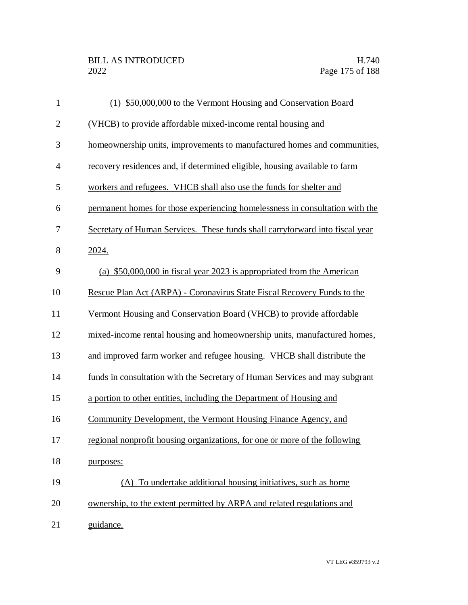| $\mathbf{1}$   | (1) \$50,000,000 to the Vermont Housing and Conservation Board               |
|----------------|------------------------------------------------------------------------------|
| $\overline{2}$ | (VHCB) to provide affordable mixed-income rental housing and                 |
| 3              | homeownership units, improvements to manufactured homes and communities,     |
| $\overline{4}$ | recovery residences and, if determined eligible, housing available to farm   |
| 5              | workers and refugees. VHCB shall also use the funds for shelter and          |
| 6              | permanent homes for those experiencing homelessness in consultation with the |
| 7              | Secretary of Human Services. These funds shall carryforward into fiscal year |
| 8              | 2024.                                                                        |
| 9              | (a) \$50,000,000 in fiscal year 2023 is appropriated from the American       |
| 10             | Rescue Plan Act (ARPA) - Coronavirus State Fiscal Recovery Funds to the      |
| 11             | Vermont Housing and Conservation Board (VHCB) to provide affordable          |
| 12             | mixed-income rental housing and homeownership units, manufactured homes,     |
| 13             | and improved farm worker and refugee housing. VHCB shall distribute the      |
| 14             | funds in consultation with the Secretary of Human Services and may subgrant  |
| 15             | a portion to other entities, including the Department of Housing and         |
| 16             | Community Development, the Vermont Housing Finance Agency, and               |
| 17             | regional nonprofit housing organizations, for one or more of the following   |
| 18             | purposes:                                                                    |
| 19             | (A) To undertake additional housing initiatives, such as home                |
| 20             | ownership, to the extent permitted by ARPA and related regulations and       |
| 21             | guidance.                                                                    |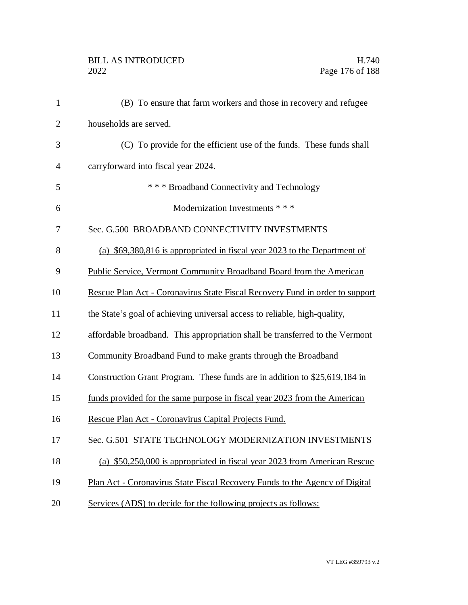| $\mathbf{1}$   | (B) To ensure that farm workers and those in recovery and refugee            |
|----------------|------------------------------------------------------------------------------|
| $\overline{2}$ | households are served.                                                       |
| 3              | (C) To provide for the efficient use of the funds. These funds shall         |
| $\overline{4}$ | carryforward into fiscal year 2024.                                          |
| 5              | * * * Broadband Connectivity and Technology                                  |
| 6              | Modernization Investments * * *                                              |
| 7              | Sec. G.500 BROADBAND CONNECTIVITY INVESTMENTS                                |
| 8              | (a) \$69,380,816 is appropriated in fiscal year 2023 to the Department of    |
| 9              | Public Service, Vermont Community Broadband Board from the American          |
| 10             | Rescue Plan Act - Coronavirus State Fiscal Recovery Fund in order to support |
| 11             | the State's goal of achieving universal access to reliable, high-quality,    |
| 12             | affordable broadband. This appropriation shall be transferred to the Vermont |
| 13             | Community Broadband Fund to make grants through the Broadband                |
| 14             | Construction Grant Program. These funds are in addition to \$25,619,184 in   |
| 15             | funds provided for the same purpose in fiscal year 2023 from the American    |
| 16             | Rescue Plan Act - Coronavirus Capital Projects Fund.                         |
| 17             | Sec. G.501 STATE TECHNOLOGY MODERNIZATION INVESTMENTS                        |
| 18             | (a) \$50,250,000 is appropriated in fiscal year 2023 from American Rescue    |
| 19             | Plan Act - Coronavirus State Fiscal Recovery Funds to the Agency of Digital  |
| 20             | Services (ADS) to decide for the following projects as follows:              |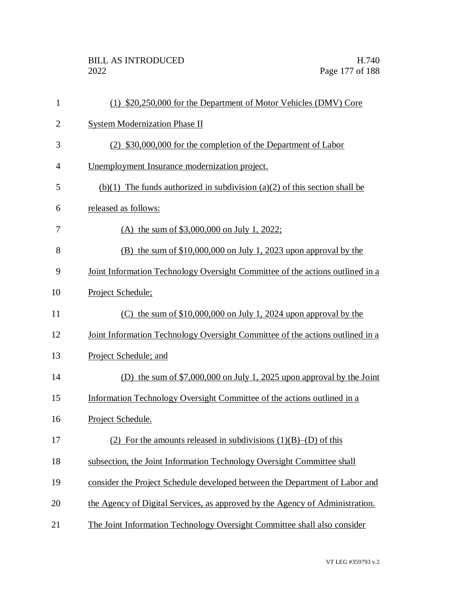| 1              | (1) \$20,250,000 for the Department of Motor Vehicles (DMV) Core              |
|----------------|-------------------------------------------------------------------------------|
| $\overline{2}$ | <b>System Modernization Phase II</b>                                          |
| 3              | (2) \$30,000,000 for the completion of the Department of Labor                |
| $\overline{4}$ | Unemployment Insurance modernization project.                                 |
| 5              | $(b)(1)$ The funds authorized in subdivision (a)(2) of this section shall be  |
| 6              | released as follows:                                                          |
| 7              | (A) the sum of $$3,000,000$ on July 1, 2022;                                  |
| 8              | (B) the sum of $$10,000,000$ on July 1, 2023 upon approval by the             |
| 9              | Joint Information Technology Oversight Committee of the actions outlined in a |
| 10             | Project Schedule;                                                             |
| 11             | (C) the sum of $$10,000,000$ on July 1, 2024 upon approval by the             |
| 12             | Joint Information Technology Oversight Committee of the actions outlined in a |
| 13             | Project Schedule; and                                                         |
| 14             | (D) the sum of $$7,000,000$ on July 1, 2025 upon approval by the Joint        |
| 15             | Information Technology Oversight Committee of the actions outlined in a       |
| 16             | Project Schedule.                                                             |
| 17             | (2) For the amounts released in subdivisions $(1)(B)$ –(D) of this            |
| 18             | subsection, the Joint Information Technology Oversight Committee shall        |
| 19             | consider the Project Schedule developed between the Department of Labor and   |
| 20             | the Agency of Digital Services, as approved by the Agency of Administration.  |
| 21             | The Joint Information Technology Oversight Committee shall also consider      |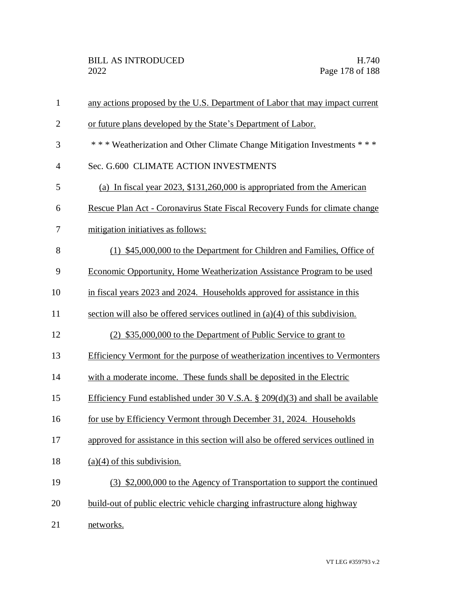| $\mathbf{1}$   | any actions proposed by the U.S. Department of Labor that may impact current      |
|----------------|-----------------------------------------------------------------------------------|
| $\overline{2}$ | or future plans developed by the State's Department of Labor.                     |
| 3              | *** Weatherization and Other Climate Change Mitigation Investments ***            |
| $\overline{4}$ | Sec. G.600 CLIMATE ACTION INVESTMENTS                                             |
| 5              | (a) In fiscal year $2023$ , \$131,260,000 is appropriated from the American       |
| 6              | Rescue Plan Act - Coronavirus State Fiscal Recovery Funds for climate change      |
| 7              | mitigation initiatives as follows:                                                |
| 8              | (1) \$45,000,000 to the Department for Children and Families, Office of           |
| 9              | Economic Opportunity, Home Weatherization Assistance Program to be used           |
| 10             | in fiscal years 2023 and 2024. Households approved for assistance in this         |
| 11             | section will also be offered services outlined in $(a)(4)$ of this subdivision.   |
| 12             | (2) \$35,000,000 to the Department of Public Service to grant to                  |
| 13             | Efficiency Vermont for the purpose of weatherization incentives to Vermonters     |
| 14             | with a moderate income. These funds shall be deposited in the Electric            |
| 15             | Efficiency Fund established under 30 V.S.A. $\S$ 209(d)(3) and shall be available |
| 16             | for use by Efficiency Vermont through December 31, 2024. Households               |
| 17             | approved for assistance in this section will also be offered services outlined in |
| 18             | $(a)(4)$ of this subdivision.                                                     |
| 19             | (3) \$2,000,000 to the Agency of Transportation to support the continued          |
| 20             | build-out of public electric vehicle charging infrastructure along highway        |
| 21             | networks.                                                                         |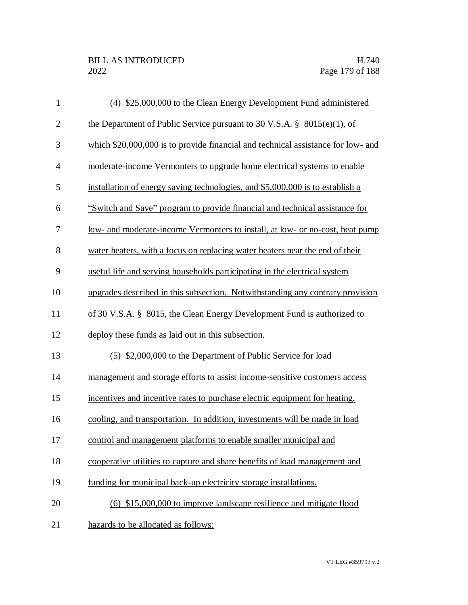| $\mathbf{1}$   | (4) \$25,000,000 to the Clean Energy Development Fund administered               |
|----------------|----------------------------------------------------------------------------------|
| $\mathbf{2}$   | the Department of Public Service pursuant to 30 V.S.A. $\S$ 8015(e)(1), of       |
| 3              | which \$20,000,000 is to provide financial and technical assistance for low- and |
| $\overline{4}$ | moderate-income Vermonters to upgrade home electrical systems to enable          |
| 5              | installation of energy saving technologies, and \$5,000,000 is to establish a    |
| 6              | "Switch and Save" program to provide financial and technical assistance for      |
| 7              | low- and moderate-income Vermonters to install, at low- or no-cost, heat pump    |
| 8              | water heaters, with a focus on replacing water heaters near the end of their     |
| 9              | useful life and serving households participating in the electrical system        |
| 10             | upgrades described in this subsection. Notwithstanding any contrary provision    |
| 11             | of 30 V.S.A. § 8015, the Clean Energy Development Fund is authorized to          |
| 12             | deploy these funds as laid out in this subsection.                               |
| 13             | (5) \$2,000,000 to the Department of Public Service for load                     |
| 14             | management and storage efforts to assist income-sensitive customers access       |
| 15             | incentives and incentive rates to purchase electric equipment for heating.       |
| 16             | cooling, and transportation. In addition, investments will be made in load       |
| 17             | control and management platforms to enable smaller municipal and                 |
| 18             | cooperative utilities to capture and share benefits of load management and       |
| 19             | funding for municipal back-up electricity storage installations.                 |
| 20             | $(6)$ \$15,000,000 to improve landscape resilience and mitigate flood            |
| 21             | hazards to be allocated as follows:                                              |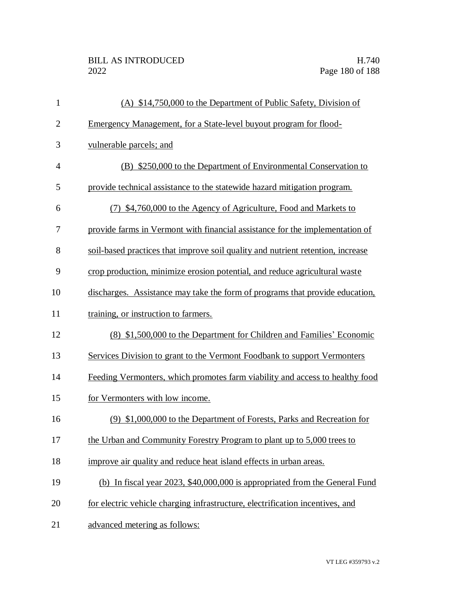| $\mathbf{1}$   | (A) \$14,750,000 to the Department of Public Safety, Division of                |
|----------------|---------------------------------------------------------------------------------|
| $\mathbf{2}$   | Emergency Management, for a State-level buyout program for flood-               |
| 3              | vulnerable parcels; and                                                         |
| $\overline{4}$ | (B) \$250,000 to the Department of Environmental Conservation to                |
| 5              | provide technical assistance to the statewide hazard mitigation program.        |
| 6              | (7) \$4,760,000 to the Agency of Agriculture, Food and Markets to               |
| 7              | provide farms in Vermont with financial assistance for the implementation of    |
| 8              | soil-based practices that improve soil quality and nutrient retention, increase |
| 9              | crop production, minimize erosion potential, and reduce agricultural waste      |
| 10             | discharges. Assistance may take the form of programs that provide education,    |
| 11             | training, or instruction to farmers.                                            |
| 12             | (8) \$1,500,000 to the Department for Children and Families' Economic           |
| 13             | Services Division to grant to the Vermont Foodbank to support Vermonters        |
| 14             | Feeding Vermonters, which promotes farm viability and access to healthy food    |
| 15             | for Vermonters with low income.                                                 |
| 16             | (9) \$1,000,000 to the Department of Forests, Parks and Recreation for          |
| 17             | the Urban and Community Forestry Program to plant up to 5,000 trees to          |
| 18             | improve air quality and reduce heat island effects in urban areas.              |
| 19             | (b) In fiscal year 2023, \$40,000,000 is appropriated from the General Fund     |
| 20             | for electric vehicle charging infrastructure, electrification incentives, and   |
| 21             | advanced metering as follows:                                                   |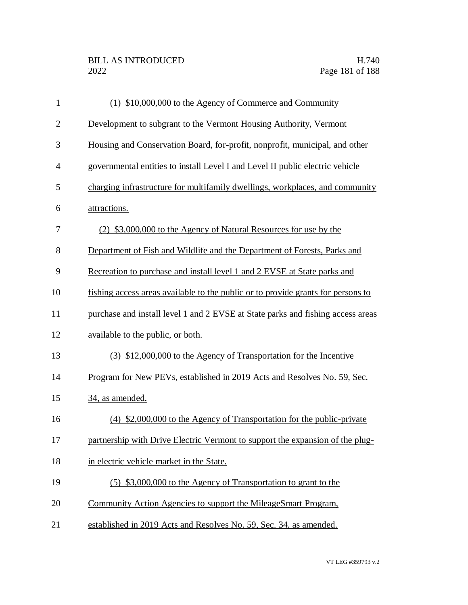| $\mathbf{1}$   | (1) \$10,000,000 to the Agency of Commerce and Community                                |
|----------------|-----------------------------------------------------------------------------------------|
| $\overline{2}$ | Development to subgrant to the Vermont Housing Authority, Vermont                       |
| 3              | Housing and Conservation Board, for-profit, nonprofit, municipal, and other             |
| $\overline{4}$ | governmental entities to install Level I and Level II public electric vehicle           |
| 5              | charging infrastructure for multifamily dwellings, workplaces, and community            |
| 6              | attractions.                                                                            |
| 7              | (2) \$3,000,000 to the Agency of Natural Resources for use by the                       |
| 8              | Department of Fish and Wildlife and the Department of Forests, Parks and                |
| 9              | Recreation to purchase and install level 1 and 2 EVSE at State parks and                |
| 10             | <u>fishing access areas available to the public or to provide grants for persons to</u> |
| 11             | purchase and install level 1 and 2 EVSE at State parks and fishing access areas         |
| 12             | available to the public, or both.                                                       |
| 13             | (3) \$12,000,000 to the Agency of Transportation for the Incentive                      |
| 14             | Program for New PEVs, established in 2019 Acts and Resolves No. 59, Sec.                |
| 15             | 34, as amended.                                                                         |
| 16             | (4) \$2,000,000 to the Agency of Transportation for the public-private                  |
| 17             | partnership with Drive Electric Vermont to support the expansion of the plug-           |
| 18             | in electric vehicle market in the State.                                                |
| 19             | (5) \$3,000,000 to the Agency of Transportation to grant to the                         |
| 20             | Community Action Agencies to support the MileageSmart Program,                          |
| 21             | established in 2019 Acts and Resolves No. 59, Sec. 34, as amended.                      |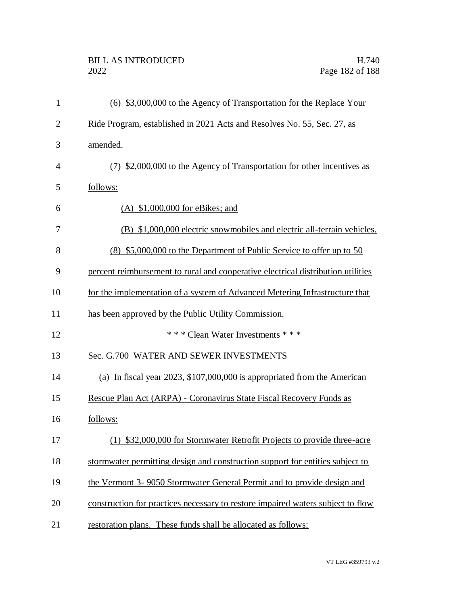| $\mathbf{1}$   | (6) \$3,000,000 to the Agency of Transportation for the Replace Your             |
|----------------|----------------------------------------------------------------------------------|
| $\overline{2}$ | Ride Program, established in 2021 Acts and Resolves No. 55, Sec. 27, as          |
| 3              | amended.                                                                         |
| 4              | (7) \$2,000,000 to the Agency of Transportation for other incentives as          |
| 5              | follows:                                                                         |
| 6              | $(A)$ \$1,000,000 for eBikes; and                                                |
| 7              | (B) \$1,000,000 electric snowmobiles and electric all-terrain vehicles.          |
| 8              | (8) \$5,000,000 to the Department of Public Service to offer up to 50            |
| 9              | percent reimbursement to rural and cooperative electrical distribution utilities |
| 10             | for the implementation of a system of Advanced Metering Infrastructure that      |
| 11             | has been approved by the Public Utility Commission.                              |
| 12             | * * * Clean Water Investments * * *                                              |
| 13             | Sec. G.700 WATER AND SEWER INVESTMENTS                                           |
| 14             | (a) In fiscal year $2023$ , \$107,000,000 is appropriated from the American      |
| 15             | Rescue Plan Act (ARPA) - Coronavirus State Fiscal Recovery Funds as              |
| 16             | follows:                                                                         |
| 17             | (1) \$32,000,000 for Stormwater Retrofit Projects to provide three-acre          |
| 18             | stormwater permitting design and construction support for entities subject to    |
| 19             | the Vermont 3-9050 Stormwater General Permit and to provide design and           |
| 20             | construction for practices necessary to restore impaired waters subject to flow  |
| 21             | restoration plans. These funds shall be allocated as follows:                    |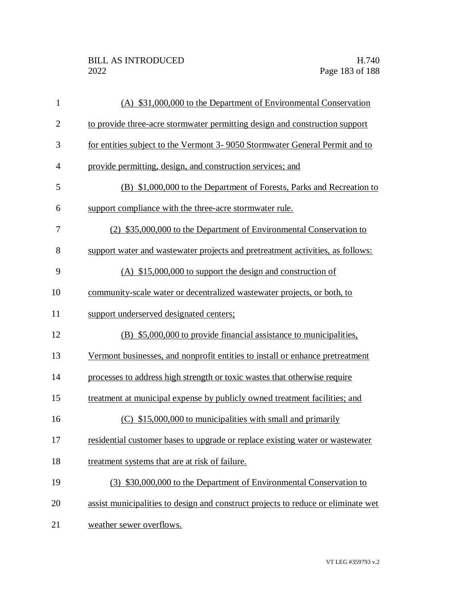| $\mathbf{1}$   | (A) \$31,000,000 to the Department of Environmental Conservation                  |
|----------------|-----------------------------------------------------------------------------------|
| $\overline{2}$ | to provide three-acre stormwater permitting design and construction support       |
| 3              | for entities subject to the Vermont 3-9050 Stormwater General Permit and to       |
| $\overline{4}$ | provide permitting, design, and construction services; and                        |
| 5              | (B) \$1,000,000 to the Department of Forests, Parks and Recreation to             |
| 6              | support compliance with the three-acre stormwater rule.                           |
| $\overline{7}$ | (2) \$35,000,000 to the Department of Environmental Conservation to               |
| 8              | support water and wastewater projects and pretreatment activities, as follows:    |
| 9              | (A) $$15,000,000$ to support the design and construction of                       |
| 10             | community-scale water or decentralized wastewater projects, or both, to           |
| 11             | support underserved designated centers;                                           |
| 12             | (B) \$5,000,000 to provide financial assistance to municipalities,                |
| 13             | Vermont businesses, and nonprofit entities to install or enhance pretreatment     |
| 14             | processes to address high strength or toxic wastes that otherwise require         |
| 15             | treatment at municipal expense by publicly owned treatment facilities; and        |
| 16             | $(C)$ \$15,000,000 to municipalities with small and primarily                     |
| 17             | residential customer bases to upgrade or replace existing water or wastewater     |
| 18             | treatment systems that are at risk of failure.                                    |
| 19             | (3) \$30,000,000 to the Department of Environmental Conservation to               |
| 20             | assist municipalities to design and construct projects to reduce or eliminate wet |
| 21             | weather sewer overflows.                                                          |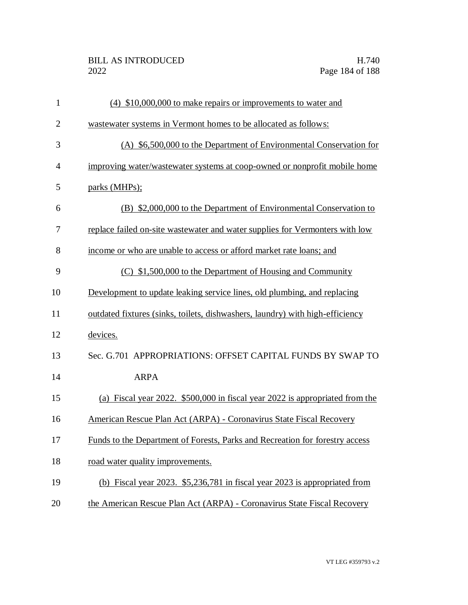| $\mathbf{1}$   | $(4)$ \$10,000,000 to make repairs or improvements to water and               |
|----------------|-------------------------------------------------------------------------------|
| $\overline{2}$ | wastewater systems in Vermont homes to be allocated as follows:               |
| 3              | (A) \$6,500,000 to the Department of Environmental Conservation for           |
| $\overline{4}$ | improving water/wastewater systems at coop-owned or nonprofit mobile home     |
| 5              | parks (MHPs);                                                                 |
| 6              | (B) \$2,000,000 to the Department of Environmental Conservation to            |
| 7              | replace failed on-site wastewater and water supplies for Vermonters with low  |
| 8              | income or who are unable to access or afford market rate loans; and           |
| 9              | $(C)$ \$1,500,000 to the Department of Housing and Community                  |
| 10             | Development to update leaking service lines, old plumbing, and replacing      |
| 11             | outdated fixtures (sinks, toilets, dishwashers, laundry) with high-efficiency |
| 12             | devices.                                                                      |
| 13             | Sec. G.701 APPROPRIATIONS: OFFSET CAPITAL FUNDS BY SWAP TO                    |
| 14             | <b>ARPA</b>                                                                   |
| 15             | (a) Fiscal year 2022. \$500,000 in fiscal year 2022 is appropriated from the  |
| 16             | American Rescue Plan Act (ARPA) - Coronavirus State Fiscal Recovery           |
| 17             | Funds to the Department of Forests, Parks and Recreation for forestry access  |
| 18             | road water quality improvements.                                              |
| 19             | (b) Fiscal year 2023. \$5,236,781 in fiscal year 2023 is appropriated from    |
| 20             | the American Rescue Plan Act (ARPA) - Coronavirus State Fiscal Recovery       |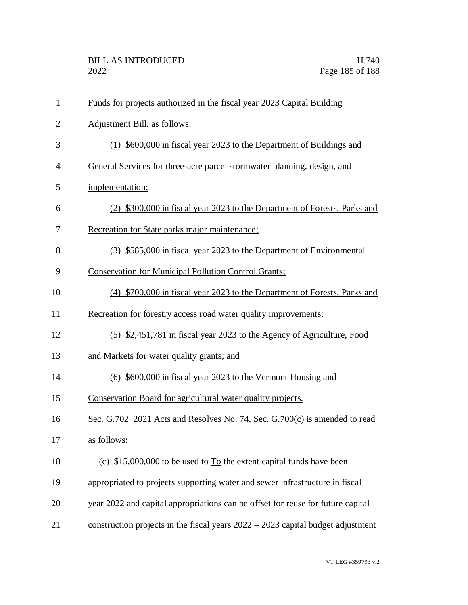| $\mathbf{1}$   | Funds for projects authorized in the fiscal year 2023 Capital Building            |
|----------------|-----------------------------------------------------------------------------------|
| $\overline{2}$ | Adjustment Bill. as follows:                                                      |
| 3              | (1) \$600,000 in fiscal year 2023 to the Department of Buildings and              |
| 4              | General Services for three-acre parcel stormwater planning, design, and           |
| 5              | implementation;                                                                   |
| 6              | (2) \$300,000 in fiscal year 2023 to the Department of Forests, Parks and         |
| 7              | Recreation for State parks major maintenance;                                     |
| 8              | (3) \$585,000 in fiscal year 2023 to the Department of Environmental              |
| 9              | <b>Conservation for Municipal Pollution Control Grants;</b>                       |
| 10             | (4) \$700,000 in fiscal year 2023 to the Department of Forests, Parks and         |
| 11             | Recreation for forestry access road water quality improvements;                   |
| 12             | (5) \$2,451,781 in fiscal year 2023 to the Agency of Agriculture, Food            |
| 13             | and Markets for water quality grants; and                                         |
| 14             | $(6)$ \$600,000 in fiscal year 2023 to the Vermont Housing and                    |
| 15             | Conservation Board for agricultural water quality projects.                       |
| 16             | Sec. G.702 2021 Acts and Resolves No. 74, Sec. G.700(c) is amended to read        |
| 17             | as follows:                                                                       |
| 18             | (c) $$15,000,000$ to be used to $To$ the extent capital funds have been           |
| 19             | appropriated to projects supporting water and sewer infrastructure in fiscal      |
| 20             | year 2022 and capital appropriations can be offset for reuse for future capital   |
| 21             | construction projects in the fiscal years $2022 - 2023$ capital budget adjustment |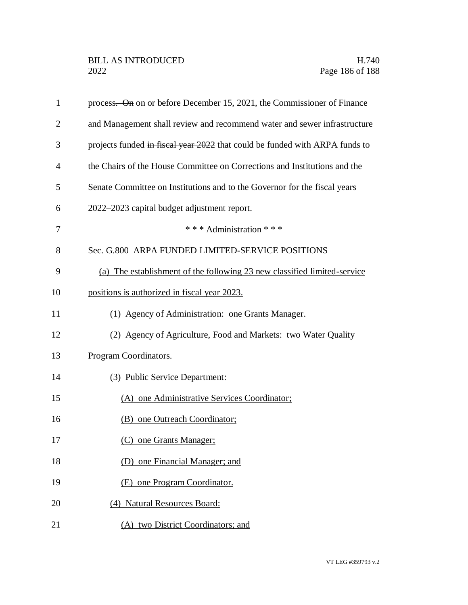| $\mathbf{1}$ | process. On on or before December 15, 2021, the Commissioner of Finance     |
|--------------|-----------------------------------------------------------------------------|
| 2            | and Management shall review and recommend water and sewer infrastructure    |
| 3            | projects funded in fiscal year 2022 that could be funded with ARPA funds to |
| 4            | the Chairs of the House Committee on Corrections and Institutions and the   |
| 5            | Senate Committee on Institutions and to the Governor for the fiscal years   |
| 6            | 2022–2023 capital budget adjustment report.                                 |
| 7            | * * * Administration * * *                                                  |
| 8            | Sec. G.800 ARPA FUNDED LIMITED-SERVICE POSITIONS                            |
| 9            | (a) The establishment of the following 23 new classified limited-service    |
| 10           | positions is authorized in fiscal year 2023.                                |
| 11           | (1) Agency of Administration: one Grants Manager.                           |
| 12           | (2) Agency of Agriculture, Food and Markets: two Water Quality              |
| 13           | Program Coordinators.                                                       |
| 14           | (3) Public Service Department:                                              |
| 15           | (A) one Administrative Services Coordinator;                                |
| 16           | (B) one Outreach Coordinator;                                               |
| 17           | (C) one Grants Manager;                                                     |
| 18           | (D) one Financial Manager; and                                              |
| 19           | (E) one Program Coordinator.                                                |
| 20           | (4) Natural Resources Board:                                                |
| 21           | (A) two District Coordinators; and                                          |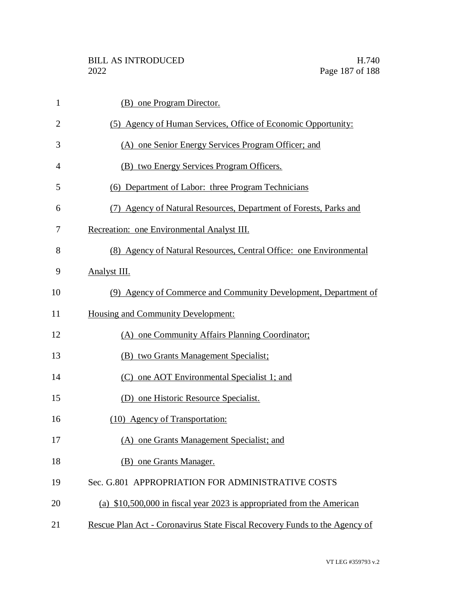| $\mathbf{1}$   | (B) one Program Director.                                                  |
|----------------|----------------------------------------------------------------------------|
| $\overline{2}$ | (5) Agency of Human Services, Office of Economic Opportunity:              |
| 3              | (A) one Senior Energy Services Program Officer; and                        |
| 4              | (B) two Energy Services Program Officers.                                  |
| 5              | (6) Department of Labor: three Program Technicians                         |
| 6              | Agency of Natural Resources, Department of Forests, Parks and<br>(7)       |
| 7              | Recreation: one Environmental Analyst III.                                 |
| 8              | (8) Agency of Natural Resources, Central Office: one Environmental         |
| 9              | Analyst III.                                                               |
| 10             | (9) Agency of Commerce and Community Development, Department of            |
| 11             | <b>Housing and Community Development:</b>                                  |
| 12             | (A) one Community Affairs Planning Coordinator;                            |
| 13             | (B) two Grants Management Specialist;                                      |
| 14             | (C) one AOT Environmental Specialist 1; and                                |
| 15             | (D) one Historic Resource Specialist.                                      |
| 16             | (10) Agency of Transportation:                                             |
| 17             | (A) one Grants Management Specialist; and                                  |
| 18             | (B) one Grants Manager.                                                    |
| 19             | Sec. G.801 APPROPRIATION FOR ADMINISTRATIVE COSTS                          |
| 20             | (a) $$10,500,000$ in fiscal year 2023 is appropriated from the American    |
| 21             | Rescue Plan Act - Coronavirus State Fiscal Recovery Funds to the Agency of |